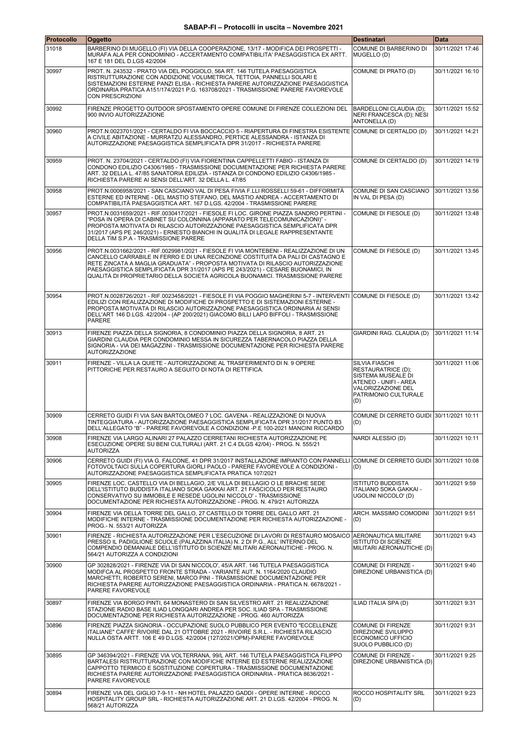| Protocollo | Oggetto                                                                                                                                                                                                                                                                                                                                                                                                                           | <b>Destinatari</b>                                                                                                                       | <b>Data</b>      |
|------------|-----------------------------------------------------------------------------------------------------------------------------------------------------------------------------------------------------------------------------------------------------------------------------------------------------------------------------------------------------------------------------------------------------------------------------------|------------------------------------------------------------------------------------------------------------------------------------------|------------------|
| 31018      | BARBERINO DI MUGELLO (FI) VIA DELLA COOPERAZIONE, 13/17 - MODIFICA DEI PROSPETTI -<br>MURAFA ALA PER CONDOMINIO - ACCERTAMENTO COMPATIBILITA' PAESAGGISTICA EX ARTT.<br>167 E 181 DEL D.LGS 42/2004                                                                                                                                                                                                                               | COMUNE DI BARBERINO DI<br>MUGELLO (D)                                                                                                    | 30/11/2021 17:46 |
| 30997      | PROT. N. 243532 - PRATO VIA DEL POGGIOLO, 56A RT. 146 TUTELA PAESAGGISTICA<br>RISTRUTTURAZIONE CON ADDIZIONE VOLUMETRICA, TETTOIA, PANNELLI SOLARI E<br>SISTEMAZIONI ESTERNE PANZI ELISA - RICHIESTA PARERE AUTORIZZAZIONE PAESAGGISTICA<br>ORDINARIA PRATICA A151/174/2021 P.G. 163708/2021 - TRASMISSIONE PARERE FAVOREVOLE<br><b>CON PRESCRIZIONI</b>                                                                          | COMUNE DI PRATO (D)                                                                                                                      | 30/11/2021 16:10 |
| 30992      | FIRENZE PROGETTO OUTDOOR SPOSTAMENTO OPERE COMUNE DI FIRENZE COLLEZIONI DEL<br>900 INVIO AUTORIZZAZIONE                                                                                                                                                                                                                                                                                                                           | BARDELLONI CLAUDIA (D);<br>NERI FRANCESCA (D); NESI<br>ANTONELLA (D)                                                                     | 30/11/2021 15:52 |
| 30960      | PROT.N.0023701/2021 - CERTALDO FI VIA BOCCACCIO 5 - RIAPERTURA DI FINESTRA ESISTENTE COMUNE DI CERTALDO (D)<br>A CIVILE ABITAZIONE - MURRATZU ALESSANDRO, PERTICE ALESSANDRA - ISTANZA DI<br>AUTORIZZAZIONE PAESAGGISTICA SEMPLIFICATA DPR 31/2017 - RICHIESTA PARERE                                                                                                                                                             |                                                                                                                                          | 30/11/2021 14:21 |
| 30959      | PROT. N. 23704/2021 - CERTALDO (FI) VIA FIORENTINA CAPPELLETTI FABIO - ISTANZA DI<br>CONDONO EDILIZIO C4306/1985 - TRASMISSIONE DOCUMENTAZIONE PER RICHIESTA PARERE<br>ART. 32 DELLA L. 47/85 SANATORIA EDILIZIA - ISTANZA DI CONDONO EDILIZIO C4306/1985 -<br>RICHIESTA PARERE AI SENSI DELL'ART. 32 DELLA L. 47/85                                                                                                              | COMUNE DI CERTALDO (D)                                                                                                                   | 30/11/2021 14:19 |
| 30958      | PROT.N.0006958/2021 - SAN CASCIANO VAL DI PESA FIVIA F.LLI ROSSELLI 59-61 - DIFFORMITÀ<br>ESTERNE ED INTERNE - DEL MASTIO STEFANO, DEL MASTIO ANDREA - ACCERTAMENTO DI<br>COMPATIBILITÀ PAESAGGISTICA ART. 167 D.LGS. 42/2004 - TRASMISSIONE PARERE                                                                                                                                                                               | COMUNE DI SAN CASCIANO<br>IN VAL DI PESA (D)                                                                                             | 30/11/2021 13:56 |
| 30957      | PROT.N.0031659/2021 - RIF.0030417/2021 - FIESOLE FI LOC. GIRONE PIAZZA SANDRO PERTINI -<br>'POSA IN OPERA DI CABINET SU COLONNINA (APPARATO PER TELECOMUNICAZIONI)" -<br>PROPOSTA MOTIVATA DI RILASCIO AUTORIZZAZIONE PAESAGGISTICA SEMPLIFICATA DPR<br>31/2017 (APS PE 246/2021) - ERNESTO BIANCHI IN QUALITÀ DI LEGALE RAPPRESENTANTE<br>DELLA TIM S.P.A - TRASMISSIONE PARERE                                                  | COMUNE DI FIESOLE (D)                                                                                                                    | 30/11/2021 13:48 |
| 30956      | PROT.N.0031662/2021 - RIF.0029981/2021 - FIESOLE FI VIA MONTEBENI - REALIZZAZIONE DI UN<br>CANCELLO CARRABILE IN FERRO E DI UNA RECINZIONE COSTITUITA DA PALI DI CASTAGNO E<br>RETE ZINCATA A MAGLIA GRADUATA" - PROPOSTA MOTIVATA DI RILASCIO AUTORIZZAZIONE<br>PAESAGGISTICA SEMPLIFICATA DPR 31/2017 (APS PE 243/2021) - CESARE BUONAMICI. IN<br>QUALITÀ DI PROPRIETARIO DELLA SOCIETÀ AGRICOLA BUONAMICI. TRASMISSIONE PARERE | COMUNE DI FIESOLE (D)                                                                                                                    | 30/11/2021 13:45 |
| 30954      | PROT.N.0028726/2021 - RIF.0023458/2021 - FIESOLE FI VIA POGGIO MAGHERINI 5-7 - INTERVENTI COMUNE DI FIESOLE (D)<br>EDILIZI CON REALIZZAZIONE DI MODIFICHE DI PROSPETTO E DI SISTEMAZIONI ESTERNE -<br>PROPOSTA MOTIVATA DI RILASCIO AUTORIZZAZIONE PAESAGGISTICA ORDINARIA AI SENSI<br>DELL'ART 146 D.LGS. 42/2004 - (AP 200/2021) GIACOMO BILLI LAPO BIFFOLI - TRASMISSIONE<br><b>PARERE</b>                                     |                                                                                                                                          | 30/11/2021 13:42 |
| 30913      | FIRENZE PIAZZA DELLA SIGNORIA, 8 CONDOMINIO PIAZZA DELLA SIGNORIA, 8 ART. 21<br>GIARDINI CLAUDIA PER CONDOMINIO MESSA IN SICUREZZA TABERNACOLO PIAZZA DELLA<br>SIGNORIA - VIA DEI MAGAZZINI - TRASMISSIONE DOCUMENTAZIONE PER RICHIESTA PARERE<br><b>AUTORIZZAZIONE</b>                                                                                                                                                           | GIARDINI RAG. CLAUDIA (D)                                                                                                                | 30/11/2021 11:14 |
| 30911      | FIRENZE - VILLA LA QUIETE - AUTORIZZAZIONE AL TRASFERIMENTO DI N. 9 OPERE<br>PITTORICHE PER RESTAURO A SEGUITO DI NOTA DI RETTIFICA.                                                                                                                                                                                                                                                                                              | SILVIA FIASCHI<br>RESTAURATRICE (D);<br>SISTEMA MUSEALE DI<br>ATENEO - UNIFI - AREA<br>VALORIZZAZIONE DEL<br>PATRIMONIO CULTURALE<br>(D) | 30/11/2021 11:06 |
| 30909      | CERRETO GUIDI FI VIA SAN BARTOLOMEO 7 LOC. GAVENA - REALIZZAZIONE DI NUOVA<br>TINTEGGIATURA - AUTORIZZAZIONE PAESAGGISTICA SEMPLIFICATA DPR 31/2017 PUNTO B3<br>DELL'ALLEGATO "B" - PARERE FAVOREVOLE A CONDIZIONI -P.E 100-2021 MANCINI RICCARDO                                                                                                                                                                                 | COMUNE DI CERRETO GUIDI 30/11/2021 10:11<br>(D)                                                                                          |                  |
| 30908      | FIRENZE VIA LARGO ALINARI 27 PALAZZO CERRETANI RICHIESTA AUTORIZZAZIONE PE<br>ESECUZIONE OPERE SU BENI CULTURALI (ART. 21 C.4 DLGS 42/04) - PROG. N. 555/21<br><b>AUTORIZZA</b>                                                                                                                                                                                                                                                   | NARDI ALESSIO (D)                                                                                                                        | 30/11/2021 10:11 |
| 30906      | CERRETO GUIDI (FI) VIA G. FALCONE, 41 DPR 31/2017 INSTALLAZIONE IMPIANTO CON PANNELLI<br>FOTOVOLTAICI SULLA COPERTURA GIORLI PAOLO - PARERE FAVOREVOLE A CONDIZIONI -<br>AUTORIZZAZIONE PAESAGGISTICA SEMPLIFICATA PRATICA 107/2021                                                                                                                                                                                               | COMUNE DI CERRETO GUIDI 30/11/2021 10:08<br>(D)                                                                                          |                  |
| 30905      | FIRENZE LOC. CASTELLO VIA DI BELLAGIO, 2/E VILLA DI BELLAGIO O LE BRACHE SEDE<br>DELL'ISTITUTO BUDDISTA ITALIANO SOKA GAKKAI ART. 21 FASCICOLO PER RESTAURO<br>CONSERVATIVO SU IMMOBILE E RESEDE UGOLINI NICCOLO' - TRASMISSIONE<br>DOCUMENTAZIONE PER RICHIESTA AUTORIZZAZIONE - PROG. N. 479/21 AUTORIZZA                                                                                                                       | <b>ISTITUTO BUDDISTA</b><br>ITALIANO SOKA GAKKAI -<br>UGOLINI NICCOLO' (D)                                                               | 30/11/2021 9:59  |
| 30904      | FIRENZE VIA DELLA TORRE DEL GALLO, 27 CASTELLO DI TORRE DEL GALLO ART. 21<br>MODIFICHE INTERNE - TRASMISSIONE DOCUMENTAZIONE PER RICHIESTA AUTORIZZAZIONE -<br>PROG.- N. 553/21 AUTORIZZA                                                                                                                                                                                                                                         | ARCH. MASSIMO COMODINI<br>(D)                                                                                                            | 30/11/2021 9:51  |
| 30901      | FIRENZE - RICHIESTA AUTORIZZAZIONE PER L'ESECUZIONE DI LAVORI DI RESTAURO MOSAICO<br>PRESSO IL PADIGLIONE SCUOLE (PALAZZINA ITALIA) N. 2 DI P.G., ALL' INTERNO DEL<br>COMPENDIO DEMANIALE DELL'ISTITUTO DI SCIENZE MILITARI AERONAUTICHE - PROG. N.<br>564/21 AUTORIZZA A CONDIZIONI                                                                                                                                              | AERONAUTICA MILITARE<br><b>ISTITUTO DI SCIENZE</b><br>MILITARI AERONAUTICHE (D)                                                          | 30/11/2021 9:43  |
| 30900      | GP 302828/2021 - FIRENZE VIA DI SAN NICCOLO', 45/A ART. 146 TUTELA PAESAGGISTICA<br>MODIFCA AL PROSPETTO FRONTE STRADA - VARIANTE AUT. N. 1164/2020 CLAUDIO<br>MARCHETTI, ROBERTO SERENI, MARCO PINI - TRASMISSIONE DOCUMENTAZIONE PER<br>RICHIESTA PARERE AUTORIZZAZIONE PAESAGGISTICA ORDINARIA - PRATICA N. 6678/2021 -<br>PARERE FAVOREVOLE                                                                                   | COMUNE DI FIRENZE -<br>DIREZIONE URBANISTICA (D)                                                                                         | 30/11/2021 9:40  |
| 30897      | FIRENZE VIA BORGO PINTI, 64 MONASTERO DI SAN SILVESTRO ART. 21 REALIZZAZIONE<br>STAZIONE RADIO BASE ILIAD LONGQARI ANDREA PER SOC. ILIAD SPA - TRASMISSIONE<br>DOCUMENTAZIONE PER RICHIESTA AUTORIZZAZIONE - PROG. 460 AUTORIZZA                                                                                                                                                                                                  | ILIAD ITALIA SPA (D)                                                                                                                     | 30/11/2021 9:31  |
| 30896      | FIRENZE PIAZZA SIGNORIA - OCCUPAZIONE SUOLO PUBBLICO PER EVENTO "ECCELLENZE<br>ITALIANE" CAFFE' RIVOIRE DAL 21 OTTOBRE 2021 - RIVOIRE S.R.L. - RICHIESTA RILASCIO<br>NULLA OSTA ARTT. 106 E 49 D.LGS. 42/2004 (127/2021/OPM)-PARERE FAVOREVOLE                                                                                                                                                                                    | COMUNE DI FIRENZE<br><b>DIREZIONE SVILUPPO</b><br>ECONOMICO UFFICIO<br>SUOLO PUBBLICO (D)                                                | 30/11/2021 9:31  |
| 30895      | GP 346394/2021 - FIRENZE VIA VOLTERRANA, 99/L ART. 146 TUTELA PAESAGGISTICA FILIPPO<br>BARTALESI RISTRUTTURAZIONE CON MODIFICHE INTERNE ED ESTERNE REALIZZAZIONE<br>CAPPOTTO TERMICO E SOSTITUZIONE COPERTURA - TRASMISSIONE DOCUMENTAZIONE<br>RICHIESTA PARERE AUTORIZZAZIONE PAESAGGISTICA ORDINARIA - PRATICA 8636/2021 -<br>PARERE FAVOREVOLE                                                                                 | COMUNE DI FIRENZE -<br>DIREZIONE URBANISTICA (D)                                                                                         | 30/11/2021 9:25  |
| 30894      | FIRENZE VIA DEL GIGLIO 7-9-11 - NH HOTEL PALAZZO GADDI - OPERE INTERNE - ROCCO<br>HOSPITALITY GROUP SRL - RICHIESTA AUTORIZZAZIONE ART. 21 D.LGS. 42/2004 - PROG. N.<br>568/21 AUTORIZZA                                                                                                                                                                                                                                          | ROCCO HOSPITALITY SRL<br>(D)                                                                                                             | 30/11/2021 9:23  |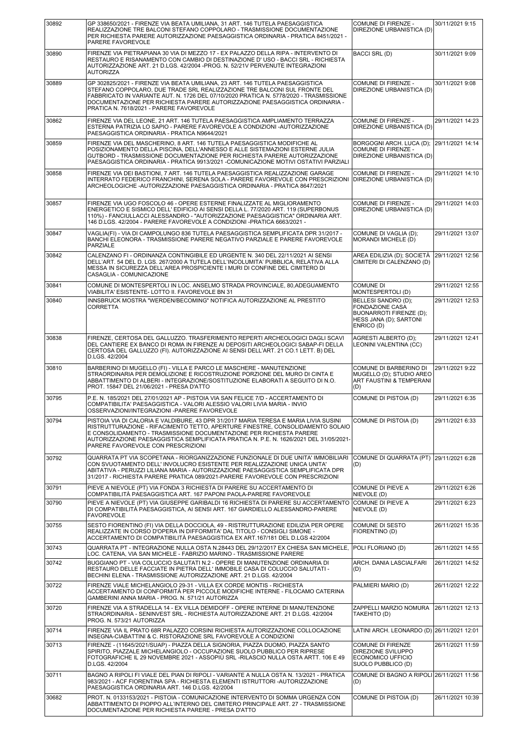| 30892 | GP 338650/2021 - FIRENZE VIA BEATA UMILIANA, 31 ART. 146 TUTELA PAESAGGISTICA<br>REALIZZAZIONE TRE BALCONI STEFANO COPPOLARO - TRASMISSIONE DOCUMENTAZIONE<br>PER RICHIESTA PARERE AUTORIZZAZIONE PAESAGGISTICA ORDINARIA - PRATICA 8451/2021 -<br>PARERE FAVOREVOLE                                                                                                             | COMUNE DI FIRENZE -<br>DIREZIONE URBANISTICA (D)                                                                 | 30/11/2021 9:15  |
|-------|----------------------------------------------------------------------------------------------------------------------------------------------------------------------------------------------------------------------------------------------------------------------------------------------------------------------------------------------------------------------------------|------------------------------------------------------------------------------------------------------------------|------------------|
| 30890 | FIRENZE VIA PIETRAPIANA 30 VIA DI MEZZO 17 - EX PALAZZO DELLA RIPA - INTERVENTO DI<br>RESTAURO E RISANAMENTO CON CAMBIO DI DESTINAZIONE D'USO - BACCI SRL - RICHIESTA<br>AUTORIZZAZIONE ART. 21 D.LGS. 42/2004 -PROG. N. 52/21V PERVENUTE INTEGRAZIONI<br><b>AUTORIZZA</b>                                                                                                       | <b>BACCI SRL (D)</b>                                                                                             | 30/11/2021 9:09  |
| 30889 | GP 302825/2021 - FIRENZE VIA BEATA UMILIANA, 23 ART. 146 TUTELA PAESAGGISTICA<br>STEFANO COPPOLARO, DUE TRADE SRL REALIZZAZIONE TRE BALCONI SUL FRONTE DEL<br>FABBRICATO IN VARIANTE AUT. N. 1726 DEL 07/10/2020 PRATICA N. 5778/2020 - TRASMISSIONE<br>DOCUMENTAZIONE PER RICHIESTA PARERE AUTORIZZAZIONE PAESAGGISTICA ORDINARIA -<br>PRATICA N. 7618/2021 - PARERE FAVOREVOLE | <b>COMUNE DI FIRENZE -</b><br>DIREZIONE URBANISTICA (D)                                                          | 30/11/2021 9:08  |
| 30862 | FIRENZE VIA DEL LEONE, 21 ART. 146 TUTELA PAESAGGISTICA AMPLIAMENTO TERRAZZA<br>ESTERNA PATRIZIA LO SAPIO - PARERE FAVOREVOLE A CONDIZIONI - AUTORIZZAZIONE<br>PAESAGGISTICA ORDINARIA - PRATICA N9644/2021                                                                                                                                                                      | COMUNE DI FIRENZE -<br>DIREZIONE URBANISTICA (D)                                                                 | 29/11/2021 14:23 |
| 30859 | FIRENZE VIA DEL MASCHERINO, 8 ART. 146 TUTELA PAESAGGISTICA MODIFICHE AL<br>POSIZIONAMENTO DELLA PISCINA, DELL'ANNESSO E ALLE SISTEMAZIONI ESTERNE JULIA<br>GUTBORD - TRASMISSIONE DOCUMENTAZIONE PER RICHIESTA PARERE AUTORIZZAZIONE<br>PAESAGGISTICA ORDINARIA - PRATICA 9913/2021 -COMUNICAZIONE MOTIVI OSTATIVI PARZIALI                                                     | BORGOGNI ARCH. LUCA (D);<br>COMUNE DI FIRENZE -<br>DIREZIONE URBANISTICA (D)                                     | 29/11/2021 14:14 |
| 30858 | FIRENZE VIA DEI BASTIONI, 7 ART. 146 TUTELA PAESAGGISTICA REALIZZAZIONE GARAGE<br>INTERRATO FEDERICO FRANCHINI, SERENA SOLA - PARERE FAVOREVOLE CON PRESCRIZIONI<br>ARCHEOLOGICHE -AUTORIZZAZIONE PAESAGGISTICA ORDINARIA - PRATICA 8647/2021                                                                                                                                    | COMUNE DI FIRENZE -<br>DIREZIONE URBANISTICA (D)                                                                 | 29/11/2021 14:10 |
| 30857 | FIRENZE VIA UGO FOSCOLO 46 - OPERE ESTERNE FINALIZZATE AL MIGLIORAMENTO<br>ENERGETICO E SISMICO DELL' EDIFICIO AI SENSI DELLA L. 77/2020 ART. 119 (SUPERBONUS<br>110%) - FANCIULLACCI ALESSANDRO - "AUTORIZZAZIONE PAESAGGISTICA" ORDINARIA ART.<br>146 D.LGS. 42/2004 - PARERE FAVOREVOLE A CONDIZIONI -PRATICA 6663/2021 -                                                     | COMUNE DI FIRENZE -<br>DIREZIONE URBANISTICA (D)                                                                 | 29/11/2021 14:03 |
| 30847 | VAGLIA(FI) - VIA DI CAMPOLUNGO 836 TUTELA PAESAGGISTICA SEMPLIFICATA DPR 31/2017 -<br>BANCHI ELEONORA - TRASMISSIONE PARERE NEGATIVO PARZIALE E PARERE FAVOREVOLE<br>PARZIALE                                                                                                                                                                                                    | COMUNE DI VAGLIA (D);<br>MORANDI MICHELE (D)                                                                     | 29/11/2021 13:07 |
| 30842 | CALENZANO FI - ORDINANZA CONTINGIBILE ED URGENTE N. 340 DEL 22/11/2021 AI SENSI<br>DELL'ART. 54 DEL D. LGS. 267/2000 A TUTELA DELL'INCOLUMITA' PUBBLICA, RELATIVA ALLA<br>MESSA IN SICUREZZA DELL'AREA PROSPICIENTE I MURI DI CONFINE DEL CIMITERO DI<br>CASAGLIA - COMUNICAZIONE                                                                                                | AREA EDILIZIA (D); SOCIETÀ<br>CIMITERI DI CALENZANO (D)                                                          | 29/11/2021 12:56 |
| 30841 | COMUNE DI MONTESPERTOLI IN LOC. ANSELMO STRADA PROVINCIALE, 80, ADEGUAMENTO<br>VIABILITA' ESISTENTE- LOTTO II. FAVOREVOLE BN 31                                                                                                                                                                                                                                                  | <b>COMUNE DI</b><br>MONTESPERTOLI (D)                                                                            | 29/11/2021 12:55 |
| 30840 | INNSBRUCK MOSTRA "WERDEN/BECOMING" NOTIFICA AUTORIZZAZIONE AL PRESTITO<br><b>CORRETTA</b>                                                                                                                                                                                                                                                                                        | BELLESI SANDRO (D);<br><b>FONDAZIONE CASA</b><br>BUONARROTI FIRENZE (D);<br>HESS JANA (D); SARTONI<br>ENRICO (D) | 29/11/2021 12:53 |
| 30838 | FIRENZE, CERTOSA DEL GALLUZZO. TRASFERIMENTO REPERTI ARCHEOLOGICI DAGLI SCAVI<br>DEL CANTIERE EX BANCO DI ROMA IN FIRENZE AI DEPOSITI ARCHEOLOGICI SABAP-FI DELLA<br>CERTOSA DEL GALLUZZO (FI). AUTORIZZAZIONE AI SENSI DELL'ART. 21 CO.1 LETT. B) DEL<br>D.LGS. 42/2004                                                                                                         | AGRESTI ALBERTO (D);<br>LEONINI VALENTINA (CC)                                                                   | 29/11/2021 12:41 |
| 30810 | BARBERINO DI MUGELLO (FI) - VILLA E PARCO LE MASCHERE - MANUTENZIONE<br>STRAORDINARIA PER DEMOLIZIONE E RICOSTRUZIONE PORZIONE DEL MURO DI CINTA E<br>ABBATTIMENTO DI ALBERI - INTEGRAZIONE/SOSTITUZIONE ELABORATI A SEGUITO DI N.O.<br>PROT. 15847 DEL 21/06/2021 - PRESA D'ATTO                                                                                                | COMUNE DI BARBERINO DI<br>MUGELLO (D); STUDIO AREO<br>ART FAUSTINI & TEMPERANI<br>(D)                            | 29/11/2021 9:22  |
| 30795 | P.E. N. 185/2021 DEL 27/01/2021 AP - PISTOIA VIA SAN FELICE 7/D - ACCERTAMENTO DI<br>COMPATIBILITA' PAESAGGISTICA - VALORI ALESSIO VALORI LIVIA MARIA - INVIO<br>OSSERVAZIONI/INTEGRAZIONI -PARERE FAVOREVOLE                                                                                                                                                                    | COMUNE DI PISTOIA (D)                                                                                            | 29/11/2021 6:35  |
| 30794 | PISTOIA VIA DI CALORIA E VALDIBURE, 43 DPR 31/2017 MARIA TERESA E MARIA LIVIA SUSINI<br>RISTRUTTURAZIONE - RIFACIMENTO TETTO, APERTURE FINESTRE, CONSOLIDAMENTO SOLAIO<br>E CONSOLIDAMENTO - TRASMISSIONE DOCUMENTAZIONE PER RICHIESTA PARERE<br>AUTORIZZAZIONE PAESAGGISTICA SEMPLIFICATA PRATICA N. P.E. N. 1626/2021 DEL 31/05/2021<br>PARERE FAVOREVOLE CON PRESCRIZIONI     | COMUNE DI PISTOIA (D)                                                                                            | 29/11/2021 6:33  |
| 30792 | QUARRATA PT VIA SCOPETANA - RIORGANIZZAZIONE FUNZIONALE DI DUE UNITA' IMMOBILIARI<br>CON SVUOTAMENTO DELL' INVOLUCRO ESISTENTE PER REALIZZAZIONE UNICA UNITA'<br>ABITATIVA - PERUZZI LILIANA MARIA - AUTORIZZAZIONE PAESAGGISTICA SEMPLIFICATA DPR<br>31/2017 - RICHIESTA PARERE PRATICA 089/2021-PARERE FAVOREVOLE CON PRESCRIZIONI                                             | COMUNE DI QUARRATA (PT) 29/11/2021 6:28<br>(D)                                                                   |                  |
| 30791 | PIEVE A NIEVOLE (PT) VIA FONDA 3 RICHIESTA DI PARERE SU ACCERTAMENTO DI<br>COMPATIBILITÀ PAESAGGISTICA ART. 167 PAPONI PAOLA-PARERE FAVOREVOLE                                                                                                                                                                                                                                   | COMUNE DI PIEVE A<br>NIEVOLE (D)                                                                                 | 29/11/2021 6:26  |
| 30790 | PIEVE A NIEVOLE (PT) VIA GIUSEPPE GARIBALDI 16 RICHIESTA DI PARERE SU ACCERTAMENTO<br>DI COMPATIBILITÀ PAESAGGISTICA, AI SENSI ART. 167 GIARDIELLO ALESSANDRO-PARERE<br><b>FAVOREVOLE</b>                                                                                                                                                                                        | COMUNE DI PIEVE A<br>NIEVOLE (D)                                                                                 | 29/11/2021 6:23  |
| 30755 | SESTO FIORENTINO (FI) VIA DELLA DOCCIOLA, 49 - RISTRUTTURAZIONE EDILIZIA PER OPERE<br>REALIZZATE IN CORSO D'OPERA IN DIFFORMITA' DAL TITOLO - CONSIGLI SIMONE -<br>ACCERTAMENTO DI COMPATIBILITÀ PAESAGGISTICA EX ART.167/181 DEL D.LGS 42/2004                                                                                                                                  | COMUNE DI SESTO<br>FIORENTINO (D)                                                                                | 26/11/2021 15:35 |
| 30743 | QUARRATA PT - INTEGRAZIONE NULLA OSTA N.28443 DEL 29/12/2017 EX CHIESA SAN MICHELE,<br>LOC. CATENA, VIA SAN MICHELE - FABRIZIO MARINO - TRASMISSIONE PARERE                                                                                                                                                                                                                      | POLI FLORIANO (D)                                                                                                | 26/11/2021 14:55 |
| 30742 | BUGGIANO PT - VIA COLUCCIO SALUTATI N.2 - OPERE DI MANUTENZIONE ORDINARIA DI<br>RESTAURO DELLE FACCIATE IN PIETRA DELL' IMMOBILE CASA DI COLUCCIO SALUTATI -<br>BECHINI ELENA - TRASMISSIONE AUTORIZZAZIONE ART. 21 D.LGS. 42/2004                                                                                                                                               | ARCH. DANIA LASCIALFARI<br>(D)                                                                                   | 26/11/2021 14:52 |
| 30722 | FIRENZE VIALE MICHELANGIOLO 29-31 - VILLA EX CORDE MONTIS - RICHIESTA<br>ACCERTAMENTO DI CONFORMITÀ PER PICCOLE MODIFICHE INTERNE - FILOCAMO CATERINA<br>GAMBERINI ANNA MARIA - PROG. N. 571/21 AUTORIZZA                                                                                                                                                                        | PALMIERI MARIO (D)                                                                                               | 26/11/2021 12:22 |
| 30720 | FIRENZE VIA A STRADELLA 14 - EX VILLA DEMIDOFF - OPERE INTERNE DI MANUTENZIONE<br>STRAORDINARIA - SENINVEST SRL - RICHIESTA AUTORIZZAZIONE ART. 21 D.LGS. 42/2004<br>PROG. N. 573/21 AUTORIZZA                                                                                                                                                                                   | ZAPPELLI MARZIO NOMURA<br>TAKEHITO (D)                                                                           | 26/11/2021 12:13 |
| 30714 | FIRENZE VIA IL PRATO 68R PALAZZO CORSINI RICHIESTA AUTORIZZAZIONE COLLOCAZIONE<br>INSEGNA-CIABATTINI & C. RISTORAZIONE SRL FAVOREVOLE A CONDIZIONI                                                                                                                                                                                                                               | LATINI ARCH. LEONARDO (D) 26/11/2021 12:01                                                                       |                  |
| 30713 | FIRENZE - (11645/2021/SUAP) - PIAZZA DELLA SIGNORIA, PIAZZA DUOMO, PIAZZA SANTO<br>SPIRITO, PIAZZALE MICHELANGIOLO - OCCUPAZIONE SUOLO PUBBLICO PER RIPRESE<br>FOTOGRAFICHE IL 29 NOVEMBRE 2021 - ASSOPIÙ SRL -RILASCIO NULLA OSTA ARTT. 106 E 49<br>D.LGS. 42/2004                                                                                                              | COMUNE DI FIRENZE<br>DIREZIONE SVILUPPO<br>ECONOMICO UFFICIO<br>SUOLO PUBBLICO (D)                               | 26/11/2021 11:59 |
| 30711 | BAGNO A RIPOLI FI VIALE DEL PIAN DI RIPOLI - VARIANTE A NULLA OSTA N. 13/2021 - PRATICA<br>983/2021 - ACF FIORENTINA SPA - RICHIESTA ELEMENTI ISTRUTTORI -AUTORIZZAZIONE<br>PAESAGGISTICA ORDINARIA ART. 146 D.LGS. 42/2004                                                                                                                                                      | COMUNE DI BAGNO A RIPOLI 26/11/2021 11:56<br>(D)                                                                 |                  |
| 30682 | PROT. N. 0133153/2021 - PISTOIA - COMUNICAZIONE INTERVENTO DI SOMMA URGENZA CON<br>ABBATTIMENTO DI PIOPPO ALL'INTERNO DEL CIMITERO PRINCIPALE ART. 27 - TRASMISSIONE<br>DOCUMENTAZIONE PER RICHIESTA PARERE - PRESA D'ATTO                                                                                                                                                       | COMUNE DI PISTOIA (D)                                                                                            | 26/11/2021 10:39 |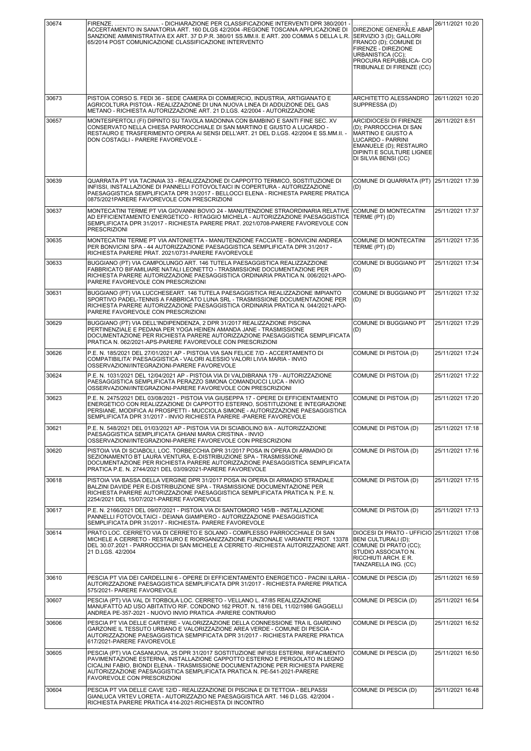| 30674 | ACCERTAMENTO IN SANATORIA ART. 160 DLGS 42/2004 -REGIONE TOSCANA APPLICAZIONE DI<br>SANZIONE AMMINISTRATIVA EX ART. 37 D.P.R. 380/01 SS.MM.II. E ART. 200 COMMA 5 DELLA L.R.<br>65/2014 POST COMUNICAZIONE CLASSIFICAZIONE INTERVENTO                                                                                                                                  | DIREZIONE GENERALE ABAP<br>SERVIZIO 3 (D); GALLORI<br>FRANCO (D); COMUNE DI<br>FIRENZE - DIREZIONE<br>URBANISTICA (CC);<br>PROCURA REPUBBLICA- C/O<br>TRIBUNALE DI FIRENZE (CC)          | 26/11/2021 10:20 |
|-------|------------------------------------------------------------------------------------------------------------------------------------------------------------------------------------------------------------------------------------------------------------------------------------------------------------------------------------------------------------------------|------------------------------------------------------------------------------------------------------------------------------------------------------------------------------------------|------------------|
| 30673 | PISTOIA CORSO S. FEDI 36 - SEDE CAMERA DI COMMERCIO, INDUSTRIA, ARTIGIANATO E<br>AGRICOLTURA PISTOIA - REALIZZAZIONE DI UNA NUOVA LINEA DI ADDUZIONE DEL GAS<br>METANO - RICHIESTA AUTORIZZAZIONE ART. 21 D.LGS. 42/2004 - AUTORIZZAZIONE                                                                                                                              | ARCHITETTO ALESSANDRO<br>SUPPRESSA (D)                                                                                                                                                   | 26/11/2021 10:20 |
| 30657 | MONTESPERTOLI (FI) DIPINTO SU TAVOLA MADONNA CON BAMBINO E SANTI FINE SEC. XV<br>CONSERVATO NELLA CHIESA PARROCCHIALE DI SAN MARTINO E GIUSTO A LUCARDO -<br>RESTAURO E TRASFERIMENTO OPERA AI SENSI DELL'ART. 21 DEL D.LGS. 42/2004 E SS.MM.II. -<br>DON COSTAGLI - PARERE FAVOREVOLE -                                                                               | <b>ARCIDIOCESI DI FIRENZE</b><br>(D); PARROCCHIA DI SAN<br><b>MARTINO E GIUSTO A</b><br>LUCARDO - PARRINI<br>EMANUELE (D); RESTAURO<br>DIPINTI E SCULTURE LIGNEE<br>DI SILVIA BENSI (CC) | 26/11/2021 8:51  |
| 30639 | QUARRATA PT VIA TACINAIA 33 - REALIZZAZIONE DI CAPPOTTO TERMICO, SOSTITUZIONE DI<br>INFISSI, INSTALLAZIONE DI PANNELLI FOTOVOLTAICI IN COPERTURA - AUTORIZZAZIONE<br>PAESAGGISTICA SEMPLIFICATA DPR 31/2017 - BELLOCCI ELENA - RICHIESTA PARERE PRATICA<br>0875/2021PARERE FAVOREVOLE CON PRESCRIZIONI                                                                 | COMUNE DI QUARRATA (PT)<br>(D)                                                                                                                                                           | 25/11/2021 17:39 |
| 30637 | MONTECATINI TERME PT VIA GIOVANNI BOVIO 24 - MANUTENZIONE STRAORDINARIA RELATIVE<br>AD EFFICIENTAMENTO ENERGETICO - RITAGGIO MICHELA - AUTORIZZAZIONE PAESAGGISTICA<br>SEMPLIFICATA DPR 31/2017 - RICHIESTA PARERE PRAT. 2021/0708-PARERE FAVOREVOLE CON<br><b>PRESCRIZIONI</b>                                                                                        | COMUNE DI MONTECATINI<br>TERME (PT) (D)                                                                                                                                                  | 25/11/2021 17:37 |
| 30635 | MONTECATINI TERME PT VIA ANTONIETTA - MANUTENZIONE FACCIATE - BONVICINI ANDREA<br>PER BONVICINI SPA - 44 AUTORIZZAZIONE PAESAGGISTICA SEMPLIFICATA DPR 31/2017 -<br>RICHIESTA PARERE PRAT. 2021/0731-PARERE FAVOREVOLE                                                                                                                                                 | COMUNE DI MONTECATINI<br>TERME (PT) (D)                                                                                                                                                  | 25/11/2021 17:35 |
| 30633 | BUGGIANO (PT) VIA CAMPOLUNGO ART. 146 TUTELA PAESAGGISTICA REALIZZAZZIONE<br>FABBRICATO BIFAMILIARE NATALI LEONETTO - TRASMISSIONE DOCUMENTAZIONE PER<br>RICHIESTA PARERE AUTORIZZAZIONE PAESAGGISTICA ORDINARIA PRATICA N. 006/2021-APO-<br>PARERE FAVOREVOLE CON PRESCRIZIONI                                                                                        | <b>COMUNE DI BUGGIANO PT</b><br>(D)                                                                                                                                                      | 25/11/2021 17:34 |
| 30631 | BUGGIANO (PT) VIA LUCCHESEART. 146 TUTELA PAESAGGISTICA REALIZZAZIONE IMPIANTO<br>SPORTIVO PADEL-TENNIS A FABBRICATO LUNA SRL - TRASMISSIONE DOCUMENTAZIONE PER<br>RICHIESTA PARERE AUTORIZZAZIONE PAESAGGISTICA ORDINARIA PRATICA N. 044/2021-APO-<br>PARERE FAVOREVOLE CON PRESCRIZIONI                                                                              | COMUNE DI BUGGIANO PT<br>(D)                                                                                                                                                             | 25/11/2021 17:32 |
| 30629 | BUGGIANO (PT) VIA DELL'INDIPENDENZA, 2 DPR 31/2017 REALIZZAZIONE PISCINA<br>PERTINENZIALE E PEDANA PER YOGA HEINEN AMANDA JANE - TRASMISSIONE<br>DOCUMENTAZIONE PER RICHIESTA PARERE AUTORIZZAZIONE PAESAGGISTICA SEMPLIFICATA<br>PRATICA N. 062/2021-APS-PARERE FAVOREVOLE CON PRESCRIZIONI                                                                           | COMUNE DI BUGGIANO PT<br>(D)                                                                                                                                                             | 25/11/2021 17:29 |
| 30626 | P.E. N. 185/2021 DEL 27/01/2021 AP - PISTOIA VIA SAN FELICE 7/D - ACCERTAMENTO DI<br>COMPATIBILITA' PAESAGGISTICA - VALORI ALESSIO VALORI LIVIA MARIA - INVIO<br>OSSERVAZIONI/INTEGRAZIONI-PARERE FAVOREVOLE                                                                                                                                                           | COMUNE DI PISTOIA (D)                                                                                                                                                                    | 25/11/2021 17:24 |
| 30624 | P.E. N. 1031/2021 DEL 12/04/2021 AP - PISTOIA VIA DI VALDIBRANA 179 - AUTORIZZAZIONE<br>PAESAGGISTICA SEMPLIFICATA PERAZZO SIMONA COMANDUCCI LUCA - INVIO<br>OSSERVAZIONI/INTEGRAZIONI-PARERE FAVOREVOLE CON PRESCRIZIONI                                                                                                                                              | COMUNE DI PISTOIA (D)                                                                                                                                                                    | 25/11/2021 17:22 |
| 30623 | P.E. N. 2475/2021 DEL 03/08/2021 - PISTOIA VIA GIUSEPPA 17 - OPERE DI EFFICIENTAMENTO<br>ENERGETICO CON REALIZZAZIONE DI CAPPOTTO ESTERNO, SOSTITUZIONE E INTEGRAZIONE<br>PERSIANE, MODIFICA AI PROSPETTI - MUCCIOLA SIMONE - AUTORIZZAZIONE PAESAGGISTICA<br>SEMPLIFICATA DPR 31/2017 - INVIO RICHIESTA PARERE -PARERE FAVOREVOLE                                     | COMUNE DI PISTOIA (D)                                                                                                                                                                    | 25/11/2021 17:20 |
| 30621 | P.E. N. 548/2021 DEL 01/03/2021 AP - PISTOIA VIA DI SCIABOLINO 8/A - AUTORIZZAZIONE<br>PAESAGGISTICA SEMPLIFICATA GHIANI MARIA CRISTINA - INVIO<br>OSSERVAZIONI/INTEGRAZIONI-PARERE FAVOREVOLE CON PRESCRIZIONI                                                                                                                                                        | COMUNE DI PISTOIA (D)                                                                                                                                                                    | 25/11/2021 17:18 |
| 30620 | PISTOIA VIA DI SCIABOLI, LOC. TORBECCHIA DPR 31/2017 POSA IN OPERA DI ARMADIO DI<br>SEZIONAMENTO BT LAURA VENTURA, E-DISTRIBUZIONE SPA - TRASMISSIONE<br>DOCUMENTAZIONE PER RICHIESTA PARERE AUTORIZZAZIONE PAESAGGISTICA SEMPLIFICATA<br>PRATICA P.E. N. 2744/2021 DEL 03/09/2021-PARERE FAVOREVOLE                                                                   | COMUNE DI PISTOIA (D)                                                                                                                                                                    | 25/11/2021 17:16 |
| 30618 | PISTOIA VIA BASSA DELLA VERGINE DPR 31/2017 POSA IN OPERA DI ARMADIO STRADALE<br>BALZINI DAVIDE PER E-DISTRIBUZIONE SPA - TRASMISSIONE DOCUMENTAZIONE PER<br>RICHIESTA PARERE AUTORIZZAZIONE PAESAGGISTICA SEMPLIFICATA PRATICA N. P.E. N.<br>2254/2021 DEL 15/07/2021-PARERE FAVOREVOLE                                                                               | COMUNE DI PISTOIA (D)                                                                                                                                                                    | 25/11/2021 17:15 |
| 30617 | P.E. N. 2166/2021 DEL 09/07/2021 - PISTOIA VIA DI SANTOMORO 145/B - INSTALLAZIONE<br>PANNELLI FOTOVOLTAICI - DEIANA GIAMPIERO - AUTORIZZAZIONE PAESAGGISTICA<br>SEMPLIFICATA DPR 31/2017 - RICHIESTA- PARERE FAVOREVOLE                                                                                                                                                | COMUNE DI PISTOIA (D)                                                                                                                                                                    | 25/11/2021 17:13 |
| 30614 | PRATO LOC. CERRETO VIA DI CERRETO E SOLANO - COMPLESSO PARROCCHIALE DI SAN<br>MICHELE A CERRETO - RESTAURO E RIORGANIZZAZIONE FUNZIONALE VARIANTE PROT. 13378<br>DEL 30.07.2021 - PARROCCHIA DI SAN MICHELE A CERRETO -RICHIESTA AUTORIZZAZIONE ART.<br>21 D.LGS. 42/2004                                                                                              | DIOCESI DI PRATO - UFFICIO 25/11/2021 17:08<br>BENI CULTURALI (D);<br>COMUNE DI PRATO (CC);<br>STUDIO ASSOCIATO N.<br>RICCHIUTI ARCH. E R.<br>TANZARELLA ING. (CC)                       |                  |
| 30610 | PESCIA PT VIA DEI CARDELLINI 6 - OPERE DI EFFICIENTAMENTO ENERGETICO - PACINI ILARIA<br>AUTORIZZAZIONE PAESAGGISTICA SEMPLIFICATA DPR 31/2017 - RICHIESTA PARERE PRATICA<br>575/2021- PARERE FAVOREVOLE                                                                                                                                                                | COMUNE DI PESCIA (D)                                                                                                                                                                     | 25/11/2021 16:59 |
| 30607 | PESCIA (PT) VIA VAL DI TORBOLA LOC. CERRETO - VELLANO L. 47/85 REALIZZAZIONE<br>MANUFATTO AD USO ABITATIVO RIF. CONDONO 162 PROT. N. 1816 DEL 11/02/1986 GAGGELLI<br>ANDREA PE-357-2021 - NUOVO INVIO PRATICA -PARERE CONTRARIO                                                                                                                                        | COMUNE DI PESCIA (D)                                                                                                                                                                     | 25/11/2021 16:54 |
| 30606 | PESCIA PT VIA DELLE CARTIERE - VALORIZZAZIONE DELLA CONNESSIONE TRA IL GIARDINO<br>GARZONIE IL TESSUTO URBANO E VALORIZZAZIONE AREA VERDE - COMUNE DI PESCIA -<br>AUTORIZZAZIONE PAESAGGISTICA SEMPIFICATA DPR 31/2017 - RICHIESTA PARERE PRATICA<br>617/2021-PARERE FAVOREVOLE                                                                                        | COMUNE DI PESCIA (D)                                                                                                                                                                     | 25/11/2021 16:52 |
| 30605 | PESCIA (PT) VIA CASANUOVA, 25 DPR 31/2017 SOSTITUZIONE INFISSI ESTERNI, RIFACIMENTO<br>PAVIMENTAZIONE ESTERNA, INSTALLAZIONE CAPPOTTO ESTERNO E PERGOLATO IN LEGNO<br>CICALINI FABIO, BIONDI ELENA - TRASMISSIONE DOCUMENTAZIONE PER RICHIESTA PARERE<br>AUTORIZZAZIONE PAESAGGISTICA SEMPLIFICATA PRATICA N. PE-541-2021-PARERE<br><b>FAVOREVOLE CON PRESCRIZIONI</b> | COMUNE DI PESCIA (D)                                                                                                                                                                     | 25/11/2021 16:50 |
| 30604 | PESCIA PT VIA DELLE CAVE 12/D - REALIZZAZIONE DI PISCINA E DI TETTOIA - BELPASSI<br>GIANLUCA VRTEV LORETA - AUTORIZZAZIO NE PAESAGGISTICA ART. 146 D.LGS. 42/2004 -<br>RICHIESTA PARERE PRATICA 414-2021-RICHIESTA DI INCONTRO                                                                                                                                         | COMUNE DI PESCIA (D)                                                                                                                                                                     | 25/11/2021 16:48 |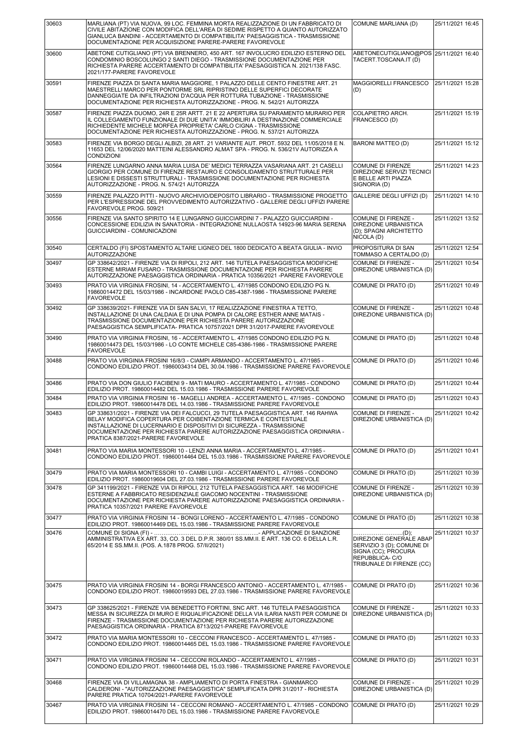| 30603 | MARLIANA (PT) VIA NUOVA, 99 LOC. FEMMINA MORTA REALIZZAZIONE DI UN FABBRICATO DI<br>CIVILE ABITAZIONE CON MODIFICA DELL'AREA DI SEDIME RISPETTO A QUANTO AUTORIZZATO<br>GIANLUCA BANDINI - ACCERTAMENTO DI COMPATIBILITA' PAESAGGISTICA - TRASMISSIONE<br>DOCUMENTAZIONE PER ACQUISIZIONE PARERE-PARERE FAVOREVOLE                                    | COMUNE MARLIANA (D)                                                                                                               | 25/11/2021 16:45 |
|-------|-------------------------------------------------------------------------------------------------------------------------------------------------------------------------------------------------------------------------------------------------------------------------------------------------------------------------------------------------------|-----------------------------------------------------------------------------------------------------------------------------------|------------------|
| 30600 | ABETONE CUTIGLIANO (PT) VIA BRENNERO, 450 ART. 167 INVOLUCRO EDILIZIO ESTERNO DEL<br>CONDOMINIO BOSCOLUNGO 2 SANTI DIEGO - TRASMISSIONE DOCUMENTAZIONE PER<br>RICHIESTA PARERE ACCERTAMENTO DI COMPATIBILITA' PAESAGGISTICA N. 2021/138 FASC.<br>2021/177-PARERE FAVOREVOLE                                                                           | ABETONECUTIGLIANO@POS 25/11/2021 16:40<br>TACERT.TOSCANA.IT (D)                                                                   |                  |
| 30591 | FIRENZE PIAZZA DI SANTA MARIA MAGGIORE, 1 PALAZZO DELLE CENTO FINESTRE ART. 21<br>MAESTRELLI MARCO PER PONTORME SRL RIPRISTINO DELLE SUPERFICI DECORATE<br>DANNEGGIATE DA INFILTRAZIONI D'ACQUA PER ROTTURA TUBAZIONE - TRASMISSIONE<br>DOCUMENTAZIONE PER RICHIESTA AUTORIZZAZIONE - PROG. N. 542/21 AUTORIZZA                                       | MAGGIORELLI FRANCESCO<br>(D)                                                                                                      | 25/11/2021 15:28 |
| 30587 | FIRENZE PIAZZA DUOMO, 24R E 25R ARTT. 21 E 22 APERTURA SU PARAMENTO MURARIO PER<br>IL COLLEGAMENTO FUNZIONALE DI DUE UNITA' IMMOBILIRI A DESTINAZIONE COMMERCIALE<br>RICHIEDENTE MICHELE MORFEA PROPRIETA' CARLO CIGNA - TRASMISSIONE<br>DOCUMENTAZIONE PER RICHIESTA AUTORIZZAZIONE - PROG. N. 537/21 AUTORIZZA                                      | COLAPIETRO ARCH.<br>FRANCESCO (D)                                                                                                 | 25/11/2021 15:19 |
| 30583 | FIRENZE VIA BORGO DEGLI ALBIZI, 28 ART. 21 VARIANTE AUT. PROT. 5932 DEL 11/05/2018 E N.<br>11653 DEL 12/06/2020 MATTEINI ALESSANDRO ALMAT SPA - PROG. N. 536/21V AUTORIZZA A<br><b>CONDIZIONI</b>                                                                                                                                                     | <b>BARONI MATTEO (D)</b>                                                                                                          | 25/11/2021 15:12 |
| 30564 | FIRENZE LUNGARNO ANNA MARIA LUISA DE' MEDICI TERRAZZA VASARIANA ART. 21 CASELLI<br>GIORGIO PER COMUNE DI FIRENZE RESTAURO E CONSOLIDAMENTO STRUTTURALE PER<br>LESIONI E DISSESTI STRUTTURALI - TRASMISSIONE DOCUMENTAZIONE PER RICHIESTA<br>AUTORIZZAZIONE - PROG. N. 574/21 AUTORIZZA                                                                | <b>COMUNE DI FIRENZE</b><br><b>DIREZIONE SERVIZI TECNICI</b><br>E BELLE ARTI PIAZZA<br>SIGNORIA (D)                               | 25/11/2021 14:23 |
| 30559 | FIRENZE PALAZZO PITTI - NUOVO ARCHIVIO/DEPOSITO LIBRARIO - TRASMISSIONE PROGETTO<br>PER L'ESPRESSIONE DEL PROVVEDIMENTO AUTORIZZATIVO - GALLERIE DEGLI UFFIZI PARERE<br>FAVOREVOLE PROG. 509/21                                                                                                                                                       | GALLERIE DEGLI UFFIZI (D)                                                                                                         | 25/11/2021 14:10 |
| 30556 | FIRENZE VIA SANTO SPIRITO 14 E LUNGARNO GUICCIARDINI 7 - PALAZZO GUICCIARDINI -<br>CONCESSIONE EDILIZIA IN SANATORIA - INTEGRAZIONE NULLAOSTA 14923-96 MARIA SERENA<br>GUICCIARDINI - COMUNICAZIONI                                                                                                                                                   | COMUNE DI FIRENZE -<br><b>DIREZIONE URBANISTICA</b><br>(D); SPAGNI ARCHITETTO<br>NICOLA (D)                                       | 25/11/2021 13:52 |
| 30540 | CERTALDO (FI) SPOSTAMENTO ALTARE LIGNEO DEL 1800 DEDICATO A BEATA GIULIA - INVIO<br><b>AUTORIZZAZIONE</b>                                                                                                                                                                                                                                             | <b>PROPOSITURA DI SAN</b><br>TOMMASO A CERTALDO (D)                                                                               | 25/11/2021 12:54 |
| 30497 | GP 338642/2021 - FIRENZE VIA DI RIPOLI, 212 ART. 146 TUTELA PAESAGGISTICA MODIFICHE<br>ESTERNE MIRIAM FUSARO - TRASMISSIONE DOCUMENTAZIONE PER RICHIESTA PARERE<br>AUTORIZZAZIONE PAESAGGISTICA ORDINARIA - PRATICA 10356/2021 - PARERE FAVOREVOLE                                                                                                    | COMUNE DI FIRENZE -<br>DIREZIONE URBANISTICA (D)                                                                                  | 25/11/2021 10:54 |
| 30493 | PRATO VIA VIRGINIA FROSINI, 14 - ACCERTAMENTO L. 47/1985 CONDONO EDILIZIO PG N.<br>19860014472 DEL 15/03/1986 - INCARDONE PAOLO C85-4387-1986 - TRASMISSIONE PARERE<br><b>FAVOREVOLE</b>                                                                                                                                                              | COMUNE DI PRATO (D)                                                                                                               | 25/11/2021 10:49 |
| 30492 | GP 338639/2021- FIRENZE VIA DI SAN SALVI, 17 REALIZZAZIONE FINESTRA A TETTO,<br>INSTALLAZIONE DI UNA CALDAIA E DI UNA POMPA DI CALORE ESTHER ANNE MATAIS -<br>TRASMISSIONE DOCUMENTAZIONE PER RICHIESTA PARERE AUTORIZZAZIONE<br>PAESAGGISTICA SEMPLIFICATA- PRATICA 10757/2021 DPR 31/2017-PARERE FAVOREVOLE                                         | COMUNE DI FIRENZE -<br>DIREZIONE URBANISTICA (D)                                                                                  | 25/11/2021 10:48 |
| 30490 | PRATO VIA VIRGINIA FROSINI, 16 - ACCERTAMENTO L. 47/1985 CONDONO EDILIZIO PG N.<br>19860014473 DEL 15/03/1986 - LO CONTE MICHELE C85-4386-1986 - TRASMISSIONE PARERE<br><b>FAVOREVOLE</b>                                                                                                                                                             | COMUNE DI PRATO (D)                                                                                                               | 25/11/2021 10:48 |
| 30488 | PRATO VIA VIRGINIA FROSINI 16/8/3 - CIAMPI ARMANDO - ACCERTAMENTO L. 47/1985 -<br>CONDONO EDILIZIO PROT. 19860034314 DEL 30.04.1986 - TRASMISSIONE PARERE FAVOREVOLE                                                                                                                                                                                  | COMUNE DI PRATO (D)                                                                                                               | 25/11/2021 10:46 |
| 30486 | PRATO VIA DON GIULIO FACIBENI 9 - MATI MAURO - ACCERTAMENTO L. 47/1985 - CONDONO<br>EDILIZIO PROT. 19860014482 DEL 15.03.1986 - TRASMISSIONE PARERE FAVOREVOLE                                                                                                                                                                                        | COMUNE DI PRATO (D)                                                                                                               | 25/11/2021 10:44 |
| 30484 | PRATO VIA VIRGINIA FROSINI 16 - MAGELLI ANDREA - ACCERTAMENTO L. 47/1985 - CONDONO<br>EDILIZIO PROT. 19860014478 DEL 14.03.1986 - TRASMISSIONE PARERE FAVOREVOLE                                                                                                                                                                                      | COMUNE DI PRATO (D)                                                                                                               | 25/11/2021 10:43 |
| 30483 | GP 338631/2021 - FIRENZE VIA DEI FALCUCCI, 29 TUTELA PAESAGGISTICA ART. 146 RAHWA<br>BELAY MODIFICA COPERTURA PER COIBENTAZIONE TERMICA E CONTESTUALE<br>INSTALLAZIONE DI LUCERNARIO E DISPOSITIVI DI SICUREZZA - TRASMISSIONE<br>DOCUMENTAZIONE PER RICHIESTA PARERE AUTORIZZAZIONE PAESAGGISTICA ORDINARIA -<br>PRATICA 8387/2021-PARERE FAVOREVOLE | <b>COMUNE DI FIRENZE -</b><br>DIREZIONE URBANISTICA (D)                                                                           | 25/11/2021 10:42 |
| 30481 | PRATO VIA MARIA MONTESSORI 10 - LENZI ANNA MARIA - ACCERTAMENTO L. 47/1985 -<br>CONDONO EDILIZIO PROT. 19860014464 DEL 15.03.1986 - TRASMISSIONE PARERE FAVOREVOLE                                                                                                                                                                                    | COMUNE DI PRATO (D)                                                                                                               | 25/11/2021 10:41 |
| 30479 | PRATO VIA MARIA MONTESSORI 10 - CAMBI LUIGI - ACCERTAMENTO L. 47/1985 - CONDONO<br>EDILIZIO PROT. 19860019604 DEL 27.03.1986 - TRASMISSIONE PARERE FAVOREVOLE                                                                                                                                                                                         | COMUNE DI PRATO (D)                                                                                                               | 25/11/2021 10:39 |
| 30478 | GP 341199/2021 - FIRENZE VIA DI RIPOLI, 212 TUTELA PAESAGGISTICA ART. 146 MODIFICHE<br>ESTERNE A FABBRICATO RESIDENZIALE GIACOMO NOCENTINI - TRASMISSIONE<br>DOCUMENTAZIONE PER RICHIESTA PARERE AUTORIZZAZIONE PAESAGGISTICA ORDINARIA -<br>PRATICA 10357/2021 PARERE FAVOREVOLE                                                                     | COMUNE DI FIRENZE -<br>DIREZIONE URBANISTICA (D)                                                                                  | 25/11/2021 10:39 |
| 30477 | PRATO VIA VIRGINIA FROSINI 14 - BONGI LORENO - ACCERTAMENTO L. 47/1985 - CONDONO<br>EDILIZIO PROT. 19860014469 DEL 15.03.1986 - TRASMISSIONE PARERE FAVOREVOLE                                                                                                                                                                                        | COMUNE DI PRATO (D)                                                                                                               | 25/11/2021 10:38 |
| 30476 | AMMINISTRATIVA EX ART. 33, CO. 3 DEL D.P.R. 380/01 SS.MM.II. E ART. 136 CO. 6 DELLA L.R.<br>65/2014 E SS.MM.II. (POS. A.1878 PROG. 57/II/2021)                                                                                                                                                                                                        | <b>DIREZIONE GENERALE ABAP</b><br>SERVIZIO 3 (D); COMUNE DI<br>SIGNA (CC); PROCURA<br>REPUBBLICA-C/O<br>TRIBUNALE DI FIRENZE (CC) | 25/11/2021 10:37 |
| 30475 | PRATO VIA VIRGINIA FROSINI 14 - BORGI FRANCESCO ANTONIO - ACCERTAMENTO L. 47/1985 -<br>CONDONO EDILIZIO PROT. 19860019593 DEL 27.03.1986 - TRASMISSIONE PARERE FAVOREVOLE                                                                                                                                                                             | COMUNE DI PRATO (D)                                                                                                               | 25/11/2021 10:36 |
| 30473 | GP 338625/2021 - FIRENZE VIA BENEDETTO FORTINI, SNC ART. 146 TUTELA PAESAGGISTICA<br>MESSA IN SICUREZZA DI MURO E RIQUALIFICAZIONE DELLA VIA ILARIA NASTI PER COMUNE DI<br>FIRENZE - TRASMISSIONE DOCUMENTAZIONE PER RICHIESTA PARERE AUTORIZZAZIONE<br>PAESAGGISTICA ORDINARIA - PRATICA 8713/2021-PARERE FAVOREVOLE                                 | COMUNE DI FIRENZE -<br>DIREZIONE URBANISTICA (D)                                                                                  | 25/11/2021 10:33 |
| 30472 | PRATO VIA MARIA MONTESSORI 10 - CECCONI FRANCESCO - ACCERTAMENTO L. 47/1985 -<br>CONDONO EDILIZIO PROT. 19860014465 DEL 15.03.1986 - TRASMISSIONE PARERE FAVOREVOLE                                                                                                                                                                                   | COMUNE DI PRATO (D)                                                                                                               | 25/11/2021 10:33 |
| 30471 | PRATO VIA VIRGINIA FROSINI 14 - CECCONI ROLANDO - ACCERTAMENTO L. 47/1985 -<br>CONDONO EDILIZIO PROT. 19860014468 DEL 15.03.1986 - TRASMISSIONE PARERE FAVOREVOLE                                                                                                                                                                                     | COMUNE DI PRATO (D)                                                                                                               | 25/11/2021 10:31 |
| 30468 | FIRENZE VIA DI VILLAMAGNA 38 - AMPLIAMENTO DI PORTA FINESTRA - GIANMARCO<br>CALDERONI - "AUTORIZZAZIONE PAESAGGISTICA" SEMPLIFICATA DPR 31/2017 - RICHIESTA<br>PARERE PRATICA 10704/2021-PARERE FAVOREVOLE                                                                                                                                            | COMUNE DI FIRENZE -<br>DIREZIONE URBANISTICA (D)                                                                                  | 25/11/2021 10:29 |
| 30467 | PRATO VIA VIRGINIA FROSINI 14 - CECCONI ROMANO - ACCERTAMENTO L. 47/1985 - CONDONO<br>EDILIZIO PROT. 19860014470 DEL 15.03.1986 - TRASMISSIONE PARERE FAVOREVOLE                                                                                                                                                                                      | COMUNE DI PRATO (D)                                                                                                               | 25/11/2021 10:29 |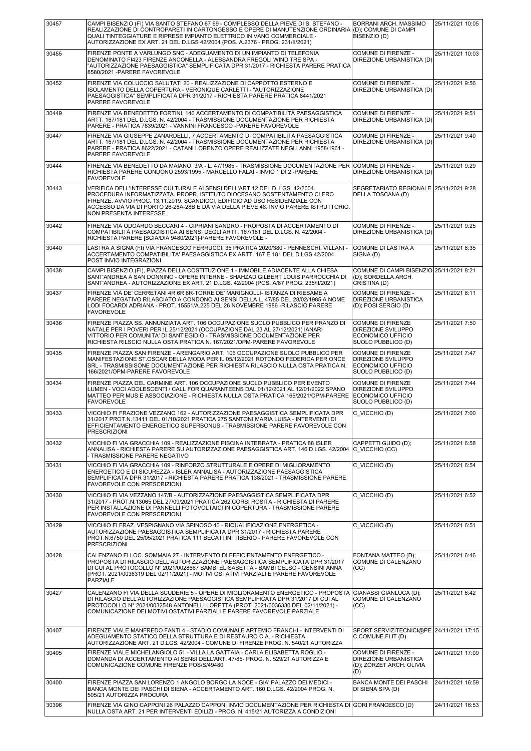| 30457 | CAMPI BISENZIO (FI) VIA SANTO STEFANO 67 69 - COMPLESSO DELLA PIEVE DI S. STEFANO -<br>REALIZZAZIONE DI CONTROPARETI IN CARTONGESSO E OPERE DI MANUTENZIONE ORDINARIA<br>QUALI TINTEGGIATURE E RIPRESE IMPIANTO ELETTRICO IN VANO COMMERCIALE -<br>AUTORIZZAZIONE EX ART. 21 DEL D.LGS 42/2004 (POS. A.2376 - PROG. 231/II/2021)                           | <b>BORRANI ARCH, MASSIMO</b><br>(D); COMUNE DI CAMPI<br>BISENZIO (D)                                    | 25/11/2021 10:05 |
|-------|------------------------------------------------------------------------------------------------------------------------------------------------------------------------------------------------------------------------------------------------------------------------------------------------------------------------------------------------------------|---------------------------------------------------------------------------------------------------------|------------------|
| 30455 | FIRENZE PONTE A VARLUNGO SNC - ADEGUAMENTO DI UN IMPIANTO DI TELEFONIA<br>DENOMINATO FI423 FIRENZE ANCONELLA - ALESSANDRA FREGOLI WIND TRE SPA -<br>"AUTORIZZAZIONE PAESAGGISTICA" SEMPLIFICATA DPR 31/2017 - RICHIESTA PARERE PRATICA<br>8580/2021 - PARERE FAVOREVOLE                                                                                    | COMUNE DI FIRENZE -<br>DIREZIONE URBANISTICA (D)                                                        | 25/11/2021 10:03 |
| 30452 | FIRENZE VIA COLUCCIO SALUTATI 20 - REALIZZAZIONE DI CAPPOTTO ESTERNO E<br>ISOLAMENTO DELLA COPERTURA - VERONIQUE CARLETTI - "AUTORIZZAZIONE<br>PAESAGGISTICA" SEMPLIFICATA DPR 31/2017 - RICHIESTA PARERE PRATICA 8441/2021<br>PARERE FAVOREVOLE                                                                                                           | COMUNE DI FIRENZE -<br>DIREZIONE URBANISTICA (D)                                                        | 25/11/2021 9:56  |
| 30449 | FIRENZE VIA BENEDETTO FORTINI. 146 ACCERTAMENTO DI COMPATIBILITÀ PAESAGGISTICA<br>ARTT. 167/181 DEL D.LGS. N. 42/2004 - TRASMISSIONE DOCUMENTAZIONE PER RICHIESTA<br>PARERE - PRATICA 7839/2021 - VANNINI FRANCESCO -PARERE FAVOREVOLE                                                                                                                     | <b>COMUNE DI FIRENZE -</b><br>DIREZIONE URBANISTICA (D)                                                 | 25/11/2021 9:51  |
| 30447 | FIRENZE VIA GIUSEPPE ZANARDELLI, 7 ACCERTAMENTO DI COMPATIBILITÀ PAESAGGISTICA<br>ARTT. 167/181 DEL D.LGS. N. 42/2004 - TRASMISSIONE DOCUMENTAZIONE PER RICHIESTA<br>PARERE - PRATICA 8622/2021 - CATANI LORENZO OPERE REALIZZATE NEGLI ANNI 1958/1961 -<br>PARERE FAVOREVOLE                                                                              | COMUNE DI FIRENZE -<br>DIREZIONE URBANISTICA (D)                                                        | 25/11/2021 9:40  |
| 30444 | FIRENZE VIA BENEDETTO DA MAIANO, 3/A - L. 47/1985 - TRASMISSIONE DOCUMENTAZIONE PER COMUNE DI FIRENZE -<br>RICHIESTA PARERE CONDONO 2593/1995 - MARCELLO FALAI - INVIO 1 DI 2 -PARERE<br><b>FAVOREVOLE</b>                                                                                                                                                 | DIREZIONE URBANISTICA (D)                                                                               | 25/11/2021 9:29  |
| 30443 | VERIFICA DELL'INTERESSE CULTURALE AI SENSI DELL'ART.12 DEL D. LGS. 42/2004.<br>PROCEDURA INFORMATIZZATA. PROPR. ISTITUTO DIOCESANO SOSTENTAMENTO CLERO<br>FIRENZE. AVVIO PROC. 13.11.2019. SCANDICCI, EDIFICIO AD USO RESIDENZIALE CON<br>ACCESSO DA VIA DI PORTO 26-28A-28B E DA VIA DELLA PIEVE 48. INVIO PARERE ISTRUTTORIO.<br>NON PRESENTA INTERESSE. | SEGRETARIATO REGIONALE 25/11/2021 9:28<br>DELLA TOSCANA (D)                                             |                  |
| 30442 | FIRENZE VIA ODOARDO BECCARI 4 - CIPRIANI SANDRO - PROPOSTA DI ACCERTAMENTO DI<br>COMPATIBILITÀ PAESAGGISTICA AI SENSI DEGLI ARTT. 167/181 DEL D.LGS. N. 42/2004 -<br>RICHIESTA PARERE [SCIA/DIA 9480/2021]-PARERE FAVOREVOLE -                                                                                                                             | COMUNE DI FIRENZE -<br>DIREZIONE URBANISTICA (D)                                                        | 25/11/2021 9:25  |
| 30440 | LASTRA A SIGNA (FI) VIA FRANCESCO FERRUCCI, 35 PRATICA 2020/380 - PENNESCHI, VILLANI -<br>ACCERTAMENTO COMPATIBILITA' PAESAGGISTICA EX ARTT. 167 E 181 DEL D.LGS 42/2004<br>POST INVIO INTEGRAZIONI                                                                                                                                                        | <b>COMUNE DI LASTRA A</b><br>SIGNA (D)                                                                  | 25/11/2021 8:35  |
| 30438 | CAMPI BISENZIO (FI), PIAZZA DELLA COSTITUZIONE 1 - IMMOBILE ADIACENTE ALLA CHIESA<br>SANT'ANDREA A SAN DONNINO - OPERE INTERNE - SHAHZAD GILBERT LOUIS PARROCCHIA DI<br>SANT'ANDREA - AUTORIZZAZIONE EX ART. 21 D.LGS. 42/2004 (POS. A/87 PROG. 235/II/2021)                                                                                               | COMUNE DI CAMPI BISENZIO 25/11/2021 8:21<br>(D); SORDELLA ARCH.<br>CRISTINA (D)                         |                  |
| 30437 | FIRENZE VIA DE' CERRETANI 4R 6R 8R-TORRE DE' MARIGNOLLI- ISTANZA DI RIESAME A<br>PARERE NEGATIVO RILASCIATO A CONDONO AI SENSI DELLA L. 47/85 DEL 28/02/1985 A NOME<br>LODI FOCARDI ADRIANA - PROT. 15551/A.225 DEL 26 NOVEMBRE 1986 -RILASCIO PARERE<br><b>FAVOREVOLE</b>                                                                                 | COMUNE DI FIRENZE -<br><b>DIREZIONE URBANISTICA</b><br>(D); POSI SERGIO (D)                             | 25/11/2021 8:11  |
| 30436 | FIRENZE PIAZZA SS. ANNUNZIATA ART. 106 OCCUPAZIONE SUOLO PUBBLICO PER PRANZO DI<br>NATALE PER I POVERI PER IL 25/12/2021 (OCCUPAZIONE DAL 23 AL 27/12/2021) IANARI<br>VITTORIO PER COMUNITA' DI SANT'EGIDIO - TRASMISSIONE DOCUMENTAZIONE PER<br>RICHIESTA RILSCIO NULLA OSTA PRATICA N. 167/2021/OPM-PARERE FAVOREVOLE                                    | <b>COMUNE DI FIRENZE</b><br><b>DIREZIONE SVILUPPO</b><br>ECONOMICO UFFICIO<br>SUOLO PUBBLICO (D)        | 25/11/2021 7:50  |
| 30435 | FIRENZE PIAZZA SAN FIRENZE - ARENGARIO ART. 106 OCCUPAZIONE SUOLO PUBBLICO PER<br>MANIFESTAZIONE ST.OSCAR DELLA MODA PER IL 05/12/2021 ROTONDO FEDERICA PER ONCE<br>SRL - TRASMISSISONE DOCUMENTAZIONE PER RICHIESTA RILASCIO NULLA OSTA PRATICA N.<br>166/2021/OPM-PARERE FAVOREVOLE                                                                      | <b>COMUNE DI FIRENZE</b><br><b>DIREZIONE SVILUPPO</b><br><b>ECONOMICO UFFICIO</b><br>SUOLO PUBBLICO (D) | 25/11/2021 7:47  |
| 30434 | FIRENZE PIAZZA DEL CARMINE ART. 106 OCCUPAZIONE SUOLO PUBBLICO PER EVENTO<br>LUMEN - VOCI ADOLESCENTI / CALL FOR QUARANTEENS DAL 01/12/2021 AL 12/01/2022 SPANO<br>MATTEO PER MUS.E ASSOCIAZIONE - RICHIESTA NULLA OSTA PRATICA 165/2021/OPM-PARERE<br><b>FAVOREVOLE</b>                                                                                   | COMUNE DI FIRENZE<br>DIREZIONE SVILUPPO<br>ECONOMICO UFFICIO<br>SUOLO PUBBLICO (D)                      | 25/11/2021 7:44  |
| 30433 | VICCHIO FI FRAZIONE VEZZANO 162 - AUTORIZZAZIONE PAESAGGISTICA SEMPLIFICATA DPR<br>31/2017 PROT.N.13411 DEL 01/10/2021 PRATICA 275 SANTONI MARIA LUISA - INTERVENTI DI<br>EFFICIENTAMENTO ENERGETICO SUPERBONUS - TRASMISSIONE PARERE FAVOREVOLE CON<br><b>PRESCRIZIONI</b>                                                                                | C VICCHIO (D)                                                                                           | 25/11/2021 7:00  |
| 30432 | VICCHIO FI VIA GRACCHIA 109 - REALIZZAZIONE PISCINA INTERRATA - PRATICA 88 ISLER<br>ANNALISA - RICHIESTA PARERE SU AUTORIZZAZIONE PAESAGGISTICA ART. 146 D.LGS. 42/2004<br>- TRASMISSIONE PARERE NEGATIVO                                                                                                                                                  | CAPPETTI GUIDO (D);<br>C VICCHIO (CC)                                                                   | 25/11/2021 6:58  |
| 30431 | VICCHIO FI VIA GRACCHIA 109 - RINFORZO STRUTTURALE E OPERE DI MIGLIORAMENTO<br>ENERGETICO E DI SICUREZZA - ISLER ANNALISA - AUTORIZZAZIONE PAESAGGISTICA<br>SEMPLIFICATA DPR 31/2017 - RICHIESTA PARERE PRATICA 138/2021 - TRASMISSIONE PARERE<br>FAVOREVOLE CON PRESCRIZIONI                                                                              | C VICCHIO (D)                                                                                           | 25/11/2021 6:54  |
| 30430 | VICCHIO FI VIA VEZZANO 147/B - AUTORIZZAZIONE PAESAGGISTICA SEMPLIFICATA DPR<br>31/2017 - PROT.N.13065 DEL 27/09/2021 PRATICA 262 CORSI ROSITA - RICHIESTA DI PARERE<br>PER INSTALLAZIONE DI PANNELLI FOTOVOLTAICI IN COPERTURA - TRASMISSIONE PARERE<br>FAVOREVOLE CON PRESCRIZIONI                                                                       | C VICCHIO (D)                                                                                           | 25/11/2021 6:52  |
| 30429 | VICCHIO FI FRAZ. VESPIGNANO VIA SPINOSO 40 - RIQUALIFICAZIONE ENERGETICA -<br>AUTORIZZAZIONE PAESAGGISTICA SEMPLIFICATA DPR 31/2017 - RICHIESTA PARERE<br>PROT.N.6750 DEL 25/05/2021 PRATICA 111 BECATTINI TIBERIO - PARERE FAVOREVOLE CON<br><b>PRESCRIZIONI</b>                                                                                          | C VICCHIO (D)                                                                                           | 25/11/2021 6:51  |
| 30428 | CALENZANO FI LOC. SOMMAIA 27 - INTERVENTO DI EFFICIENTAMENTO ENERGETICO -<br>PROPOSTA DI RILASCIO DELL'AUTORIZZAZIONE PAESAGGISTICA SEMPLIFICATA DPR 31/2017<br>DI CUI AL PROTOCOLLO Nº 2021/0028667 BAMBI ELISABETTA - BAMBI CELSO - GENSINI ANNA<br>(PROT. 2021/0036319 DEL 02/11/2021) - MOTIVI OSTATIVI PARZIALI E PARERE FAVOREVOLE<br>PARZIALE       | FONTANA MATTEO (D);<br>COMUNE DI CALENZANO<br>  (CC)                                                    | 25/11/2021 6:46  |
| 30427 | CALENZANO FI VIA DELLA SCUDERIE 5 - OPERE DI MIGLIORAMENTO ENERGETICO - PROPOSTA<br>DI RILASCIO DELL'AUTORIZZAZIONE PAESAGGISTICA SEMPLIFICATA DPR 31/2017 DI CUI AL<br>PROTOCOLLO N° 2021/0032548 ANTONELLI LORETTA (PROT. 2021/0036330 DEL 02/11/2021) -<br>COMUNICAZIONE DEI MOTIVI OSTATIVI PARZIALI E PARERE FAVOREVOLE PARZIALE                      | GIANASSI GIANLUCA (D);<br>COMUNE DI CALENZANO<br>(CC)                                                   | 25/11/2021 6:42  |
| 30407 | FIRENZE VIALE MANFREDO FANTI 4 - STADIO COMUNALE ARTEMIO FRANCHI - INTERVENTI DI<br>ADEGUAMENTO STATICO DELLA STRUTTURA E DI RESTAURO C.A. - RICHIESTA<br>AUTORIZZAZIONE ART. 21 D.LGS. 42/2004 - COMUNE DI FIRENZE PROG. N. 540/21 AUTORIZZA                                                                                                              | SPORT.SERVIZITECNICI@PE   24/11/2021 17:15<br>C.COMUNE.FI.IT (D)                                        |                  |
| 30405 | FIRENZE VIALE MICHELANGIOLO 51 - VILLA LA GATTAIA - CARLA ELISABETTA ROGLIO -<br>DOMANDA DI ACCERTAMENTO AI SENSI DELL'ART. 47/85- PROG. N. 529/21 AUTORIZZA E<br>COMUNICAZIONE COMUNE FIRENZE POS/S/49480                                                                                                                                                 | COMUNE DI FIRENZE -<br><b>DIREZIONE URBANISTICA</b><br>(D); ZORZET ARCH. OLIVIA<br>(D)                  | 24/11/2021 17:09 |
| 30400 | FIRENZE PIAZZA SAN LORENZO 1 ANGOLO BORGO LA NOCE - GIA' PALAZZO DEI MEDICI -<br>BANCA MONTE DEI PASCHI DI SIENA - ACCERTAMENTO ART. 160 D.LGS. 42/2004 PROG. N.<br>505/21 AUTORIZZA PROCURA                                                                                                                                                               | <b>BANCA MONTE DEI PASCHI</b><br>DI SIENA SPA (D)                                                       | 24/11/2021 16:59 |
| 30396 | FIRENZE VIA GINO CAPPONI 26 PALAZZO CAPPONI INVIO DOCUMENTAZIONE PER RICHIESTA DI GORI FRANCESCO (D)<br>NULLA OSTA ART. 21 PER INTERVENTI EDILIZI - PROG. N. 415/21 AUTORIZZA A CONDIZIONI                                                                                                                                                                 |                                                                                                         | 24/11/2021 16:53 |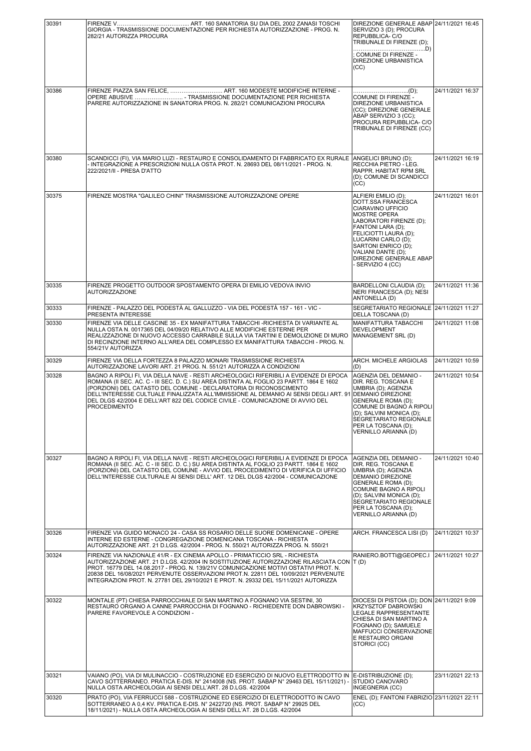| 30391 |                                                                                                                                                                                                                                                                   | DIREZIONE GENERALE ABAP 24/11/2021 16:45                                       |                  |
|-------|-------------------------------------------------------------------------------------------------------------------------------------------------------------------------------------------------------------------------------------------------------------------|--------------------------------------------------------------------------------|------------------|
|       | GIORGIA - TRASMISSIONE DOCUMENTAZIONE PER RICHIESTA AUTORIZZAZIONE - PROG. N.<br>282/21 AUTORIZZA PROCURA                                                                                                                                                         | SERVIZIO 3 (D); PROCURA<br>REPUBBLICA-C/O<br>TRIBUNALE DI FIRENZE (D);         |                  |
|       |                                                                                                                                                                                                                                                                   | COMUNE DI FIRENZE -<br>DIREZIONE URBANISTICA                                   |                  |
|       |                                                                                                                                                                                                                                                                   | (CC)                                                                           |                  |
| 30386 | FIRENZE PIAZZA SAN FELICE,  ART. 160 MODESTE MODIFICHE INTERNE -<br>OPERE ABUSIVE  - TRASMISSIONE DOCUMENTAZIONE PER RICHIESTA                                                                                                                                    | COMUNE DI FIRENZE -                                                            | 24/11/2021 16:37 |
|       | PARERE AUTORIZZAZIONE IN SANATORIA PROG. N. 282/21 COMUNICAZIONI PROCURA                                                                                                                                                                                          | DIREZIONE URBANISTICA<br>(CC); DIREZIONE GENERALE<br>ABAP SERVIZIO 3 (CC);     |                  |
|       |                                                                                                                                                                                                                                                                   | PROCURA REPUBBLICA- C/O<br>TRIBUNALE DI FIRENZE (CC)                           |                  |
|       |                                                                                                                                                                                                                                                                   |                                                                                |                  |
| 30380 | SCANDICCI (FI), VIA MARIO LUZI - RESTAURO E CONSOLIDAMENTO DI FABBRICATO EX RURALE<br>- INTEGRAZIONE A PRESCRIZIONI NULLA OSTA PROT. N. 28693 DEL 08/11/2021 - PROG. N.                                                                                           | ANGELICI BRUNO (D);<br>RECCHIA PIETRO - LEG.                                   | 24/11/2021 16:19 |
|       | 222/2021/II - PRESA D'ATTO                                                                                                                                                                                                                                        | RAPPR. HABITAT RPM SRL<br>(D); COMUNE DI SCANDICCI<br>(CC)                     |                  |
| 30375 | FIRENZE MOSTRA "GALILEO CHINI" TRASMISSIONE AUTORIZZAZIONE OPERE                                                                                                                                                                                                  | ALFIERI EMILIO (D);<br>DOTT.SSA FRANCESCA                                      | 24/11/2021 16:01 |
|       |                                                                                                                                                                                                                                                                   | CIARAVINO UFFICIO<br><b>MOSTRE OPERA</b><br>LABORATORI FIRENZE (D);            |                  |
|       |                                                                                                                                                                                                                                                                   | FANTONI LARA (D);<br>FELICIOTTI LAURA (D);                                     |                  |
|       |                                                                                                                                                                                                                                                                   | LUCARINI CARLO (D);<br>SARTONI ENRICO (D);<br>VALIANI DANTE (D);               |                  |
|       |                                                                                                                                                                                                                                                                   | DIREZIONE GENERALE ABAP<br>- SERVIZIO 4 (CC)                                   |                  |
| 30335 | FIRENZE PROGETTO OUTDOOR SPOSTAMENTO OPERA DI EMILIO VEDOVA INVIO                                                                                                                                                                                                 | BARDELLONI CLAUDIA (D);                                                        | 24/11/2021 11:36 |
|       | <b>AUTORIZZAZIONE</b>                                                                                                                                                                                                                                             | NERI FRANCESCA (D); NESI<br>ANTONELLA (D)                                      |                  |
| 30333 | FIRENZE - PALAZZO DEL PODESTÀ AL GALLUZZO - VIA DEL PODESTÀ 157 - 161 - VIC -<br>PRESENTA INTERESSE                                                                                                                                                               | SEGRETARIATO REGIONALE 24/11/2021 11:27<br>DELLA TOSCANA (D)                   |                  |
| 30330 | FIRENZE VIA DELLE CASCINE 35 - EX MANIFATTURA TABACCHI -RICHIESTA DI VARIANTE AL<br>NULLA OSTA N. 0017365 DEL 04/09/20 RELATIVO ALLE MODIFICHE ESTERNE PER<br>REALIZZAZIONE DI NUOVO ACCESSO CARRABILE SULLA VIA TARTINI E DEMOLIZIONE DI MURO                    | MANIFATTURA TABACCHI<br><b>DEVELOPMENT</b><br>MANAGEMENT SRL (D)               | 24/11/2021 11:08 |
|       | DI RECINZIONE INTERNO ALL'AREA DEL COMPLESSO EX MANIFATTURA TABACCHI - PROG. N.<br>554/21V AUTORIZZA                                                                                                                                                              |                                                                                |                  |
| 30329 | FIRENZE VIA DELLA FORTEZZA 8 PALAZZO MONARI TRASMISSIONE RICHIESTA<br>AUTORIZZAZIONE LAVORI ART. 21 PROG. N. 551/21 AUTORIZZA A CONDIZIONI                                                                                                                        | ARCH. MICHELE ARGIOLAS<br>(D)                                                  | 24/11/2021 10:59 |
| 30328 | BAGNO A RIPOLI FI, VIA DELLA NAVE - RESTI ARCHEOLOGICI RIFERIBILI A EVIDENZE DI EPOCA<br>ROMANA (II SEC. AC. C - III SEC. D. C.) SU AREA DISTINTA AL FOGLIO 23 PARTT. 1864 E 1602                                                                                 | AGENZIA DEL DEMANIO -<br>DIR. REG. TOSCANA E                                   | 24/11/2021 10:54 |
|       | (PORZIONI) DEL CATASTO DEL COMUNE - DECLARATORIA DI RICONOSCIMENTO<br>DELL'INTERESSE CULTUALE FINALIZZATA ALL'IMMISSIONE AL DEMANIO AI SENSI DEGLI ART. 91<br>DEL DLGS 42/2004 E DELL'ART 822 DEL CODICE CIVILE - COMUNICAZIONE DI AVVIO DEL                      | UMBRIA (D): AGENZIA<br><b>DEMANIO DIREZIONE</b><br><b>GENERALE ROMA (D);</b>   |                  |
|       | <b>PROCEDIMENTO</b>                                                                                                                                                                                                                                               | COMUNE DI BAGNO A RIPOLI<br>(D); SALVINI MONICA (D);                           |                  |
|       |                                                                                                                                                                                                                                                                   | ŚEGRETARIATO REGIONALE<br>PER LA TOSCANA (D):<br>VERNILLO ARIANNA (D)          |                  |
|       |                                                                                                                                                                                                                                                                   |                                                                                |                  |
| 30327 | BAGNO A RIPOLI FI. VIA DELLA NAVE - RESTI ARCHEOLOGICI RIFERIBILI A EVIDENZE DI EPOCA<br>ROMANA (II SEC. AC. C - III SEC. D. C.) SU AREA DISTINTA AL FOGLIO 23 PARTT. 1864 E 1602                                                                                 | AGENZIA DEL DEMANIO -<br>DIR. REG. TOSCANA E                                   | 24/11/2021 10:40 |
|       | (PORZIONI) DEL CATASTO DEL COMUNE - AVVIO DEL PROCEDIMENTO DI VERIFICA DI UFFICIO<br>DELL'INTERESSE CULTURALE AI SENSI DELL'ART, 12 DEL DLGS 42/2004 - COMUNICAZIONE                                                                                              | UMBRIA (D); AGENZIA<br>DEMANIO DIREZIONE<br><b>GENERALE ROMA (D):</b>          |                  |
|       |                                                                                                                                                                                                                                                                   | COMUNE BAGNO A RIPOLI<br>(D); SALVINI MONICA (D);                              |                  |
|       |                                                                                                                                                                                                                                                                   | SEGRETARIATO REGIONALE<br>PER LA TOSCANA (D);<br>VERNILLO ARIANNA (D)          |                  |
|       |                                                                                                                                                                                                                                                                   |                                                                                |                  |
| 30326 | FIRENZE VIA GUIDO MONACO 24 - CASA SS ROSARIO DELLE SUORE DOMENICANE - OPERE<br>INTERNE ED ESTERNE - CONGREGAZIONE DOMENICANA TOSCANA - RICHIESTA<br>AUTORIZZAZIONE ART. 21 D.LGS. 42/2004 - PROG. N. 550/21 AUTORIZZA PROG. N. 550/21                            | ARCH. FRANCESCA LISI (D)                                                       | 24/11/2021 10:37 |
| 30324 | FIRENZE VIA NAZIONALE 41/R - EX CINEMA APOLLO - PRIMATICCIO SRL - RICHIESTA<br>AUTORIZZAZIONE ART. 21 D.LGS. 42/2004 IN SOSTITUZIONE AUTORIZZAZIONE RILASCIATA CON  T (D)<br>PROT. 16779 DEL 14.08.2017 - PROG. N. 139/21V COMUNICAZIONE MOTIVI OSTATIVI PROT. N. | RANIERO.BOTTI@GEOPEC.I 24/11/2021 10:27                                        |                  |
|       | 20838 DEL 16/08/2021 PERVENUTE OSSERVAZIONI PROT.N. 22811 DEL 10/09/2021 PERVENUTE<br>INTEGRAZIONI PROT. N. 27781 DEL 29/10/2021 E PROT. N. 29332 DEL 15/11/2021 AUTORIZZA                                                                                        |                                                                                |                  |
| 30322 | MONTALE (PT) CHIESA PARROCCHIALE DI SAN MARTINO A FOGNANO VIA SESTINI, 30                                                                                                                                                                                         | DIOCESI DI PISTOIA (D); DON 24/11/2021 9:09                                    |                  |
|       | RESTAURO ORGANO A CANNE PARROCCHIA DI FOGNANO - RICHIEDENTE DON DABROWSKI -<br>PARERE FAVOREVOLE A CONDIZIONI -                                                                                                                                                   | <b>KRZYSZTOF DABROWSKI</b><br>LEGALE RAPPRESENTANTE<br>CHIESA DI SAN MARTINO A |                  |
|       |                                                                                                                                                                                                                                                                   | FOGNANO (D); SAMUELE<br><b>MAFFUCCI CONSERVAZIONE</b>                          |                  |
|       |                                                                                                                                                                                                                                                                   | E RESTAURO ORGANI<br>STORICI (CC)                                              |                  |
|       |                                                                                                                                                                                                                                                                   |                                                                                |                  |
| 30321 | VAIANO (PO), VIA DI MULINACCIO - COSTRUZIONE ED ESERCIZIO DI NUOVO ELETTRODOTTO IN<br>CAVO SOTTERRANEO. PRATICA E-DIS. N° 2414008 (NS. PROT. SABAP N° 29463 DEL 15/11/2021) -                                                                                     | E-DISTRIBUZIONE (D);<br><b>STUDIO CANOVARO</b>                                 | 23/11/2021 22:13 |
| 30320 | NULLA OSTA ARCHEOLOGIA AI SENSI DELL'ART. 28 D.LGS. 42/2004<br>PRATO (PO), VIA FERRUCCI 588 - COSTRUZIONE ED ESERCIZIO DI ELETTRODOTTO IN CAVO                                                                                                                    | INGEGNERIA (CC)<br>ENEL (D); FANTONI FABRIZIO 23/11/2021 22:11                 |                  |
|       | SOTTERRANEO A 0,4 KV. PRATICA E-DIS. N° 2422720 (NS. PROT. SABAP N° 29925 DEL<br>18/11/2021) - NULLA OSTA ARCHEOLOGIA AI SENSI DELL'AT. 28 D.LGS. 42/2004                                                                                                         | (CC)                                                                           |                  |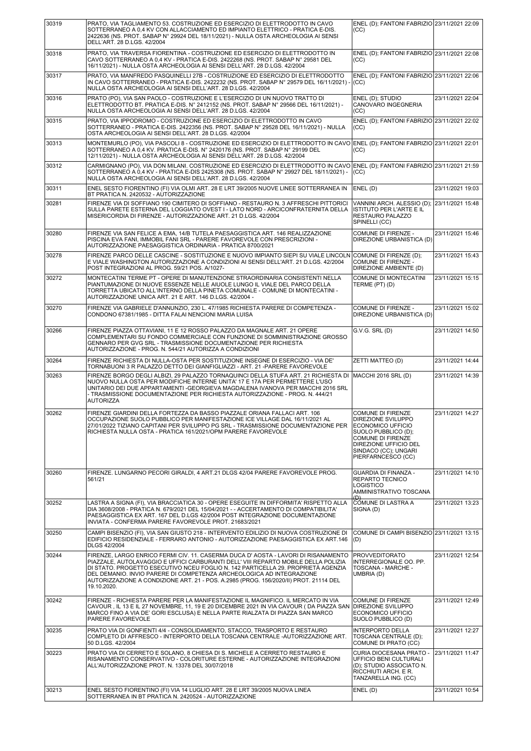| 30319 | PRATO, VIA TAGLIAMENTO 53. COSTRUZIONE ED ESERCIZIO DI ELETTRODOTTO IN CAVO<br>SOTTERRANEO A 0,4 KV CON ALLACCIAMENTO ED IMPIANTO ELETTRICO - PRATICA E-DIS.<br>2422636 (NS. PROT. SABAP N° 29924 DEL 18/11/2021) - NULLA OSTA ARCHEOLOGIA AI SENSI<br>DELL'ART. 28 D.LGS. 42/2004                                                                                                                                                          | ENEL (D); FANTONI FABRIZIO 23/11/2021 22:09<br>(CC)                                                                                                                                           |                  |
|-------|---------------------------------------------------------------------------------------------------------------------------------------------------------------------------------------------------------------------------------------------------------------------------------------------------------------------------------------------------------------------------------------------------------------------------------------------|-----------------------------------------------------------------------------------------------------------------------------------------------------------------------------------------------|------------------|
| 30318 | PRATO, VIA TRAVERSA FIORENTINA - COSTRUZIONE ED ESERCIZIO DI ELETTRODOTTO IN<br>CAVO SOTTERRANEO A 0,4 KV - PRATICA E-DIS. 2422268 (NS. PROT. SABAP N° 29581 DEL<br>16/11/2021) - NULLA OSTA ARCHEOLOGIA AI SENSI DELL'ART. 28 D.LGS. 42/2004                                                                                                                                                                                               | ENEL (D); FANTONI FABRIZIO 23/11/2021 22:08<br>(CC)                                                                                                                                           |                  |
| 30317 | PRATO, VIA MANFREDO PASQUINELLI 27B - COSTRUZIONE ED ESERCIZIO DI ELETTRODOTTO<br>IN CAVO SOTTERRANEO - PRATICA E-DIS. 2422232 (NS. PROT. SABAP N° 29579 DEL 16/11/2021) -<br>NULLA OSTA ARCHEOLOGIA AI SENSI DELL'ART. 28 D.LGS. 42/2004                                                                                                                                                                                                   | ENEL (D): FANTONI FABRIZIO 23/11/2021 22:06<br>(CC)                                                                                                                                           |                  |
| 30316 | PRATO (PO), VIA SAN PAOLO - COSTRUZIONE E L'ESERCIZIO DI UN NUOVO TRATTO DI<br>ELETTRODOTTO BT. PRATICA E-DIS. N° 2412152 (NS. PROT. SABAP N° 29566 DEL 16/11/2021) -<br>NULLA OSTA ARCHEOLOGIA AI SENSI DELL'ART. 28 D.LGS. 42/2004                                                                                                                                                                                                        | ENEL (D); STUDIO<br>CANOVARO INGEGNERIA<br>(CC)                                                                                                                                               | 23/11/2021 22:04 |
| 30315 | PRATO. VIA IPPODROMO - COSTRUZIONE ED ESERCIZIO DI ELETTRODOTTO IN CAVO<br>SOTTERRANEO - PRATICA E-DIS. 2422356 (NS. PROT. SABAP N° 29528 DEL 16/11/2021) - NULLA<br>OSTA ARCHEOLOGIA AI SENSI DELL'ART. 28 D.LGS. 42/2004                                                                                                                                                                                                                  | ENEL (D); FANTONI FABRIZIO 23/11/2021 22:02<br>(CC)                                                                                                                                           |                  |
| 30313 | MONTEMURLO (PO), VIA PASCOLI 8 - COSTRUZIONE ED ESERCIZIO DI ELETTRODOTTO IN CAVO ENEL (D); FANTONI FABRIZIO 23/11/2021 22:01<br>SOTTERRANEO A 0,4 KV. PRATICA E-DIS. N° 2420176 (NS. PROT. SABAP N° 29199 DEL<br>12/11/2021) - NULLA OSTA ARCHEOLOGIA AI SENSI DELL'ART. 28 D.LGS. 42/2004                                                                                                                                                 | (CC)                                                                                                                                                                                          |                  |
| 30312 | CARMIGNANO (PO), VIA DON MILANI. COSTRUZIONE ED ESERCIZIO DI ELETTRODOTTO IN CAVO ENEL (D); FANTONI FABRIZIO 23/11/2021 21:59<br>SOTTERRANEO A 0,4 KV - PRATICA E-DIS 2425308 (NS. PROT. SABAP N° 29927 DEL 18/11/2021) -<br>NULLA OSTA ARCHEOLOGIA AI SENSI DELL'ART. 28 D.LGS. 42/2004                                                                                                                                                    | (CC)                                                                                                                                                                                          |                  |
| 30311 | ENEL SESTO FIORENTINO (FI) VIA OLMI ART. 28 E LRT 39/2005 NUOVE LINEE SOTTERRANEA IN<br>BT PRATICA N. 2420532 - AUTORIZZAZIONE                                                                                                                                                                                                                                                                                                              | ENEL (D)                                                                                                                                                                                      | 23/11/2021 19:03 |
| 30281 | FIRENZE VIA DI SOFFIANO 190 CIMITERO DI SOFFIANO - RESTAURO N. 3 AFFRESCHI PITTORICI<br>SULLA PARETE ESTERNA DEL LOGGIATO OVEST I - LATO NORD - ARCICONFRATERNITA DELLA<br>MISERICORDIA DI FIRENZE - AUTORIZZAZIONE ART. 21 D.LGS. 42/2004                                                                                                                                                                                                  | VANNINI ARCH. ALESSIO (D);<br><b>ISTITUTO PER L'ARTE E IL</b><br><b>RESTAURO PALAZZO</b><br>SPINELLI (CC)                                                                                     | 23/11/2021 15:48 |
| 30280 | FIRENZE VIA SAN FELICE A EMA, 14/B TUTELA PAESAGGISTICA ART, 146 REALIZZAZIONE<br>PISCINA EVA FANI, IMMOBIL FANI SRL - PARERE FAVOREVOLE CON PRESCRIZIONI -<br>AUTORIZZAZIONE PAESAGGISTICA ORDINARIA - PRATICA 8700/2021                                                                                                                                                                                                                   | COMUNE DI FIRENZE -<br>DIREZIONE URBANISTICA (D)                                                                                                                                              | 23/11/2021 15:46 |
| 30278 | FIRENZE PARCO DELLE CASCINE - SOSTITUZIONE E NUOVO IMPIANTO SIEPI SU VIALE LINCOLN COMUNE DI FIRENZE (D);<br>E VIALE WASHINGTON AUTORIZZAZIONE A CONDIZIONI AI SENSI DELL'ART. 21 D.LGS. 42/2004<br>POST INTEGRAZIONI AL PROG. 59/21 POS. A/1027-                                                                                                                                                                                           | COMUNE DI FIRENZE -<br>DIREZIONE AMBIENTE (D)                                                                                                                                                 | 23/11/2021 15:43 |
| 30272 | MONTECATINI TERME PT - OPERE DI MANUTENZIONE STRAORDINARIA CONSISTENTI NELLA<br>PIANTUMAZIONE DI NUOVE ESSENZE NELLE AIUOLE LUNGO IL VIALE DEL PARCO DELLA<br>TORRETTA UBICATO ALL'INTERNO DELLA PINETA COMUNALE - COMUNE DI MONTECATINI -<br>AUTORIZZAZIONE UNICA ART. 21 E ART. 146 D.LGS. 42/2004 -                                                                                                                                      | COMUNE DI MONTECATINI<br>TERME (PT) (D)                                                                                                                                                       | 23/11/2021 15:15 |
| 30270 | FIRENZE VIA GABRIELE D'ANNUNZIO, 230 L. 47/1985 RICHIESTA PARERE DI COMPETENZA -<br>CONDONO 67381/1985 - DITTA FALAI NENCIONI MARIA LUISA                                                                                                                                                                                                                                                                                                   | COMUNE DI FIRENZE -<br>DIREZIONE URBANISTICA (D)                                                                                                                                              | 23/11/2021 15:02 |
| 30266 | FIRENZE PIAZZA OTTAVIANI, 11 E 12 ROSSO PALAZZO DA MAGNALE ART. 21 OPERE<br>COMPLEMENTARI SU FONDO COMMERCIALE CON FUNZIONE DI SOMMINISTRAZIONE GROSSO<br>GENNARO PER GVG SRL - TRASMISSIONE DOCUMENTAZIONE PER RICHIESTA<br>AUTORIZZAZIONE - PROG. N. 544/21 AUTORIZZA A CONDIZIONI                                                                                                                                                        | G.V.G. SRL(D)                                                                                                                                                                                 | 23/11/2021 14:50 |
| 30264 | FIRENZE RICHIESTA DI NULLA-OSTA PER SOSTITUZIONE INSEGNE DI ESERCIZIO - VIA DE'<br>TORNABUONI 3 R PALAZZO DETTO DEI GIANFIGLIAZZI - ART. 21 - PARERE FAVOREVOLE                                                                                                                                                                                                                                                                             | ZETTI MATTEO (D)                                                                                                                                                                              | 23/11/2021 14:44 |
| 30263 | FIRENZE BORGO DEGLI ALBIZI, 29 PALAZZO TORNAQUINCI DELLA STUFA ART. 21 RICHIESTA DI<br>NUOVO NULLA OSTA PER MODIFICHE INTERNE UNITA' 17 E 17A PER PERMETTERE L'USO<br>UNITARIO DEI DUE APPARTAMENTI - GEORGIEVA MAGDALENA IVANOVA PER MACCHI 2016 SRL<br>- TRASMISSIONE DOCUMENTAZIONE PER RICHIESTA AUTORIZZAZIONE - PROG. N. 444/21<br><b>AUTORIZZA</b>                                                                                   | MACCHI 2016 SRL (D)                                                                                                                                                                           | 23/11/2021 14:39 |
| 30262 | FIRENZE GIARDINI DELLA FORTEZZA DA BASSO PIAZZALE ORIANA FALLACI ART. 106<br>OCCUPAZIONE SUOLO PUBBLICO PER MANIFESTAZIONE ICE VILLAGE DAL 16/11/2021 AL<br>27/01/2022 TIZIANO CAPITANI PER SVILUPPO PG SRL - TRASMISSIONE DOCUMENTAZIONE PER<br>RICHIESTA NULLA OSTA - PRATICA 161/2021/OPM PARERE FAVOREVOLE                                                                                                                              | <b>COMUNE DI FIRENZE</b><br><b>DIREZIONE SVILUPPO</b><br>ECONOMICO UFFICIO<br>SUOLO PUBBLICO (D);<br>COMUNE DI FIRENZE<br>DIREZIONE UFFICIO DEL<br>SINDACO (CC); UNGARI<br>PIERFARNCESCO (CC) | 23/11/2021 14:27 |
| 30260 | FIRENZE. LUNGARNO PECORI GIRALDI, 4 ART.21 DLGS 42/04 PARERE FAVOREVOLE PROG.<br>561/21                                                                                                                                                                                                                                                                                                                                                     | GUARDIA DI FINANZA -<br><b>REPARTO TECNICO</b><br><b>LOGISTICO</b><br>AMMINISTRATIVO TOSCANA<br>⊕                                                                                             | 23/11/2021 14:10 |
| 30252 | LASTRA A SIGNA (FI), VIA BRACCIATICA 30 - OPERE ESEGUITE IN DIFFORMITA' RISPETTO ALLA<br>DIA 3608/2008 - PRATICA N. 679/2021 DEL 15/04/2021 - - ACCERTAMENTO DI COMPATIBILITA'<br>PAESAGGISTICA EX ART. 167 DEL D.LGS 42/2004 POST INTEGRAZIONE DOCUMENTAZIONE<br>INVIATA - CONFERMA PARERE FAVOREVOLE PROT. 21683/2021                                                                                                                     | CÓMUNE DI LASTRA A<br>SIGNA (D)                                                                                                                                                               | 23/11/2021 13:23 |
| 30250 | CAMPI BISENZIO (FI), VIA SAN GIUSTO 218 - INTERVENTO EDILIZIO DI NUOVA COSTRUZIONE DI<br>EDIFICIO RESIDENZIALE - FERRARO ANTONIO - AUTORIZZAZIONE PAESAGGISTICA EX ART.146<br>DLGS 42/2004                                                                                                                                                                                                                                                  | COMUNE DI CAMPI BISENZIO 23/11/2021 13:15<br>(D)                                                                                                                                              |                  |
| 30244 | FIRENZE, LARGO ENRICO FERMI CIV. 11. CASERMA DUCA D'AOSTA - LAVORI DI RISANAMENTO<br>PIAZZALE, AUTOLAVAGGIO E UFFICI CARBURANTI DELL' VIII REPARTO MOBILE DELLA POLIZIA<br>DI STATO. PROGETTO ESECUTIVO NCEU FOGLIO N. 142 PARTICELLA 29. PROPRIETÀ AGENZIA<br>DEL DEMANIO. INVIO PARERE DI COMPETENZA ARCHEOLOGICA AD INTEGRAZIONE<br>AUTORIZZAZIONE A CONDIZIONE ART. 21 - POS. A.2985 (PROG. 156/2020/II) PROT. 21114 DEL<br>19.10.2020. | <b>PROVVEDITORATO</b><br>INTERREGIONALE OO. PP.<br>TOSCANA - MARCHE -<br>UMBRIA (D)                                                                                                           | 23/11/2021 12:54 |
| 30242 | FIRENZE - RICHIESTA PARERE PER LA MANIFESTAZIONE IL MAGNIFICO. IL MERCATO IN VIA<br>CAVOUR, IL 13 E IL 27 NOVEMBRE, 11, 19 E 20 DICEMBRE 2021 IN VIA CAVOUR (DA PIAZZA SAN<br>MARCO FINO A VIA DE' GORI ESCLUSA) E NELLA PARTE RIALZATA DI PIAZZA SAN MARCO<br>PARERE FAVOREVOLE                                                                                                                                                            | <b>COMUNE DI FIRENZE</b><br><b>IDIREZIONE SVILUPPO</b><br>ECONOMICO UFFICIO<br>SUOLO PUBBLICO (D)                                                                                             | 23/11/2021 12:49 |
| 30235 | PRATO VIA DI GONFIENTI 4/4 - CONSOLIDAMENTO, STACCO, TRASPORTO E RESTAURO<br>COMPLETO DI AFFRESCO - INTERPORTO DELLA TOSCANA CENTRALE -AUTORIZZAZIONE ART.<br>50 D.LGS. 42/2004                                                                                                                                                                                                                                                             | <b>INTERPORTO DELLA</b><br>TOSCANA CENTRALE (D);<br>COMUNE DI PRATO (CC)                                                                                                                      | 23/11/2021 12:27 |
| 30223 | PRATO VIA DI CERRETO E SOLANO, 8 CHIESA DI S. MICHELE A CERRETO RESTAURO E<br>RISANAMENTO CONSERVATIVO - COLORITURE ESTERNE - AUTORIZZAZIONE INTEGRAZIONI<br>ALL'AUTORIZZAZIONE PROT. N. 13378 DEL 30/07/2018                                                                                                                                                                                                                               | CURIA DIOCESANA PRATO -<br>UFFICIO BENI CULTURALI<br>(D); STUDIO ASSOCIATO N.<br>RICCHIUTI ARCH. E R.<br>TANZARELLA ING. (CC)                                                                 | 23/11/2021 11:47 |
| 30213 | ENEL SESTO FIORENTINO (FI) VIA 14 LUGLIO ART. 28 E LRT 39/2005 NUOVA LINEA<br>SOTTERRANEA IN BT PRATICA N. 2420524 - AUTORIZZAZIONE                                                                                                                                                                                                                                                                                                         | ENEL(D)                                                                                                                                                                                       | 23/11/2021 10:54 |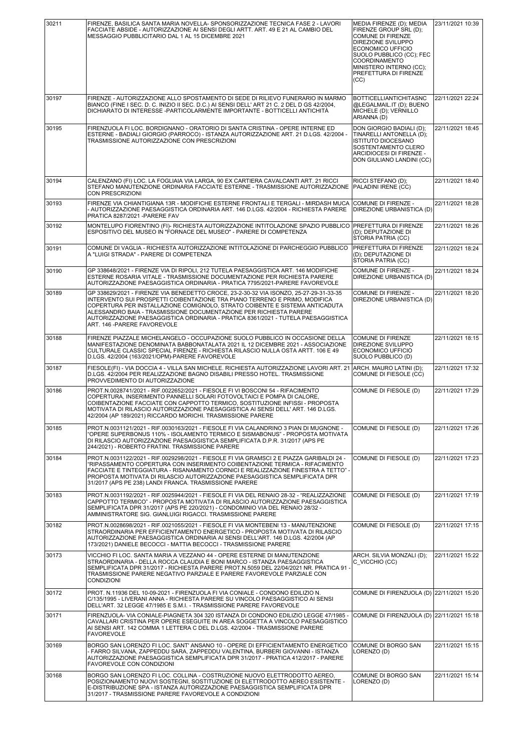| 30211 | FIRENZE, BASILICA SANTA MARIA NOVELLA- SPONSORIZZAZIONE TECNICA FASE 2 - LAVORI<br>FACCIATE ABSIDE - AUTORIZZAZIONE AI SENSI DEGLI ARTT. ART. 49 E 21 AL CAMBIO DEL<br>MESSAGGIO PUBBLICITARIO DAL 1 AL 15 DICEMBRE 2021                                                                                                                                                                                                                       | MEDIA FIRENZE (D): MEDIA<br>FIRENZE GROUP SRL (D);<br>COMUNE DI FIRENZE<br><b>DIREZIONE SVILUPPO</b><br><b>ECONOMICO UFFICIO</b><br>SUOLO PUBBLICO (CC); FEC<br><b>COORDINAMENTO</b><br>MINISTERO INTERNO (CC);<br>PREFETTURA DI FIRENZE<br>(CC) | 23/11/2021 10:39 |
|-------|------------------------------------------------------------------------------------------------------------------------------------------------------------------------------------------------------------------------------------------------------------------------------------------------------------------------------------------------------------------------------------------------------------------------------------------------|--------------------------------------------------------------------------------------------------------------------------------------------------------------------------------------------------------------------------------------------------|------------------|
| 30197 | FIRENZE - AUTORIZZAZIONE ALLO SPOSTAMENTO DI SEDE DI RILIEVO FUNERARIO IN MARMO<br>BIANCO (FINE I SEC. D. C. INIZIO II SEC. D.C.) AI SENSI DELL'ART 21 C. 2 DEL D GS 42/2004,<br>DICHIARATO DI INTERESSE -PARTICOLARMENTE IMPORTANTE - BOTTICELLI ANTICHITÀ                                                                                                                                                                                    | <b>BOTTICELLIANTICHITASNC</b><br>@LEGALMAIL.IT (D); BUENO<br>MICHELE (D); VERNILLO<br>ARIANNA (D)                                                                                                                                                | 22/11/2021 22:24 |
| 30195 | FIRENZUOLA FI LOC. BORDIGNANO - ORATORIO DI SANTA CRISTINA - OPERE INTERNE ED<br>ESTERNE - BADIALI GIORGIO (PARROCO) - ISTANZA AUTORIZZAZIONE ART. 21 D.LGS. 42/2004 -<br>TRASMISSIONE AUTORIZZAZIONE CON PRESCRIZIONI                                                                                                                                                                                                                         | DON GIORGIO BADIALI (D);<br>TINARELLI ANTONELLA (D);<br><b>ISTITUTO DIOCESANO</b><br>SOSTENTAMENTO CLERO<br>ARCIDIOCESI DI FIRENZE -<br>DON GIULIANO LANDINI (CC)                                                                                | 22/11/2021 18:45 |
| 30194 | CALENZANO (FI) LOC. LA FOGLIAIA VIA LARGA, 90 EX CARTIERA CAVALCANTI ART. 21 RICCI<br>STEFANO MANUTENZIONE ORDINARIA FACCIATE ESTERNE - TRASMISSIONE AUTORIZZAZIONE   PALADINI IRENE (CC)<br>CON PRESCRIZIONI                                                                                                                                                                                                                                  | RICCI STEFANO (D);                                                                                                                                                                                                                               | 22/11/2021 18:40 |
| 30193 | FIRENZE VIA CHIANTIGIANA 13R - MODIFICHE ESTERNE FRONTALI E TERGALI - MIRDASH MUCA<br>- AUTORIZZAZIONE PAESAGGISTICA ORDINARIA ART. 146 D.LGS. 42/2004 - RICHIESTA PARERE<br>PRATICA 8287/2021 - PARERE FAV                                                                                                                                                                                                                                    | <b>COMUNE DI FIRENZE -</b><br>DIREZIONE URBANISTICA (D)                                                                                                                                                                                          | 22/11/2021 18:28 |
| 30192 | MONTELUPO FIORENTINO (FI)- RICHIESTA AUTORIZZAZIONE INTITOLAZIONE SPAZIO PUBBLICO<br>ESPOSITIVO DEL MUSEO IN "FORNACE DEL MUSEO" - PARERE DI COMPETENZA                                                                                                                                                                                                                                                                                        | <b>PREFETTURA DI FIRENZE</b><br>(D); DEPUTAZIONE DI<br><b>STORIA PATRIA (CC)</b>                                                                                                                                                                 | 22/11/2021 18:26 |
| 30191 | COMUNE DI VAGLIA - RICHIESTA AUTORIZZAZIONE INTITOLAZIONE DI PARCHEGGIO PUBBLICO<br>A "LUIGI STRADA" - PARERE DI COMPETENZA                                                                                                                                                                                                                                                                                                                    | <b>PREFETTURA DI FIRENZE</b><br>(D); DEPUTAZIONE DI<br>STORIA PATRIA (CC)                                                                                                                                                                        | 22/11/2021 18:24 |
| 30190 | GP 338648/2021 - FIRENZE VIA DI RIPOLI, 212 TUTELA PAESAGGISTICA ART. 146 MODIFICHE<br>ESTERNE ROSARIA VITALE - TRASMISSIONE DOCUMENTAZIONE PER RICHIESTA PARERE<br>AUTORIZZAZIONE PAESAGGISTICA ORDINARIA - PRATICA 7795/2021-PARERE FAVOREVOLE                                                                                                                                                                                               | COMUNE DI FIRENZE -<br>DIREZIONE URBANISTICA (D)                                                                                                                                                                                                 | 22/11/2021 18:24 |
| 30189 | GP 338629/2021 - FIRENZE VIA BENEDETTO CROCE, 23-2-30-32 VIA ISONZO, 25-27-29-31-33-35<br>INTERVENTO SUI PROSPETTI COIBENTAZIONE TRA PIANO TERRENO E PRIMO, MODIFICA<br>COPERTURA PER INSTALLAZIONE COMIGNOLO, STRATO COIBENTE E SISTEMA ANTICADUTA<br>ALESSANDRO BAIA - TRASMISSIONE DOCUMENTAZIONE PER RICHIESTA PARERE<br>AUTORIZZAZIONE PAESAGGISTICA ORDINARIA - PRATICA 8361/2021 - TUTELA PAESAGGISTICA<br>ART. 146 - PARERE FAVOREVOLE | COMUNE DI FIRENZE -<br>DIREZIONE URBANISTICA (D)                                                                                                                                                                                                 | 22/11/2021 18:20 |
| 30188 | FIRENZE PIAZZALE MICHELANGELO - OCCUPAZIONE SUOLO PUBBLICO IN OCCASIONE DELLA<br>MANIFESTAZIONE DENOMINATA BABBONATALATA 2021 IL 12 DICEMBRE 2021 - ASSOCIAZIONE<br>CULTURALE CLASSIC SPECIAL FIRENZE - RICHIESTA RILASCIO NULLA OSTA ARTT. 106 E 49<br>D.LGS. 42/2004 (163/2021/OPM)-PARERE FAVOREVOLE                                                                                                                                        | <b>COMUNE DI FIRENZE</b><br><b>DIREZIONE SVILUPPO</b><br><b>ECONOMICO UFFICIO</b><br>SUOLO PUBBLICO (D)                                                                                                                                          | 22/11/2021 18:15 |
| 30187 | FIESOLE(FI) - VIA DOCCIA 4 - VILLA SAN MICHELE. RICHIESTA AUTORIZZAZIONE LAVORI ART. 21<br>D.LGS. 42/2004 PER REALIZZAZIONE BAGNO DISABILI PRESSO HOTEL. TRASMISSIONE<br>PROVVEDIMENTO DI AUTORIZZAZIONE                                                                                                                                                                                                                                       | ARCH. MAURO LATINI (D);<br>COMUNE DI FIESOLE (CC)                                                                                                                                                                                                | 22/11/2021 17:32 |
| 30186 | PROT.N.0028741/2021 - RIF.0022652/2021 - FIESOLE FI VI BOSCONI 54 - RIFACIMENTO<br>COPERTURA, INSERIMENTO PANNELLI SOLARI FOTOVOLTAICI E POMPA DI CALORE,<br>COIBENTAZIONE FACCIATE CON CAPPOTTO TERMICO, SOSTITUZIONE INFISSI - PROPOSTA<br>MOTIVATA DI RILASCIO AUTORIZZAZIONE PAESAGGISTICA AI SENSI DELL'ART. 146 D.LGS.<br>42/2004 (AP 189/2021) RICCARDO MORICHI. TRASMISSIONE PARERE                                                    | COMUNE DI FIESOLE (D)                                                                                                                                                                                                                            | 22/11/2021 17:29 |
| 30185 | PROT.N.0031121/2021 - RIF.0030163/2021 - FIESOLE FI VIA CALANDRINO 3 PIAN DI MUGNONE -<br>"OPERE SUPERBONUS 110% - ISOLAMENTO TERMICO E SISMABONUS" - PROPOSTA MOTIVATA<br>DI RILASCIO AUTORIZZAZIONE PAESAGGISTICA SEMPLIFICATA D.P.R. 31/2017 (APS PE<br>244/2021) - ROBERTO FRATINI. TRASMISSIONE PARERE                                                                                                                                    | COMUNE DI FIESOLE (D)                                                                                                                                                                                                                            | 22/11/2021 17:26 |
| 30184 | PROT.N.0031122/2021 - RIF.0029298/2021 - FIESOLE FI VIA GRAMSCI 2 E PIAZZA GARIBALDI 24 -<br>"RIPASSAMENTO COPERTURA CON INSERIMENTO COIBENTAZIONE TERMICA - RIFACIMENTO<br>FACCIATE E TINTEGGIATURA - RISANAMENTO CORNICI E REALIZZAZIONE FINESTRA A TETTO" -<br>PROPOSTA MOTIVATA DI RILASCIO AUTORIZZAZIONE PAESAGGISTICA SEMPLIFICATA DPR<br>31/2017 (APS PE 238) LANDI FRANCA. TRASMISSIONE PARERE                                        | COMUNE DI FIESOLE (D)                                                                                                                                                                                                                            | 22/11/2021 17:23 |
| 30183 | PROT.N.0031192/2021 - RIF.0025944/2021 - FIESOLE FI VIA DEL RENAIO 28-32 - "REALIZZAZIONE<br>CAPPOTTO TERMICO" - PROPOSTA MOTIVATA DI RILASCIO AUTORIZZAZIONE PAESAGGISTICA<br>SEMPLIFICATA DPR 31/2017 (APS PE 220/2021) - CONDOMINIO VIA DEL RENAIO 28/32 -<br>AMMINISTRATORE SIG. GIANLUIGI RIGACCI. TRASMISSIONE PARERE                                                                                                                    | COMUNE DI FIESOLE (D)                                                                                                                                                                                                                            | 22/11/2021 17:19 |
| 30182 | PROT.N.0028698/2021 - RIF.0021055/2021 - FIESOLE FI VIA MONTEBENI 13 - MANUTENZIONE<br>STRAORDINARIA PER EFFICIENTAMENTO ENERGETICO - PROPOSTA MOTIVATA DI RILASCIO<br>AUTORIZZAZIONE PAESAGGISTICA ORDINARIA AI SENSI DELL'ART. 146 D.LGS. 42/2004 (AP<br>173/2021) DANIELE BECOCCI - MATTIA BECOCCI - TRASMISSIONE PARERE                                                                                                                    | COMUNE DI FIESOLE (D)                                                                                                                                                                                                                            | 22/11/2021 17:15 |
| 30173 | VICCHIO FI LOC. SANTA MARIA A VEZZANO 44 - OPERE ESTERNE DI MANUTENZIONE<br>STRAORDINARIA - DELLA ROCCA CLAUDIA E BONI MARCO - ISTANZA PAESAGGISTICA<br>SEMPLIFICATA DPR 31/2017 - RICHIESTA PARERE PROT.N.5059 DEL 22/04/2021 NR. PRATICA 91<br>TRASMISSIONE PARERE NEGATIVO PARZIALE E PARERE FAVOREVOLE PARZIALE CON<br><b>CONDIZIONI</b>                                                                                                   | ARCH. SILVIA MONZALI (D);<br>C VICCHIO (CC)                                                                                                                                                                                                      | 22/11/2021 15:22 |
| 30172 | PROT. N.11936 DEL 10-09-2021 - FIRENZUOLA FI VIA CONIALE - CONDONO EDILIZIO N.<br>C/135/1995 - LIVERANI ANNA - RICHIESTA PARERE SU VINCOLO PAESAGGISTICO AI SENSI<br>DELL'ART. 32 LEGGE 47/1985 E S.M.I. - TRASMISSIONE PARERE FAVOREVOLE                                                                                                                                                                                                      | COMUNE DI FIRENZUOLA (D) 22/11/2021 15:20                                                                                                                                                                                                        |                  |
| 30171 | FIRENZUOLA- VIA CONIALE-PIAGNETA 304 320 ISTANZA DI CONDONO EDILIZIO LEGGE 47/1985 -<br>CAVALLARI CRISTINA PER OPERE ESEGUITE IN AREA SOGGETTA A VINCOLO PAESAGGISTICO<br>AI SENSI ART. 142 COMMA 1 LETTERA C DEL D.LGS. 42/2004 - TRASMISSIONE PARERE<br><b>FAVOREVOLE</b>                                                                                                                                                                    | COMUNE DI FIRENZUOLA (D) 22/11/2021 15:18                                                                                                                                                                                                        |                  |
| 30169 | BORGO SAN LORENZO FI LOC. SANT' ANSANO 10 - OPERE DI EFFICIENTAMENTO ENERGETICO<br>- FARRO SILVANA, ZAPPEDDU SARA, ZAPPEDDU VALENTINA, BURBERI GIOVANNI - ISTANZA<br>AUTORIZZAZIONE PAESAGGISTICA SEMPLIFICATA DPR 31/2017 - PRATICA 412/2017 - PARERE<br>FAVOREVOLE CON CONDIZIONI                                                                                                                                                            | COMUNE DI BORGO SAN<br>LORENZO (D)                                                                                                                                                                                                               | 22/11/2021 15:15 |
| 30168 | BORGO SAN LORENZO FI LOC. COLLINA - COSTRUZIONE NUOVO ELETTRODOTTO AEREO,<br>POSIZIONAMENTO NUOVI SOSTEGNI, SOSTITUZIONE DI ELETTRODOTTO AEREO ESISTENTE -<br>E-DISTRIBUZIONE SPA - ISTANZA AUTORIZZAZIONE PAESAGGISTICA SEMPLIFICATA DPR<br>31/2017 - TRASMISSIONE PARERE FAVOREVOLE A CONDIZIONI                                                                                                                                             | COMUNE DI BORGO SAN<br>LORENZO (D)                                                                                                                                                                                                               | 22/11/2021 15:14 |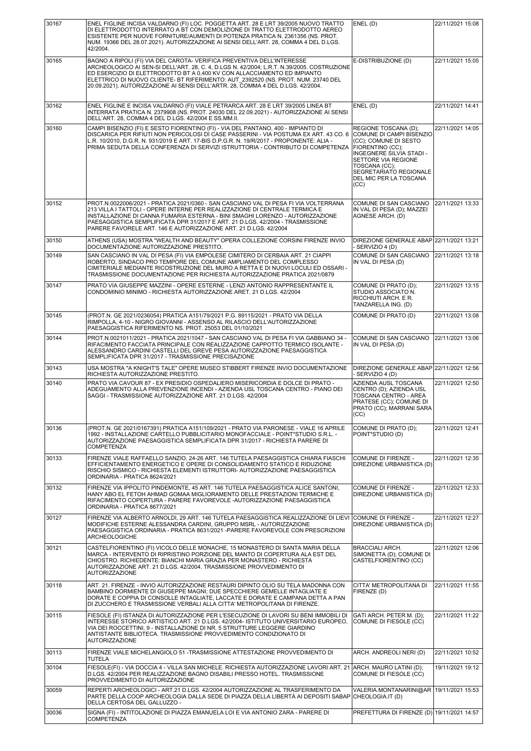| 30167 | ENEL FIGLINE INCISA VALDARNO (FI) LOC. POGGETTA ART. 28 E LRT 39/2005 NUOVO TRATTO                                                                                                                                                                                                                                                                                                                                       | ENEL(D)                                                                                                                                                                                                                       | 22/11/2021 15:08 |
|-------|--------------------------------------------------------------------------------------------------------------------------------------------------------------------------------------------------------------------------------------------------------------------------------------------------------------------------------------------------------------------------------------------------------------------------|-------------------------------------------------------------------------------------------------------------------------------------------------------------------------------------------------------------------------------|------------------|
|       | DI ELETTRODOTTO INTERRATO A BT CON DEMOLIZIONE DI TRATTO ELETTRODOTTO AEREO<br>ESISTENTE PER NUOVE FORNITURE/AUMENTI DI POTENZA PRATICA N. 2361356 (NS. PROT.<br>NUM. 19366 DEL 28.07.2021). AUTORIZZAZIONE AI SENSI DELL'ART. 28, COMMA 4 DEL D.LGS.<br>42/2004.                                                                                                                                                        |                                                                                                                                                                                                                               |                  |
| 30165 | BAGNO A RIPOLI (FI) VIA DEL CAROTA- VERIFICA PREVENTIVA DELL'INTERESSE<br>ARCHEOLOGICO AI SEN-SI DELL'ART. 28, C. 4, D.LGS N. 42/2004; L.R.T. N.39/2005. COSTRUZIONE<br>ED ESERCIZIO DI ELETTRODOTTO BT A 0,400 KV CON ALLACCIAMENTO ED IMPIANTO<br>ELETTRICO DI NUOVO CLIENTE- BT RIFERIMENTO: AUT 2392520 (NS. PROT. NUM. 23740 DEL<br>20.09.2021). AUTORIZZAZIONE AI SENSI DELL'ARTR. 28, COMMA 4 DEL D.LGS. 42/2004. | E-DISTRIBUZIONE (D)                                                                                                                                                                                                           | 22/11/2021 15:05 |
| 30162 | ENEL FIGLINE E INCISA VALDARNO (FI) VIALE PETRARCA ART. 28 E LRT 39/2005 LINEA BT<br>INTERRATA PRATICA N. 2379908 (NS. PROT. 24030 DEL 22.09.2021) - AUTORIZZAZIONE AI SENSI<br>DELL'ART. 28, COMMA 4 DEL D.LGS. 42/2004 E SS.MM.II.                                                                                                                                                                                     | ENEL(D)                                                                                                                                                                                                                       | 22/11/2021 14:41 |
| 30160 | CAMPI BISENZIO (FI) E SESTO FIORENTINO (FI) - VIA DEL PANTANO, 400 - IMPIANTO DI<br>DISCARICA PER RIFIUTI NON PERICOLOSI DI CASE PASSERINI - VIA POSTUMA EX ART. 43 CO. 6<br>L.R. 10/2010, D.G.R. N. 931/2019 E ART. 17-BIS D.P.G.R. N. 19/R/2017 - PROPONENTE: ALIA -<br>PRIMA SEDUTA DELLA CONFERENZA DI SERVIZI ISTRUTTORIA - CONTRIBUTO DI COMPETENZA                                                                | REGIONE TOSCANA (D);<br>COMUNE DI CAMPI BISENZIO<br>(CC); COMUNE DI SESTO<br>FIORENTINO (CC);<br>INGEGNERE SILVIA STADI -<br>SETTORE VIA REGIONE<br>TOSCANA (CC);<br>SEGRETARIATO REGIONALE<br>DEL MIC PER LA TOSCANA<br>(CC) | 22/11/2021 14:05 |
| 30152 | PROT.N.0022006/2021 - PRATICA 2021/0360 - SAN CASCIANO VAL DI PESA FI VIA VOLTERRANA<br>213 VILLA I TATTOLI - OPERE INTERNE PER REALIZZAZIONE DI CENTRALE TERMICA E<br>INSTALLAZIONE DI CANNA FUMARIA ESTERNA - BINI SMAGHI LORENZO - AUTORIZZAZIONE<br>PAESAGGISTICA SEMPLIFICATA DPR 31/2017 E ART. 21 D.LGS. 42/2004 - TRASMISSIONE<br>PARERE FAVORELE ART. 146 E AUTORIZZAZIONE ART. 21 D.LGS. 42/2004               | COMUNE DI SAN CASCIANO<br>IN VAL DI PESA (D): MAZZEI<br>AGNESE ARCH. (D)                                                                                                                                                      | 22/11/2021 13:33 |
| 30150 | ATHENS (USA) MOSTRA "WEALTH AND BEAUTY" OPERA COLLEZIONE CORSINI FIRENZE INVIO                                                                                                                                                                                                                                                                                                                                           | DIREZIONE GENERALE ABAP 22/11/2021 13:21<br>- SERVIZIO 4 (D)                                                                                                                                                                  |                  |
| 30149 | DOCUMENTAZIONE AUTORIZZAZIONE PRESTITO.<br>SAN CASCIANO IN VAL DI PESA (FI) VIA EMPOLESE CIMITERO DI CERBAIA ART. 21 CIAPPI<br>ROBERTO, SINDACO PRO TEMPORE DEL COMUNE AMPLIAMENTO DEL COMPLESSO<br>CIMITERIALE MEDIANTE RICOSTRUZIONE DEL MURO A RETTA E DI NUOVI LOCULI ED OSSARI -<br>TRASMISSIONE DOCUMENTAZIONE PER RICHIESTA AUTORIZZAZIONE PRATICA 2021/0879                                                      | COMUNE DI SAN CASCIANO<br>IN VAL DI PESA (D)                                                                                                                                                                                  | 22/11/2021 13:18 |
| 30147 | PRATO VIA GIUSEPPE MAZZINI - OPERE ESTERNE - LENZI ANTONIO RAPPRESENTANTE IL<br>CONDOMINIO MINIMO - RICHIESTA AUTORIZZAZIONE ARET. 21 D.LGS. 42/2004                                                                                                                                                                                                                                                                     | COMUNE DI PRATO (D);<br>STUDIO ASSOCIATO N.<br>RICCHIUTI ARCH. E R.<br>TANZARELLA ING. (D)                                                                                                                                    | 22/11/2021 13:15 |
| 30145 | (PROT.N. GE 2021/0236054) PRATICA A151/79/2021 P.G. 89115/2021 - PRATO VIA DELLA<br>RIMPOLLA, 4-10 - NIGRO GIOVANNI - ASSENSO AL RILASCIO DELL'AUTORIZZAZIONE<br>PAESAGGISTICA RIFERIMENTO NS. PROT. 25053 DEL 01/10/2021                                                                                                                                                                                                | COMUNE DI PRATO (D)                                                                                                                                                                                                           | 22/11/2021 13:08 |
| 30144 | PROT.N.0021011/2021 - PRATICA 2021/1047 - SAN CASCIANO VAL DI PESA FI VIA GABBIANO 34 -<br>RIFACIMENTO FACCIATA PRINCIPALE CON REALIZZAZIONE CAPPOTTO TERMICO ISOLANTE -<br>ALESSANDRO CARDINI CASTELLI DEL GREVE PESA AUTORIZZAZIONE PAESAGGISTICA<br>SEMPLIFICATA DPR 31/2017 - TRASMISSIONE PRECISAZIONE                                                                                                              | COMUNE DI SAN CASCIANO<br>IN VAL DI PESA (D)                                                                                                                                                                                  | 22/11/2021 13:06 |
| 30143 | USA MOSTRA "A KNIGHT'S TALE" OPERE MUSEO STIBBERT FIRENZE INVIO DOCUMENTAZIONE<br>RICHIESTA AUTORIZZAZIONE PRESTITO.                                                                                                                                                                                                                                                                                                     | DIREZIONE GENERALE ABAP 22/11/2021 12:56<br>- SERVIZIO 4 (D)                                                                                                                                                                  |                  |
|       |                                                                                                                                                                                                                                                                                                                                                                                                                          |                                                                                                                                                                                                                               |                  |
| 30140 | PRATO VIA CAVOUR 87 - EX PRESIDIO OSPEDALIERO MISERICORDIA E DOLCE DI PRATO -<br>ADEGUAMENTO ALLA PREVENZIONE INCENDI - AZIENDA USL TOSCANA CENTRO - PIANO DEI<br>SAGGI - TRASMISSIONE AUTORIZZAZIONE ART. 21 D.LGS. 42/2004                                                                                                                                                                                             | AZIENDA AUSL TOSCANA<br>CENTRO (D); AZIENDA USL<br>TOSCANA CENTRO - AREA<br>PRATESE (CC); COMUNE DI<br>PRATO (CC); MARRANI SARA<br>(CC)                                                                                       | 22/11/2021 12:50 |
| 30136 | (PROT.N. GE 2021/0167391) PRATICA A151/109/2021 - PRATO VIA PARONESE - VIALE 16 APRILE<br>1992 - INSTALLAZIONE CARTELLO PUBBLICITARIO MONOFACCIALE - POINT*STUDIO S.R.L. -<br>AUTORIZZAZIONE PAESAGGISTICA SEMPLIFICATA DPR 31/2017 - RICHIESTA PARERE DI<br><b>COMPETENZA</b>                                                                                                                                           | COMUNE DI PRATO (D);<br>POINT*STUDIO (D)                                                                                                                                                                                      | 22/11/2021 12:41 |
| 30133 | FIRENZE VIALE RAFFAELLO SANZIO, 24-26 ART. 146 TUTELA PAESAGGISTICA CHIARA FIASCHI<br>EFFICIENTAMENTO ENERGETICO E OPERE DI CONSOLIDAMENTO STATICO E RIDUZIONE<br>RISCHIO SISMICO - RICHIESTA ELEMENTI ISTRUTTORI- AUTORIZZAZIONE PAESAGGISTICA<br>ORDINARIA - PRATICA 8624/2021                                                                                                                                         | <b>COMUNE DI FIRENZE -</b><br>DIREZIONE URBANISTICA (D)                                                                                                                                                                       | 22/11/2021 12:35 |
| 30132 | FIRENZE VIA IPPOLITO PINDEMONTE, 45 ART. 146 TUTELA PAESAGGISTICA ALICE SANTONI,<br>HANY ABO EL FETOH AHMAD GOMAA MIGLIORAMENTO DELLE PRESTAZIONI TERMICHE E<br>RIFACIMENTO COPERTURA - PARERE FAVOREVOLE -AUTORIZZAZIONE PAESAGGISTICA<br>ORDINARIA - PRATICA 8677/2021                                                                                                                                                 | COMUNE DI FIRENZE -<br>DIREZIONE URBANISTICA (D)                                                                                                                                                                              | 22/11/2021 12:33 |
| 30127 | FIRENZE VIA ALBERTO ARNOLDI, 29 ART. 146 TUTELA PAESAGGISTICA REALIZZAZIONE DI LIEVI<br>MODIFICHE ESTERNE ALESSANDRA CARDINI, GRUPPO MSRL - AUTORIZZAZIONE<br>PAESAGGISTICA ORDINARIA - PRATICA 8631/2021 -PARERE FAVOREVOLE CON PRESCRIZIONI<br>ARCHEOLOGICHE                                                                                                                                                           | COMUNE DI FIRENZE -<br>DIREZIONE URBANISTICA (D)                                                                                                                                                                              | 22/11/2021 12:27 |
| 30121 | CASTELFIORENTINO (FI) VICOLO DELLE MONACHE, 15 MONASTERO DI SANTA MARIA DELLA<br>MARCA - INTERVENTO DI RIPRISTINO PORZIONE DEL MANTO DI COPERTURA ALA EST DEL<br>CHIOSTRO. RICHIEDENTE: BIANCHI MARIA GRAZIA PER MONASTERO - RICHIESTA<br>AUTORIZZAZIONE ART. 21 D.LGS. 42/2004. TRASMISSIONE PROVVEDIMENTO DI<br><b>AUTORIZZAZIONE</b>                                                                                  | <b>BRACCIALI ARCH.</b><br>SIMONETTA (D); COMUNE DI<br>CASTELFIORENTINO (CC)                                                                                                                                                   | 22/11/2021 12:06 |
| 30118 | ART. 21. FIRENZE - INVIO AUTORIZZAZIONE RESTAURI DIPINTO OLIO SU TELA MADONNA CON<br>BAMBINO DORMIENTE DI GIUSEPPE MAGNI; DUE SPECCHIERE GEMELLE INTAGLIATE E<br>DORATE E COPPIA DI CONSOLLE INTAGLIATE, LACCATE E DORATE E CAMPANA DETTA A PAN<br>DI ZUCCHERO E TRASMISSIONE VERBALI ALLA CITTA' METROPOLITANA DI FIRENZE.                                                                                              | CITTA' METROPOLITANA DI<br>FIRENZE (D)                                                                                                                                                                                        | 22/11/2021 11:55 |
| 30115 | FIESOLE (FI) ISTANZA DI AUTORIZZAZIONE PER L'ESECUZIONE DI LAVORI SU BENI IMMOBILI DI<br>INTERESSE STORICO ARTISTICO ART. 21 D.LGS. 42/2004- ISTITUTO UNIVERSITARIO EUROPEO,<br>VIA DEI ROCCETTINI, 9 - INSTALLAZIONE DI NR. 5 STRUTTURE LEGGERE GIARDINO<br>ANTISTANTE BIBLIOTECA. TRASMISSIONE PROVVEDIMENTO CONDIZIONATO DI<br><b>AUTORIZZAZIONE</b>                                                                  | GATI ARCH. PETER M. (D);<br>COMUNE DI FIESOLE (CC)                                                                                                                                                                            | 22/11/2021 11:22 |
| 30113 | FIRENZE VIALE MICHELANGIOLO 51 - TRASMISSIONE ATTESTAZIONE PROVVEDIMENTO DI                                                                                                                                                                                                                                                                                                                                              | ARCH. ANDREOLI NERI (D)                                                                                                                                                                                                       | 22/11/2021 10:52 |
| 30104 | <b>TUTELA</b><br>FIESOLE(FI) - VIA DOCCIA 4 - VILLA SAN MICHELE. RICHIESTA AUTORIZZAZIONE LAVORI ART. 21<br>D.LGS. 42/2004 PER REALIZZAZIONE BAGNO DISABILI PRESSO HOTEL. TRASMISSIONE<br>PROVVEDIMENTO DI AUTORIZZAZIONE                                                                                                                                                                                                | ARCH. MAURO LATINI (D);<br>COMUNE DI FIESOLE (CC)                                                                                                                                                                             | 19/11/2021 19:12 |
| 30059 | REPERTI ARCHEOLOGICI - ART.21 D.LGS. 42/2004 AUTORIZZAZIONE AL TRASFERIMENTO DA<br>PARTE DELLA COOP ARCHEOLOGIA DALLA SEDE DI PIAZZA DELLA LIBERTÀ AI DEPOSITI SABAP<br>DELLA CERTOSA DEL GALLUZZO -<br>SIGNA (FI) - INTITOLAZIONE DI PIAZZA EMANUELA LOI E VIA ANTONIO ZARA - PARERE DI                                                                                                                                 | VALERIA.MONTANARINI@AR<br>CHEOLOGIA.IT (D)<br>PREFETTURA DI FIRENZE (D) 19/11/2021 14:57                                                                                                                                      | 19/11/2021 15:53 |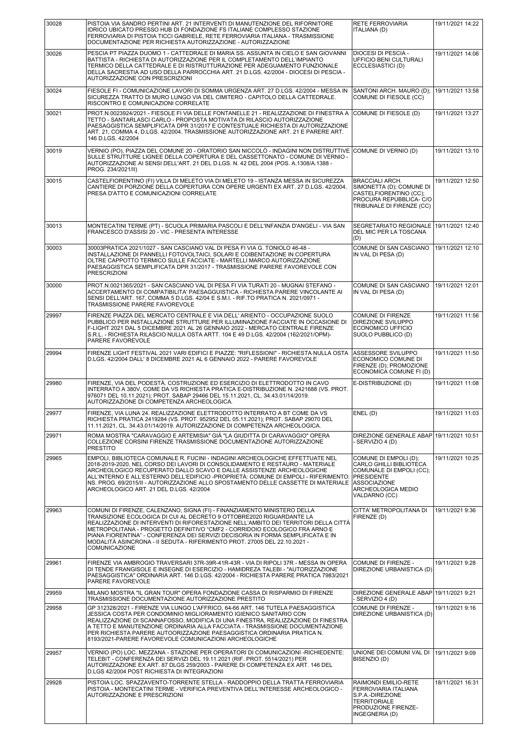| 30028 | PISTOIA VIA SANDRO PERTINI ART. 21 INTERVENTI DI MANUTENZIONE DEL RIFORNITORE<br>IDRICO UBICATO PRESSO HUB DI FONDAZIONE FS ITALIANE COMPLESSO STAZIONE<br>FERROVIARIA DI PISTOIA TICCI GABRIELE, RETE FERROVIARIA ITALIANA - TRASMISSIONE<br>DOCUMENTAZIONE PER RICHIESTA AUTORIZZAZIONE - AUTORIZZAZIONE                                                                                                                                                                                             | <b>RETE FERROVIARIA</b><br>ITALIANA (D)                                                                                                                         | 19/11/2021 14:22 |
|-------|--------------------------------------------------------------------------------------------------------------------------------------------------------------------------------------------------------------------------------------------------------------------------------------------------------------------------------------------------------------------------------------------------------------------------------------------------------------------------------------------------------|-----------------------------------------------------------------------------------------------------------------------------------------------------------------|------------------|
| 30026 | PESCIA PT PIAZZA DUOMO 1 - CATTEDRALE DI MARIA SS. ASSUNTA IN CIELO E SAN GIOVANNI<br>BATTISTA - RICHIESTA DI AUTORIZZAZIONE PER IL COMPLETAMENTO DELL'IMPIANTO<br>TERMICO DELLA CATTEDRALE E DI RISTRUTTURAZIONE PER ADEGUAMENTO FUNZIONALE<br>DELLA SACRESTIA AD USO DELLA PARROCCHIA ART. 21 D.LGS. 42/2004 - DIOCESI DI PESCIA -<br>AUTORIZZAZIONE CON PRESCRIZIONI                                                                                                                                | DIOCESI DI PESCIA -<br>UFFICIO BENI CULTURALI<br>ECCLESIASTICI (D)                                                                                              | 19/11/2021 14:06 |
| 30024 | FIESOLE FI - COMUNICAZIONE LAVORI DI SOMMA URGENZA ART. 27 D.LGS. 42/2004 - MESSA IN<br>SICUREZZA TRATTO DI MURO LUNGO VIA DEL CIMITERO - CAPITOLO DELLA CATTEDRALE.<br>RISCONTRO E COMUNICAZIONI CORRELATE                                                                                                                                                                                                                                                                                            | SANTONI ARCH. MAURO (D);<br>COMUNE DI FIESOLE (CC)                                                                                                              | 19/11/2021 13:58 |
| 30021 | PROT.N.0023924/2021 - FIESOLE FI VIA DELLE FONTANELLE 21 - REALIZZAZIONE DI FINESTRA A<br>TETTO - SANTARLASCI CARLO - PROPOSTA MOTIVATA DI RILASCIO AUTORIZZAZIONE<br>PAESAGGISTICA SEMPLIFICATA DPR 31/2017 E CONTESTUALE RICHIESTA DI AUTORIZZAZIONE<br>ART. 21, COMMA 4, D.LGS. 42/2004. TRASMISSIONE AUTORIZZAZIONE ART. 21 E PARERE ART.<br>146 D.LGS. 42/2004                                                                                                                                    | COMUNE DI FIESOLE (D)                                                                                                                                           | 19/11/2021 13:27 |
| 30019 | VERNIO (PO), PIAZZA DEL COMUNE 20 - ORATORIO SAN NICCOLÒ - INDAGINI NON DISTRUTTIVE<br>SULLE STRUTTURE LIGNEE DELLA COPERTURA E DEL CASSETTONATO - COMUNE DI VERNIO -<br>AUTORIZZAZIONE AI SENSI DELL'ART. 21 DEL D.LGS. N. 42 DEL 2004 (POS. A.1308/A.1388 -<br>PROG. 234/2021/II)                                                                                                                                                                                                                    | COMUNE DI VERNIO (D)                                                                                                                                            | 19/11/2021 13:10 |
| 30015 | CASTELFIORENTINO (FI) VILLA DI MELETO VIA DI MELETO 19 - ISTANZA MESSA IN SICUREZZA<br>CANTIERE DI PORZIONE DELLA COPERTURA CON OPERE URGENTI EX ART. 27 D.LGS. 42/2004.<br>PRESA D'ATTO E COMUNICAZIONI CORRELATE                                                                                                                                                                                                                                                                                     | <b>BRACCIALI ARCH.</b><br>SIMONETTA (D); COMUNE DI<br>CASTELFIORENTINO (CC);<br>PROCURA REPUBBLICA- C/O<br>TRIBUNALE DI FIRENZE (CC)                            | 19/11/2021 12:50 |
| 30013 | MONTECATINI TERME (PT) - SCUOLA PRIMARIA PASCOLI E DELL'INFANZIA D'ANGELI - VIA SAN<br>FRANCESCO D'ASSISI 20 - VIC - PRESENTA INTERESSE                                                                                                                                                                                                                                                                                                                                                                | SEGRETARIATO REGIONALE<br>DEL MIC PER LA TOSCANA<br>(D)                                                                                                         | 19/11/2021 12:40 |
| 30003 | 30003PRATICA 2021/1027 - SAN CASCIANO VAL DI PESA FI VIA G. TONIOLO 46-48 -<br>INSTALLAZIONE DI PANNELLI FOTOVOLTAICI, SOLARI E COIBENTAZIONE IN COPERTURA<br>OLTRE CAPPOTTO TERMICO SULLE FACCIATE - MARTELLI MARCO AUTORIZZAZIONE<br>PAESAGGISTICA SEMPLIFICATA DPR 31/2017 - TRASMISSIONE PARERE FAVOREVOLE CON<br><b>PRESCRIZIONI</b>                                                                                                                                                              | COMUNE DI SAN CASCIANO<br>IN VAL DI PESA (D)                                                                                                                    | 19/11/2021 12:10 |
| 30000 | PROT.N.0021365/2021 - SAN CASCIANO VAL DI PESA FI VIA TURATI 20 - MUGNAI STEFANO -<br>ACCERTAMENTO DI COMPATIBILITA' PAESAGGUISTICA - RICHIESTA PARERE VINCOLANTE AI<br>SENSI DELL'ART. 167, COMMA 5 D.LGS. 42/04 E S.M.I. - RIF.TO PRATICA N. 2021/0971 -<br>TRASMISSIONE PARERE FAVOREVOLE                                                                                                                                                                                                           | COMUNE DI SAN CASCIANO<br>IN VAL DI PESA (D)                                                                                                                    | 19/11/2021 12:01 |
| 29997 | FIRENZE PIAZZA DEL MERCATO CENTRALE E VIA DELL' ARIENTO - OCCUPAZIONE SUOLO<br>PUBBLICO PER INSTALLAZIONE STRUTTURE PER ILLUMINAZIONE FACCIATE IN OCCASIONE DI<br>F-LIGHT 2021 DAL 5 DICEMBRE 2021 AL 26 GENNAIO 2022 - MERCATO CENTRALE FIRENZE<br>S.R.L. - RICHIESTA RILASCIO NULLA OSTA ARTT. 104 E 49 D.LGS. 42/2004 (162/2021/OPM)-<br>PARERE FAVOREVOLE                                                                                                                                          | COMUNE DI FIRENZE<br>DIREZIONE SVILUPPO<br>ECONOMICO UFFICIO<br>SUOLO PUBBLICO (D)                                                                              | 19/11/2021 11:56 |
| 29994 | FIRENZE LIGHT FESTIVAL 2021 VARI EDIFICI E PIAZZE: "RIFLESSIONI" - RICHIESTA NULLA OSTA<br>D.LGS. 42/2004 DALL' 8 DICEMBRE 2021 AL 6 GENNAIO 2022 - PARERE FAVOREVOLE                                                                                                                                                                                                                                                                                                                                  | ASSESSORE SVILUPPO<br>ECONOMICO COMUNE DI<br>FIRENZE (D); PROMOZIONE<br>ECONOMICA COMUNE FI (D)                                                                 | 19/11/2021 11:50 |
| 29980 | FIRENZE, VIA DEL PODESTÀ. COSTRUZIONE ED ESERCIZIO DI ELETTRODOTTO IN CAVO<br>INTERRATO A 380V, COME DA VS RICHIESTA PRATICA E-DISTRIBUZIONE N. 2421688 (VS. PROT.<br>976071 DEL 10.11.2021); PROT. SABAP 29466 DEL 15.11.2021, CL. 34.43.01/14/2019.<br>AUTORIZZAZIONE DI COMPETENZA ARCHEOLOGICA.                                                                                                                                                                                                    | E-DISTRIBUZIONE (D)                                                                                                                                             | 19/11/2021 11:08 |
| 29977 | FIRENZE, VIA LUNA 24. REALIZZAZIONE ELETTRODOTTO INTERRATO A BT COME DA VS<br>RICHIESTA PRATICA 2419284 (VS. PROT. 952952 DEL 05.11.2021); PROT. SABAP 29070 DEL<br>11.11.2021, CL. 34.43.01/14/2019. AUTORIZZAZIONE DI COMPETENZA ARCHEOLOGICA.                                                                                                                                                                                                                                                       | ENEL(D)                                                                                                                                                         | 19/11/2021 11:03 |
| 29971 | ROMA MOSTRA "CARAVAGGIO E ARTEMISIA" GIÀ "LA GIUDITTA DI CARAVAGGIO" OPERA<br>COLLEZIONE CORSINI FIRENZE TRASMISSIONE DOCUMENTAZIONE AUTORIZZAZIONE<br><b>PRESTITO</b>                                                                                                                                                                                                                                                                                                                                 | DIREZIONE GENERALE ABAP 19/11/2021 10:51<br>- SERVIZIO 4 (D)                                                                                                    |                  |
| 29965 | EMPOLI, BIBLIOTECA COMUNALE R. FUCINI - INDAGINI ARCHEOLOGICHE EFFETTUATE NEL<br>2018-2019-2020, NEL CORSO DEI LAVORI DI CONSOLIDAMENTO E RESTAURO - MATERIALE<br>ARCHEOLOGICO RECUPERATO DALLO SCAVO E DALLE ASSISTENZE ARCHEOLOGICHE<br>ALL'INTERNO E ALL'ESTERNO DELL'EDIFICIO -PROPRIETÀ: COMUNE DI EMPOLI - RIFERIMENTO:<br>NS. PROG. 69/2015/II - AUTORIZZAZIONE ALLO SPOSTAMENTO DELLE CASSETTE DI MATERIALE<br>ARCHEOLOGICO ART. 21 DEL D.LGS. 42/2004                                         | COMUNE DI EMPOLI (D);<br>CARLO GHILLI BIBLIOTECA<br>COMUNALE DI EMPOLI (CC);<br><b>PRESIDENTE</b><br><b>ASSOCIAZIONE</b><br>ARCHEOLOGICA MEDIO<br>VALDARNO (CC) | 19/11/2021 10:25 |
| 29963 | COMUNI DI FIRENZE, CALENZANO, SIGNA (FI) - FINANZIAMENTO MINISTERO DELLA<br>TRANSIZIONE ECOLOGICA DI CUI AL DECRETO 9 OTTOBRE2020 RIGUARDANTE LA<br>REALIZZAZIONE DI INTERVENTI DI RIFORESTAZIONE NELL'AMBITO DEI TERRITORI DELLA CITTÀ<br>METROPOLITANA - PROGETTO DEFINITIVO "CMF2 - CORRIDOIO ECOLOGICO FRA ARNO E<br>PIANA FIORENTINA" - CONFERENZA DEI SERVIZI DECISORIA IN FORMA SEMPLIFICATA E IN<br>MODALITÀ ASINCRONA - II SEDUTA - RIFERIMENTO PROT. 27005 DEL 22.10.2021 -<br>COMUNICAZIONE | CITTA' METROPOLITANA DI<br>FIRENZE (D)                                                                                                                          | 19/11/2021 9:36  |
| 29961 | FIRENZE VIA AMBROGIO TRAVERSARI 37R-39R-41R-43R - VIA DI RIPOLI 37R - MESSA IN OPERA<br>DI TENDE FRANGISOLE E INSEGNE DI ESERCIZIO - HAMIDREZA TALEBI - "AUTORIZZAZIONE<br>PAESAGGISTICA" ORDINARIA ART. 146 D.LGS. 42/2004 - RICHIESTA PARERE PRATICA 7983/2021<br>PARERE FAVOREVOLE                                                                                                                                                                                                                  | COMUNE DI FIRENZE -<br>DIREZIONE URBANISTICA (D)                                                                                                                | 19/11/2021 9:28  |
| 29959 | MILANO MOSTRA "IL GRAN TOUR" OPERA FONDAZIONE CASSA DI RISPARMIO DI FIRENZE<br>TRASMISSIONE DOCUMENTAZIONE AUTORIZZAZIONE PRESTITO                                                                                                                                                                                                                                                                                                                                                                     | DIREZIONE GENERALE ABAP 19/11/2021 9:21<br>SERVIZIO 4 (D)                                                                                                       |                  |
| 29958 | GP 312328/2021 - FIRENZE VIA LUNGO L'AFFRICO, 64-66 ART. 146 TUTELA PAESAGGISTICA<br>JESSICA COSTA PER CONDOMINIO MIGLIORAMENTO IGIENICO SANITARIO CON<br>REALIZZAZIONE DI SCANNAFOSSO, MODIFICA DI UNA FINESTRA, REALIZZAZIONE DI FINESTRA<br>A TETTO E MANUTENZIONE ORDINARIA ALLA FACCIATA - TRASMISSIONE DOCUMENTAZIONE<br>PER RICHIESTA PARERE AUTOORIZZAZIONE PAESAGGISTICA ORDINARIA PRATICA N.<br>8193/2021-PARERE FAVOREVOLE COMUNICAZIONI ARCHEOLOGICHE                                      | COMUNE DI FIRENZE -<br>DIREZIONE URBANISTICA (D)                                                                                                                | 19/11/2021 9:16  |
| 29957 | VERNIO (PO) LOC. MEZZANA - STAZIONE PER OPERATORI DI COMUNICAZIONI -RICHIEDENTE:<br>TELEBIT - CONFERENZA DEI SERVIZI DEL 19.11.2021 (RIF. PROT. 5514/2021) PER<br>AUTORIZZAZIONE EX ART. 87 DLGS 259/2003 - PARERE DI COMPETENZA EX ART. 146 DEL<br>D.LGS 42/2004 POST RICHIESTA DI INTEGRAZIONI                                                                                                                                                                                                       | UNIONE DEI COMUNI VAL DI<br>BISENZIO (D)                                                                                                                        | 19/11/2021 9:09  |
| 29928 | PISTOIA LOC. SPAZZAVENTO-TORRENTE STELLA - RADDOPPIO DELLA TRATTA FERROVIARIA<br>PISTOIA - MONTECATINI TERME - VERIFICA PREVENTIVA DELL'INTERESSE ARCHEOLOGICO -<br>AUTORIZZAZIONE E PRESCRIZIONI                                                                                                                                                                                                                                                                                                      | RAIMONDI EMILIO-RETE<br>FERROVIARIA ITALIANA<br>S.P.A.-DIREZIONE<br><b>TERRITORIALE</b><br>PRODUZIONE FIRENZE-<br>INGEGNERIA (D)                                | 18/11/2021 16:31 |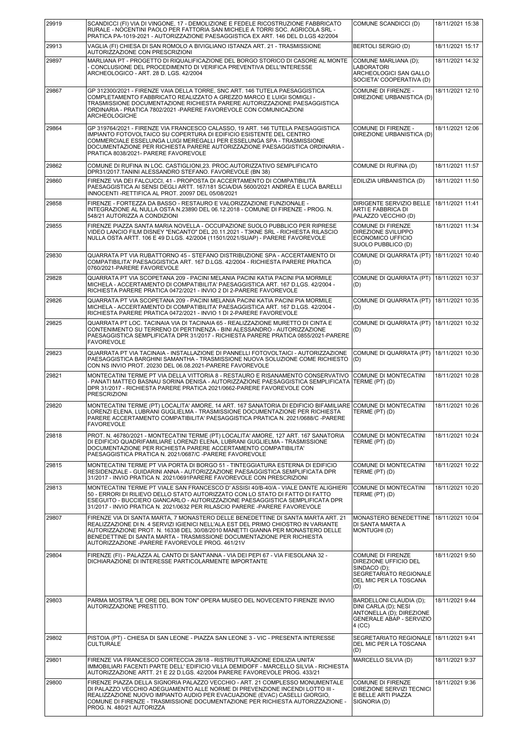| 29919 | SCANDICCI (FI) VIA DI VINGONE, 17 - DEMOLIZIONE E FEDELE RICOSTRUZIONE FABBRICATO<br>RURALE - NOCENTINI PAOLO PER FATTORIA SAN MICHELE A TORRI SOC. AGRICOLA SRL -<br>PRATICA PA-1019-2021 - AUTORIZZAZIONE PAESAGGISTICA EX ART. 146 DEL D.LGS 42/2004                                                                                                                                 | COMUNE SCANDICCI (D)                                                                                                         | 18/11/2021 15:38 |
|-------|-----------------------------------------------------------------------------------------------------------------------------------------------------------------------------------------------------------------------------------------------------------------------------------------------------------------------------------------------------------------------------------------|------------------------------------------------------------------------------------------------------------------------------|------------------|
| 29913 | VAGLIA (FI) CHIESA DI SAN ROMOLO A BIVIGLIANO ISTANZA ART. 21 - TRASMISSIONE<br>AUTORIZZAZIONE CON PRESCRIZIONI                                                                                                                                                                                                                                                                         | BERTOLI SERGIO (D)                                                                                                           | 18/11/2021 15:17 |
| 29897 | MARLIANA PT - PROGETTO DI RIQUALIFICAZIONE DEL BORGO STORICO DI CASORE AL MONTE<br>- CONCLUSIONE DEL PROCEDIMENTO DI VERIFICA PREVENTIVA DELL'INTERESSE<br>ARCHEOLOGICO - ART. 28 D. LGS. 42/2004                                                                                                                                                                                       | COMUNE MARLIANA (D);<br><b>LABORATORI</b><br>ARCHEOLOGICI SAN GALLO<br>SOCIETA' COOPERATIVA (D)                              | 18/11/2021 14:32 |
| 29867 | GP 312300/2021 - FIRENZE VAIA DELLA TORRE, SNC ART. 146 TUTELA PAESAGGISTICA<br>COMPLETAMENTO FABBRICATO REALIZZATO A GREZZO MARCO E LUIGI SOMIGLI -<br>TRASMISSIONE DOCUMENTAZIONE RICHIESTA PARERE AUTORIZZAZIONE PAESAGGISTICA<br>ORDINARIA - PRATICA 7802/2021 - PARERE FAVOREVOLE CON COMUNICAZIONI<br><b>ARCHEOLOGICHE</b>                                                        | COMUNE DI FIRENZE -<br>DIREZIONE URBANISTICA (D)                                                                             | 18/11/2021 12:10 |
| 29864 | GP 319764/2021 - FIRENZE VIA FRANCESCO CALASSO, 19 ART. 146 TUTELA PAESAGGISTICA<br>IMPIANTO FOTOVOLTAICO SU COPERTURA DI EDIFICIO ESISTENTE DEL CENTRO<br>COMMERCIALE ESSELUNGA LUIGI MEREGALLI PER ESSELUNGA SPA - TRASMISSIONE<br>DOCUMENTAZIONE PER RICHIESTA PARERE AUTORIZZAZIONE PAESAGGISTICA ORDINARIA -<br>PRATICA 8038/2021- PARERE FAVOREVOLE                               | COMUNE DI FIRENZE -<br>DIREZIONE URBANISTICA (D)                                                                             | 18/11/2021 12:06 |
| 29862 | COMUNE DI RUFINA IN LOC. CASTIGLIONI,23. PROC.AUTORIZZATIVO SEMPLIFICATO<br>DPR31/2017.TANINI ALESSANDRO STEFANO. FAVOREVOLE (BN 38)                                                                                                                                                                                                                                                    | COMUNE DI RUFINA (D)                                                                                                         | 18/11/2021 11:57 |
| 29860 | FIRENZE VIA DEI FALCUCCI, 41 - PROPOSTA DI ACCERTAMENTO DI COMPATIBILITÀ<br>PAESAGGISTICA AI SENSI DEGLI ARTT. 167/181 SCIA/DIA 5600/2021 ANDREA E LUCA BARELLI<br>INNOCENTI-RETTIFICA AL PROT. 20097 DEL 05/08/2021                                                                                                                                                                    | EDILIZIA URBANISTICA (D)                                                                                                     | 18/11/2021 11:50 |
| 29858 | FIRENZE - FORTEZZA DA BASSO - RESTAURO E VALORIZZAZIONE FUNZIONALE -<br>INTEGRAZIONE AL NULLA OSTA N.23890 DEL 06.12.2018 - COMUNE DI FIRENZE - PROG. N.<br>548/21 AUTORIZZA A CONDIZIONI                                                                                                                                                                                               | DIRIGENTE SERVIZIO BELLE<br>ARTI E FABBRICA DI<br>PALAZZO VECCHIO (D)                                                        | 18/11/2021 11:41 |
| 29855 | FIRENZE PIAZZA SANTA MARIA NOVELLA - OCCUPAZIONE SUOLO PUBBLICO PER RIPRESE<br>VIDEO LANCIO FILM DISNEY "ENCANTO" DEL 20.11.2021 - T3KNE SRL - RICHIESTA RILASCIO<br>NULLA OSTA ARTT. 106 E 49 D.LGS. 42/2004 (11501/2021/SUAP) - PARERE FAVOREVOLE                                                                                                                                     | <b>COMUNE DI FIRENZE</b><br>DIREZIONE SVILUPPO<br>ECONOMICO UFFICIO<br>SUOLO PUBBLICO (D)                                    | 18/11/2021 11:34 |
| 29830 | QUARRATA PT VIA RUBATTORNO 45 - STEFANO DISTRIBUZIONE SPA - ACCERTAMENTO DI<br>COMPATIBILITA' PAESAGGISTICA ART. 167 D.LGS. 42/2004 - RICHIESTA PARERE PRATICA<br>0760/2021-PARERE FAVOREVOLE                                                                                                                                                                                           | COMUNE DI QUARRATA (PT)<br>(D)                                                                                               | 18/11/2021 10:40 |
| 29828 | QUARRATA PT VIA SCOPETANA 209 - PACINI MELANIA PACINI KATIA PACINI PIA MORMILE<br>MICHELA - ACCERTAMENTO DI COMPATIBILITA' PAESAGGISTICA ART. 167 D.LGS. 42/2004 -<br>RICHIESTA PARERE PRATICA 0472/2021 - INVIO 2 DI 2-PARERE FAVOREVOLE                                                                                                                                               | COMUNE DI QUARRATA (PT)<br>(D)                                                                                               | 18/11/2021 10:37 |
| 29826 | QUARRATA PT VIA SCOPETANA 209 - PACINI MELANIA PACINI KATIA PACINI PIA MORMILE<br>MICHELA - ACCERTAMENTO DI COMPATIBILITA' PAESAGGISTICA ART. 167 D.LGS. 42/2004 -<br>RICHIESTA PARERE PRATICA 0472/2021 - INVIO 1 DI 2-PARERE FAVOREVOLE                                                                                                                                               | COMUNE DI QUARRATA (PT)<br>(D)                                                                                               | 18/11/2021 10:35 |
| 29825 | QUARRATA PT LOC. TACINAIA VIA DI TACINAIA 65 - REALIZZAZIONE MURETTO DI CINTA E<br>CONTENIMENTO SU TERRENO DI PERTINENZA - BINI ALESSANDRO - AUTORIZZAZIONE<br>PAESAGGISTICA SEMPLIFICATA DPR 31/2017 - RICHIESTA PARERE PRATICA 0855/2021-PARERE<br><b>FAVOREVOLE</b>                                                                                                                  | COMUNE DI QUARRATA (PT)<br>(D)                                                                                               | 18/11/2021 10:32 |
| 29823 | QUARRATA PT VIA TACINAIA - INSTALLAZIONE DI PANNELLI FOTOVOLTAICI - AUTORIZZAZIONE<br>PAESAGGISTICA BARGHINI SAMANTHA - TRASMISSIONE NUOVA SOLUZIONE COME RICHIESTO<br>CON NS INVIO PROT. 20230 DEL 06.08.2021-PARERE FAVOREVOLE                                                                                                                                                        | COMUNE DI QUARRATA (PT)<br>(D)                                                                                               | 18/11/2021 10:30 |
| 29821 | MONTECATINI TERME PT VIA DELLA VITTORIA 8 - RESTAURO E RISANAMENTO CONSERVATIVO<br>- PANATI MATTEO BASNAU SORINA DENISA - AUTORIZZAZIONE PAESAGGISTICA SEMPLIFICATA<br>DPR 31/2017 - RICHIESTA PARERE PRATICA 2021/0662-PARERE FAVOREVOLE CON<br><b>PRESCRIZIONI</b>                                                                                                                    | COMUNE DI MONTECATINI<br>TERME (PT) (D)                                                                                      | 18/11/2021 10:28 |
| 29820 | MONTECATINI TERME (PT) LOCALITA' AMORE, 14 ART. 167 SANATORIA DI EDIFICIO BIFAMILIARE COMUNE DI MONTECATINI<br>LORENZI ELENA, LUBRANI GUGLIELMA - TRASMISSIONE DOCUMENTAZIONE PER RICHIESTA<br>PARERE ACCERTAMENTO COMPATIBILITA' PAESAGGISTICA PRATICA N. 2021/0688/C -PARERE<br><b>FAVOREVOLE</b>                                                                                     | TERME (PT) (D)                                                                                                               | 18/11/2021 10:26 |
| 29818 | PROT. N. 46780/2021 - MONTECATINI TERME (PT) LOCALITA' AMORE, 127 ART. 167 SANATORIA<br>DI EDIFICIO QUADRIFAMILIARE LORENZI ELENA, LUBRANI GUGLIELMA - TRASMISSIONE<br>DOCUMENTAZIONE PER RICHIESTA PARERE ACCERTAMENTO COMPATIBILITA'<br>PAESAGGISTICA PRATICA N. 2021/0687/C -PARERE FAVOREVOLE                                                                                       | COMUNE DI MONTECATINI<br>TERME (PT) (D)                                                                                      | 18/11/2021 10:24 |
| 29815 | MONTECATINI TERME PT VIA PORTA DI BORGO 51 - TINTEGGIATURA ESTERNA DI EDIFICIO<br>RESIDENZIALE - GUIDARINI ANNA - AUTORIZZAZIONE PAESAGGISTICA SEMPLIFICATA DPR<br>31/2017 - INVIO PRATICA N. 2021/0691PARERE FAVOREVOLE CON PRESCRIZIONI                                                                                                                                               | COMUNE DI MONTECATINI<br>TERME (PT) (D)                                                                                      | 18/11/2021 10:22 |
| 29813 | MONTECATINI TERME PT VIALE SAN FRANCESCO D' ASSISI 40/B-40/A - VIALE DANTE ALIGHIERI<br>50 - ERRORI DI RILIEVO DELLO STATO AUTORIZZATO CON LO STATO DI FATTO DI FATTO<br>ESEGUITO - BUCCIERO GIANCARLO - AUTORIZZAZIONE PAESAGGISTICA SEMPLIFICATA DPR<br>31/2017 - INVIO PRATICA N. 2021/0632 PER RILASCIO PARERE -PARERE FAVOREVOLE                                                   | COMUNE DI MONTECATINI<br>TERME (PT) (D)                                                                                      | 18/11/2021 10:20 |
| 29807 | FIRENZE VIA DI SANTA MARTA, 7 MONASTERO DELLE BENEDETTINE DI SANTA MARTA ART. 21<br>REALIZZAZIONE DI N. 4 SERVIZI IGIENICI NELL'ALA EST DEL PRIMO CHIOSTRO IN VARIANTE<br>AUTORIZZAZIONE PROT. N. 16338 DEL 30/08/2010 MANETTI GIANNA PER MONASTERO DELLE<br>BENEDETTINE DI SANTA MARTA - TRASMISSIONE DOCUMENTAZIONE PER RICHIESTA<br>AUTORIZZAZIONE - PARERE FAVOREVOLE PROG. 461/21V | MONASTERO BENEDETTINE<br>DI SANTA MARTA A<br>MONTUGHI (D)                                                                    | 18/11/2021 10:04 |
| 29804 | FIRENZE (FI) - PALAZZA AL CANTO DI SANT'ANNA - VIA DEI PEPI 67 - VIA FIESOLANA 32 -<br>DICHIARAZIONE DI INTERESSE PARTICOLARMENTE IMPORTANTE                                                                                                                                                                                                                                            | <b>COMUNE DI FIRENZE</b><br>DIREZIONE UFFICIO DEL<br>SINDACO (D);<br>SEGRETARIATO REGIONALE<br>DEL MIC PER LA TOSCANA<br>(D) | 18/11/2021 9:50  |
| 29803 | PARMA MOSTRA "LE ORE DEL BON TON" OPERA MUSEO DEL NOVECENTO FIRENZE INVIO<br>AUTORIZZAZIONE PRESTITO.                                                                                                                                                                                                                                                                                   | BARDELLONI CLAUDIA (D);<br>DINI CARLA (D); NESI<br>ANTONELLA (D); DIREZIONE<br>GENERALE ABAP - SERVIZIO<br>4 (CC)            | 18/11/2021 9:44  |
| 29802 | PISTOIA (PT) - CHIESA DI SAN LEONE - PIAZZA SAN LEONE 3 - VIC - PRESENTA INTERESSE<br><b>CULTURALE</b>                                                                                                                                                                                                                                                                                  | SEGRETARIATO REGIONALE<br>DEL MIC PER LA TOSCANA<br>(D)                                                                      | 18/11/2021 9:41  |
| 29801 | FIRENZE VIA FRANCESCO CORTECCIA 28/18 - RISTRUTTURAZIONE EDILIZIA UNITA'<br>IMMOBILIARI FACENTI PARTE DELL' EDIFICIO VILLA DEMIDOFF - MARCELLO SILVIA - RICHIESTA<br>AUTORIZZAZIONE ARTT. 21 E 22 D.LGS. 42/2004 PARERE FAVOREVOLE PROG. 433/21                                                                                                                                         | MARCELLO SILVIA (D)                                                                                                          | 18/11/2021 9:37  |
| 29800 | FIRENZE PIAZZA DELLA SIGNORIA PALAZZO VECCHIO - ART. 21 COMPLESSO MONUMENTALE<br>DI PALAZZO VECCHIO ADEGUAMENTO ALLE NORME DI PREVENZIONE INCENDI LOTTO III -<br>REALIZZAZIONE NUOVO IMPIANTO AUDIO PER EVACUAZIONE (EVAC) CASELLI GIORGIO,<br>COMUNE DI FIRENZE - TRASMISSIONE DOCUMENTAZIONE PER RICHIESTA AUTORIZZAZIONE -<br>PROG. N. 480/21 AUTORIZZA                              | <b>COMUNE DI FIRENZE</b><br>DIREZIONE SERVIZI TECNICI<br>E BELLE ARTI PIAZZA<br>SIGNORIA (D)                                 | 18/11/2021 9:36  |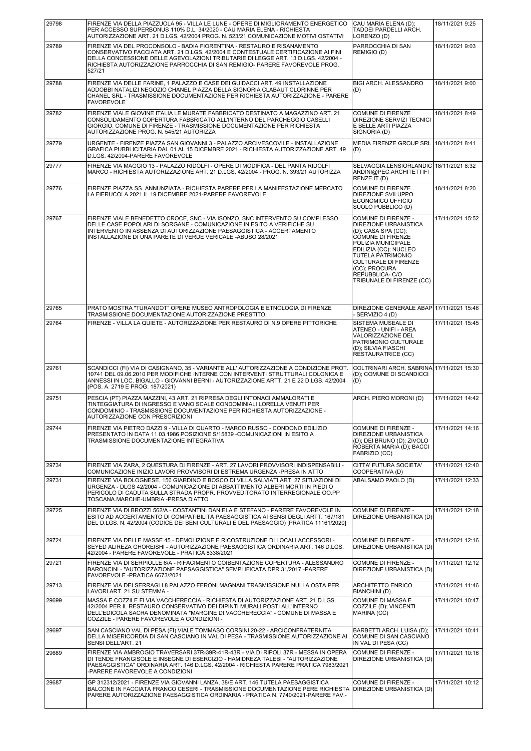| 29798 | FIRENZE VIA DELLA PIAZZUOLA 95 - VILLA LE LUNE - OPERE DI MIGLIORAMENTO ENERGETICO<br>PER ACCESSO SUPERBONUS 110% D.L. 34/2020 - CAU MARIA ELENA - RICHIESTA<br>AUTORIZZAZIONE ART. 21 D.LGS. 42/2004 PROG. N. 523/21 COMUNICAZIONE MOTIVI OSTATIVI                                                                                       | CAU MARIA ELENA (D);<br>TADDEI PARDELLI ARCH.<br>LORENZO (D)                                                                                                                                                                                                        | 18/11/2021 9:25  |
|-------|-------------------------------------------------------------------------------------------------------------------------------------------------------------------------------------------------------------------------------------------------------------------------------------------------------------------------------------------|---------------------------------------------------------------------------------------------------------------------------------------------------------------------------------------------------------------------------------------------------------------------|------------------|
| 29789 | FIRENZE VIA DEL PROCONSOLO - BADIA FIORENTINA - RESTAURO E RISANAMENTO<br>CONSERVATIVO FACCIATA ART. 21 D.LGS. 42/2004 E CONTESTUALE CERTIFICAZIONE AI FINI<br>DELLA CONCESSIONE DELLE AGEVOLAZIONI TRIBUTARIE DI LEGGE ART. 13 D.LGS. 42/2004 -<br>RICHIESTA AUTORIZZAZIONE PARROCCHIA DI SAN REMIGIO- PARERE FAVOREVOLE PROG.<br>527/21 | PARROCCHIA DI SAN<br>REMIGIO (D)                                                                                                                                                                                                                                    | 18/11/2021 9:03  |
| 29788 | FIRENZE VIA DELLE FARINE, 1 PALAZZO E CASE DEI GUIDACCI ART. 49 INSTALLAZIONE<br>ADDOBBI NATALIZI NEGOZIO CHANEL PIAZZA DELLA SIGNORIA CLABAUT CLORINNE PER<br>CHANEL SRL - TRASMISSIONE DOCUMENTAZIONE PER RICHIESTA AUTORIZZAZIONE - PARERE<br><b>FAVOREVOLE</b>                                                                        | <b>BIGI ARCH. ALESSANDRO</b><br>(D)                                                                                                                                                                                                                                 | 18/11/2021 9:00  |
| 29782 | FIRENZE VIALE GIOVINE ITALIA LE MURATE FABBRICATO DESTINATO A MAGAZZINO ART. 21<br>CONSOLIDAMENTO COPERTURA FABBRICATO ALL'INTERNO DEL PARCHEGGIO CASELLI<br>GIORGIO, COMUNE DI FIRENZE - TRASMISSIONE DOCUMENTAZIONE PER RICHIESTA<br>AUTORIZZAZIONE PROG. N. 545/21 AUTORIZZA                                                           | <b>COMUNE DI FIRENZE</b><br><b>DIREZIONE SERVIZI TECNICI</b><br>E BELLE ARTI PIAZZA<br>SIGNORIA (D)                                                                                                                                                                 | 18/11/2021 8:49  |
| 29779 | URGENTE - FIRENZE PIAZZA SAN GIOVANNI 3 - PALAZZO ARCIVESCOVILE - INSTALLAZIONE<br>GRAFICA PUBBLICITARIA DAL 01 AL 15 DICEMBRE 2021 - RICHIESTA AUTORIZZAZIONE ART. 49<br>D.LGS. 42/2004-PARERE FAVOREVOLE                                                                                                                                | MEDIA FIRENZE GROUP SRL 18/11/2021 8:41<br>(D)                                                                                                                                                                                                                      |                  |
| 29777 | FIRENZE VIA MAGGIO 13 - PALAZZO RIDOLFI - OPERE DI MODIFICA - DEL PANTA RIDOLFI<br>MARCO - RICHIESTA AUTORIZZAZIONE ART. 21 D.LGS. 42/2004 - PROG. N. 393/21 AUTORIZZA                                                                                                                                                                    | SELVAGGIA.LENSIORLANDIC<br>ARDINI@PEC.ARCHITETTIFI<br>RENZE.IT (D)                                                                                                                                                                                                  | 18/11/2021 8:32  |
| 29776 | FIRENZE PIAZZA SS. ANNUNZIATA - RICHIESTA PARERE PER LA MANIFESTAZIONE MERCATO<br>LA FIERUCOLA 2021 IL 19 DICEMBRE 2021-PARERE FAVOREVOLE                                                                                                                                                                                                 | COMUNE DI FIRENZE<br>DIREZIONE SVILUPPO<br>ECONOMICO UFFICIO<br>SUOLO PUBBLICO (D)                                                                                                                                                                                  | 18/11/2021 8:20  |
| 29767 | FIRENZE VIALE BENEDETTO CROCE, SNC - VIA ISONZO, SNC INTERVENTO SU COMPLESSO<br>DELLE CASE POPOLARI DI SORGANE - COMUNICAZIONE IN ESITO A VERIFICHE SU<br>INTERVENTO IN ASSENZA DI AUTORIZZAZIONE PAESAGGISTICA - ACCERTAMENTO<br>INSTALLAZIONE DI UNA PARETE DI VERDE VERICALE -ABUSO 28/2021                                            | COMUNE DI FIRENZE -<br>DIREZIONE URBANISTICA<br>(D); CASA SPA (CC);<br><b>COMUNE DI FIRENZE</b><br>POLIZIA MUNICIPALE<br>EDILIZIA (CC); NUCLEO<br>TUTELA PATRIMONIO<br><b>CULTURALE DI FIRENZE</b><br>(CC); PROCURA<br>REPUBBLICA- C/O<br>TRIBUNALE DI FIRENZE (CC) | 17/11/2021 15:52 |
| 29765 | PRATO MOSTRA "TURANDOT" OPERE MUSEO ANTROPOLOGIA E ETNOLOGIA DI FIRENZE<br>TRASMISSIONE DOCUMENTAZIONE AUTORIZZAZIONE PRESTITO.                                                                                                                                                                                                           | DIREZIONE GENERALE ABAP 17/11/2021 15:46<br>- SERVIZIO 4 (D)                                                                                                                                                                                                        |                  |
| 29764 | FIRENZE - VILLA LA QUIETE - AUTORIZZAZIONE PER RESTAURO DI N.9 OPERE PITTORICHE                                                                                                                                                                                                                                                           | SISTEMA MUSEALE DI<br>ATENEO - UNIFI - AREA<br>VALORIZZAZIONE DEL<br>PATRIMONIO CULTURALE<br>(D); SILVIA FIASCHI<br><b>RESTAURATRICE (CC)</b>                                                                                                                       | 17/11/2021 15:45 |
| 29761 | SCANDICCI (FI) VIA DI CASIGNANO, 35 - VARIANTE ALL' AUTORIZZAZIONE A CONDIZIONE PROT.<br>10741 DEL 09.06.2010 PER MODIFICHE INTERNE CON INTERVENTI STRUTTURALI COLONICA E<br>ANNESSI IN LOC. BIGALLO - GIOVANNI BERNI - AUTORIZZAZIONE ARTT. 21 E 22 D.LGS. 42/2004<br>(POS. A. 2719 E PROG. 187/2021)                                    | COLTRINARI ARCH. SABRINA 17/11/2021 15:30<br>(D); COMUNE DI SCANDICCI<br>(D)                                                                                                                                                                                        |                  |
| 29751 | PESCIA (PT) PIAZZA MAZZINI, 43 ART. 21 RIPRESA DEGLI INTONACI AMMALORATI E<br>TINTEGGIATURA DI INGRESSO E VANO SCALE CONDOMINIALI LORELLA VENUTI PER<br>CONDOMINIO - TRASMISSIONE DOCUMENTAZIONE PER RICHIESTA AUTORIZZAZIONE -<br>AUTORIZZAZIONE CON PRESCRIZIONI                                                                        | ARCH. PIERO MORONI (D)                                                                                                                                                                                                                                              | 17/11/2021 14:42 |
| 29744 | FIRENZE VIA PIETRO DAZZI 9 - VILLA DI QUARTO - MARCO RUSSO - CONDONO EDILIZIO<br>PRESENTATO IN DATA 11.03.1986 POSIZIONE S/15839 -COMUNICAZIONI IN ESITO A<br>TRASMISSIONE DOCUMENTAZIONE INTEGRATIVA                                                                                                                                     | COMUNE DI FIRENZE -<br>DIREZIONE URBANISTICA<br>(D); DEI BRUNO (D); ZIVOLO<br>RÓBERTA MARIA (D); BACCI<br>FABRIZIO (CC)                                                                                                                                             | 17/11/2021 14:16 |
| 29734 | FIRENZE VIA ZARA, 2 QUESTURA DI FIRENZE - ART. 27 LAVORI PROVVISORI INDISPENSABILI -<br>COMUNICAZIONE INIZIO LAVORI PROVVISORI DI ESTREMA URGENZA -PRESA IN ATTO                                                                                                                                                                          | CITTA' FUTURA SOCIETA'<br>COOPERATIVA (D)                                                                                                                                                                                                                           | 17/11/2021 12:40 |
| 29731 | FIRENZE VIA BOLOGNESE. 156 GIARDINO E BOSCO DI VILLA SALVIATI ART. 27 SITUAZIONI DI<br>URGENZA - DLGS 42/2004 - COMUNICAZIONE DI ABBATTIMENTO ALBERI MORTI IN PIEDI O<br>PERICOLO DI CADUTA SULLA STRADA PROPR. PROVVEDITORATO INTERREGIONALE OO.PP<br>TOSCANA.MARCHE-UMBRIA -PRESA D'ATTO                                                | ABALSAMO PAOLO (D)                                                                                                                                                                                                                                                  | 17/11/2021 12:33 |
| 29725 | FIRENZE VIA DI BROZZI 562/A - COSTANTINI DANIELA E STEFANO - PARERE FAVOREVOLE IN<br>ESITO AD ACCERTAMENTO DI COMPATIBILITÀ PAESAGGISTICA AI SENSI DEGLI ARTT. 167/181<br>DEL D.LGS. N. 42/2004 (CODICE DEI BENI CULTURALI E DEL PAESAGGIO) [PRATICA 11161/2020]                                                                          | COMUNE DI FIRENZE -<br>DIREZIONE URBANISTICA (D)                                                                                                                                                                                                                    | 17/11/2021 12:18 |
| 29724 | FIRENZE VIA DELLE MASSE 45 - DEMOLIZIONE E RICOSTRUZIONE DI LOCALI ACCESSORI -<br>SEYED ALIREZA GHOREISHI - AUTORIZZAZIONE PAESAGGISTICA ORDINARIA ART. 146 D.LGS.<br>42/2004 - PARERE FAVOREVOLE - PRATICA 8338/2021                                                                                                                     | COMUNE DI FIRENZE -<br>DIREZIONE URBANISTICA (D)                                                                                                                                                                                                                    | 17/11/2021 12:16 |
| 29721 | FIRENZE VIA DI SERPIOLLE 6/A - RIFACIMENTO COIBENTAZIONE COPERTURA - ALESSANDRO<br>BARONCINI - "AUTORIZZAZIONE PAESAGGISTICA" SEMPLIFICATA DPR 31/2017 -PARERE<br>FAVOREVOLE - PRATICA 6673/2021                                                                                                                                          | COMUNE DI FIRENZE -<br>DIREZIONE URBANISTICA (D)                                                                                                                                                                                                                    | 17/11/2021 12:12 |
| 29713 | FIRENZE VIA DEI SERRAGLI 8 PALAZZO FERONI MAGNANI TRASMISSIONE NULLA OSTA PER<br>LAVORI ART. 21 SU STEMMA -                                                                                                                                                                                                                               | <b>ARCHITETTO ENRICO</b><br>BIANCHINI (D)                                                                                                                                                                                                                           | 17/11/2021 11:46 |
| 29699 | MASSA E COZZILE FI VIA VACCHERECCIA - RICHIESTA DI AUTORIZZAZIONE ART. 21 D.LGS.<br>42/2004 PER IL RESTAURO CONSERVATIVO DEI DIPINTI MURALI POSTI ALL'INTERNO<br>DELL'EDICOLA SACRA DENOMINATA "MARGINE DI VACCHERECCIA" - COMUNE DI MASSA E<br>COZZILE - PARERE FAVOREVOLE A CONDIZIONI -                                                | COMUNE DI MASSA E<br>COZZILE (D); VINCENTI<br>MARINA (CC)                                                                                                                                                                                                           | 17/11/2021 10:47 |
| 29697 | SAN CASCIANO VAL DI PESA (FI) VIALE TOMMASO CORSINI 20-22 - ARCICONFRATERNITA<br>DELLA MISERICORDIA DI SAN CASCIANO IN VAL DI PESA - TRASMISSIONE AUTORIZZAZIONE AI<br>SENSI DELL'ART. 21                                                                                                                                                 | BARBETTI ARCH. LUISA (D);<br>COMUNE DI SAN CASCIANO<br>IN VAL DI PESA (CC)                                                                                                                                                                                          | 17/11/2021 10:41 |
| 29689 | FIRENZE VIA AMBROGIO TRAVERSARI 37R-39R-41R-43R - VIA DI RIPOLI 37R - MESSA IN OPERA<br>DI TENDE FRANGISOLE E INSEGNE DI ESERCIZIO - HAMIDREZA TALEBI - "AUTORIZZAZIONE<br>PAESAGGISTICA" ORDINARIA ART. 146 D.LGS. 42/2004 - RICHIESTA PARERE PRATICA 7983/2021<br>-PARERE FAVOREVOLE A CONDIZIONI                                       | COMUNE DI FIRENZE -<br>DIREZIONE URBANISTICA (D)                                                                                                                                                                                                                    | 17/11/2021 10:16 |
| 29687 | GP 312312/2021 - FIRENZE VIA GIOVANNI LANZA, 38/E ART. 146 TUTELA PAESAGGISTICA<br>BALCONE IN FACCIATA FRANCO CESERI - TRASMISSIONE DOCUMENTAZIONE PERE RICHIESTA<br>PARERE AUTORIZZAZIONE PAESAGGISTICA ORDINARIA - PRATICA N. 7740/2021-PARERE FAV.-                                                                                    | COMUNE DI FIRENZE -<br>DIREZIONE URBANISTICA (D)                                                                                                                                                                                                                    | 17/11/2021 10:12 |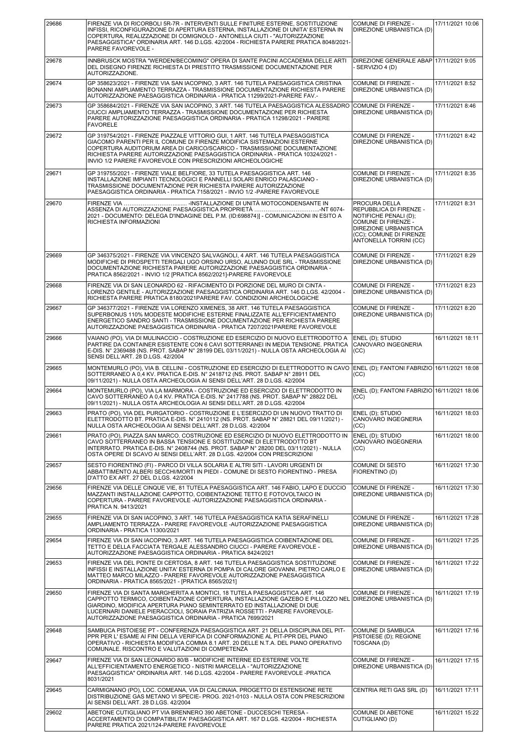| 29686 | FIRENZE VIA DI RICORBOLI 5R-7R - INTERVENTI SULLE FINITURE ESTERNE, SOSTITUZIONE<br>INFISSI, RICONFIGURAZIONE DI APERTURA ESTERNA, INSTALLAZIONE DI UNITA' ESTERNA IN<br>COPERTURA, REALIZZAZIONE DI COMIGNOLO - ANTONELLA CIUTI - "AUTORIZZAZIONE<br>PAESAGGISTICA" ORDINARIA ART. 146 D.LGS. 42/2004 - RICHIESTA PARERE PRATICA 8048/2021-<br>PARERE FAVOREVOLE -                    | COMUNE DI FIRENZE -<br>DIREZIONE URBANISTICA (D)                                                                                                                       | 17/11/2021 10:06 |
|-------|----------------------------------------------------------------------------------------------------------------------------------------------------------------------------------------------------------------------------------------------------------------------------------------------------------------------------------------------------------------------------------------|------------------------------------------------------------------------------------------------------------------------------------------------------------------------|------------------|
| 29678 | INNBRUSCK MOSTRA "WERDEN/BECOMING" OPERA DI SANTE PACINI ACCADEMIA DELLE ARTI<br>DEL DISEGNO FIRENZE RICHIESTA DI PRESTITO TRASMISSIONE DOCUMENTAZIONE PER<br>AUTORIZZAZIONE.                                                                                                                                                                                                          | DIREZIONE GENERALE ABAP 17/11/2021 9:05<br>- SERVIZIO 4 (D)                                                                                                            |                  |
| 29674 | GP 358623/2021 - FIRENZE VIA SAN IACOPINO, 3 ART. 146 TUTELA PAESAGGISTICA CRISTINA<br>BONANNI AMPLIAMENTO TERRAZZA - TRASMISSIONE DOCUMENTAZIONE RICHIESTA PARERE<br>AUTORIZZAZIONE PAESAGGISTICA ORDINARIA - PRATICA 11299/2021-PARERE FAV.-                                                                                                                                         | COMUNE DI FIRENZE -<br>DIREZIONE URBANISTICA (D)                                                                                                                       | 17/11/2021 8:52  |
| 29673 | GP 358684/2021 - FIRENZE VIA SAN IACOPINO, 3 ART. 146 TUTELA PAESAGGISTICA ALESSADRO<br>CIUCCI AMPLIAMENTO TERRAZZA - TRASMISSIONE DOCUMENTAZIONE PER RICHIESTA<br>PARERE AUTORIZZAZIONE PAESAGGISTICA ORDINARIA - PRATICA 11298/2021 - PARERE<br><b>FAVORELE</b>                                                                                                                      | COMUNE DI FIRENZE -<br>DIREZIONE URBANISTICA (D)                                                                                                                       | 17/11/2021 8:46  |
| 29672 | GP 319754/2021 - FIRENZE PIAZZALE VITTORIO GUI, 1 ART. 146 TUTELA PAESAGGISTICA<br>GIACOMO PARENTI PER IL COMUNE DI FIRENZE MODIFICA SISTEMAZIONI ESTERNE<br>COPERTURA AUDITORIUM AREA DI CARICO/SCARICO - TRASMISSIONE DOCUMENTAZIONE<br>RICHIESTA PARERE AUTORIZZAZIONE PAESAGGISTICA ORDINARIA - PRATICA 10324/2021 -<br>INVIO 1/2 PARERE FAVOREVOLE CON PRESCRIZIONI ARCHEOLOGICHE | COMUNE DI FIRENZE -<br>DIREZIONE URBANISTICA (D)                                                                                                                       | 17/11/2021 8:42  |
| 29671 | GP 319755/2021 - FIRENZE VIALE BELFIORE, 33 TUTELA PAESAGGISTICA ART. 146<br>INSTALLAZIONE IMPIANTI TECNOLOGICI E PANNELLI SOLARI ENRICO PALASCIANO -<br>TRASMISSIONE DOCUMENTAZIONE PER RICHIESTA PARERE AUTORIZZAZIONE<br>PAESAGGISTICA ORDINARIA - PRATICA 7158/2021 - INVIO 1/2 - PARERE FAVOREVOLE                                                                                | COMUNE DI FIRENZE -<br>DIREZIONE URBANISTICA (D)                                                                                                                       | 17/11/2021 8:35  |
| 29670 | 2021 - DOCUMENTO: DELEGA D'INDAGINE DEL P.M. (ID:698874)] - COMUNICAZIONI IN ESITO A<br>RICHIESTA INFORMAZIONI                                                                                                                                                                                                                                                                         | PROCURA DELLA<br>REPUBBLICA DI FIRENZE -<br>NOTIFICHE PENALI (D);<br>COMUNE DI FIRENZE -<br>DIREZIONE URBANISTICA<br>(CC); COMUNE DI FIRENZE<br>ANTONELLA TORRINI (CC) | 17/11/2021 8:31  |
| 29669 | GP 346375/2021 - FIRENZE VIA VINCENZO SALVAGNOLI, 4 ART. 146 TUTELA PAESAGGISTICA<br>MODIFICHE DI PROSPETTI TERGALI UGO ORSINO URSO, ALUNNO DUE SRL - TRASMISSIONE<br>DOCUMENTAZIONE RICHIESTA PARERE AUTORIZZAZIONE PAESAGGISTICA ORDINARIA -<br>PRATICA 8562/2021 - INVIO 1/2 [PRATICA 8562/2021]-PARERE FAVOREVOLE                                                                  | <b>COMUNE DI FIRENZE -</b><br>DIREZIONE URBANISTICA (D)                                                                                                                | 17/11/2021 8:29  |
| 29668 | FIRENZE VIA DI SAN LEONARDO 62 - RIFACIMENTO DI PORZIONE DEL MURO DI CINTA -<br>LORENZO GENTILE - AUTORIZZAZIONE PAESAGGISTICA ORDINARIA ART. 146 D.LGS. 42/2004 -<br>RICHIESTA PARERE PRATICA 8180/2021PARERE FAV. CONDIZIONI ARCHEOLOGICHE                                                                                                                                           | COMUNE DI FIRENZE -<br>DIREZIONE URBANISTICA (D)                                                                                                                       | 17/11/2021 8:23  |
| 29667 | GP 346377/2021 - FIRENZE VIA LORENZO XIMENES, 38 ART. 146 TUTELA PAESAGGISTICA<br>SUPERBONUS 110% MODESTE MODIFICHE ESTERNE FINALIZZATE ALL'EFFICIENTAMENTO<br>ENERGETICO SANDRO SANTI - TRASMISSIONE DOCUMENTAZIONE PER RICHIESTA PARERE<br>AUTORIZZAZIONE PAESAGGISTICA ORDINARIA - PRATICA 7207/2021PARERE FAVOREVOLE                                                               | COMUNE DI FIRENZE -<br>DIREZIONE URBANISTICA (D)                                                                                                                       | 17/11/2021 8:20  |
| 29666 | VAIANO (PO), VIA DI MULINACCIO - COSTRUZIONE ED ESERCIZIO DI NUOVO ELETTRODOTTO A<br>PARTIRE DA CONTAINER ESISTENTE CON 6 CAVI SOTTERRANEI IN MEDIA TENSIONE. PRATICA<br>E-DIS. N° 2369488 (NS. PROT. SABAP N° 28199 DEL 03/11/2021) - NULLA OSTA ARCHEOLOGIA AI<br>SENSI DELL'ART. 28 D.LGS. 42/2004                                                                                  | ENEL (D); STUDIO<br>CANOVARO INGEGNERIA<br>(CC)                                                                                                                        | 16/11/2021 18:11 |
| 29665 | MONTEMURLO (PO), VIA B. CELLINI - COSTRUZIONE ED ESERCIZIO DI ELETTRODOTTO IN CAVO<br>SOTTERRANEO A 0.4 KV. PRATICA E-DIS. N° 2418712 (NS. PROT. SABAP N° 28911 DEL<br>09/11/2021) - NULLA OSTA ARCHEOLOGIA AI SENSI DELL'ART. 28 D.LGS. 42/2004                                                                                                                                       | ENEL (D); FANTONI FABRIZIO 16/11/2021 18:08<br>(CC)                                                                                                                    |                  |
| 29664 | MONTEMURLO (PO), VIA LA MARMORA - COSTRUZIONE ED ESERCIZIO DI ELETTRODOTTO IN<br>CAVO SOTTERRANEO A 0,4 KV. PRATICA E-DIS. N° 2417788 (NS. PROT. SABAP N° 28822 DEL<br>09/11/2021) - NULLA OSTA ARCHEOLOGIA AI SENSI DELL'ART. 28 D.LGS. 42/2004                                                                                                                                       | ENEL (D); FANTONI FABRIZIO 16/11/2021 18:06<br>(CC)                                                                                                                    |                  |
| 29663 | PRATO (PO), VIA DEL PURGATORIO - COSTRUZIONE E L'ESERCIZIO DI UN NUOVO TRATTO DI<br>ELETTRODOTTO BT. PRATICA E-DIS. N° 2410112 (NS. PROT. SABAP N° 28821 DEL 09/11/2021) -<br>NULLA OSTA ARCHEOLOGIA AI SENSI DELL'ART. 28 D.LGS. 42/2004                                                                                                                                              | ENEL (D); STUDIO<br>CANOVARO INGEGNERIA<br>(CC)                                                                                                                        | 16/11/2021 18:03 |
| 29661 | PRATO (PO), PIAZZA SAN MARCO. COSTRUZIONE ED ESERCIZIO DI NUOVO ELETTRODOTTO IN<br>CAVO SOTTERRANEO IN BASSA TENSIONE E SOSTITUZIONE DI ELETTRODOTTO BT<br>INTERRATO. PRATICA E-DIS. N° 2408744 (NS. PROT. SABAP N° 28200 DEL 03/11/2021) - NULLA<br>OSTA OPERE DI SCAVO AI SENSI DELL'ART. 28 D.LGS. 42/2004 CON PRESCRIZIONI                                                         | ENEL (D); STUDIO<br>CANOVÁRO INGEGNERIA<br>(CC)                                                                                                                        | 16/11/2021 18:00 |
| 29657 | SESTO FIORENTINO (FI) - PARCO DI VILLA SOLARIA E ALTRI SITI - LAVORI URGENTI DI<br>ABBATTIMENTO ALBERI SECCHI/MORTI IN PIEDI - COMUNE DI SESTO FIORENTINO - PRESA<br>D'ATTO EX ART. 27 DEL D.LGS. 42/2004                                                                                                                                                                              | COMUNE DI SESTO<br>FIORENTINO (D)                                                                                                                                      | 16/11/2021 17:30 |
| 29656 | FIRENZE VIA DELLE CINQUE VIE. 81 TUTELA PAESAGGISTICA ART. 146 FABIO. LAPO E DUCCIO<br>MAZZANTI INSTALLAZIONE CAPPOTTO, COIBENTAZIONE TETTO E FOTOVOLTAICO IN<br>COPERTURA - PARERE FAVOREVOLE - AUTORIZZAZIONE PAESAGGISTICA ORDINARIA -<br>PRATICA N. 9413/2021                                                                                                                      | COMUNE DI FIRENZE -<br>DIREZIONE URBANISTICA (D)                                                                                                                       | 16/11/2021 17:30 |
| 29655 | FIRENZE VIA DI SAN IACOPINO, 3 ART. 146 TUTELA PAESAGGISTICA KATIA SERAFINELLI<br>AMPLIAMENTO TERRAZZA - PARERE FAVOREVOLE -AUTORIZZAZIONE PAESAGGISTICA<br>ORDINARIA - PRATICA 11300/2021                                                                                                                                                                                             | COMUNE DI FIRENZE -<br>DIREZIONE URBANISTICA (D)                                                                                                                       | 16/11/2021 17:28 |
| 29654 | FIRENZE VIA DI SAN IACOPINO, 3 ART. 146 TUTELA PAESAGGISTICA COIBENTAZIONE DEL<br>TETTO E DELLA FACCIATA TERGALE ALESSANDRO CIUCCI - PARERE FAVOREVOLE -<br>AUTORIZZAZIONE PAESAGGISTICA ORDINARIA - PRATICA 8424/2021                                                                                                                                                                 | <b>COMUNE DI FIRENZE -</b><br>DIREZIONE URBANISTICA (D)                                                                                                                | 16/11/2021 17:25 |
| 29653 | FIRENZE VIA DEL PONTE DI CERTOSA, 8 ART. 146 TUTELA PAESAGGISTICA SOSTITUZIONE<br>INFISSI E INSTALLAZIONE UNITA' ESTERNA DI POMPA DI CALORE GIOVANNI, PIETRO CARLO E<br>MATTEO MARCO MILAZZO - PARERE FAVOREVOLE AUTORIZZAZIONE PAESAGGISTICA<br>ORDINARIA - PRATICA 8565/2021 - [PRATICA 8565/2021]                                                                                   | COMUNE DI FIRENZE -<br>DIREZIONE URBANISTICA (D)                                                                                                                       | 16/11/2021 17:22 |
| 29650 | FIRENZE VIA DI SANTA MARGHERITA A MONTICI, 18 TUTELA PAESAGGISTICA ART. 146<br>CAPPOTTO TERMICO, COIBENTAZIONE COPERTURA, INSTALLAZIONE GAZEBO E PILLOZZO NEL<br>GIARDINO, MODIFICA APERTURA PIANO SEMINTERRATO ED INSTALLAZIONE DI DUE<br>LUCERNARI DANIELE PIERACCIOLI, SORAIA PATRIZIA ROSSETTI - PARERE FAVOREVOLE-<br>AUTORIZZAZIONE PAESAGGISTICA ORDINARIA - PRATICA 7699/2021  | COMUNE DI FIRENZE -<br>DIREZIONE URBANISTICA (D)                                                                                                                       | 16/11/2021 17:19 |
| 29648 | SAMBUCA PISTOIESE PT - CONFERENZA PAESAGGISTICA ART. 21 DELLA DISCIPLINA DEL PIT-<br>PPR PER L'ESAME AI FINI DELLA VERIFICA DI CONFORMAZIONE AL PIT-PPR DEL PIANO<br>OPERATIVO - RICHIESTA MODIFICA COMMA 8.1 ART. 20 DELLE N.T.A. DEL PIANO OPERATIVO<br>COMUNALE. RISCONTRO E VALUTAZIONI DI COMPETENZA                                                                              | <b>COMUNE DI SAMBUCA</b><br>PISTOIESE (D); REGIONE<br>TOSCANA (D)                                                                                                      | 16/11/2021 17:16 |
| 29647 | FIRENZE VIA DI SAN LEONARDO 80/B - MODIFICHE INTERNE ED ESTERNE VOLTE<br>ALL'EFFICIENTAMENTO ENERGETICO - NISTRI MARCELLA - "AUTORIZZAZIONE<br>PAESAGGISTICA" ORDINARIA ART. 146 D.LGS. 42/2004 - PARERE FAVOREVOLE -PRATICA<br>8031/2021                                                                                                                                              | COMUNE DI FIRENZE -<br>DIREZIONE URBANISTICA (D)                                                                                                                       | 16/11/2021 17:15 |
| 29645 | CARMIGNANO (PO), LOC. COMEANA, VIA DI CALCINAIA. PROGETTO DI ESTENSIONE RETE<br>DISTRIBUZIONE GAS METANO VI SPECIE- PROG. 2021-0103 - NULLA OSTA CON PRESCRIZIONI<br>AI SENSI DELL'ART. 28 D.LGS. 42/2004                                                                                                                                                                              | CENTRIA RETI GAS SRL (D)                                                                                                                                               | 16/11/2021 17:11 |
| 29602 | ABETONE CUTIGLIANO PT VIA BRENNERO 390 ABETONE - DUCCESCHI TERESA -<br>ACCERTAMENTO DI COMPATIBILITA' PAESAGGISTICA ART. 167 D.LGS. 42/2004 - RICHIESTA<br>PARERE PRATICA 2021/124-PARERE FAVOREVOLE                                                                                                                                                                                   | <b>COMUNE DI ABETONE</b><br>CUTIGLIANO (D)                                                                                                                             | 16/11/2021 15:22 |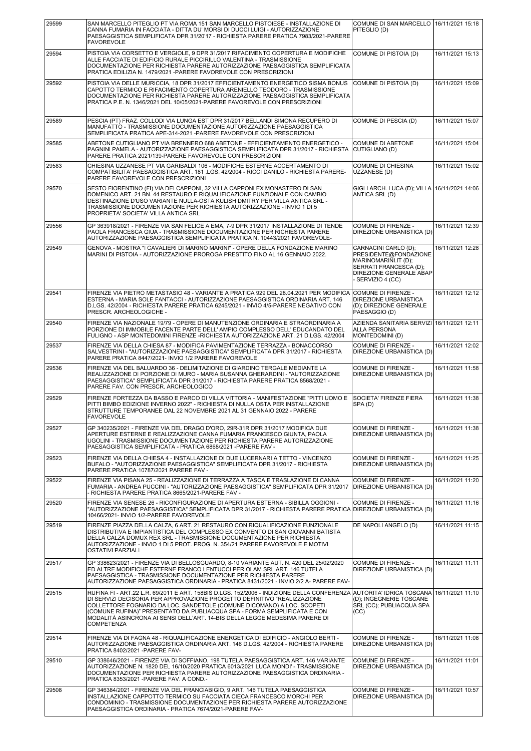| 29599 | SAN MARCELLO PITEGLIO PT VIA ROMA 151 SAN MARCELLO PISTOIESE - INSTALLAZIONE DI<br>CANNA FUMARIA IN FACCIATA - DITTA DU' MORSI DI DUCCI LUIGI - AUTORIZZAZIONE<br>PAESAGGISTICA SEMPLIFICATA DPR 31/20'17 - RICHIESTA PARERE PRATICA 7983/2021-PARERE<br><b>FAVOREVOLE</b>                                                                                                                                                                                | COMUNE DI SAN MARCELLO 116/11/2021 15:18<br>PITEGLIO (D)                                                                                        |                  |
|-------|-----------------------------------------------------------------------------------------------------------------------------------------------------------------------------------------------------------------------------------------------------------------------------------------------------------------------------------------------------------------------------------------------------------------------------------------------------------|-------------------------------------------------------------------------------------------------------------------------------------------------|------------------|
| 29594 | PISTOIA VIA CORSETTO E VERGIOLE, 9 DPR 31/2017 RIFACIMENTO COPERTURA E MODIFICHE<br>ALLE FACCIATE DI EDIFICIO RURALE PICCIRILLO VALENTINA - TRASMISSIONE<br>DOCUMENTAZIONE PER RICHIESTA PARERE AUTORIZZAZIONE PAESAGGISTICA SEMPLIFICATA<br>PRATICA EDILIZIA N. 1479/2021 - PARERE FAVOREVOLE CON PRESCRIZIONI                                                                                                                                           | COMUNE DI PISTOIA (D)                                                                                                                           | 16/11/2021 15:13 |
| 29592 | PISTOIA VIA DELLE MURICCIA. 18 DPR 31/2017 EFFICIENTAMENTO ENERGETICO SISMA BONUS<br>CAPOTTO TERMICO E RIFACIMENTO COPERTURA ARENIELLO TEODORO - TRASMISSIONE<br>DOCUMENTAZIONE PER RICHIESTA PARERE AUTORIZZAZIONE PAESAGGISTICA SEMPLIFICATA<br>PRATICA P.E. N. 1346/2021 DEL 10/05/2021-PARERE FAVOREVOLE CON PRESCRIZIONI                                                                                                                             | COMUNE DI PISTOIA (D)                                                                                                                           | 16/11/2021 15:09 |
| 29589 | PESCIA (PT) FRAZ. COLLODI VIA LUNGA EST DPR 31/2017 BELLANDI SIMONA RECUPERO DI<br>MANUFATTO - TRASMISSIONE DOCUMENTAZIONE AUTORIZZAZIONE PAESAGGISTICA<br>SEMPLIFICATA PRATICA APE-314-2021 - PARERE FAVOREVOLE CON PRESCRIZIONI                                                                                                                                                                                                                         | COMUNE DI PESCIA (D)                                                                                                                            | 16/11/2021 15:07 |
| 29585 | ABETONE CUTIGLIANO PT VIA BRENNERO 688 ABETONE - EFFICIENTAMENTO ENERGETICO -<br>PAGNINI PAMELA - AUTORIZZAZIONE PAESAGGISTICA SEMPLIFICATA DPR 31/2017 - RICHIESTA<br>PARERE PRATICA 2021/139-PARERE FAVOREVOLE CON PRESCRIZIONI                                                                                                                                                                                                                         | COMUNE DI ABETONE<br>CUTIGLIANO (D)                                                                                                             | 16/11/2021 15:04 |
| 29583 | CHIESINA UZZANESE PT VIA GARIBALDI 106 - MODIFICHE ESTERNE ACCERTAMENTO DI<br>COMPATIBILITA' PAESAGGISTICA ART. 181.LGS. 42/2004 - RICCI DANILO - RICHIESTA PARERE-<br>PARERE FAVOREVOLE CON PRESCRIZIONI                                                                                                                                                                                                                                                 | COMUNE DI CHIESINA<br>UZZANESE (D)                                                                                                              | 16/11/2021 15:02 |
| 29570 | SESTO FIORENTINO (FI) VIA DEI CAPPONI, 32 VILLA CAPPONI EX MONASTERO DI SAN<br>DOMENICO ART. 21 BN. 44 RESTAURO E RIQUALIFICAZIONE FUNZIONALE CON CAMBIO<br>DESTINAZIONE D'USO VARIANTE NULLA-OSTA KULISH DMITRY PER VILLA ANTICA SRL -<br>TRASMISSIONE DOCUMENTAZIONE PER RICHIESTA AUTORIZZAZIONE - INVIO 1 DI 5<br>PROPRIETA' SOCIETA' VILLA ANTICA SRL                                                                                                | GIGLI ARCH. LUCA (D); VILLA 16/11/2021 14:06<br>ANTICA SRL (D)                                                                                  |                  |
| 29556 | GP 363918/2021 - FIRENZE VIA SAN FELICE A EMA, 7-9 DPR 31/2017 INSTALLAZIONE DI TENDE<br>PAOLA FRANCESCA GIUA - TRASMISSIONE DOCUMENTAZIONE PER RICHIESTA PARERE<br>AUTORIZZAZIONE PAESAGGISTICA SEMPLIFICATA PRATICA N. 10443/2021 FAVOREVOLE-                                                                                                                                                                                                           | <b>COMUNE DI FIRENZE -</b><br>DIREZIONE URBANISTICA (D)                                                                                         | 16/11/2021 12:39 |
| 29549 | GENOVA - MOSTRA "I CAVALIERI DI MARINO MARINI" - OPERE DELLA FONDAZIONE MARINO<br>MARINI DI PISTOIA - AUTORIZZAZIONE PROROGA PRESTITO FINO AL 16 GENNAIO 2022.                                                                                                                                                                                                                                                                                            | CARNACINI CARLO (D);<br>PRESIDENTE@FONDAZIONE<br>MARINOMARINI.IT (D);<br>SERRATI FRANCESCA (D):<br>DIREZIONE GENERALE ABAP<br>- SERVIZIO 4 (CC) | 16/11/2021 12:28 |
| 29541 | FIRENZE VIA PIETRO METASTASIO 48 - VARIANTE A PRATICA 929 DEL 28.04.2021 PER MODIFICA<br>ESTERNA - MARIA SOLE FANTACCI - AUTORIZZAZIONE PAESAGGISTICA ORDINARIA ART. 146<br>D.LGS. 42/2004 - RICHIESTA PARERE PRATICA 6245/2021 - INVIO 4/5-PARERE NEGATIVO CON<br>PRESCR. ARCHEOLOGICHE -                                                                                                                                                                | COMUNE DI FIRENZE -<br>DIREZIONE URBANISTICA<br>(D); DIREZIONE GENERALE<br>PAESAGGIO (D)                                                        | 16/11/2021 12:12 |
| 29540 | FIRENZE VIA NAZIONALE 19/79 - OPERE DI MANUTENZIONE ORDINARIA E STRAORDINARIA A<br>PORZIONE DI IMMOBILE FACENTE PARTE DELL' AMPIO COMPLESSO DELL' EDUCANDATO DEL<br>FULIGNO - ASP MONTEDOMINI FIRENZE -RICHIESTA AUTORIZZAZIONE ART. 21 D.LGS. 42/2004                                                                                                                                                                                                    | AZIENDA SANITARIA SERVIZI 16/11/2021 12:11<br><b>ALLA PERSONA</b><br>MONTEDOMINI (D)                                                            |                  |
| 29537 | FIRENZE VIA DELLA CHIESA 87 - MODIFICA PAVIMENTAZIONE TERRAZZA - BONACCORSO<br>SALVESTRINI - "AUTORIZZAZIONE PAESAGGISTICA" SEMPLIFICATA DPR 31/2017 - RICHIESTA<br>PARERE PRATICA 8447/2021- INVIO 1/2 PARERE FAVOREVOLE                                                                                                                                                                                                                                 | COMUNE DI FIRENZE -<br>DIREZIONE URBANISTICA (D)                                                                                                | 16/11/2021 12:02 |
| 29536 | FIRENZE VIA DEL BALUARDO 36 - DELIMITAZIONE DI GIARDINO TERGALE MEDIANTE LA<br>REALIZZAZIONE DI PORZIONE DI MURO - MARIA SUSANNA GHERARDINI - "AUTORIZZAZIONE<br>PAESAGGISTICA" SEMPLIFICATA DPR 31/2017 - RICHIESTA PARERE PRATICA 8568/2021 -<br>PARERE FAV. CON PRESCR. ARCHEOLOGICO                                                                                                                                                                   | COMUNE DI FIRENZE -<br>DIREZIONE URBANISTICA (D)                                                                                                | 16/11/2021 11:58 |
| 29529 | FIRENZE FORTEZZA DA BASSO E PARCO DI VILLA VITTORIA - MANIFESTAZIONE "PITTI UOMO E<br>PITTI BIMBO EDIZIONE INVERNO 2022" - RICHIESTA DI NULLA OSTA PER INSTALLAZIONE<br>STRUTTURE TEMPORANEE DAL 22 NOVEMBRE 2021 AL 31 GENNAIO 2022 - PARERE<br><b>FAVOREVOLE</b>                                                                                                                                                                                        | SOCIETA' FIRENZE FIERA<br>SPA(D)                                                                                                                | 16/11/2021 11:38 |
| 29527 | GP 340235/2021 - FIRENZE VIA DEL DRAGO D'ORO, 29R-31R DPR 31/2017 MODIFICA DUE<br>APERTURE ESTERNE E REALIZZAZIONE CANNA FUMARIA FRANCESCO GIUNTA, PAOLA<br>UGOLINI - TRASMISSIONE DOCUMENTAZIONE PER RICHIESTA PARERE AUTORIZZAZIONE<br>PAESAGGISTICA SEMPLIFICATA - PRATICA 6868/2021 - PARERE FAV -                                                                                                                                                    | COMUNE DI FIRENZE -<br>DIREZIONE URBANISTICA (D)                                                                                                | 16/11/2021 11:38 |
| 29523 | FIRENZE VIA DELLA CHIESA 4 - INSTALLAZIONE DI DUE LUCERNARI A TETTO - VINCENZO<br>BUFALO - "AUTORIZZAZIONE PAESAGGISTICA" SEMPLIFICATA DPR 31/2017 - RICHIESTA<br>PARERE PRATICA 10787/2021 PARERE FAV -                                                                                                                                                                                                                                                  | COMUNE DI FIRENZE -<br>DIREZIONE URBANISTICA (D)                                                                                                | 16/11/2021 11:25 |
| 29522 | FIRENZE VIA PISANA 25 - REALIZZAZIONE DI TERRAZZA A TASCA E TRASLAZIONE DI CANNA<br>FUMARIA - ANDREA PUCCINI - "AUTORIZZAZIONE PAESAGGISTICA" SEMPLIFICATA DPR 31/2017<br>- RICHIESTA PARERE PRATICA 8665/2021-PARERE FAV -                                                                                                                                                                                                                               | COMUNE DI FIRENZE -<br>DIREZIONE URBANISTICA (D)                                                                                                | 16/11/2021 11:20 |
| 29520 | FIRENZE VIA SENESE 26 - RICONFIGURAZIONE DI APERTURA ESTERNA - SIBILLA OGGIONI -<br>"AUTORIZZAZIONE PAESAGGISTICA" SEMPLIFICATA DPR 31/2017 - RICHIESTA PARERE PRATICA<br>10466/2021- INVIO 1/2-PARERE FAVOREVOLE                                                                                                                                                                                                                                         | COMUNE DI FIRENZE -<br>DIREZIONE URBANISTICA (D)                                                                                                | 16/11/2021 11:16 |
| 29519 | FIRENZE PIAZZA DELLA CALZA, 6 ART. 21 RESTAURO CON RIQUALIFICAZIONE FUNZIONALE<br>DISTRIBUTIVA E IMPIANTISTICA DEL COMPLESSO EX CONVENTO DI SAN GIOVANNI BATISTA<br>DELLA CALZA DOMUX REX SRL - TRASMISSIONE DOCUMENTAZIONE PER RICHIESTA<br>AUTORIZZAZIONE - INVIO 1 DI 5 PROT. PROG. N. 354/21 PARERE FAVOREVOLE E MOTIVI<br><b>OSTATIVI PARZIALI</b>                                                                                                   | DE NAPOLI ANGELO (D)                                                                                                                            | 16/11/2021 11:15 |
| 29517 | GP 338623/2021 - FIRENZE VIA DI BELLOSGUARDO, 8-10 VARIANTE AUT. N. 420 DEL 25/02/2020<br>ED ALTRE MODIFICHE ESTERNE FRANCO LENTUCCI PER OLAM SRL ART. 146 TUTELA<br>PAESAGGISTICA - TRASMISSIONE DOCUMENTAZIONE PER RICHIESTA PARERE<br>AUTORIZZAZIONE PAESAGGISTICA ORDINARIA - PRATICA 8431/2021 - INVIO 2/2 A- PARERE FAV-                                                                                                                            | COMUNE DI FIRENZE -<br>DIREZIONE URBANISTICA (D)                                                                                                | 16/11/2021 11:11 |
| 29515 | RUFINA FI - ART.22 L.R. 69/2011 E ART. 158BIS D.LGS. 152/2006 - INDIZIONE DELLA CONFERENZA AUTORITA' IDRICA TOSCANA<br>DI SERVIZI DECISORIA PER APPROVAZIONE PROGETTO DEFINITIVO "REALIZZAZIONE<br>COLLETTORE FOGNARIO DA LOC. SANDETOLE (COMUNE DICOMANO) A LOC. SCOPETI<br>(COMUNE RUFINA)" PRESENTATO DA PUBLIACQUA SPA - FORMA SEMPLIFICATA E CON<br>MODALITÀ ASINCRONA AI SENSI DELL'ART. 14-BIS DELLA LEGGE MEDESIMA PARERE DI<br><b>COMPETENZA</b> | (D); INGEGNERIE TOSCANE<br>SRL (CC); PUBLIACQUA SPA<br>(CC)                                                                                     | 16/11/2021 11:10 |
| 29514 | FIRENZE VIA DI FAGNA 48 - RIQUALIFICAZIONE ENERGETICA DI EDIFICIO - ANGIOLO BERTI -<br>AUTORIZZAZIONE PAESAGGISTICA ORDINARIA ART. 146 D.LGS. 42/2004 - RICHIESTA PARERE<br>PRATICA 8402/2021 - PARERE FAV-                                                                                                                                                                                                                                               | COMUNE DI FIRENZE -<br>DIREZIONE URBANISTICA (D)                                                                                                | 16/11/2021 11:08 |
| 29510 | GP 338646/2021 - FIRENZE VIA DI SOFFIANO, 198 TUTELA PAESAGGISTICA ART. 146 VARIANTE<br>AUTORIZZAZIONE N. 1820 DEL 16/10/2020 PRATICA 6013/2021 LUCA MONDI' - TRASMISSIONE<br>DOCUMENTAZIONE PER RICHIESTA PARERE AUTORIZZAZIONE PAESAGGISTICA ORDINARIA -<br>PRATICA 8353/2021 - PARERE FAV. A COND.-                                                                                                                                                    | COMUNE DI FIRENZE -<br>DIREZIONE URBANISTICA (D)                                                                                                | 16/11/2021 11:01 |
| 29508 | GP 346384/2021 - FIRENZE VIA DEL FRANCIABIGIO, 9 ART. 146 TUTELA PAESAGGISTICA<br>INSTALLAZIONE CAPPOTTO TERMICO SU FACCIATA CIECA FRANCESCO MORCHI PER<br>CONDOMINIO - TRASMISSIONE DOCUMENTAZIONE PER RICHIESTA PARERE AUTORIZZAZIONE<br>PAESAGGISTICA ORDINARIA - PRATICA 7674/2021-PARERE FAV-                                                                                                                                                        | COMUNE DI FIRENZE -<br>DIREZIONE URBANISTICA (D)                                                                                                | 16/11/2021 10:57 |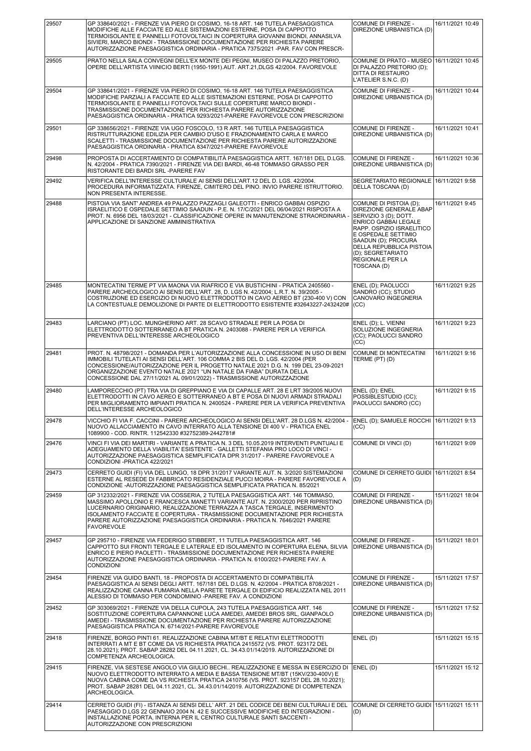| 29507 | GP 338640/2021 - FIRENZE VIA PIERO DI COSIMO, 16-18 ART. 146 TUTELA PAESAGGISTICA<br>MODIFICHE ALLE FACCIATE ED ALLE SISTEMAZIONI ESTERNE, POSA DI CAPPOTTO<br>TERMOISOLANTE E PANNELLI FOTOVOLTAICI IN COPERTURA GIOVANNI BIONDI, ANNASILVA<br>SIVIERI, MARCO BIONDI - TRASMISSIONE DOCUMENTAZIONE PER RICHIESTA PARERE<br>AUTORIZZAZIONE PAESAGGISTICA ORDINARIA - PRATICA 7375/2021 -PAR. FAV CON PRESCR-                        | COMUNE DI FIRENZE -<br>DIREZIONE URBANISTICA (D)                                                                                                                                                                                                                         | 16/11/2021 10:49 |
|-------|-------------------------------------------------------------------------------------------------------------------------------------------------------------------------------------------------------------------------------------------------------------------------------------------------------------------------------------------------------------------------------------------------------------------------------------|--------------------------------------------------------------------------------------------------------------------------------------------------------------------------------------------------------------------------------------------------------------------------|------------------|
| 29505 | PRATO NELLA SALA CONVEGNI DELL'EX MONTE DEI PEGNI, MUSEO DI PALAZZO PRETORIO,<br>OPERE DELL'ARTISTA VIINICIO BERTI (1950-1991).AUT. ART.21,DLGS 42/2004. FAVOREVOLE                                                                                                                                                                                                                                                                 | COMUNE DI PRATO - MUSEO 16/11/2021 10:45<br>DI PALAZZO PRETORIO (D);<br>DITTA DI RESTAURO<br>L'ATELIER S.N.C. (D)                                                                                                                                                        |                  |
| 29504 | GP 338641/2021 - FIRENZE VIA PIERO DI COSIMO, 16-18 ART. 146 TUTELA PAESAGGISTICA<br>MODIFICHE PARZIALI A FACCIATE ED ALLE SISTEMAZIONI ESTERNE, POSA DI CAPPOTTO<br>TERMOISOLANTE E PANNELLI FOTOVOLTAICI SULLE COPERTURE MARCO BIONDI -<br>TRASMISSIONE DOCUMENTAZIONE PER RICHIESTA PARERE AUTORIZZAZIONE<br>PAESAGGISTICA ORDINARIA - PRATICA 9293/2021-PARERE FAVOREVOLE CON PRESCRIZIONI                                      | COMUNE DI FIRENZE -<br>DIREZIONE URBANISTICA (D)                                                                                                                                                                                                                         | 16/11/2021 10:44 |
| 29501 | GP 338656/2021 - FIRENZE VIA UGO FOSCOLO, 13 R ART. 146 TUTELA PAESAGGISTICA<br>RISTRUTTURAZIONE EDILIZIA PER CAMBIO D'USO E FRAZIONAMENTO CARLA E MARCO<br>SCALETTI - TRASMISSIONE DOCUMENTAZIONE PER RICHIESTA PARERE AUTORIZZAZIONE<br>PAESAGGISTICA ORDINARIA - PRATICA 8347/2021-PARERE FAVOREVOLE                                                                                                                             | <b>COMUNE DI FIRENZE -</b><br>DIREZIONE URBANISTICA (D)                                                                                                                                                                                                                  | 16/11/2021 10:41 |
| 29498 | PROPOSTA DI ACCERTAMENTO DI COMPATIBILITÀ PAESAGGISTICA ARTT. 167/181 DEL D.LGS.<br>N. 42/2004 - PRATICA 7390/2021 - FIRENZE VIA DEI BARDI, 46-48 TOMMASO GRASSO PER<br>RISTORANTE DEI BARDI SRL-PARERE FAV                                                                                                                                                                                                                         | COMUNE DI FIRENZE -<br>DIREZIONE URBANISTICA (D)                                                                                                                                                                                                                         | 16/11/2021 10:36 |
| 29492 | VERIFICA DELL'INTERESSE CULTURALE AI SENSI DELL'ART.12 DEL D. LGS. 42/2004.<br>PROCEDURA INFORMATIZZATA. FIRENZE, CIMITERO DEL PINO. INVIO PARERE ISTRUTTORIO.<br>NON PRESENTA INTERESSE.                                                                                                                                                                                                                                           | SEGRETARIATO REGIONALE   16/11/2021 9:58<br>DELLA TOSCANA (D)                                                                                                                                                                                                            |                  |
| 29488 | PISTOIA VIA SANT' ANDREA 49 PALAZZO PAZZAGLI GALEOTTI - ENRICO GABBAI OSPIZIO<br>ISRAELITICO E OSPEDALE SETTIMIO SAADUN - P.E. N. 17/C/2021 DEL 06/04/2021 RISPOSTA A<br>PROT. N. 6956 DEL 18/03/2021 - CLASSIFICAZIONE OPERE IN MANUTENZIONE STRAORDINARIA -<br>APPLICAZIONE DI SANZIONE AMMINISTRATIVA                                                                                                                            | COMUNE DI PISTOIA (D);<br>DIREZIONE GENERALE ABAP<br>SERVIZIO 3 (D); DOTT.<br><b>ENRICO GABBAI LEGALE</b><br>RAPP. OSPIZIO ISRAELITICO<br>E OSPEDALE SETTIMIO<br>SAADUN (D); PROCURA<br>DELLA REPUBBLICA PISTOIA<br>(D); SEGRETARIATO<br>REGIONALE PER LA<br>TOSCANA (D) | 16/11/2021 9:45  |
| 29485 | MONTECATINI TERME PT VIA MAONA VIA RIAFRICO E VIA BUSTICHINI - PRATICA 2405560 -<br>PARERE ARCHEOLOGICO AI SENSI DELL'ART. 28, D. LGS N. 42/2004; L.R.T. N. 39/2005 -<br>COSTRUZIONE ED ESERCIZIO DI NUOVO ELETTRODOTTO IN CAVO AEREO BT (230-400 V) CON<br>LA CONTESTUALE DEMOLIZIONE DI PARTE DI ELETTRODOTTO ESISTENTE #32643227-2432420#                                                                                        | ENEL (D); PAOLUCCI<br>SANDRO (CC); STUDIO<br>CANOVARO INGEGNERIA<br>(CC)                                                                                                                                                                                                 | 16/11/2021 9:25  |
| 29483 | LARCIANO (PT) LOC. MUNGHERINO ART. 28 SCAVO STRADALE PER LA POSA DI<br>ELETTRODOTTO SOTTERRANEO A BT PRATICA N. 2403088 - PARERE PER LA VERIFICA<br>PREVENTIVA DELL'INTERESSE ARCHEOLOGICO                                                                                                                                                                                                                                          | ENEL (D); L. VIENNI<br>SOLUZIONE INGEGNERIA<br>(CC); PAOLUCCI SANDRO<br>(CC)                                                                                                                                                                                             | 16/11/2021 9:23  |
| 29481 | PROT. N. 48798/2021 - DOMANDA PER L'AUTORIZZAZIONE ALLA CONCESSIONE IN USO DI BENI<br>IMMOBILI TUTELATI AI SENSI DELL'ART. 106 COMMA 2 BIS DEL D. LGS. 42/2004 (PER<br>CONCESSIONE/AUTORIZZAZIONE PER IL PROGETTO NATALE 2021 D.G. N. 199 DEL 23-09-2021<br>ORGANIZZAZIONE EVENTO NATALE 2021 "UN NATALE DA FIABA" DURATA DELLA<br>CONCESSIONE DAL 27/11/2021 AL 09/01/2022) - TRASMISSIONE AUTORIZZAZIONE                          | COMUNE DI MONTECATINI<br>TERME (PT) (D)                                                                                                                                                                                                                                  | 16/11/2021 9:16  |
| 29480 | LAMPORECCHIO (PT) TRA VIA DI GREPPIANO E VIA DI CAPALLE ART. 28 E LRT 39/2005 NUOVI<br>ELETTRODOTTI IN CAVO AEREO E SOTTERRANEO A BT E POSA DI NUOVI ARMADI STRADALI<br>PER MIGLIORAMENTO IMPIANTI PRATICA N. 2400524 - PARERE PER LA VERIFICA PREVENTIVA<br>DELL'INTERESSE ARCHEOLOGICO                                                                                                                                            | ENEL (D); ENEL<br>POSSIBLESTUDIO (CC);<br>PAOLUCCI SANDRO (CC)                                                                                                                                                                                                           | 16/11/2021 9:15  |
| 29478 | VICCHIO FI VIA F. CACCINI - PARERE ARCHEOLOGICO AI SENSI DELL'ART. 28 D.LGS N. 42/2004 -<br>NUOVO ALLACCIAMENTO IN CAVO INTERRATO ALLA TENSIONE DI 400 V - PRATICA ENEL<br>1089900 - COD, RINTR, 112542330 #32752389-2442781#                                                                                                                                                                                                       | ENEL (D); SAMUELE ROCCHI   16/11/2021 9:13<br>(CC)                                                                                                                                                                                                                       |                  |
| 29476 | VINCI FI VIA DEI MARTIRI - VARIANTE A PRATICA N. 3 DEL 10.05.2019 INTERVENTI PUNTUALI E<br>ADEGUAMENTO DELLA VIABILITA' ESISTENTE - GALLETTI STEFANIA PRO LOCO DI VINCI -<br>AUTORIZZAZIONE PAESAGGISTICA SEMPLIFICATA DPR 31/2017 - PARERE FAVOREVOLE A<br>CONDIZIONI - PRATICA 422/2021                                                                                                                                           | COMUNE DI VINCI (D)                                                                                                                                                                                                                                                      | 16/11/2021 9:09  |
| 29473 | CERRETO GUIDI (FI) VIA DEL LUNGO, 18 DPR 31/2017 VARIANTE AUT. N. 3/2020 SISTEMAZIONI<br>ESTERNE AL RESEDE DI FABBRICATO RESIDENZIALE PUCCI MOIRA - PARERE FAVOREVOLE A<br>CONDIZIONE - AUTORIZZAZIONE PAESAGGISTICA SEMPLIFICATA PRATICA N. 85/2021                                                                                                                                                                                | COMUNE DI CERRETO GUIDI   16/11/2021 8:54<br>(D)                                                                                                                                                                                                                         |                  |
| 29459 | GP 312332/2021 - FIRENZE VIA COSSERIA, 2 TUTELA PAESAGGISTICA ART. 146 TOMMASO,<br>MASSIMO APOLLONIO E FRANCESCA MANETTI VARIANTE AUT. N. 2300/2020 PER RIPRISTINO<br>LUCERNARIO ORIGINARIO, REALIZZAZIONE TERRAZZA A TASCA TERGALE, INSERIMENTO<br>ISOLAMENTO FACCIATE E COPERTURA - TRASMISSIONE DOCUMENTAZIONE PER RICHIESTA<br>PARERE AUTORIZZAZIONE PAESAGGISTICA ORDINARIA - PRATICA N. 7646/2021 PARERE<br><b>FAVOREVOLE</b> | COMUNE DI FIRENZE -<br>DIREZIONE URBANISTICA (D)                                                                                                                                                                                                                         | 15/11/2021 18:04 |
| 29457 | GP 295710 - FIRENZE VIA FEDERIGO STIBBERT, 11 TUTELA PAESAGGISTICA ART. 146<br>CAPPOTTO SUI FRONTI TERGALE E LATERALE ED ISOLAMENTO IN COPERTURA ELENA, SILVIA<br>ENRICO E PIERO PAOLETTI - TRASMISSIONE DOCUMENTAZIONE PER RICHIESTA PARERE<br>AUTORIZZAZIONE PAESAGGISTICA ORDINARIA - PRATICA N. 6100/2021-PARERE FAV. A<br><b>CONDIZIONI</b>                                                                                    | COMUNE DI FIRENZE -<br>DIREZIONE URBANISTICA (D)                                                                                                                                                                                                                         | 15/11/2021 18:01 |
| 29454 | FIRENZE VIA GUIDO BANTI, 18 - PROPOSTA DI ACCERTAMENTO DI COMPATIBILITÀ<br>PAESAGGISTICA AI SENSI DEGLI ARTT. 167/181 DEL D.LGS. N. 42/2004 - PRATICA 8708/2021 -<br>REALIZZAZIONE CANNA FUMARIA NELLA PARETE TERGALE DI EDIFICIO REALIZZATA NEL 2011<br>ALESSIO DI TOMMASO PER CONDOMINIO -PARERE FAV. A CONDIZIONI                                                                                                                | COMUNE DI FIRENZE -<br>DIREZIONE URBANISTICA (D)                                                                                                                                                                                                                         | 15/11/2021 17:57 |
| 29452 | GP 303069/2021 - FIRENZE VIA DELLA CUPOLA, 243 TUTELA PAESAGGISTICA ART. 146<br>SOSTITUZIONE COPERTURA CAPANNONE LUCA AMEDEI, AMEDEI BROS SRL, GIANPAOLO<br>AMEDEI - TRASMISSIONE DOCUMENTAZIONE PER RICHIESTA PARERE AUTORIZZAZIONE<br>PAESAGGISTICA PRATICA N. 6714/2021-PARERE FAVOREVOLE                                                                                                                                        | COMUNE DI FIRENZE -<br>DIREZIONE URBANISTICA (D)                                                                                                                                                                                                                         | 15/11/2021 17:52 |
| 29418 | FIRENZE, BORGO PINTI 61. REALIZZAZIONE CABINA MT/BT E RELATIVI ELETTRODOTTI<br>INTERRATI A MT E BT COME DA VS RICHIESTA PRATICA 2415572 (VS. PROT. 923172 DEL<br>28.10.2021); PROT. SABAP 28282 DEL 04.11.2021, CL. 34.43.01/14/2019. AUTORIZZAZIONE DI<br>COMPETENZA ARCHEOLOGICA.                                                                                                                                                 | ENEL(D)                                                                                                                                                                                                                                                                  | 15/11/2021 15:15 |
| 29415 | FIRENZE, VIA SESTESE ANGOLO VIA GIULIO BECHI REALIZZAZIONE E MESSA IN ESERCIZIO DI<br>NUOVO ELETTRODOTTO INTERRATO A MEDIA E BASSA TENSIONE MT/BT (15KV/230-400V) E<br>NUOVA CABINA COME DA VS RICHIESTA PRATICA 2410756 (VS. PROT. 923157 DEL 28.10.2021);<br>PROT. SABAP 28281 DEL 04.11.2021, CL. 34.43.01/14/2019. AUTORIZZAZIONE DI COMPETENZA<br>ARCHEOLOGICA.                                                                | ENEL(D)                                                                                                                                                                                                                                                                  | 15/11/2021 15:12 |
| 29414 | CERRETO GUIDI (FI) - ISTANZA AI SENSI DELL' ART. 21 DEL CODICE DEI BENI CULTURALI E DEL<br>PAESAGGIO D.LGS 22 GENNAIO 2004 N. 42 E SUCCESSIVE MODIFICHE ED INTEGRAZIONI -<br>INSTALLAZIONE PORTA, INTERNA PER IL CENTRO CULTURALE SANTI SACCENTI -<br>AUTORIZZAZIONE CON PRESCRIZIONI                                                                                                                                               | COMUNE DI CERRETO GUIDI 15/11/2021 15:11<br>(D)                                                                                                                                                                                                                          |                  |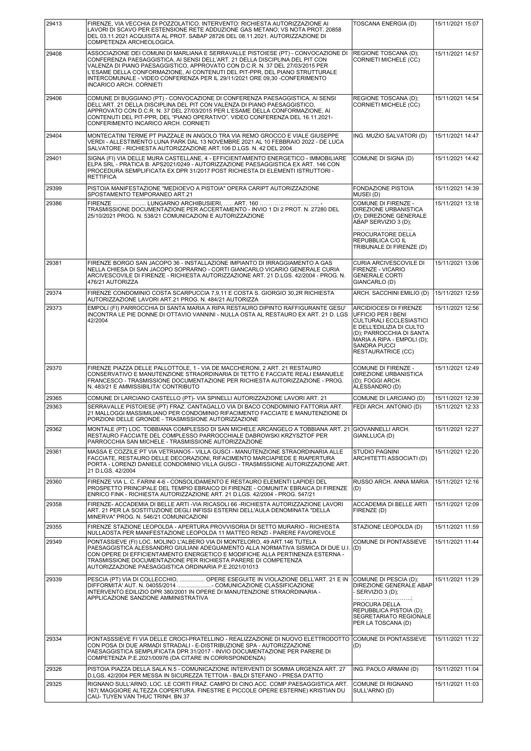| 29413 | FIRENZE, VIA VECCHIA DI POZZOLATICO. INTERVENTO: RICHIESTA AUTORIZZAZIONE AI<br>LAVORI DI SCAVO PER ESTENSIONE RETE ADDUZIONE GAS METANO; VS NOTA PROT. 20858<br>DEL 03.11.2021 ACQUISITA AL PROT. SABAP 28726 DEL 08.11.2021. AUTORIZZAZIONE DI<br>COMPETENZA ARCHEOLOGICA.                                                                                                                                                                       | <b>TOSCANA ENERGIA (D)</b>                                                                                                                                                                                                      | 15/11/2021 15:07 |
|-------|----------------------------------------------------------------------------------------------------------------------------------------------------------------------------------------------------------------------------------------------------------------------------------------------------------------------------------------------------------------------------------------------------------------------------------------------------|---------------------------------------------------------------------------------------------------------------------------------------------------------------------------------------------------------------------------------|------------------|
| 29408 | ASSOCIAZIONE DEI COMUNI DI MARLIANA E SERRAVALLE PISTOIESE (PT) - CONVOCAZIONE DI<br>CONFERENZA PAESAGGISTICA, AI SENSI DELL'ART. 21 DELLA DISCIPLINA DEL PIT CON<br>VALENZA DI PIANO PAESAGGISTICO, APPROVATO CON D.C.R. N. 37 DEL 27/03/2015 PER<br>L'ESAME DELLA CONFORMAZIONE, AI CONTENUTI DEL PIT-PPR, DEL PIANO STRUTTURALE<br>INTERCOMUNALE - VIDEO CONFERENZA PER IL 29/11/2021 ORE 09,30 -CONFERIMENTO<br><b>INCARICO ARCH. CORNIETI</b> | REGIONE TOSCANA (D);<br><b>CORNIETI MICHELE (CC)</b>                                                                                                                                                                            | 15/11/2021 14:57 |
| 29406 | COMUNE DI BUGGIANO (PT) - CONVOCAZIONE DI CONFERENZA PAESAGGISTICA, AI SENSI<br>DELL'ART. 21 DELLA DISCIPLINA DEL PIT CON VALENZA DI PIANO PAESAGGISTICO,<br>APPROVATO CON D.C.R. N. 37 DEL 27/03/2015 PER L'ESAME DELLA CONFORMAZIONE, AI<br>CONTENUTI DEL PIT-PPR, DEL "PIANO OPERATIVO". VIDEO CONFERENZA DEL 16.11.2021-<br>CONFERIMENTO INCARICO ARCH. CORNIETI                                                                               | REGIONE TOSCANA (D);<br><b>CORNIETI MICHELE (CC)</b>                                                                                                                                                                            | 15/11/2021 14:54 |
| 29404 | MONTECATINI TERME PT PIAZZALE IN ANGOLO TRA VIA REMO GROCCO E VIALE GIUSEPPE<br>VERDI - ALLESTIMENTO LUNA PARK DAL 13 NOVEMBRE 2021 AL 10 FEBBRAIO 2022 - DE LUCA<br>SALVATORE - RICHIESTA AUTORIZZAZIONE ART.106 D.LGS. N. 42 DEL 2004                                                                                                                                                                                                            | ING. MUZIO SALVATORI (D)                                                                                                                                                                                                        | 15/11/2021 14:47 |
| 29401 | SIGNA (FI) VIA DELLE MURA CASTELLANE, 4 - EFFICIENTAMENTO ENERGETICO - IMMOBILIARE<br>ELPA SRL - PRATICA B. APS2021/0249 - AUTORIZZAZIONE PAESAGGISTICA EX ART. 146 CON<br>PROCEDURA SEMPLIFICATA EX DPR 31/2017 POST RICHIESTA DI ELEMENTI ISTRUTTORI -<br><b>RETTIFICA</b>                                                                                                                                                                       | COMUNE DI SIGNA (D)                                                                                                                                                                                                             | 15/11/2021 14:42 |
| 29399 | PISTOIA MANIFESTAZIONE "MEDIOEVO A PISTOIA" OPERA CARIPT AUTORIZZAZIONE<br>SPOSTAMENTO TEMPORANEO ART.21                                                                                                                                                                                                                                                                                                                                           | <b>FONDAZIONE PISTOIA</b><br>MUSEI (D)                                                                                                                                                                                          | 15/11/2021 14:39 |
| 29386 | TRASMISSIONE DOCUMENTAZIONE PER ACCERTAMENTO - INVIO 1 DI 2 PROT. N. 27280 DEL<br>25/10/2021 PROG. N. 538/21 COMUNICAZIONI E AUTORIZZAZIONE                                                                                                                                                                                                                                                                                                        | COMUNE DI FIRENZE -<br><b>DIREZIONE URBANISTICA</b><br>(D); DIREZIONE GENERALE<br>ABAP SERVIZIO 3 (D);<br>PROCURATORE DELLA<br><b>REPUBBLICA C/O IL</b><br>TRIBUNALE DI FIRENZE (D)                                             | 15/11/2021 13:18 |
| 29381 | FIRENZE BORGO SAN JACOPO 36 - INSTALLAZIONE IMPIANTO DI IRRAGGIAMENTO A GAS<br>NELLA CHIESA DI SAN JACOPO SOPRARNO - CORTI GIANCARLO VICARIO GENERALE CURIA<br>ARCIVESCOVILE DI FIRENZE - RICHIESTA AUTORIZZAZIONE ART. 21 D.LGS. 42/2004 - PROG. N.<br>476/21 AUTORIZZA                                                                                                                                                                           | <b>CURIA ARCIVESCOVILE DI</b><br><b>FIRENZE - VICARIO</b><br><b>GENERALE CORTI</b><br>GIANCARLO (D)                                                                                                                             | 15/11/2021 13:06 |
| 29374 | FIRENZE CONDOMINIO COSTA SCARPUCCIA 7,9,11 E COSTA S. GIORGIO 30,2R RICHIESTA<br>AUTORIZZAZIONE LAVORI ART.21 PROG. N. 484/21 AUTORIZZA                                                                                                                                                                                                                                                                                                            | ARCH. SACCHINI EMILIO (D)                                                                                                                                                                                                       | 15/11/2021 12:59 |
| 29373 | EMPOLI (FI) PARROCCHIA DI SANTA MARIA A RIPA RESTAURO DIPINTO RAFFIGURANTE GESU'<br>INCONTRA LE PIE DONNE DI OTTAVIO VANNINI - NULLA OSTA AL RESTAURO EX ART. 21 D. LGS<br>42/2004                                                                                                                                                                                                                                                                 | <b>ARCIDIOCESI DI FIRENZE</b><br>UFFICIO PER I BENI<br><b>CULTURALI ECCLESIASTICI</b><br>E DELL'EDILIZIA DI CULTO<br>(D); PARROCCHIA DI SANTA<br>MARIA A RIPA - EMPOLI (D);<br><b>SANDRA PUCCI</b><br><b>RESTAURATRICE (CC)</b> | 15/11/2021 12:56 |
|       |                                                                                                                                                                                                                                                                                                                                                                                                                                                    |                                                                                                                                                                                                                                 |                  |
| 29370 | FIRENZE PIAZZA DELLE PALLOTTOLE, 1 - VIA DE MACCHERONI, 2 ART, 21 RESTAURO<br>CONSERVATIVO E MANUTENZIONE STRAORDINARIA DI TETTO E FACCIATE REALI EMANUELE<br>FRANCESCO - TRASMISSIONE DOCUMENTAZIONE PER RICHIESTA AUTORIZZAZIONE - PROG.<br>N. 483/21 E AMMISSIBILITA' CONTRIBUTO                                                                                                                                                                | COMUNE DI FIRENZE -<br><b>DIREZIONE URBANISTICA</b><br>(D): FOGGI ARCH.<br>ALESSANDRO (D)                                                                                                                                       | 15/11/2021 12:49 |
| 29365 | COMUNE DI LARCIANO CASTELLO (PT)- VIA SPINELLI AUTORIZZAZIONE LAVORI ART. 21                                                                                                                                                                                                                                                                                                                                                                       | COMUNE DI LARCIANO (D)                                                                                                                                                                                                          | 15/11/2021 12:39 |
| 29363 | SERRAVALLE PISTOIESE (PT) FRAZ. CANTAGALLO VIA DI BACO CONDOMINIO FATTORIA ART.<br>21 MALLOGGI MASSIMILIANO PER CONDOMINIO RIFACIMENTO FACCIATE E MANUTENZIONE DI<br>PORZIONI DELLE GRONDE - TRASMISSIONE AUTORIZZAZIONE                                                                                                                                                                                                                           | FEDI ARCH. ANTONIO (D)                                                                                                                                                                                                          | 15/11/2021 12:33 |
| 29362 | MONTALE (PT) LOC. TOBBIANA COMPLESSO DI SAN MICHELE ARCANGELO A TOBBIANA ART. 21<br>RESTAURO FACCIATE DEL COMPLESSO PARROCCHIALE DABROWSKI KRZYSZTOF PER<br>PARROCCHIA SAN MICHELE - TRASMISSIONE AUTORIZZAZIONE                                                                                                                                                                                                                                   | <b>GIOVANNELLI ARCH.</b><br>GIANLLUCA (D)                                                                                                                                                                                       | 15/11/2021 12:27 |
| 29361 | MASSA E COZZILE PT VIA VETRIANO5 - VILLA GUSCI - MANUTENZIONE STRAORDINARIA ALLE<br>FACCIATE, RESTAURO DELLE DECORAZIONI, RIFACIMENTO MARCIAPIEDE E RIAPERTURA<br>PORTA - LORENZI DANIELE CONDOMINIO VILLA GUSCI - TRASMISSIONE AUTORIZZAZIONE ART.<br>21 D.LGS. 42/2004                                                                                                                                                                           | <b>STUDIO PAGNINI</b><br>ARCHITETTI ASSOCIATI (D)                                                                                                                                                                               | 15/11/2021 12:20 |
| 29360 | FIRENZE VIA L. C. FARINI 4-6 - CONSOLIDAMENTO E RESTAURO ELEMENTI LAPIDEI DEL<br>PROSPETTO PRINCIPALE DEL TEMPIO EBRAICO DI FIRENZE - COMUNITA' EBRAICA DI FIRENZE<br>ENRICO FINK - RICHIESTA AUTORIZZAZIONE ART. 21 D.LGS. 42/2004 - PROG. 547/21                                                                                                                                                                                                 | RUSSO ARCH. ANNA MARIA<br>(D)                                                                                                                                                                                                   | 15/11/2021 12:16 |
| 29358 | FIRENZE- ACCADEMIA DI BELLE ARTI -VIA RICASOLI 66 -RICHIESTA AUTORIZZAZIONE LAVORI<br>ART. 21 PER LA SOSTITUZIONE DEGLI INFISSI ESTERNI DELL'AULA DENOMINATA "DELLA<br>MINERVA" PROG. N. 546/21 COMUNICAZIONI                                                                                                                                                                                                                                      | <b>ACCADEMIA DI BELLE ARTI</b><br>FIRENZE (D)                                                                                                                                                                                   | 15/11/2021 12:09 |
| 29355 | FIRENZE STAZIONE LEOPOLDA - APERTURA PROVVISORIA DI SETTO MURARIO - RICHIESTA<br>NULLAOSTA PER MANIFESTAZIONE LEOPOLDA 11 MATTEO RENZI - PARERE FAVOREVOLE                                                                                                                                                                                                                                                                                         | STAZIONE LEOPOLDA (D)                                                                                                                                                                                                           | 15/11/2021 11:59 |
| 29349 | PONTASSIEVE (FI) LOC. MOLINO L'ALBERO VIA DI MONTELORO, 49 ART.146 TUTELA<br>PAESAGGISTICA ALESSANDRO GIULIANI ADEGUAMENTO ALLA NORMATIVA SISMICA DI DUE U.I. (D)<br>CON OPERE DI EFFICIENTAMENTO ENERGETICO E MODIFICHE ALLA PERTINENZA ESTERNA -<br>TRASMISSIONE DOCUMENTAZIONE PER RICHIESTA PARERE DI COMPETENZA<br>AUTORIZZAZIONE PAESAGGISTICA ORDINARIA P.E.2021/01013                                                                      | COMUNE DI PONTASSIEVE                                                                                                                                                                                                           | 15/11/2021 11:44 |
| 29339 | PESCIA (PT) VIA DI COLLECCHIO,  OPERE ESEGUITE IN VIOLAZIONE DELL'ART. 21 E IN<br>DIFFORMITA' AUT. N. 04055/2014  COMUNICAZIONE CLASSIFICAZIONE<br>INTERVENTO EDILIZIO DPR 380/2001 IN OPERE DI MANUTENZIONE STRAORDINARIA -<br>APPLICAZIONE SANZIONE AMMINISTRATIVA                                                                                                                                                                               | COMUNE DI PESCIA (D);<br>DIREZIONE GENERALE ABAP<br>- SERVIZIO 3 (D);<br>PROCURA DELLA<br><b>REPUBBLICA PISTOIA (D):</b><br><b>SEGRETARIATO REGIONALE</b><br>PER LA TOSCANA (D)                                                 | 15/11/2021 11:29 |
| 29334 | PONTASSSIEVE FI VIA DELLE CROCI-PRATELLINO - REALIZZAZIONE DI NUOVO ELETTRODOTTO<br>CON POSA DI DUE ARMADI STRADALI - E-DISTRIBUZIONE SPA - AUTORIZZAZIONE<br>PAESAGGISTICA SEMPLIFICATA DPR 31/2017 - INVIO DOCUMENTAZIONE PER PARERE DI<br>COMPETENZA P.E.2021/00976 (DA CITARE IN CORRISPONDENZA)                                                                                                                                               | COMUNE DI PONTASSIEVE<br>(D)                                                                                                                                                                                                    | 15/11/2021 11:22 |
| 29326 | PISTOIA PIAZZA DELLA SALA N.5 - COMUNICAZIONE INTERVENTI DI SOMMA URGENZA ART. 27<br>D.LGS. 42/2004 PER MESSA IN SICUREZZA TETTOIA - BALDI STEFANO - PRESA D'ATTO                                                                                                                                                                                                                                                                                  | ING. PAOLO ARMANI (D)                                                                                                                                                                                                           | 15/11/2021 11:04 |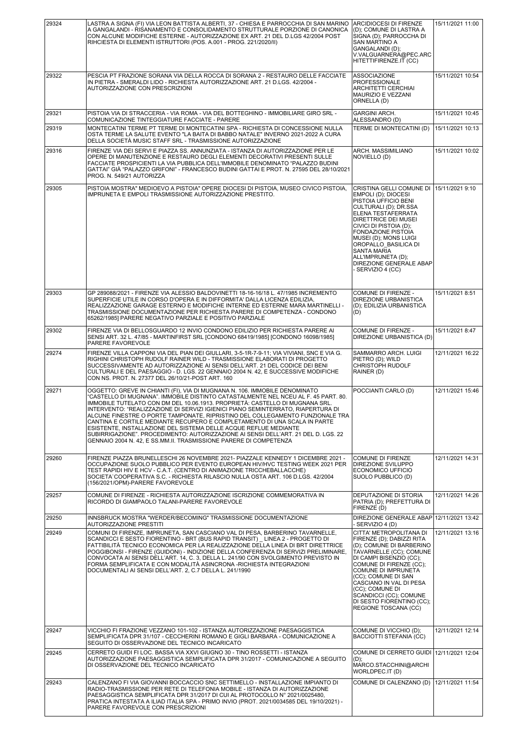| 29324 | LASTRA A SIGNA (FI) VIA LEON BATTISTA ALBERTI, 37 - CHIESA E PARROCCHIA DI SAN MARINO  ARCIDIOCESI DI FIRENZE<br>A GANGALANDI - RISANAMENTO E CONSOLIDAMENTO STRUTTURALE PORZIONE DI CANONICA<br>CON ALCUNE MODIFICHE ESTERNE - AUTORIZZAZIONE EX ART. 21 DEL D.LGS 42/2004 POST<br>RIHCIESTA DI ELEMENTI ISTRUTTORI (POS. A.001 - PROG. 221/2020/II)                                                                                                                                                                                                                                                                                                                                                                             | (D); COMUNE DI LASTRA A<br>SIGNA (D): PARROCCHA DI<br><b>SAN MARTINO A</b><br>GANGALANDI (D);<br>V.VALGUARNERA@PEC.ARC<br>HITETTIFIRENZE.IT (CC)                                                                                                                                                                                                                 | 15/11/2021 11:00 |
|-------|-----------------------------------------------------------------------------------------------------------------------------------------------------------------------------------------------------------------------------------------------------------------------------------------------------------------------------------------------------------------------------------------------------------------------------------------------------------------------------------------------------------------------------------------------------------------------------------------------------------------------------------------------------------------------------------------------------------------------------------|------------------------------------------------------------------------------------------------------------------------------------------------------------------------------------------------------------------------------------------------------------------------------------------------------------------------------------------------------------------|------------------|
| 29322 | PESCIA PT FRAZIONE SORANA VIA DELLA ROCCA DI SORANA 2 - RESTAURO DELLE FACCIATE<br>IN PIETRA - SMERALDI LIDO - RICHIESTA AUTORIZZAZIONE ART. 21 D.LGS. 42/2004 -<br>AUTORIZZAZIONE CON PRESCRIZIONI                                                                                                                                                                                                                                                                                                                                                                                                                                                                                                                               | <b>ASSOCIAZIONE</b><br><b>PROFESSIONALE</b><br><b>ARCHITETTI CERCHIAI</b><br>MAURIZIO E VEZZANI<br>ORNELLA (D)                                                                                                                                                                                                                                                   | 15/11/2021 10:54 |
| 29321 | PISTOIA VIA DI STRACCERIA - VIA ROMA - VIA DEL BOTTEGHINO - IMMOBILIARE GIRO SRL -<br>COMUNICAZIONE TINTEGGIATURE FACCIATE - PARERE                                                                                                                                                                                                                                                                                                                                                                                                                                                                                                                                                                                               | <b>GARGINI ARCH.</b>                                                                                                                                                                                                                                                                                                                                             | 15/11/2021 10:45 |
| 29319 | MONTECATINI TERME PT TERME DI MONTECATINI SPA - RICHIESTA DI CONCESSIONE NULLA<br>OSTA TERME LA SALUTE EVENTO "LA BAITA DI BABBO NATALE" INVERNO 2021-2022 A CURA<br>DELLA SOCIETÀ MUSIC STAFF SRL - TRASMISSIONE AUTORIZZAZIONE                                                                                                                                                                                                                                                                                                                                                                                                                                                                                                  | ALESSANDRO (D)<br>TERME DI MONTECATINI (D)                                                                                                                                                                                                                                                                                                                       | 15/11/2021 10:13 |
| 29316 | FIRENZE VIA DEI SERVI E PIAZZA SS. ANNUNZIATA - ISTANZA DI AUTORIZZAZIONE PER LE<br>OPERE DI MANUTENZIONE E RESTAURO DEGLI ELEMENTI DECORATIVI PRESENTI SULLE<br>FACCIATE PROSPICIENTI LA VIA PUBBLICA DELL'IMMOBILE DENOMINATO "PALAZZO BUDINI<br>GATTAI" GIÀ "PALAZZO GRIFONI" - FRANCESCO BUDINI GATTAI E PROT. N. 27595 DEL 28/10/2021<br>PROG. N. 549/21 AUTORIZZA                                                                                                                                                                                                                                                                                                                                                           | ARCH. MASSIMILIANO<br>NOVIELLO (D)                                                                                                                                                                                                                                                                                                                               | 15/11/2021 10:02 |
| 29305 | PISTOIA MOSTRA" MEDIOEVO A PISTOIA" OPERE DIOCESI DI PISTOIA, MUSEO CIVICO PISTOIA,<br>IMPRUNETA E EMPOLI TRASMISSIONE AUTORIZZAZIONE PRESTITO.                                                                                                                                                                                                                                                                                                                                                                                                                                                                                                                                                                                   | CRISTINA GELLI COMUNE DI<br>EMPOLI (D); DIOCESI<br>PISTOIA UFFICIO BENI<br>CULTURALI (D); DR.SSA<br>ELENA TESTAFERRATA<br><b>DIRETTRICE DEI MUSEI</b><br>CIVICI DI PISTOIA (D);<br><b>FONDAZIONE PISTOIA</b><br>MUSEI (D); MONS LUIGI<br>OROPALLO BASILICA DI<br><b>SANTA MARIA</b><br>ALL'IMPRUNETA (D);<br><b>DIREZIONE GENERALE ABAP</b><br>- SERVIZIO 4 (CC) | 15/11/2021 9:10  |
| 29303 | GP 289088/2021 - FIRENZE VIA ALESSIO BALDOVINETTI 18-16-16/18 L. 47/1985 INCREMENTO<br>SUPERFICIE UTILE IN CORSO D'OPERA E IN DIFFORMITA' DALLA LICENZA EDILIZIA,<br>REALIZZAZIONE GARAGE ESTERNO E MODIFICHE INTERNE ED ESTERNE MARA MARTINELLI -<br>TRASMISSIONE DOCUMENTAZIONE PER RICHIESTA PARERE DI COMPETENZA - CONDONO<br>65262/1985] PARERE NEGATIVO PARZIALE E POSITIVO PARZIALE                                                                                                                                                                                                                                                                                                                                        | COMUNE DI FIRENZE -<br><b>DIREZIONE URBANISTICA</b><br>(D); EDILIZIA URBANISTICA<br>(D)                                                                                                                                                                                                                                                                          | 15/11/2021 8:51  |
| 29302 | FIRENZE VIA DI BELLOSGUARDO 12 INVIO CONDONO EDILIZIO PER RICHIESTA PARERE AI<br>SENSI ART. 32 L. 47/85 - MARTINFIRST SRL [CONDONO 68419/1985] [CONDONO 16098/1985]<br>PARERE FAVOREVOLE                                                                                                                                                                                                                                                                                                                                                                                                                                                                                                                                          | COMUNE DI FIRENZE -<br>DIREZIONE URBANISTICA (D)                                                                                                                                                                                                                                                                                                                 | 15/11/2021 8:47  |
| 29274 | FIRENZE VILLA CAPPONI VIA DEL PIAN DEI GIULLARI, 3-5-1R-7-9-11; VIA VIVIANI, SNC E VIA G.<br>RIGHINI CHRISTOPH RUDOLF RAINER WILD - TRASMISSIONE ELABORATI DI PROGETTO<br>SUCCESSIVAMENTE AD AUTORIZZAZIONE AI SENSI DELL'ART, 21 DEL CODICE DEI BENI<br>CULTURALI E DEL PAESAGGIO - D. LGS. 22 GENNAIO 2004 N. 42, E SUCCESSIVE MODIFICHE<br>CON NS. PROT. N. 27377 DEL 26/10/21-POST ART. 160                                                                                                                                                                                                                                                                                                                                   | SAMMARRO ARCH. LUIGI<br>PIETRO (D); WILD<br><b>CHRISTOPH RUDOLF</b><br>RAINER (D)                                                                                                                                                                                                                                                                                | 12/11/2021 16:22 |
| 29271 | OGGETTO: GREVE IN CHIANTI (FI), VIA DI MUGNANA N. 106. IMMOBILE DENOMINATO<br>"CASTELLO DI MUGNANA". IMMOBILE DISTINTO CATASTALMENTE NEL NCEU AL F. 45 PART. 80.<br>IMMOBILE TUTELATO CON DM DEL 10.06.1913. PROPRIETÀ: CASTELLO DI MUGNANA SRL.<br>INTERVENTO: "REALIZZAZIONE DI SERVIZI IGIENICI PIANO SEMINTERRATO, RIAPERTURA DI<br>ALCUNE FINESTRE O PORTE TAMPONATE, RIPRISTINO DEL COLLEGAMENTO FUNZIONALE TRA<br>CANTINA E CORTILE MEDIANTE RECUPERO E COMPLETAMENTO DI UNA SCALA IN PARTE<br>ESISTENTE, INSTALLAZIONE DEL SISTEMA DELLE ACQUE REFLUE MEDIANTE<br>SUBIRRIGAZIONE". PROCEDIMENTO: AUTORIZZAZIONE AI SENSI DELL'ART. 21 DEL D. LGS. 22<br>GENNAIO 2004 N. 42, E SS.MM.II. TRASMISSIONE PARERE DI COMPETENZA | POCCIANTI CARLO (D)                                                                                                                                                                                                                                                                                                                                              | 12/11/2021 15:46 |
| 29260 | FIRENZE PIAZZA BRUNELLESCHI 26 NOVEMBRE 2021- PIAZZALE KENNEDY 1 DICEMBRE 2021 -<br>OCCUPAZIONE SUOLO PUBBLICO PER EVENTO EUROPEAN HIV/HVC TESTING WEEK 2021 PER<br>TEST RAPIDI HIV E HCV - C.A.T. (CENTRO DI ANIMAZIONE TRICCHEBALLACCHE)<br>SOCIETA COOPERATIVA S.C. - RICHIESTA RILASCIO NULLA OSTA ART. 106 D.LGS. 42/2004<br>(156/2021/OPM)-PARERE FAVOREVOLE                                                                                                                                                                                                                                                                                                                                                                | COMUNE DI FIRENZE<br><b>DIREZIONE SVILUPPO</b><br><b>ECONOMICO UFFICIO</b><br>SUOLO PUBBLICO (D)                                                                                                                                                                                                                                                                 | 12/11/2021 14:31 |
| 29257 | COMUNE DI FIRENZE - RICHIESTA AUTORIZZAZIONE ISCRIZIONE COMMEMORATIVA IN<br>RICORDO DI GIAMPAOLO TALANI-PARERE FAVOREVOLE                                                                                                                                                                                                                                                                                                                                                                                                                                                                                                                                                                                                         | <b>DEPUTAZIONE DI STORIA</b><br>PATRIA (D); PREFETTURA DI<br>FIRENZE (D)                                                                                                                                                                                                                                                                                         | 12/11/2021 14:26 |
| 29250 | INNSBRUCK MOSTRA "WERDER/BECOMING" TRASMISSIONE DOCUMENTAZIONE<br>AUTORIZZAZIONE PRESTITI                                                                                                                                                                                                                                                                                                                                                                                                                                                                                                                                                                                                                                         | DIREZIONE GENERALE ABAP 12/11/2021 13:42<br>- SERVIZIO 4 (D)                                                                                                                                                                                                                                                                                                     |                  |
| 29249 | COMUNI DI FIRENZE, IMPRUNETA, SAN CASCIANO VAL DI PESA, BARBERINO TAVARNELLE,<br>SCANDICCI E SESTO FIORENTINO - BRT (BUS RAPID TRANSIT) LINEA 2 - PROGETTO DI<br>FATTIBILITÀ TECNICO ECONOMICA PER LA REALIZZAZIONE DELLA LINEA DI BRT DIRETTRICE<br>POGGIBONSI - FIRENZE (GUIDONI) - INDIZIONE DELLA CONFERENZA DI SERVIZI PRELIMINARE,<br>CONVOCATA AI SENSI DELL'ART. 14, C. 3, DELLA L. 241/90 CON SVOLGIMENTO PREVISTO IN<br>FORMA SEMPLIFICATA E CON MODALITÀ ASINCRONA -RICHIESTA INTEGRAZIONI<br>DOCUMENTALI AI SENSI DELL'ART. 2, C.7 DELLA L. 241/1990                                                                                                                                                                  | CITTA' METROPOLITANA DI<br>FIRENZE (D); DABIZZI RITA<br>(D); COMUNE DI BARBERINO<br>TAVARNELLE (CC); COMUNE<br>DI CAMPI BISENZIO (CC);<br>COMUNE DI FIRENZE (CC);<br>COMUNE DI IMPRUNETA<br>(CC); COMUNE DI SAN<br>CASCIANO IN VAL DI PESA<br>(CC); COMUNE DI<br>SCANDICCI (CC); COMUNE<br>DI SESTO FIORENTINO (CC);<br>REGIONE TOSCANA (CC)                     | 12/11/2021 13:16 |
| 29247 | VICCHIO FI FRAZIONE VEZZANO 101-102 - ISTANZA AUTORIZZAZIONE PAESAGGISTICA<br>SEMPLIFICATA DPR 31/107 - CECCHERINI ROMANO E GIGLI BARBARA - COMUNICAZIONE A<br>SEGUITO DI OSSERVAZIONE DEL TECNICO INCARICATO                                                                                                                                                                                                                                                                                                                                                                                                                                                                                                                     | COMUNE DI VICCHIO (D);<br><b>BACCIOTTI STEFANIA (CC)</b>                                                                                                                                                                                                                                                                                                         | 12/11/2021 12:14 |
| 29245 | CERRETO GUIDI FI LOC. BASSA VIA XXVI GIUGNO 30 - TINO ROSSETTI - ISTANZA<br>AUTORIZZAZIONE PAESAGGISTICA SEMPLIFICATA DPR 31/2017 - COMUNICAZIONE A SEGUITO<br>DI OSSERVAZIONE DEL TECNICO INCARICATO                                                                                                                                                                                                                                                                                                                                                                                                                                                                                                                             | COMUNE DI CERRETO GUIDI<br>$(D)$ ;<br>MARCO.STACCHINI@ARCHI<br>WORLDPEC.IT (D)                                                                                                                                                                                                                                                                                   | 12/11/2021 12:04 |
| 29243 | CALENZANO FI VIA GIOVANNI BOCCACCIO SNC SETTIMELLO - INSTALLAZIONE IMPIANTO DI<br>RADIO-TRASMISSIONE PER RETE DI TELEFONIA MOBILE - ISTANZA DI AUTORIZZAZIONE<br>PAESAGGISTICA SEMPLIFICATA DPR 31/2017 DI CUI AL PROTOCOLLO N° 2021/0025480,<br>PRATICA INTESTATA A ILIAD ITALIA SPA - PRIMO INVIO (PROT. 2021/0034585 DEL 19/10/2021) -<br>PARERE FAVOREVOLE CON PRESCRIZIONI                                                                                                                                                                                                                                                                                                                                                   | COMUNE DI CALENZANO (D)                                                                                                                                                                                                                                                                                                                                          | 12/11/2021 11:54 |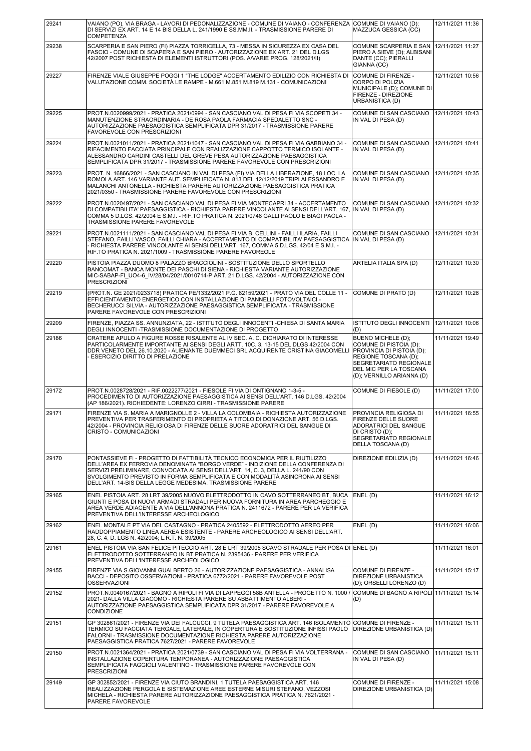| 29241 | VAIANO (PO). VIA BRAGA - LAVORI DI PEDONALIZZAZIONE - COMUNE DI VAIANO - CONFERENZA<br>DI SERVIZI EX ART. 14 E 14 BIS DELLA L. 241/1990 E SS.MM.II. - TRASMISSIONE PARERE DI<br><b>COMPETENZA</b>                                                                                                                                                                                               | COMUNE DI VAIANO (D);<br>MAZZUCA GESSICA (CC)                                                                                                                                             | 12/11/2021 11:36 |
|-------|-------------------------------------------------------------------------------------------------------------------------------------------------------------------------------------------------------------------------------------------------------------------------------------------------------------------------------------------------------------------------------------------------|-------------------------------------------------------------------------------------------------------------------------------------------------------------------------------------------|------------------|
| 29238 | SCARPERIA E SAN PIERO (FI) PIAZZA TORRICELLA, 73 - MESSA IN SICUREZZA EX CASA DEL<br>FASCIO - COMUNE DI SCAPERIA E SAN PIERO - AUTORIZZAZIONE EX ART. 21 DEL D.LGS<br>42/2007 POST RICHIESTA DI ELEMENTI ISTRUTTORI (POS. A/VARIE PROG. 128/2021/II)                                                                                                                                            | COMUNE SCARPERIA E SAN<br>PIERO A SIEVE (D); ALBISANI<br>DANTE (CC); PIERALLI<br>GIANNA (CC)                                                                                              | 12/11/2021 11:27 |
| 29227 | FIRENZE VIALE GIUSEPPE POGGI 1 "THE LODGE" ACCERTAMENTO EDILIZIO CON RICHIESTA DI<br>VALUTAZIONE COMM. SOCIETÀ LE RAMPE - M.661 M.851 M.819 M.131 - COMUNICAZIONI                                                                                                                                                                                                                               | COMUNE DI FIRENZE -<br>CORPO DI POLIZIA<br>MUNICIPALE (D); COMUNE DI<br>FIRENZE - DIREZIONE<br>URBANISTICA (D)                                                                            | 12/11/2021 10:56 |
| 29225 | PROT.N.0020999/2021 - PRATICA 2021/0994 - SAN CASCIANO VAL DI PESA FI VIA SCOPETI 34 -<br>MANUTENZIONE STRAORDINARIA - DE ROSA PAOLA FARMACIA SPEDALETTO SNC -<br>AUTORIZZAZIONE PAESAGGISTICA SEMPLIFICATA DPR 31/2017 - TRASMISSIONE PARERE<br><b>FAVOREVOLE CON PRESCRIZIONI</b>                                                                                                             | COMUNE DI SAN CASCIANO<br>IN VAL DI PESA (D)                                                                                                                                              | 12/11/2021 10:43 |
| 29224 | PROT.N.0021011/2021 - PRATICA 2021/1047 - SAN CASCIANO VAL DI PESA FI VIA GABBIANO 34 -<br>RIFACIMENTO FACCIATA PRINCIPALE CON REALIZZAZIONE CAPPOTTO TERMICO ISOLANTE -<br>ALESSANDRO CARDINI CASTELLI DEL GREVE PESA AUTORIZZAZIONE PAESAGGISTICA<br>SEMPLIFICATA DPR 31/2017 - TRASMISSIONE PARERE FAVOREVOLE CON PRESCRIZIONI                                                               | COMUNE DI SAN CASCIANO<br>IN VAL DI PESA (D)                                                                                                                                              | 12/11/2021 10:41 |
| 29223 | PROT. N. 16866/2021 - SAN CASCIANO IN VAL DI PESA (FI) VIA DELLA LIBERAZIONE, 18 LOC. LA<br>ROMOLA ART. 146 VARIANTE AUT. SEMPLIFICATA N. 813 DEL 12/12/2019 TRIPI ALESSANDRO E<br>MALANCHI ANTONELLA - RICHIESTA PARERE AUTORIZZAZIONE PAESAGGISTICA PRATICA<br>2021/0350 - TRASMISSIONE PARERE FAVOREVOLE CON PRESCRIZIONI                                                                    | COMUNE DI SAN CASCIANO<br>IN VAL DI PESA (D)                                                                                                                                              | 12/11/2021 10:35 |
| 29222 | PROT.N.0020497/2021 - SAN CASCIANO VAL DI PESA FI VIA MONTECAPRI 34 - ACCERTAMENTO<br>DI COMPATIBILITA' PAESAGGISTICA - RICHIESTA PARERE VINCOLANTE AI SENSI DELL'ART. 167.<br>COMMA 5 D.LGS. 42/2004 E S.M.I. - RIF.TO PRATICA N. 2021/0748 GALLI PAOLO E BIAGI PAOLA -<br>TRASMISSIONE PARERE FAVOREVOLE                                                                                      | COMUNE DI SAN CASCIANO<br>IN VAL DI PESA (D)                                                                                                                                              | 12/11/2021 10:32 |
| 29221 | PROT.N.0021111/2021 - SAN CASCIANO VAL DI PESA FI VIA B. CELLINI - FAILLI ILARIA, FAILLI<br>STEFANO, FAILLI VASCO, FAILLI CHIARA - ACCERTAMENTO DI COMPATIBILITA' PAESAGGISTICA<br>- RICHIESTA PARERE VINCOLANTE AI SENSI DELL'ART. 167, COMMA 5 D.LGS. 42/04 E S.M.I. -<br>RIF.TO PRATICA N. 2021/1009 - TRASMISSIONE PARERE FAVOREOLE                                                         | COMUNE DI SAN CASCIANO<br> IN VAL DI PESA (D)                                                                                                                                             | 12/11/2021 10:31 |
| 29220 | PISTOIA PIAZZA DUOMO 8 PALAZZO BRACCIOLINI - SOSTITUZIONE DELLO SPORTELLO<br>BANCOMAT - BANCA MONTE DEI PASCHI DI SIENA - RICHIESTA VARIANTE AUTORIZZAZIONE<br>MIC-SABAP-FI_UO4-6_IV/28/04/2021/0010714-P ART. 21 D.LGS. 42/2004 - AUTORIZZAZIONE CON<br><b>PRESCRIZIONI</b>                                                                                                                    | ARTELIA ITALIA SPA (D)                                                                                                                                                                    | 12/11/2021 10:30 |
| 29219 | (PROT.N. GE 2021/0233718) PRATICA PE/1332/2021 P.G. 82159/2021 - PRATO VIA DEL COLLE 11 -<br>EFFICIENTAMENTO ENERGETICO CON INSTALLAZIONE DI PANNELLI FOTOVOLTAICI -<br>BECHERUCCI SILVIA - AUTORIZZAZIONE PAESAGGISTICA SEMPLIFICATA - TRASMISSIONE<br>PARERE FAVOREVOLE CON PRESCRIZIONI                                                                                                      | COMUNE DI PRATO (D)                                                                                                                                                                       | 12/11/2021 10:28 |
| 29209 | FIRENZE, PIAZZA SS. ANNUNZIATA, 22 - ISTITUTO DEGLI INNOCENTI -CHIESA DI SANTA MARIA<br>DEGLI INNOCENTI - TRASMISSIONE DOCUMENTAZIONE DI PROGETTO                                                                                                                                                                                                                                               | ISTITUTO DEGLI INNOCENTI   12/11/2021 10:06<br>(D)                                                                                                                                        |                  |
| 29186 | CRATERE APULO A FIGURE ROSSE RISALENTE AL IV SEC. A. C. DICHIARATO DI INTERESSE<br>PARTICOLARMENTE IMPORTANTE AI SENSI DEGLI ARTT. 10C. 3, 13-15 DEL DLGS 42/2004 CON<br>DDR VENETO DEL 26.10.2020 - ALIENANTE DUEMMECI SRL ACQUIRENTE CRISTINA GIACOMELLI<br>- ESERCIZIO DIRITTO DI PRELAZIONE                                                                                                 | <b>BUENO MICHELE (D);</b><br>COMUNE DI PISTOIA (D);<br>PROVINCIA DI PISTOIA (D);<br>REGIONE TOSCANA (D);<br>SEGRETARIATO REGIONALE<br>DEL MIC PER LA TOSCANA<br>(D); VERNILLO ARIANNA (D) | 11/11/2021 19:49 |
| 29172 | PROT.N.0028728/2021 - RIF.0022277/2021 - FIESOLE FI VIA DI ONTIGNANO 1-3-5 -<br>PROCEDIMENTO DI AUTORIZZAZIONE PAESAGGISTICA AI SENSI DELL'ART. 146 D.LGS. 42/2004<br>(AP 186/2021). RICHIEDENTE: LORENZO CIRRI - TRASMISSIONE PARERE                                                                                                                                                           | COMUNE DI FIESOLE (D)                                                                                                                                                                     | 11/11/2021 17:00 |
| 29171 | FIRENZE VIA S. MARIA A MARIGNOLLE 2 - VILLA LA COLOMBAIA - RICHIESTA AUTORIZZAZIONE<br>PREVENTIVA PER TRASFERIMENTO DI PROPRIETA A TITOLO DI DONAZIONE ART. 56 D.LGS.<br>42/2004 - PROVINCIA RELIGIOSA DI FIRENZE DELLE SUORE ADORATRICI DEL SANGUE DI<br>CRISTO - COMUNICAZIONI                                                                                                                | PROVINCIA RELIGIOSA DI<br>FIRENZE DELLE SUORE<br>ADORATRICI DEL SANGUE<br>DI CRISTO (D);<br>SEGRETARIATO REGIONALE<br>DELLA TOSCANA (D)                                                   | 11/11/2021 16:55 |
| 29170 | PONTASSIEVE FI - PROGETTO DI FATTIBILITÀ TECNICO ECONOMICA PER IL RIUTILIZZO<br>DELL'AREA EX FERROVIA DENOMINATA "BORGO VERDE" - INDIZIONE DELLA CONFERENZA DI<br>SERVIZI PRELIMINARE, CONVOCATA AI SENSI DELL'ART. 14, C. 3, DELLA L. 241/90 CON<br>SVOLGIMENTO PREVISTO IN FORMA SEMPLIFICATA E CON MODALITÀ ASINCRONA AI SENSI<br>DELL'ART. 14-BIS DELLA LEGGE MEDESIMA. TRASMISSIONE PARERE | DIREZIONE EDILIZIA (D)                                                                                                                                                                    | 11/11/2021 16:46 |
| 29165 | ENEL PISTOIA ART. 28 LRT 39/2005 NUOVO ELETTRODOTTO IN CAVO SOTTERRANEO BT, BUCA<br>GIUNTI E POSA DI NUOVI ARMADI STRADALI PER NUOVA FORNITURA IN AREA PARCHEGGIO E<br>AREA VERDE ADIACENTE A VIA DELL'ANNONA PRATICA N. 2411672 - PARERE PER LA VERIFICA<br>PREVENTIVA DELL'INTERESSE ARCHEOLOGICO                                                                                             | ENEL (D)                                                                                                                                                                                  | 11/11/2021 16:12 |
| 29162 | ENEL MONTALE PT VIA DEL CASTAGNO - PRATICA 2405592 - ELETTRODOTTO AEREO PER<br>RADDOPPIAMENTO LINEA AEREA ESISTENTE - PARERE ARCHEOLOGICO AI SENSI DELL'ART.<br>28, C. 4, D. LGS N. 42/2004; L.R.T. N. 39/2005                                                                                                                                                                                  | ENEL(D)                                                                                                                                                                                   | 11/11/2021 16:06 |
| 29161 | ENEL PISTOIA VIA SAN FELICE PITECCIO ART. 28 E LRT 39/2005 SCAVO STRADALE PER POSA DI ENEL (D)<br>ELETTRODOTTO SOTTERRANEO IN BT PRATICA N. 2395436 - PARERE PER VERIFICA<br>PREVENTIVA DELL'INTERESSE ARCHEOLOGICO                                                                                                                                                                             |                                                                                                                                                                                           | 11/11/2021 16:01 |
| 29155 | FIRENZE VIA S.GIOVANNI GUALBERTO 26 - AUTORIZZAZIONE PAESAGGISTICA - ANNALISA<br>BACCI - DEPOSITO OSSERVAZIONI - PRATICA 6772/2021 - PARERE FAVOREVOLE POST<br><b>OSSERVAZIONI</b>                                                                                                                                                                                                              | COMUNE DI FIRENZE -<br><b>DIREZIONE URBANISTICA</b><br>(D); ORSELLI LORENZO (D)                                                                                                           | 11/11/2021 15:17 |
| 29152 | PROT.N.0040167/2021 - BAGNO A RIPOLI FI VIA DI LAPPEGGI 58B ANTELLA - PROGETTO N. 1000 /<br>2021- DALLA VILLA GIACOMO - RICHIESTA PARERE SU ABBATTIMENTO ALBERI -<br>AUTORIZZAZIONE PAESAGGISTICA SEMPLIFICATA DPR 31/2017 - PARERE FAVOREVOLE A<br>CONDIZIONE                                                                                                                                  | COMUNE DI BAGNO A RIPOLI 11/11/2021 15:14<br>(D)                                                                                                                                          |                  |
| 29151 | GP 302861/2021 - FIRENZE VIA DEI FALCUCCI, 9 TUTELA PAESAGGISTICA ART. 146 ISOLAMENTO<br>TERMICO SU FACCIATA TERGALE, LATERALE, IN COPERTURA E SOSTITUZIONE INFISSI PAOLO<br>FALORNI - TRASMISSIONE DOCUMENTAZIONE RICHIESTA PARERE AUTORIZZAZIONE<br>PAESAGGISTICA PRATICA 7627/2021 - PARERE FAVOREVOLE                                                                                       | COMUNE DI FIRENZE -<br>DIREZIONE URBANISTICA (D)                                                                                                                                          | 11/11/2021 15:11 |
| 29150 | PROT.N.0021364/2021 - PRATICA 2021/0739 - SAN CASCIANO VAL DI PESA FI VIA VOLTERRANA -<br>INSTALLAZIONE COPERTURA TEMPORANEA - AUTORIZZAZIONE PAESAGGISTICA<br>SEMPLIFICATA FAGGIOLI VALENTINO - TRASMISSIONE PARERE FAVOREVOLE CON<br><b>PRESCRIZIONI</b>                                                                                                                                      | COMUNE DI SAN CASCIANO<br>IN VAL DI PESA (D)                                                                                                                                              | 11/11/2021 15:11 |
| 29149 | GP 302852/2021 - FIRENZE VIA CIUTO BRANDINI, 1 TUTELA PAESAGGISTICA ART. 146<br>REALIZZAZIONE PERGOLA E SISTEMAZIONE AREE ESTERNE MISURI STEFANO, VEZZOSI<br>MICHELA - RICHIESTA PARERE AUTORIZZAZIONE PAESAGGISTICA PRATICA N. 7621/2021 -<br>PARERE FAVOREVOLE                                                                                                                                | COMUNE DI FIRENZE -<br>DIREZIONE URBANISTICA (D)                                                                                                                                          | 11/11/2021 15:08 |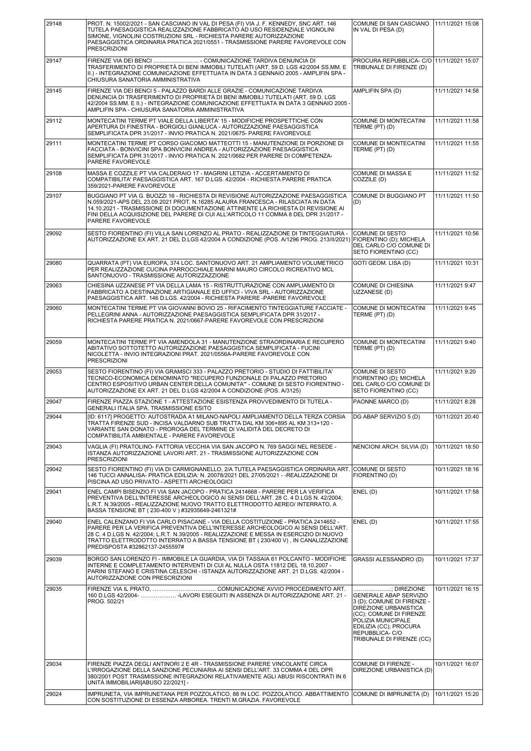| 29148 | PROT. N. 15002/2021 - SAN CASCIANO IN VAL DI PESA (FI) VIA J. F. KENNEDY, SNC ART. 146<br>TUTELA PAESAGGISTICA REALIZZAZIONE FABBRICATO AD USO RESIDENZIALE VIGNOLINI<br>SIMONE, VIGNOLINI COSTRUZIONI SRL - RICHIESTA PARERE AUTORIZZAZIONE<br>PAESAGGISTICA ORDINARIA PRATICA 2021/0551 - TRASMISSIONE PARERE FAVOREVOLE CON<br><b>PRESCRIZIONI</b>                                   | COMUNE DI SAN CASCIANO<br>IN VAL DI PESA (D)                                                                                                                                                                                  | 11/11/2021 15:08 |
|-------|-----------------------------------------------------------------------------------------------------------------------------------------------------------------------------------------------------------------------------------------------------------------------------------------------------------------------------------------------------------------------------------------|-------------------------------------------------------------------------------------------------------------------------------------------------------------------------------------------------------------------------------|------------------|
| 29147 | FIRENZE VIA DEI BENCI  - COMUNICAZIONE TARDIVA DENUNCIA DI<br>TRASFERIMENTO DI PROPRIETÀ DI BENI IMMOBILI TUTELATI (ART. 59 D. LGS 42/2004 SS.MM. E<br>II.) - INTEGRAZIONE COMUNICAZIONE EFFETTUATA IN DATA 3 GENNAIO 2005 - AMPLIFIN SPA -<br>CHIUSURA SANATORIA AMMINISTRATIVA                                                                                                        | PROCURA REPUBBLICA- C/O   11/11/2021 15:07<br>TRIBUNALE DI FIRENZE (D)                                                                                                                                                        |                  |
| 29145 | FIRENZE VIA DEI BENCI 5 - PALAZZO BARDI ALLE GRAZIE - COMUNICAZIONE TARDIVA<br>DENUNCIA DI TRASFERIMENTO DI PROPRIETÀ DI BENI IMMOBILI TUTELATI (ART. 59 D. LGS<br>42/2004 SS.MM. E II.) - INTEGRAZIONE COMUNICAZIONE EFFETTUATA IN DATA 3 GENNAIO 2005<br>AMPLIFIN SPA - CHIUSURA SANATORIA AMMINISTRATIVA                                                                             | AMPLIFIN SPA (D)                                                                                                                                                                                                              | 11/11/2021 14:58 |
| 29112 | MONTECATINI TERME PT VIALE DELLA LIBERTA' 15 - MODIFICHE PROSPETTICHE CON<br>APERTURA DI FINESTRA - BORGIOLI GIANLUCA - AUTORIZZAZIONE PAESAGGISTICA<br>SEMPLIFICATA DPR 31/2017 - INVIO PRATICA N. 2021/0675- PARERE FAVOREVOLE                                                                                                                                                        | COMUNE DI MONTECATINI<br>TERME (PT) (D)                                                                                                                                                                                       | 11/11/2021 11:58 |
| 29111 | MONTECATINI TERME PT CORSO GIACOMO MATTEOTTI 15 - MANUTENZIONE DI PORZIONE DI<br>FACCIATA - BONVICINI SPA BONVICINI ANDREA - AUTORIZZAZIONE PAESAGGISTICA<br>SEMPLIFICATA DPR 31/2017 - INVIO PRATICA N. 2021/0682 PER PARERE DI COMPETENZA-<br>PARERE FAVOREVOLE                                                                                                                       | COMUNE DI MONTECATINI<br>TERME (PT) (D)                                                                                                                                                                                       | 11/11/2021 11:55 |
| 29108 | MASSA E COZZILE PT VIA CALDERAIO 17 - MAGRINI LETIZIA - ACCERTAMENTO DI<br>COMPATIBILITA' PAESAGGISTICA ART. 167 D.LGS. 42/2004 - RICHIESTA PARERE PRATICA<br>359/2021-PARERE FAVOREVOLE                                                                                                                                                                                                | COMUNE DI MASSA E<br>COZZILE (D)                                                                                                                                                                                              | 11/11/2021 11:52 |
| 29107 | BUGGIANO PT VIA G. BUOZZI 16 - RICHIESTA DI REVISIONE AUTORIZZAZIONE PAESAGGISTICA<br>N.059/2021-APS DEL 23.09.2021 PROT. N.16285 ALAURA FRANCESCA - RILASCIATA IN DATA<br>14.10.2021 - TRASMISSIONE DI DOCUMENTAZIONE ATTINENTE LA RICHIESTA DI REVISIONE AI<br>FINI DELLA ACQUISIZIONE DEL PARERE DI CUI ALL'ARTICOLO 11 COMMA 8 DEL DPR 31/2017 -<br>PARERE FAVOREVOLE               | COMUNE DI BUGGIANO PT<br>(D)                                                                                                                                                                                                  | 11/11/2021 11:50 |
| 29092 | SESTO FIORENTINO (FI) VILLA SAN LORENZO AL PRATO - REALIZZAZIONE DI TINTEGGIATURA -<br>AUTORIZZAZIONE EX ART. 21 DEL D.LGS 42/2004 A CONDIZIONE (POS. A/1296 PROG. 213/II/2021)                                                                                                                                                                                                         | COMUNE DI SESTO<br>FIORENTINO (D); MICHELA<br>DEL CARLO C/O COMUNE DI<br>SETO FIORENTINO (CC)                                                                                                                                 | 11/11/2021 10:56 |
| 29080 | QUARRATA (PT) VIA EUROPA, 374 LOC. SANTONUOVO ART. 21 AMPLIAMENTO VOLUMETRICO<br>PER REALIZZAZIONE CUCINA PARROCCHIALE MARINI MAURO CIRCOLO RICREATIVO MCL<br>SANTONUOVO - TRASMISSIONE AUTORIZZAZZIONE                                                                                                                                                                                 | GOTI GEOM. LISA (D)                                                                                                                                                                                                           | 11/11/2021 10:31 |
| 29063 | CHIESINA UZZANESE PT VIA DELLA LAMA 15 - RISTRUTTURAZIONE CON AMPLIAMENTO DI<br>FABBRICATO A DESTINAZIONE ARTIGIANALE ED UFFICI - VIVA SRL - AUTORIZZAZIONE<br>PAESAGGISTICA ART. 146 D.LGS. 42/2004 - RICHIESTA PARERE -PARERE FAVOREVOLE                                                                                                                                              | COMUNE DI CHIESINA<br>UZZANESE (D)                                                                                                                                                                                            | 11/11/2021 9:47  |
| 29060 | MONTECATINI TERME PT VIA GIOVANNI BOVIO 25 - RIFACIMENTO TINTEGGIATURE FACCIATE -<br>PELLEGRINI ANNA - AUTORIZZAZIONE PAESAGGISTICA SEMPLIFICATA DPR 31/2017 -<br>RICHIESTA PARERE PRATICA N. 2021/0667-PARERE FAVOREVOLE CON PRESCRIZIONI                                                                                                                                              | COMUNE DI MONTECATINI<br>TERME (PT) (D)                                                                                                                                                                                       | 11/11/2021 9:45  |
| 29059 | MONTECATINI TERME PT VIA AMENDOLA 31 - MANUTENZIONE STRAORDINARIA E RECUPERO<br>ABITATIVO SOTTOTETTO AUTORIZZAZIONE PAESAGGISTICA SEMPLIFICATA - FUCINI<br>NICOLETTA - INVIO INTEGRAZIONI PRAT. 2021/0556A-PARERE FAVOREVOLE CON<br><b>PRESCRIZIONI</b>                                                                                                                                 | COMUNE DI MONTECATINI<br>TERME (PT) (D)                                                                                                                                                                                       | 11/11/2021 9:40  |
| 29053 | SESTO FIORENTINO (FI) VIA GRAMSCI 333 - PALAZZO PRETORIO - STUDIO DI FATTIBILITA'<br>TECNICO-ECONOMICA DENOMINATO "RECUPERO FUNZIONALE DI PALAZZO PRETORIO<br>CENTRO ESPOSITIVO URBAN CENTER DELLA COMUNITA" - COMUNE DI SESTO FIORENTINO -<br>AUTORIZZAZIONE EX ART. 21 DEL D.LGS 42/2004 A CONDIZIONE (POS. A/3125)                                                                   | COMUNE DI SESTO<br>FIORENTINO (D); MICHELA<br>DEL CARLO C/O COMUNE DI<br>SETO FIORENTINO (CC)                                                                                                                                 | 11/11/2021 9:20  |
| 29047 | FIRENZE PIAZZA STAZIONE 1 - ATTESTAZIONE ESISTENZA PROVVEDIMENTO DI TUTELA -<br>GENERALI ITALIA SPA. TRASMISSIONE ESITO                                                                                                                                                                                                                                                                 | PAONNE MARCO (D)                                                                                                                                                                                                              | 11/11/2021 8:28  |
| 29044 | [ID: 6117] PROGETTO: AUTOSTRADA A1 MILANO-NAPOLI AMPLIAMENTO DELLA TERZA CORSIA<br>TRATTA FIRENZE SUD - INCISA VALDARNO SUB TRATTA DAL KM 306+895 AL KM 313+120 -<br>VARIANTE SAN DONATO - PROROGA DEL TERMINE DI VALIDITA DEL DECRETO DI<br>COMPATIBILITÀ AMBIENTALE - PARERE FAVOREVOLE                                                                                               | DG ABAP SERVIZIO 5 (D)                                                                                                                                                                                                        | 10/11/2021 20:40 |
| 29043 | VAGLIA (FI) PRATOLINO- FATTORIA VECCHIA VIA SAN JACOPO N. 769 SAGGI NEL RESEDE -<br>ISTANZA AUTORIZZAZIONE LAVORI ART. 21 - TRASMISSIONE AUTORIZZAZIONE CON<br><b>PRESCRIZIONI</b>                                                                                                                                                                                                      | NENCIONI ARCH. SILVIA (D)                                                                                                                                                                                                     | 10/11/2021 18:50 |
| 29042 | SESTO FIORENTINO (FI) VIA DI CARMIGNANELLO, 2/A TUTELA PAESAGGISTICA ORDINARIA ART.<br>146 TUCCI ANNALISA- PRATICA EDILIZIA: N. 20078/2021 DEL 27/05/2021 - - REALIZZAZIONE DI<br>PISCINA AD USO PRIVATO - ASPETTI ARCHEOLOGICI                                                                                                                                                         | COMUNE DI SESTO<br>FIORENTINO (D)                                                                                                                                                                                             | 10/11/2021 18:16 |
| 29041 | ENEL CAMPI BISENZIO FI VIA SAN JACOPO - PRATICA 2414668 - PARERE PER LA VERIFICA<br>PREVENTIVA DELL'INTERESSE ARCHEOLOGICO AI SENSI DELL'ART. 28 C. 4 D.LGS N. 42/2004;<br>L.R.T. N.39/2005 - REALIZZAZIONE NUOVO TRATTO ELETTRODOTTO AEREO/ INTERRATO, A<br>BASSA TENSIONE BT (230-400 V) #32935649-2461321#                                                                           | ENEL (D)                                                                                                                                                                                                                      | 10/11/2021 17:58 |
| 29040 | ENEL CALENZANO FI VIA CARLO PISACANE - VIA DELLA COSTITUZIONE - PRATICA 2414652 -<br>PARERE PER LA VERIFICA PREVENTIVA DELL'INTERESSE ARCHEOLOGICO AI SENSI DELL'ART.<br>28 C. 4 D.LGS N. 42/2004; L.R.T. N.39/2005 - REALIZZAZIONE E MESSA IN ESERCIZIO DI NUOVO<br>TRATTO ELETTRODOTTO INTERRATO A BASSA TENSIONE BT (230/400 V), IN CANALIZZAZIONE<br>PREDISPOSTA #32862137-2455597# | ENEL (D)                                                                                                                                                                                                                      | 10/11/2021 17:55 |
| 29039 | BORGO SAN LORENZO FI - IMMOBILE LA GUARDIA, VIA DI TASSAIA 61 POLCANTO - MODIFICHE<br>INTERNE E COMPLETAMENTO INTERVENTI DI CUI AL NULLA OSTA 11812 DEL 18.10.2007 -<br> PARINI STEFANO E CRISTINA CELESCHI - ISTANZA AUTORIZZAZIONE ART. 21 D.LGS. 42/2004 -<br>AUTORIZZAZIONE CON PRESCRIZIONI                                                                                        | GRASSI ALESSANDRO (D)                                                                                                                                                                                                         | 10/11/2021 17:37 |
| 29035 | 160 D.LGS 42/2004-  -LAVORI ESEGUITI IN ASSENZA DI AUTORIZZAZIONE ART. 21 -<br>PROG. 502/21                                                                                                                                                                                                                                                                                             | ; DIREZIONE<br><b>GENERALE ABAP SERVIZIO</b><br>3 (D); COMUNE DI FIRENZE -<br>DIREZIONE URBANISTICA<br>(CC); COMUNE DI FIRENZE<br>POLIZIA MUNICIPALE<br>EDILIZIA (CC); PROCURA<br>REPUBBLICA-C/O<br>TRIBUNALE DI FIRENZE (CC) | 10/11/2021 16:15 |
| 29034 | FIRENZE PIAZZA DEGLI ANTINORI 2 E 4R - TRASMISSIONE PARERE VINCOLANTE CIRCA<br>L'IRROGAZIONE DELLA SANZIONE PECUNIARIA AI SENSI DELL'ART. 33 COMMA 4 DEL DPR<br>380/2001 POST TRASMISSIONE INTEGRAZIONI RELATIVAMENTE AGLI ABUSI RISCONTRATI IN 6<br>UNITÀ IMMOBILIARI [ABUSO 22/2021] -                                                                                                | COMUNE DI FIRENZE -<br>DIREZIONE URBANISTICA (D)                                                                                                                                                                              | 10/11/2021 16:07 |
| 29024 | IMPRUNETA, VIA IMPRUNETANA PER POZZOLATICO, 88 IN LOC. POZZOLATICO. ABBATTIMENTO<br>CON SOSTITUZIONE DI ESSENZA ARBOREA. TRENTI M.GRAZIA. FAVOREVOLE                                                                                                                                                                                                                                    | COMUNE DI IMPRUNETA (D)                                                                                                                                                                                                       | 10/11/2021 15:20 |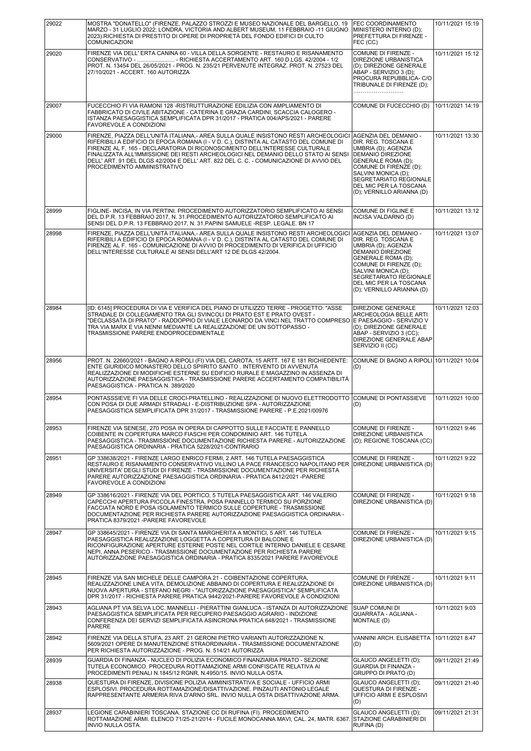| 29022 | MOSTRA "DONATELLO" (FIRENZE, PALAZZO STROZZI E MUSEO NAZIONALE DEL BARGELLO, 19                                                                                                                                                                                                                                                                                                                                                                                             | <b>FEC COORDINAMENTO</b>                                                                                                                                                                                                                                | 10/11/2021 15:19 |
|-------|-----------------------------------------------------------------------------------------------------------------------------------------------------------------------------------------------------------------------------------------------------------------------------------------------------------------------------------------------------------------------------------------------------------------------------------------------------------------------------|---------------------------------------------------------------------------------------------------------------------------------------------------------------------------------------------------------------------------------------------------------|------------------|
|       | MARZO - 31 LUGLIO 2022; LONDRA, VICTORIA AND ALBERT MUSEUM, 11 FEBBRAIO -11 GIUGNO<br>2023).RICHIESTA DI PRESTITO DI OPERE DI PROPRIETÀ DEL FONDO EDIFICI DI CULTO<br>COMUNICAZIONI                                                                                                                                                                                                                                                                                         | MINISTERO INTERNO (D);<br>PREFETTURA DI FIRENZE -<br>FEC (CC)                                                                                                                                                                                           |                  |
| 29020 | FIRENZE VIA DELL' ERTA CANINA 60 - VILLA DELLA SORGENTE - RESTAURO E RISANAMENTO<br>CONSERVATIVO -  - RICHIESTA ACCERTAMENTO ART. 160 D.LGS. 42/2004 - 1/2<br>PROT. N. 13454 DEL 26/05/2021 - PROG. N. 235/21 PERVENUTE INTEGRAZ. PROT. N. 27523 DEL<br>27/10/2021 - ACCERT, 160 AUTORIZZA                                                                                                                                                                                  | COMUNE DI FIRENZE -<br>DIREZIONE URBANISTICA<br>(D): DIREZIONE GENERALE<br>ABAP - SERVIZIO 3 (D);<br>PROCURA REPUBBLICA- C/O<br>TRIBUNALE DI FIRENZE (D);                                                                                               | 10/11/2021 15:12 |
| 29007 | FUCECCHIO FI VIA RAMONI 128 - RISTRUTTURAZIONE EDILIZIA CON AMPLIAMENTO DI<br>FABBRICATO DI CIVILE ABITAZIONE - CATERINA E GRAZIA CARDINI, SCACCIA CALOGERO -<br>ISTANZA PAESAGGISTICA SEMPLIFICATA DPR 31/2017 - PRATICA 004/APS/2021 - PARERE<br>FAVOREVOLE A CONDIZIONI                                                                                                                                                                                                  | COMUNE DI FUCECCHIO (D)                                                                                                                                                                                                                                 | 10/11/2021 14:19 |
| 29000 | FIRENZE, PIAZZA DELL'UNITÀ ITALIANA.- AREA SULLA QUALE INSISTONO RESTI ARCHEOLOGICI<br>RIFERIBILI A EDIFICIO DI EPOCA ROMANA (I - V D. C.), DISTINTA AL CATASTO DEL COMUNE DI<br>FIRENZE AL F. 165 - DECLARATORIA DI RICONOSCIMENTO DELL'INTERESSE CULTURALE<br>FINALIZZATA ALL'IMMISSIONE DEI RESTI ARCHEOLOGICI NEL DEMANIO DELLO STATO AI SENSI<br>DELL' ART. 91 DEL DLGS 42/2004 E DELL' ART. 822 DEL C. C. - COMUNICAZIONE DI AVVIO DEL<br>PROCEDIMENTO AMMINISTRATIVO | AGENZIA DEL DEMANIO -<br>DIR. REG. TOSCANA E<br>UMBRIA (D); AGENZIA<br>DEMANIO DIREZIONE<br><b>GENERALE ROMA (D);</b><br>COMUNE DI FIRENZE (D);<br>SALVINI MONICA (D);<br>SEGRETARIATO REGIONALE<br>DEL MIC PER LA TOSCANA<br>(D); VERNILLO ARIANNA (D) | 10/11/2021 13:30 |
| 28999 | FIGLINE- INCISA, IN VIA PERTINI. PROCEDIMENTO AUTORIZZATORIO SEMPLIFICATO AI SENSI<br>DEL D.P.R. 13 FEBBRAIO 2017, N. 31. PROCEDIMENTO AUTORIZZATORIO SEMPLIFICATO AI<br>SENSI DEL D.P.R. 13 FEBBRAIO 2017, N. 31. PAPINI SAMUELE -RESP. LEGALE. BN 17                                                                                                                                                                                                                      | COMUNE DI FIGLINE E<br>INCISA VALDARNO (D)                                                                                                                                                                                                              | 10/11/2021 13:12 |
| 28998 | FIRENZE, PIAZZA DELL'UNITÀ ITALIANA,- AREA SULLA QUALE INSISTONO RESTI ARCHEOLOGICI<br>RIFERIBILI A EDIFICIO DI EPOCA ROMANA (I - V D. C.), DISTINTA AL CATASTO DEL COMUNE DI<br>FIRENZE AL F. 165 - COMUNICAZIONE DI AVVIO DI PROCEDIMENTO DI VERIFICA DI UFFICIO<br>DELL'INTERESSE CULTURALE AI SENSI DELL'ART 12 DE DLGS 42/2004.                                                                                                                                        | AGENZIA DEL DEMANIO -<br>DIR. REG. TOSCANA E<br>UMBRIA (D); AGENZIA<br>DEMANIO DIREZIONE<br><b>GENERALE ROMA (D);</b><br>COMUNE DI FIRENZE (D);<br>SALVINI MONICA (D);<br>SEGRETARIATO REGIONALE<br>DEL MIC PER LA TOSCANA<br>(D); VERNILLO ARIANNA (D) | 10/11/2021 13:07 |
| 28984 | [ID: 6145] PROCEDURA DI VIA E VERIFICA DEL PIANO DI UTILIZZO TERRE - PROGETTO: "ASSE<br>STRADALE DI COLLEGAMENTO TRA GLI SVINCOLI DI PRATO EST E PRATO OVEST -<br>"DECLASSATA DI PRATO" - RADDOPPIO DI VIALE LEONARDO DA VINCI NEL TRATTO COMPRESO  E PAESAGGIO - SERVIZIO V<br>TRA VIA MARX E VIA NENNI MEDIANTE LA REALIZZAZIONE DE UN SOTTOPASSO -<br>TRASMISSIONE PARERE ENDOPROCEDIMENTALE                                                                             | DIREZIONE GENERALE<br>ARCHEOLOGIA BELLE ARTI<br>(D); DIREZIONE GENERALE<br>ABAP - SERVIZIO 3 (CC);<br>DIREZIONE GENERALE ABAP<br>SERVIZIO II (CC)                                                                                                       | 10/11/2021 12:03 |
| 28956 | PROT. N. 22660/2021 - BAGNO A RIPOLI (FI) VIA DEL CAROTA, 15 ARTT. 167 E 181 RICHIEDENTE:<br>ENTE GIURIDICO MONASTERO DELLO SPIIRITO SANTO . INTERVENTO DI AVVENUTA<br>REALIZZAZIONE DI MODIFICHE ESTERNE SU EDIFICIO RURALE E MAGAZZINO IN ASSENZA DI<br>AUTORIZZAZIONE PAESAGGISTICA - TRASMISSIONE PARERE ACCERTAMENTO COMPATIBILITÀ<br>PAESAGGISTICA - PRATICA N. 389/2020                                                                                              | COMUNE DI BAGNO A RIPOLI 10/11/2021 10:04<br>(D)                                                                                                                                                                                                        |                  |
| 28954 | PONTASSSIEVE FI VIA DELLE CROCI-PRATELLINO - REALIZZAZIONE DI NUOVO ELETTRODOTTO<br>CON POSA DI DUE ARMADI STRADALI - E-DISTRIBUZIONE SPA - AUTORIZZAZIONE<br>PAESAGGISTICA SEMPLIFICATA DPR 31/2017 - TRASMISSIONE PARERE - P.E.2021/00976                                                                                                                                                                                                                                 | COMUNE DI PONTASSIEVE<br>(D)                                                                                                                                                                                                                            | 10/11/2021 10:00 |
| 28953 | FIRENZE VIA SENESE, 270 POSA IN OPERA DI CAPPOTTO SULLE FACCIATE E PANNELLO<br>COIBENTE IN COPERTURA MARCO FIASCHI PER CONDOMINIO ART. 146 TUTELA<br>PAESAGGISTICA - TRASMISSIONE DOCUMENTAZIONE RICHIESTA PARERE - AUTORIZZAZIONE<br>PAESAGGISTICA ORDINARIA - PRATICA 5228/2021-CONTRARIO                                                                                                                                                                                 | COMUNE DI FIRENZE -<br>DIREZIONE URBANISTICA<br>(D); REGIONE TOSCANA (CC)                                                                                                                                                                               | 10/11/2021 9:46  |
| 28951 | GP 338638/2021 - FIRENZE LARGO ENRICO FERMI, 2 ART. 146 TUTELA PAESAGGISTICA<br>RESTAURO E RISANAMENTO CONSERVATIVO VILLINO LA PACE FRANCESCO NAPOLITANO PER<br>UNIVERSITA' DEGLI STUDI DI FIRENZE - TRASMISSIONE DOCUMENTAZIONE PER RICHIESTA<br>PARERE AUTORIZZAZIONE PAESAGGISTICA ORDINARIA - PRATICA 8412/2021 - PARERE<br>FAVOREVOLE A CONDIZIONI                                                                                                                     | COMUNE DI FIRENZE -<br>DIREZIONE URBANISTICA (D)                                                                                                                                                                                                        | 10/11/2021 9:22  |
| 28949 | GP 338616/2021 - FIRENZE VIA DEL PORTICO, 5 TUTELA PAESAGGISTICA ART. 146 VALERIO<br>CAPECCHI APERTURA PICCOLA FINESTRA, POSA PANNELLO TERMICO SU PORZIONE<br>FACCIATA NORD E POSA ISOLAMENTO TERMICO SULLE COPERTURE - TRASMISSIONE<br>DOCUMENTAZIONE PER RICHIESTA PARERE AUTORIZZAZIONE PAESAGGISTICA ORDINARIA -<br>PRATICA 8379/2021 - PARERE FAVOREVOLE                                                                                                               | <b>COMUNE DI FIRENZE -</b><br>DIREZIONE URBANISTICA (D)                                                                                                                                                                                                 | 10/11/2021 9:18  |
| 28947 | GP 338645/2021 - FIRENZE VIA DI SANTA MARGHERITA A MONTICI, 5 ART. 146 TUTELA<br>PAESAGGISTICA REALIZZAZIONE LOGGETTA A COPERTURA DI BALCONE E<br>RICONFIGURAZIONE APERTURE ESTERNE POSTE NEL CORTILE INTERNO DANIELE E CESARE<br>NEPI, ANNA PESERICO - TRASMISSIONE DOCUMENTAZIONE PER RICHIESTA PARERE<br>AUTORIZZAZIONE PAESAGGISTICA ORDINARIA - PRATICA 8335/2021 PARERE FAVOREVOLE                                                                                    | COMUNE DI FIRENZE -<br>DIREZIONE URBANISTICA (D)                                                                                                                                                                                                        | 10/11/2021 9:15  |
| 28945 | FIRENZE VIA SAN MICHELE DELLE CAMPORA 21 - COIBENTAZIONE COPERTURA,<br>REALIZZAZIONE LINEA VITA, DEMOLIZIONE ABBAINO DI COPERTURA E REALIZZAZIONE DI<br>NUOVA APERTURA - STEFANO NEGRI - "AUTORIZZAZIONE PAESAGGISTICA" SEMPLIFICATA<br>DPR 31/2017 - RICHIESTA PARERE PRATICA 9442/2021-PARERE FAVOREVOLE A CONDIZIONI                                                                                                                                                     | COMUNE DI FIRENZE -<br>DIREZIONE URBANISTICA (D)                                                                                                                                                                                                        | 10/11/2021 9:11  |
| 28943 | AGLIANA PT VIA SELVA LOC. MANNELLI - PIERATTINI GIANLUCA - ISTANZA DI AUTORIZZAZIONE<br>PAESAGGISTICA SEMPLIFICATA PER RECUPERO PAESAGGIO AGRARIO - INDIZIONE<br>CONFERENZA DEI SERVIZI SEMPLIFICATA ASINCRONA PRATICA 648/2021 - TRASMISSIONE<br><b>PARERE</b>                                                                                                                                                                                                             | <b>SUAP COMUNI DI</b><br>QUARRATA - AGLIANA -<br>MONTALE (D)                                                                                                                                                                                            | 10/11/2021 9:03  |
| 28942 | FIRENZE VIA DELLA STUFA, 23 ART. 21 GERONI PIETRO VARIANTI AUTORIZZAZIONE N.<br>5609/2021 OPERE DI MANUTENZIONE STRAORDINARIA - TRASMISSIONE DOCUMENTAZIONE<br>PER RICHIESTA AUTORIZZAZIONE - PROG. N. 514/21 AUTORIZZA                                                                                                                                                                                                                                                     | VANNINI ARCH. ELISABETTA   10/11/2021 8:47<br>(D)                                                                                                                                                                                                       |                  |
| 28939 | GUARDIA DI FINANZA - NUCLEO DI POLIZIA ECONOMICO FINANZIARIA PRATO - SEZIONE<br>TUTELA ECONOMICO. PROCEDURA ROTTAMAZIONE ARMI CONFISCATE RELATIVA AI<br>PROCEDIMENTI PENALI N.1845/12 RGNR, N.4950/15. INVIO NULLA OSTA.                                                                                                                                                                                                                                                    | GLAUCO ANGELETTI (D);<br><b>GUARDIA DI FINANZA -</b><br>GRUPPO DI PRATO (D)                                                                                                                                                                             | 09/11/2021 21:49 |
| 28938 | QUESTURA DI FIRENZE, DIVISIONE POLIZIA AMMINISTRATIVA E SOCIALE - UFFICIO ARMI<br>ESPLOSIVI. PROCEDURA ROTTAMAZIONE/DISATTIVAZIONE. PINZAUTI ANTONIO LEGALE<br>RAPPRESENTANTE ARMERIA RIVA D'ARNO SRL. INVIO NULLA OSTA DISATTIVAZIONE ARMA.                                                                                                                                                                                                                                | GLAUCO ANGELETTI (D);<br>QUESTURA DI FIRENZE -<br>UFFICIO ARMI E ESPLOSIVI<br>(D)                                                                                                                                                                       | 09/11/2021 21:40 |
| 28937 | LEGIONE CARABINIERI TOSCANA. STAZIONE CC DI RUFINA (FI). PROCEDIMENTO<br>ROTTAMAZIONE ARMI. ELENCO 71/25-21/2014 - FUCILE MONOCANNA MAVI, CAL. 24, MATR. 6367.<br>INVIO NULLA OSTA.                                                                                                                                                                                                                                                                                         | GLAUCO ANGELETTI (D);<br>STAZIONE CARABINIERI DI<br>RUFINA (D)                                                                                                                                                                                          | 09/11/2021 21:31 |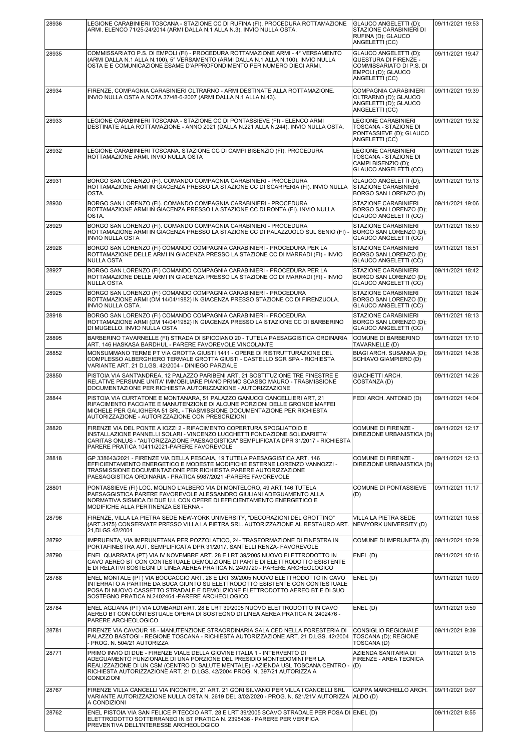| 28936 | LEGIONE CARABINIERI TOSCANA - STAZIONE CC DI RUFINA (FI). PROCEDURA ROTTAMAZIONE<br>ARMI. ELENCO 71/25-24/2014 (ARMI DALLA N.1 ALLA N.3). INVIO NULLA OSTA.                                                                                                                                                                                  | <b>GLAUCO ANGELETTI (D):</b><br>STAZIONE CARABINIERI DI<br>RUFINA (D); GLAUCO<br>ANGELETTI (CC)                    | 09/11/2021 19:53 |
|-------|----------------------------------------------------------------------------------------------------------------------------------------------------------------------------------------------------------------------------------------------------------------------------------------------------------------------------------------------|--------------------------------------------------------------------------------------------------------------------|------------------|
| 28935 | COMMISSARIATO P.S. DI EMPOLI (FI) - PROCEDURA ROTTAMAZIONE ARMI - 4° VERSAMENTO<br>(ARMI DALLA N.1 ALLA N.100), 5° VERSAMENTO (ARMI DALLA N.1 ALLA N.100). INVIO NULLA<br>OSTA E E COMUNICAZIONE ESAME D'APPROFONDIMENTO PER NUMERO DIECI ARMI.                                                                                              | GLAUCO ANGELETTI (D);<br>QUESTURA DI FIRENZE -<br>COMMISSARIATO DI P.S. DI<br>EMPOLI (D); GLAUCO<br>ANGELETTI (CC) | 09/11/2021 19:47 |
| 28934 | FIRENZE, COMPAGNIA CARABINIERI OLTRARNO - ARMI DESTINATE ALLA ROTTAMAZIONE.<br>INVIO NULLA OSTA A NOTA 37/48-6-2007 (ARMI DALLA N.1 ALLA N.43).                                                                                                                                                                                              | COMPAGNIA CARABINIERI<br>OLTRARNO (D); GLAUCO<br>ANGELETTI (D); GLAUCO<br>ANGELETTI (CC)                           | 09/11/2021 19:39 |
| 28933 | LEGIONE CARABINIERI TOSCANA - STAZIONE CC DI PONTASSIEVE (FI) - ELENCO ARMI<br>DESTINATE ALLA ROTTAMAZIONE - ANNO 2021 (DALLA N.221 ALLA N.244). INVIO NULLA OSTA.                                                                                                                                                                           | LEGIONE CARABINIERI<br>TOSCANA - STAZIONE DI<br>PONTASSIEVE (D); GLAUCO<br>ANGELETTI (CC)                          | 09/11/2021 19:32 |
| 28932 | LEGIONE CARABINIERI TOSCANA. STAZIONE CC DI CAMPI BISENZIO (FI). PROCEDURA<br>ROTTAMAZIONE ARMI. INVIO NULLA OSTA                                                                                                                                                                                                                            | LEGIONE CARABINIERI<br>TOSCANA - STAZIONE DI<br>CAMPI BISENZIO (D);<br>GLAUCO ANGELETTI (CC)                       | 09/11/2021 19:26 |
| 28931 | BORGO SAN LORENZO (FI). COMANDO COMPAGNIA CARABINIERI - PROCEDURA<br>ROTTAMAZIONE ARMI IN GIACENZA PRESSO LA STAZIONE CC DI SCARPERIA (FI). INVIO NULLA<br>OSTA.                                                                                                                                                                             | GLAUCO ANGELETTI (D);<br>STAZIONE CARABINIERI<br>BORGO SAN LORENZO (D)                                             | 09/11/2021 19:13 |
| 28930 | BORGO SAN LORENZO (FI). COMANDO COMPAGNIA CARABINIERI - PROCEDURA<br>ROTTAMAZIONE ARMI IN GIACENZA PRESSO LA STAZIONE CC DI RONTA (FI). INVIO NULLA<br>OSTA.                                                                                                                                                                                 | STAZIONE CARABINIERI<br>BORGO SAN LORENZO (D):<br>GLAUCO ANGELETTI (CC)                                            | 09/11/2021 19:06 |
| 28929 | BORGO SAN LORENZO (FI). COMANDO COMPAGNIA CARABINIERI - PROCEDURA<br>ROTTAMAZIONE ARMI IN GIACENZA PRESSO LA STAZIONE CC DI PALAZZUOLO SUL SENIO (FI) -<br><b>INVIO NULLA OSTA</b>                                                                                                                                                           | STAZIONE CARABINIERI<br>BORGO SAN LORENZO (D):<br>GLAUCO ANGELETTI (CC)                                            | 09/11/2021 18:59 |
| 28928 | BORGO SAN LORENZO (FI) COMANDO COMPAGNIA CARABINIERI - PROCEDURA PER LA<br>ROTTAMAZIONE DELLE ARMI IN GIACENZA PRESSO LA STAZIONE CC DI MARRADI (FI) - INVIO<br><b>NULLA OSTA</b>                                                                                                                                                            | <b>STAZIONE CARABINIERI</b><br>BORGO SAN LORENZO (D);<br>GLAUCO ANGELETTI (CC)                                     | 09/11/2021 18:51 |
| 28927 | BORGO SAN LORENZO (FI) COMANDO COMPAGNIA CARABINIERI - PROCEDURA PER LA<br>ROTTAMAZIONE DELLE ARMI IN GIACENZA PRESSO LA STAZIONE CC DI MARRADI (FI) - INVIO<br><b>NULLA OSTA</b>                                                                                                                                                            | STAZIONE CARABINIERI<br>BORGO SAN LORENZO (D);<br>GLAUCO ANGELETTI (CC)                                            | 09/11/2021 18:42 |
| 28925 | BORGO SAN LORENZO (FI) COMANDO COMPAGNIA CARABINIERI - PROCEDURA<br>ROTTAMAZIONE ARMI (DM 14/04/1982) IN GIACENZA PRESSO STAZIONE CC DI FIRENZUOLA.<br><b>INVIO NULLA OSTA.</b>                                                                                                                                                              | STAZIONE CARABINIERI<br>BORGO SAN LORENZO (D);<br>GLAUCO ANGELETTI (CC)                                            | 09/11/2021 18:24 |
| 28918 | BORGO SAN LORENZO (FI) COMANDO COMPAGNIA CARABINIERI - PROCEDURA<br>ROTTAMAZIONE ARMI (DM 14/04/1982) IN GIACENZA PRESSO LA STAZIONE CC DI BARBERINO<br>DI MUGELLO. INVIO NULLA OSTA                                                                                                                                                         | STAZIONE CARABINIERI<br>BORGO SAN LORENZO (D);<br>GLAUCO ANGELETTI (CC)                                            | 09/11/2021 18:13 |
| 28895 | BARBERINO TAVARNELLE (FI) STRADA DI SPICCIANO 20 - TUTELA PAESAGGISTICA ORDINARIA<br>ART. 146 HASKASA BARDHUL - PARERE FAVOREVOLE VINCOLANTE                                                                                                                                                                                                 | COMUNE DI BARBERINO<br>TAVARNELLE (D)                                                                              | 09/11/2021 17:10 |
| 28852 | MONSUMMANO TERME PT VIA GROTTA GIUSTI 1411 - OPERE DI RISTRUTTURAZIONE DEL<br>COMPLESSO ALBERGHIERO TERMALE GROTTA GIUSTI - CASTELLO SGR SPA - RICHIESTA<br>VARIANTE ART. 21 D.LGS. 42/2004 - DINIEGO PARZIALE                                                                                                                               | BIAGI ARCH. SUSANNA (D);<br>SCHIAVO GIAMPIERO (D)                                                                  | 09/11/2021 14:36 |
| 28850 | PISTOIA VIA SANT'ANDREA, 12 PALAZZO PARIBENI ART. 21 SOSTITUZIONE TRE FINESTRE E<br>RELATIVE PERSIANE UNITA' IMMOBILIARE PIANO PRIMO SCASSO MAURO - TRASMISSIONE<br>DOCUMENTAZIONE PER RICHIESTA AUTORIZZAZIONE - AUTORIZZAZIONE                                                                                                             | GIACHETTI ARCH.<br>COSTANZA (D)                                                                                    | 09/11/2021 14:26 |
| 28844 | PISTOIA VIA CURTATONE E MONTANARA, 51 PALAZZO GANUCCI CANCELLIERI ART, 21<br>RIFACIMENTO FACCIATE E MANUTENZIONE DI ALCUNE PORZIONI DELLE GRONDE MAFFEI<br>MICHELE PER GALIGHERA 51 SRL - TRASMISSIONE DOCUMENTAZIONE PER RICHIESTA<br>AUTORIZZAZIONE - AUTORIZZAZIONE CON PRESCRIZIONI                                                      | FEDI ARCH. ANTONIO (D)                                                                                             | 09/11/2021 14:04 |
| 28820 | FIRENZE VIA DEL PONTE A IOZZI 2 - RIFACIMENTO COPERTURA SPOGLIATOIO E<br>INSTALLAZIONE PANNELLI SOLARI - VINCENZO LUCCHETTI FONDAZIONE SOLIDARIETA'<br>CARITAS ONLUS - "AUTORIZZAZIONE PAESAGGISTICA" SEMPLIFICATA DPR 31/2017 - RICHIESTA<br>PARERE PRATICA 10411/2021-PARERE FAVOREVOLE                                                    | COMUNE DI FIRENZE -<br>DIREZIONE URBANISTICA (D)                                                                   | 09/11/2021 12:17 |
| 28818 | GP 338643/2021 - FIRENZE VIA DELLA PESCAIA, 19 TUTELA PAESAGGISTICA ART, 146<br>EFFICIENTAMENTO ENERGETICO E MODESTE MODIFICHE ESTERNE LORENZO VANNOZZI -<br>TRASMISSIONE DOCUMENTAZIONE PER RICHIESTA PARERE AUTORIZZAZIONE<br>PAESAGGISTICA ORDINARIA - PRATICA 5987/2021 - PARERE FAVOREVOLE                                              | COMUNE DI FIRENZE -<br>DIREZIONE URBANISTICA (D)                                                                   | 09/11/2021 12:13 |
| 28801 | PONTASSIEVE (FI) LOC. MOLINO L'ALBERO VIA DI MONTELORO, 49 ART.146 TUTELA<br>PAESAGGISTICA PARERE FAVOREVOLE ALESSANDRO GIULIANI ADEGUAMENTO ALLA<br>NORMATIVA SISMICA DI DUE U.I. CON OPERE DI EFFICIENTAMENTO ENERGETICO E<br>MODIFICHE ALLA PERTINENZA ESTERNA -                                                                          | COMUNE DI PONTASSIEVE<br>(D)                                                                                       | 09/11/2021 11:17 |
| 28796 | FIRENZE, VILLA LA PIETRA SEDE NEW-YORK UNIVERSITY, "DECORAZIONI DEL GROTTINO"<br>(ART.3475) CONSERVATE PRESSO VILLA LA PIETRA SRL. AUTORIZZAZIONE AL RESTAURO ART.<br>21, DLGS 42/2004                                                                                                                                                       | VILLA LA PIETRA SEDE<br>NEWYORK UNIVERSITY (D)                                                                     | 09/11/2021 10:58 |
| 28792 | IMPRUENTA, VIA IMPRUNETANA PER POZZOLATICO, 24- TRASFORMAZIONE DI FINESTRA IN<br>PORTAFINESTRA AUT. SEMPLIFICATA DPR 31/2017. SANTELLI RENZA- FAVOREVOLE                                                                                                                                                                                     | COMUNE DI IMPRUNETA (D)                                                                                            | 09/11/2021 10:29 |
| 28790 | ENEL QUARRATA (PT) VIA IV NOVEMBRE ART. 28 E LRT 39/2005 NUOVO ELETTRODOTTO IN<br>CAVO AEREO BT CON CONTESTUALE DEMOLIZIONE DI PARTE DI ELETTRODOTTO ESISTENTE<br>E DI RELATIVI SOSTEGNI DI LINEA AEREA PRATICA N. 2409720 - PARERE ARCHEOLOGICO                                                                                             | ENEL (D)                                                                                                           | 09/11/2021 10:16 |
| 28788 | ENEL MONTALE (PT) VIA BOCCACCIO ART. 28 E LRT 39/2005 NUOVO ELETTRODOTTO IN CAVO<br>INTERRATO A PARTIRE DA BUCA GIUNTO SU ELETTRODOTTO ESISTENTE CON CONTESTUALE<br>POSA DI NUOVO CASSETTO STRADALE E DEMOLIZIONE ELETTRODOTTO AEREO BT E DI SUO<br>SOSTEGNO PRATICA N.2402464 - PARERE ARCHEOLOGICO                                         | ENEL (D)                                                                                                           | 09/11/2021 10:09 |
| 28784 | ENEL AGLIANA (PT) VIA LOMBARDI ART. 28 E LRT 39/2005 NUOVO ELETTRODOTTO IN CAVO<br>AEREO BT CON CONTESTUALE OPERA DI SOSTEGNO DI LINEA AEREA PRATICA N. 2402476 -<br>PARERE ARCHEOLOGICO                                                                                                                                                     | ENEL(D)                                                                                                            | 09/11/2021 9:59  |
| 28781 | FIRENZE VIA CAVOUR 18 - MANUTENZIONE STRAORDINARIA SALA CED NELLA FORESTERIA DI<br>PALAZZO BASTOGI - REGIONE TOSCANA - RICHIESTA AUTORIZZAZIONE ART. 21 D.LGS. 42/2004<br>- PROG. N. 504/21 AUTORIZZA                                                                                                                                        | CONSIGLIO REGIONALE<br>TOSCANA (D); REGIONE<br>TOSCANA (D)                                                         | 09/11/2021 9:39  |
| 28771 | PRIMO INVIO DI DUE - FIRENZE VIALE DELLA GIOVINE ITALIA 1 - INTERVENTO DI<br>ADEGUAMENTO FUNZIONALE DI UNA PORZIONE DEL PRESIDIO MONTEDOMINI PER LA<br>REALIZZAZIONE DI UN CSM (CENTRO DI SALUTE MENTALE) - AZIENDA USL TOSCANA CENTRO -<br>RICHIESTA AUTORIZZAZIONE ART. 21 D.LGS. 42/2004 PROG. N. 397/21 AUTORIZZA A<br><b>CONDIZIONI</b> | AZIENDA SANITARIA DI<br>FIRENZE - AREA TECNICA<br>(D)                                                              | 09/11/2021 9:15  |
| 28767 | FIRENZE VILLA CANCELLI VIA INCONTRI, 21 ART. 21 GORI SILVANO PER VILLA I CANCELLI SRL<br>VARIANTE AUTORIZZAZIONE NULLA OSTA N. 2619 DEL 3/02/2020 - PROG. N. 521/21V AUTORIZZA<br>A CONDIZIONI                                                                                                                                               | CAPPA MARCHELLO ARCH.<br>ALDO (D)                                                                                  | 09/11/2021 9:07  |
| 28762 | ENEL PISTOIA VIA SAN FELICE PITECCIO ART. 28 E LRT 39/2005 SCAVO STRADALE PER POSA DI ENEL (D)<br>ELETTRODOTTO SOTTERRANEO IN BT PRATICA N. 2395436 - PARERE PER VERIFICA<br>PREVENTIVA DELL'INTERESSE ARCHEOLOGICO                                                                                                                          |                                                                                                                    | 09/11/2021 8:55  |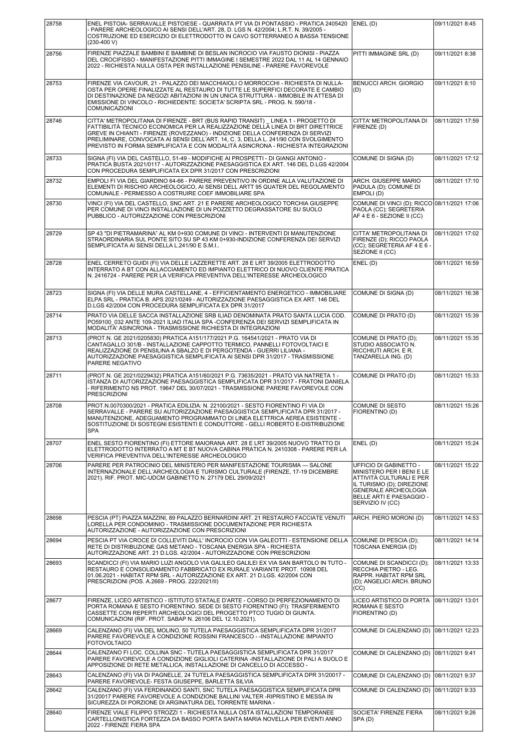| 28758 | ENEL PISTOIA- SERRAVALLE PISTOIESE - QUARRATA PT VIA DI PONTASSIO - PRATICA 2405420                                                                                                                                                                                                                                                                                                                                              | ENEL (D)                                                                                                                                                                             | 09/11/2021 8:45  |
|-------|----------------------------------------------------------------------------------------------------------------------------------------------------------------------------------------------------------------------------------------------------------------------------------------------------------------------------------------------------------------------------------------------------------------------------------|--------------------------------------------------------------------------------------------------------------------------------------------------------------------------------------|------------------|
|       | - PARERE ARCHEOLOGICO AI SENSI DELL'ART. 28, D. LGS N. 42/2004; L.R.T. N. 39/2005 -<br>COSTRUZIONE ED ESERCIZIO DI ELETTRODOTTO IN CAVO SOTTERRANEO A BASSA TENSIONE<br>$(230-400 V)$                                                                                                                                                                                                                                            |                                                                                                                                                                                      |                  |
| 28756 | FIRENZE PIAZZALE BAMBINI E BAMBINE DI BESLAN INCROCIO VIA FAUSTO DIONISI - PIAZZA<br>DEL CROCIFISSO - MANIFESTAZIONE PITTI IMMAGINE I SEMESTRE 2022 DAL 11 AL 14 GENNAIO<br>2022 - RICHIESTA NULLA OSTA PER INSTALLAZIONE PENSILINE - PARERE FAVOREVOLE                                                                                                                                                                          | PITTI IMMAGINE SRL (D)                                                                                                                                                               | 09/11/2021 8:38  |
| 28753 | FIRENZE VIA CAVOUR, 21 - PALAZZO DEI MACCHIAIOLI O MORROCCHI - RICHIESTA DI NULLA-<br>OSTA PER OPERE FINALIZZATE AL RESTAURO DI TUTTE LE SUPERFICI DECORATE E CAMBIO<br>DI DESTINAZIONE DA NEGOZI ABITAZIONI IN UN UNICA STRUTTURA - IMMOBILE IN ATTESA DI<br>EMISSIONE DI VINCOLO - RICHIEDENTE: SOCIETA' SCRIPTA SRL - PROG. N. 590/18 -<br>COMUNICAZIONI                                                                      | BENUCCI ARCH. GIORGIO<br>(D)                                                                                                                                                         | 09/11/2021 8:10  |
| 28746 | CITTA' METROPOLITANA DI FIRENZE - BRT (BUS RAPID TRANSIT) LINEA 1 - PROGETTO DI<br>FATTIBILITÀ TECNICO ECONOMICA PER LA REALIZZAZIONE DELLA LINEA DI BRT DIRETTRICE<br>GREVE IN CHIANTI - FIRENZE (ROVEZZANO) - INDIZIONE DELLA CONFERENZA DI SERVIZI<br>PRELIMINARE, CONVOCATA AI SENSI DELL'ART. 14, C. 3, DELLA L. 241/90 CON SVOLGIMENTO<br>PREVISTO IN FORMA SEMPLIFICATA E CON MODALITÀ ASINCRONA - RICHIESTA INTEGRAZIONI | CITTA' METROPOLITANA DI<br>FIRENZE (D)                                                                                                                                               | 08/11/2021 17:59 |
| 28733 | SIGNA (FI) VIA DEL CASTELLO, 51-49 - MODIFICHE AI PROSPETTI - DI GIANGI ANTONIO -<br>PRATICA BUSTA 2021/0117 - AUTORIZZAZIONE PAESAGGISTICA EX ART. 146 DEL D.LGS 42/2004<br>CON PROCEDURA SEMPLIFICATA EX DPR 31/2017 CON PRESCRIZIONI                                                                                                                                                                                          | COMUNE DI SIGNA (D)                                                                                                                                                                  | 08/11/2021 17:12 |
| 28732 | EMPOLI FI VIA DEL GIARDINO 64-66 - PARERE PREVENTIVO IN ORDINE ALLA VALUTAZIONE DI<br>ELEMENTI DI RISCHIO ARCHEOLOGICO, AI SENSI DELL ARTT 95 QUATER DEL REGOLAMENTO<br>COMUNALE - PERMESSO A COSTRUIRE COEF IMMOBILIARE SPA                                                                                                                                                                                                     | ARCH. GIUSEPPE MARIO<br>PADULA (D); COMUNE DI<br>EMPOLI(D)                                                                                                                           | 08/11/2021 17:10 |
| 28730 | VINCI (FI) VIA DEL CASTELLO, SNC ART. 21 E PARERE ARCHEOLOGICO TORCHIA GIUSEPPE<br>PER COMUNE DI VINCI INSTALLAZIONE DI UN POZZETTO DEGRASSATORE SU SUOLO<br>PUBBLICO - AUTORIZZAZIONE CON PRESCRIZIONI                                                                                                                                                                                                                          | COMUNE DI VINCI (D); RICCO 08/11/2021 17:06<br>PAOLA (CC); SEGRETERIA<br>AF 4 E 6 - SEZIONE II (CC)                                                                                  |                  |
| 28729 | SP 43 "DI PIETRAMARINA" AL KM 0+930 COMUNE DI VINCI - INTERVENTI DI MANUTENZIONE<br>STRAORDINARIA SUL PONTE SITO SU SP 43 KM 0+930-INDIZIONE CONFERENZA DEI SERVIZI<br>SEMPLIFICATA AI SENSI DELLA L.241/90 E S.M.I                                                                                                                                                                                                              | CITTA' METROPOLITANA DI<br>FIRENZE (D); RICCO PAOLA<br>(CC); SEGRETERIA AF 4 E 6 -<br>SEZIONE II (CC)                                                                                | 08/11/2021 17:02 |
| 28728 | ENEL CERRETO GUIDI (FI) VIA DELLE LAZZERETTE ART. 28 E LRT 39/2005 ELETTRODOTTO<br>INTERRATO A BT CON ALLACCIAMENTO ED IMPIANTO ELETTRICO DI NUOVO CLIENTE PRATICA<br>N. 2416724 - PARERE PER LA VERIFICA PREVENTIVA DELL'INTERESSE ARCHEOLOGICO                                                                                                                                                                                 | ENEL (D)                                                                                                                                                                             | 08/11/2021 16:59 |
| 28723 | SIGNA (FI) VIA DELLE MURA CASTELLANE, 4 - EFFICIENTAMENTO ENERGETICO - IMMOBILIARE<br>ELPA SRL - PRATICA B. APS 2021/0249 - AUTORIZZAZIONE PAESAGGISTICA EX ART. 146 DEL<br>D.LGS 42/2004 CON PROCEDURA SEMPLIFICATA EX DPR 31/2017                                                                                                                                                                                              | COMUNE DI SIGNA (D)                                                                                                                                                                  | 08/11/2021 16:38 |
| 28714 | PRATO VIA DELLE SACCA INSTALLAZIONE SRB ILIAD DENOMINATA PRATO SANTA LUCIA COD.<br>PO59100 032 ANTE 109-2021 ILIAD ITALIA SPA -CONFERENZA DEI SERVIZI SEMPLIFICATA IN<br>MODALITA' ASINCRONA - TRASMISSIONE RICHIESTA DI INTEGRAZIONI                                                                                                                                                                                            | COMUNE DI PRATO (D)                                                                                                                                                                  | 08/11/2021 15:39 |
| 28713 | (PROT.N. GE 2021/0205830) PRATICA A151/177/2021 P.G. 164541/2021 - PRATO VIA DI<br>CANTAGALLO 301/B - INSTALLAZIONE CAPPOTTO TERMICO, PANNELLI FOTOVOLTAICI E<br>REALIZZAZIONE DI PENSILINA A SBALZO E DI PERGOTENDA - GUERRI LILIANA -<br>AUTORIZZAZIONE PAESAGGISTICA SEMPLIFICATA AI SENSI DPR 31/2017 - TRASMISSIONE<br>PARERE NEGATIVO                                                                                      | COMUNE DI PRATO (D);<br>STUDIO ASSOCIATO N.<br>RICCHIUTI ARCH. E R.<br>TANZARELLA ING. (D)                                                                                           | 08/11/2021 15:35 |
| 28711 | (PROT.N. GE 2021/0229432) PRATICA A151/60/2021 P.G. 73635/2021 - PRATO VIA NATRETA 1 -<br>ISTANZA DI AUTORIZZAZIONE PAESAGGISTICA SEMPLIFICATA DPR 31/2017 - FRATONI DANIELA<br>- RIFERIMENTO NS PROT. 19647 DEL 30/07/2021 - TRASMISSIONE PARERE FAVOREVOLE CON<br><b>PRESCRIZIONI</b>                                                                                                                                          | COMUNE DI PRATO (D)                                                                                                                                                                  | 08/11/2021 15:33 |
| 28708 | PROT.N.0070300/2021 - PRATICA EDILIZIA: N. 22100/2021 - SESTO FIORENTINO FI VIA DI<br>SERRAVALLE - PARERE SU AUTORIZZAZIONE PAESAGGISTICA SEMPLIFICATA DPR 31/2017 -<br>MANUTENZIONE, ADEGUAMENTO PROGRAMMATO DI LINEA ELETTRICA AEREA ESISTENTE -<br>SOSTITUZIONE DI SOSTEGNI ESISTENTI E CONDUTTORE - GELLI ROBERTO E-DISTRIBUZIONE<br><b>SPA</b>                                                                              | COMUNE DI SESTO<br><b>FIORENTINO (D)</b>                                                                                                                                             | 08/11/2021 15:26 |
| 28707 | ENEL SESTO FIORENTINO (FI) ETTORE MAIORANA ART. 28 E LRT 39/2005 NUOVO TRATTO DI<br>ELETTRODOTTO INTERRATO A MT E BT NUOVA CABINA PRATICA N. 2410308 - PARERE PER LA<br>VERIFICA PREVENTIVA DELL'INTERESSE ARCHEOLOGICO                                                                                                                                                                                                          | ENEL (D)                                                                                                                                                                             | 08/11/2021 15:24 |
| 28706 | PARERE PER PATROCINIO DEL MINISTERO PER MANIFESTAZIONE TOURISMA - SALONE<br>INTERNAZIONALE DELL'ARCHEOLOGIA E TURISMO CULTURALE (FIRENZE, 17-19 DICEMBRE<br>2021). RIF. PROT. MIC-UDCM GABINETTO N. 27179 DEL 29/09/2021                                                                                                                                                                                                         | UFFICIO DI GABINETTO -<br>MINISTERO PER I BENI E LE<br>ATTIVITÀ CULTURALI E PER<br>IL TURISMO (D); DIREZIONE<br>GENERALE ARCHEOLOGIA<br>BELLE ARTI E PAESAGGIO -<br>SERVIZIO IV (CC) | 08/11/2021 15:22 |
| 28698 | PESCIA (PT) PIAZZA MAZZINI, 89 PALAZZO BERNARDINI ART. 21 RESTAURO FACCIATE VENUTI<br>LORELLA PER CONDOMINIO - TRASMISSIONE DOCUMENTAZIONE PER RICHIESTA<br>AUTORIZZAZIONE - AUTORIZZAZIONE CON PRESCRIZIONI                                                                                                                                                                                                                     | ARCH. PIERO MORONI (D)                                                                                                                                                               | 08/11/2021 14:53 |
| 28694 | PESCIA PT VIA CROCE DI COLLEVITI DALL' INCROCIO CON VIA GALEOTTI - ESTENSIONE DELLA<br>RETE DI DISTRIBUZIONE GAS METANO - TOSCANA ENERGIA SPA - RICHIESTA<br>AUTORIZZAZIONE ART. 21 D.LGS. 42/2004 - AUTORIZZAZIONE CON PRESCRIZIONI                                                                                                                                                                                             | COMUNE DI PESCIA (D);<br>TOSCANA ENERGIA (D)                                                                                                                                         | 08/11/2021 14:14 |
| 28693 | SCANDICCI (FI) VIA MARIO LUZI ANGOLO VIA GALILEO GALILEI EX VIA SAN BARTOLO IN TUTO -<br>RESTAURO E CONSOLIDAMENTO FABBRICATO EX RURALE VARIANTE PROT. 10908 DEL<br>01.06.2021 - HABITAT RPM SRL - AUTORIZZAZIONE EX ART. 21 D.LGS. 42/2004 CON<br>PRESCRIZIONI (POS. A.2669 - PROG. 222/2021/II)                                                                                                                                | COMUNE DI SCANDICCI (D);<br>RECCHIA PIETRO - LEG.<br>RAPPR. HABITAT RPM SRL<br>(D); ANGELICI ARCH. BRUNO<br>(CC)                                                                     | 08/11/2021 13:33 |
| 28677 | FIRENZE, LICEO ARTISTICO - ISTITUTO STATALE D'ARTE - CORSO DI PERFEZIONAMENTO DI<br>PORTA ROMANA E SESTO FIORENTINO. SEDE DI SESTO FIORENTINO (FI): TRASFERIMENTO<br>CASSETTE CON REPERTI ARCHEOLOGICI DEL PROGETTO PTCO TUGIO DI GIUNTA.<br>COMUNICAZIONI (RIF. PROT. SABAP N. 26106 DEL 12.10.2021).                                                                                                                           | LICEO ARTISTICO DI PORTA<br>ROMANA E SESTO<br>FIORENTINO (D)                                                                                                                         | 08/11/2021 13:01 |
| 28669 | CALENZANO (FI) VIA DEL MOLINO, 50 TUTELA PAESAGGISTICA SEMPLIFICATA DPR 31/2017<br>PARERE FAVOREVOLE A CONDIZIONE ROSSINI FRANCESCO - - INSTALLAZIONE IMPIANTO<br><b>FOTOVOLTAICO</b>                                                                                                                                                                                                                                            | COMUNE DI CALENZANO (D)                                                                                                                                                              | 08/11/2021 12:23 |
| 28644 | CALENZANO FI LOC. COLLINA SNC - TUTELA PAESAGGISTICA SEMPLIFICATA DPR 31/2017<br>PARERE FAVOREVOLE A CONDIZIONE GIGLIOLI CATERINA -INSTALLAZIONE DI PALI A SUOLO E<br>APPOSIZIONE DI RETE METALLICA, INSTALLAZIONE DI CANCELLO DI ACCESSO -                                                                                                                                                                                      | COMUNE DI CALENZANO (D)                                                                                                                                                              | 08/11/2021 9:41  |
| 28643 | CALENZANO (FI) VIA DI PAGNELLE, 24 TUTELA PAESAGGISTICA SEMPLIFICATA DPR 31/20017 -<br>PARERE FAVOREVOLE- FESTA GIUSEPPE, BARLETTA SILVIA                                                                                                                                                                                                                                                                                        | COMUNE DI CALENZANO (D)                                                                                                                                                              | 08/11/2021 9:37  |
| 28642 | CALENZANO (FI) VIA FERDINANDO SANTI, SNC TUTELA PAESAGGISTICA SEMPLIFICATA DPR<br>31/20017 PARERE FAVOREVOLE A CONDIZIONE BALLINI VALTER -RIPRISTINO E MESSA IN<br>SICUREZZA DI PORZIONE DI ARGINATURA DEL TORRENTE MARINA -                                                                                                                                                                                                     | COMUNE DI CALENZANO (D)                                                                                                                                                              | 08/11/2021 9:33  |
| 28640 | FIRENZE VIALE FILIPPO STROZZI 1 - RICHIESTA NULLA OSTA ISTALLAZIONI TEMPORANEE<br>CARTELLONISTICA FORTEZZA DA BASSO PORTA SANTA MARIA NOVELLA PER EVENTI ANNO<br>2022 - FIRENZE FIERA SPA                                                                                                                                                                                                                                        | <b>SOCIETA' FIRENZE FIERA</b><br>SPA(D)                                                                                                                                              | 08/11/2021 9:26  |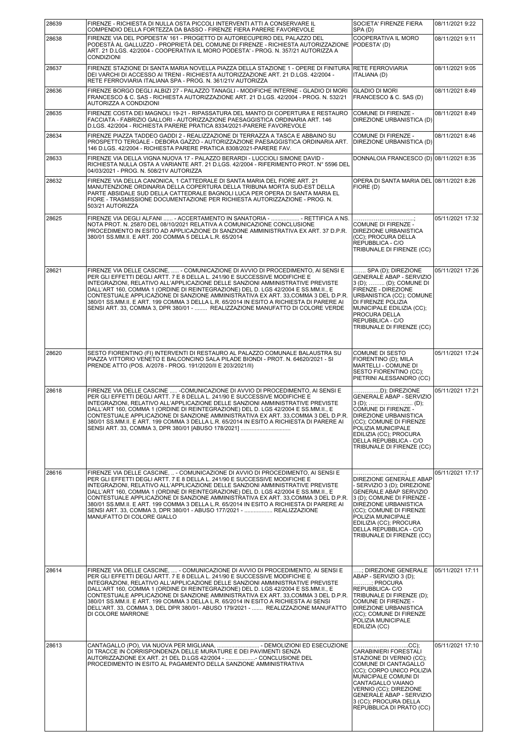| 28639 | FIRENZE - RICHIESTA DI NULLA OSTA PICCOLI INTERVENTI ATTI A CONSERVARE IL<br>COMPENDIO DELLA FORTEZZA DA BASSO - FIRENZE FIERA PARERE FAVOREVOLE                                                                                                                                                                                                                                                                                                                                                                                                                                                                               | SOCIETA' FIRENZE FIERA<br>SPA(D)                                                                                                                                                                                                                                                 | 08/11/2021 9:22  |
|-------|--------------------------------------------------------------------------------------------------------------------------------------------------------------------------------------------------------------------------------------------------------------------------------------------------------------------------------------------------------------------------------------------------------------------------------------------------------------------------------------------------------------------------------------------------------------------------------------------------------------------------------|----------------------------------------------------------------------------------------------------------------------------------------------------------------------------------------------------------------------------------------------------------------------------------|------------------|
| 28638 | FIRENZE VIA DEL POPDESTA' 161 - PROGETTO DI AUTORECUPERO DEL PALAZZO DEL<br>PODESTÀ AL GALLUZZO - PROPRIETÀ DEL COMUNE DI FIRENZE - RICHIESTA AUTORIZZAZIONE<br>ART. 21 D.LGS. 42/2004 - COOPERATIVA IL MORO PODESTA' - PROG. N. 357/21 AUTORIZZA A<br><b>CONDIZIONI</b>                                                                                                                                                                                                                                                                                                                                                       | COOPERATIVA IL MORO<br>PODESTA' (D)                                                                                                                                                                                                                                              | 08/11/2021 9:11  |
| 28637 | FIRENZE STAZIONE DI SANTA MARIA NOVELLA PIAZZA DELLA STAZIONE 1 - OPERE DI FINITURA<br>DEI VARCHI DI ACCESSO AI TRENI - RICHIESTA AUTORIZZAZIONE ART. 21 D.LGS. 42/2004 -<br>RETE FERROVIARIA ITALIANA SPA - PROG. N. 361/21V AUTORIZZA                                                                                                                                                                                                                                                                                                                                                                                        | <b>RETE FERROVIARIA</b><br><b>ITALIANA (D)</b>                                                                                                                                                                                                                                   | 08/11/2021 9:05  |
| 28636 | FIRENZE BORGO DEGLI ALBIZI 27 - PALAZZO TANAGLI - MODIFICHE INTERNE - GLADIO DI MORI<br>FRANCESCO & C. SAS - RICHIESTA AUTORIZZAZIONE ART. 21 D.LGS. 42/2004 - PROG. N. 532/21<br>AUTORIZZA A CONDIZIONI                                                                                                                                                                                                                                                                                                                                                                                                                       | <b>GLADIO DI MORI</b><br>FRANCESCO & C. SAS (D)                                                                                                                                                                                                                                  | 08/11/2021 8:49  |
| 28635 | FIRENZE COSTA DEI MAGNOLI 19-21 - RIPASSATURA DEL MANTO DI COPERTURA E RESTAURO<br>FACCIATA - FABRIZIO GALLORI - AUTORIZZAZIONE PAESAGGISTICA ORDINARIA ART. 146<br>D.LGS. 42/2004 - RICHIESTA PARERE PRATICA 8334/2021-PARERE FAVOREVOLE                                                                                                                                                                                                                                                                                                                                                                                      | COMUNE DI FIRENZE -<br>DIREZIONE URBANISTICA (D)                                                                                                                                                                                                                                 | 08/11/2021 8:49  |
| 28634 | FIRENZE PIAZZA TADDEO GADDI 2 - REALIZZAZIONE DI TERRAZZA A TASCA E ABBAINO SU<br>PROSPETTO TERGALE - DEBORA GAZZO - AUTORIZZAZIONE PAESAGGISTICA ORDINARIA ART.<br>146 D.LGS. 42/2004 - RICHIESTA PARERE PRATICA 8308/2021-PARERE FAV.                                                                                                                                                                                                                                                                                                                                                                                        | COMUNE DI FIRENZE -<br>DIREZIONE URBANISTICA (D)                                                                                                                                                                                                                                 | 08/11/2021 8:46  |
| 28633 | FIRENZE VIA DELLA VIGNA NUOVA 17 - PALAZZO BERARDI - LUCCIOLI SIMONE DAVID -<br>RICHIESTA NULLA OSTA A VARIANTE ART. 21 D.LGS. 42/2004 - RIFERIMENTO PROT. N° 5596 DEL<br>04/03/2021 - PROG. N. 508/21V AUTORIZZA                                                                                                                                                                                                                                                                                                                                                                                                              | DONNALOIA FRANCESCO (D) 08/11/2021 8:35                                                                                                                                                                                                                                          |                  |
| 28632 | FIRENZE VIA DELLA CANONICA, 1 CATTEDRALE DI SANTA MARIA DEL FIORE ART. 21<br>MANUTENZIONE ORDINARIA DELLA COPERTURA DELLA TRIBUNA MORTA SUD-EST DELLA<br>PARTE ABSIDALE SUD DELLA CATTEDRALE BAGNOLI LUCA PER OPERA DI SANTA MARIA EL<br>FIORE - TRASMISSIONE DOCUMENTAZIONE PER RICHIESTA AUTORIZZAZIONE - PROG. N.<br>503/21 AUTORIZZA                                                                                                                                                                                                                                                                                       | OPERA DI SANTA MARIA DEL 08/11/2021 8:26<br>FIORE (D)                                                                                                                                                                                                                            |                  |
| 28625 | FIRENZE VIA DEGLI ALFANI  - ACCERTAMENTO IN SANATORIA -  RETTIFICA A NS.<br>NOTA PROT. N. 25870 DEL 08/10/2021 RELATIVA A COMUNICAZIONE CONCLUSIONE<br>PROCEDIMENTO IN ESITO AD APPLICAZIONE DI SANZIONE AMMINISTRATIVA EX ART. 37 D.P.R.<br>380/01 SS.MM.II. E ART. 200 COMMA 5 DELLA L.R. 65/2014                                                                                                                                                                                                                                                                                                                            | COMUNE DI FIRENZE -<br>DIREZIONE URBANISTICA<br>(CC); PROCURA DELLA<br>REPUBBLICA - C/O<br>TRIBUNALE DI FIRENZE (CC)                                                                                                                                                             | 05/11/2021 17:32 |
| 28621 | FIRENZE VIA DELLE CASCINE,  - COMUNICAZIONE DI AVVIO DI PROCEDIMENTO, AI SENSI E<br>PER GLI EFFETTI DEGLI ARTT. 7 E 8 DELLA L. 241/90 E SUCCESSIVE MODIFICHE E<br>INTEGRAZIONI, RELATIVO ALL'APPLICAZIONE DELLE SANZIONI AMMINISTRATIVE PREVISTE<br>DALL'ART 160, COMMA 1 (ORDINE DI REINTEGRAZIONE) DEL D. LGS 42/2004 E SS.MM.II., E<br>CONTESTUALE APPLICAZIONE DI SANZIONE AMMINISTRATIVA EX ART. 33, COMMA 3 DEL D.P.R.<br>380/01 SS.MM.II. E ART. 199 COMMA 3 DELLA L.R. 65/2014 IN ESITO A RICHIESTA DI PARERE AI<br>SENSI ART. 33, COMMA 3, DPR 380/01 -  REALIZZAZIONE MANUFATTO DI COLORE VERDE                      | SPA (D); DIREZIONE<br>GENERALE ABAP - SERVIZIO<br>3 (D);  (D); COMUNE DI<br>FIRENZE - DIREZIONE<br>URBANISTICA (CC); COMUNE<br>DI FIRENZE POLIZIA<br>MUNICIPALE EDILIZIA (CC);<br>PROCURA DELLA<br>REPUBBLICA - C/O<br>TRIBUNALE DI FIRENZE (CC)                                 | 05/11/2021 17:26 |
| 28620 | SESTO FIORENTINO (FI) INTERVENTI DI RESTAURO AL PALAZZO COMUNALE BALAUSTRA SU<br>PIAZZA VITTORIO VENETO E BALCONCINO SALA PILADE BIONDI - PROT. N. 64620/2021 - SI<br>PRENDE ATTO (POS. A/2078 - PROG. 191/2020/II E 203/2021/II)                                                                                                                                                                                                                                                                                                                                                                                              | COMUNE DI SESTO<br>FIORENTINO (D); MILA<br>MARTELLI - COMUNE DI<br>SESTO FIORENTINO (CC);<br>PIETRINI ALESSANDRO (CC)                                                                                                                                                            | 05/11/2021 17:24 |
| 28618 | FIRENZE VIA DELLE CASCINE  - COMUNICAZIONE DI AVVIO DI PROCEDIMENTO, AI SENSI E<br>PER GLI EFFETTI DEGLI ARTT. 7 E 8 DELLA L. 241/90 E SUCCESSIVE MODIFICHE E<br>INTEGRAZIONI, RELATIVO ALL'APPLICAZIONE DELLE SANZIONI AMMINISTRATIVE PREVISTE<br>DALL'ART 160, COMMA 1 (ORDINE DI REINTEGRAZIONE) DEL D. LGS 42/2004 E SS.MM.II., E<br>CONTESTUALE APPLICAZIONE DI SANZIONE AMMINISTRATIVA EX ART. 33, COMMA 3 DEL D.P.R.<br>380/01 SS.MM.II. E ART. 199 COMMA 3 DELLA L.R. 65/2014 IN ESITO A RICHIESTA DI PARERE AI<br>SENSI ART. 33, COMMA 3, DPR 380/01 [ABUSO 178/2021]                                                 | <b>GENERALE ABAP - SERVIZIO</b><br><b>COMUNE DI FIRENZE -</b><br><b>DIREZIONE URBANISTICA</b><br>(CC); COMUNE DI FIRENZE<br>POLIZIA MUNICIPALE<br>EDILIZIA (CC); PROCURA<br>DELLA REPUBBLICA - C/O<br>TRIBUNALE DI FIRENZE (CC)                                                  | 05/11/2021 17:21 |
| 28616 | FIRENZE VIA DELLE CASCINE,  - COMUNICAZIONE DI AVVIO DI PROCEDIMENTO, AI SENSI E<br>PER GLI EFFETTI DEGLI ARTT. 7 E 8 DELLA L. 241/90 E SUCCESSIVE MODIFICHE E<br>INTEGRAZIONI, RELATIVO ALL'APPLICAZIONE DELLE SANZIONI AMMINISTRATIVE PREVISTE<br>DALL'ART 160, COMMA 1 (ORDINE DI REINTEGRAZIONE) DEL D. LGS 42/2004 E SS.MM.II., E<br>CONTESTUALE APPLICAZIONE DI SANZIONE AMMINISTRATIVA EX ART. 33, COMMA 3 DEL D.P.R.<br>380/01 SS.MM.II. E ART. 199 COMMA 3 DELLA L.R. 65/2014 IN ESITO A RICHIESTA DI PARERE AI<br>SENSI ART. 33. COMMA 3. DPR 380/01 - ABUSO 177/2021 -  REALIZZAZIONE<br>MANUFATTO DI COLORE GIALLO | DIREZIONE GENERALE ABAP<br>- SERVIZIO 3 (D); DIREZIONE<br><b>GENERALE ABAP SERVIZIO</b><br>3 (D); COMUNE DI FIRENZE -<br>DIREZIONE URBANISTICA<br>(CC); COMUNE DI FIRENZE<br>POLIZIA MUNICIPALE<br>EDILIZIA (CC); PROCURA<br>DELLA REPUBBLICA - C/O<br>TRIBUNALE DI FIRENZE (CC) | 05/11/2021 17:17 |
| 28614 | FIRENZE VIA DELLE CASCINE,  - COMUNICAZIONE DI AVVIO DI PROCEDIMENTO, AI SENSI E<br>PER GLI EFFETTI DEGLI ARTT. 7 E 8 DELLA L. 241/90 E SUCCESSIVE MODIFICHE E<br>INTEGRAZIONI, RELATIVO ALL'APPLICAZIONE DELLE SANZIONI AMMINISTRATIVE PREVISTE<br>DALL'ART 160, COMMA 1 (ORDINE DI REINTEGRAZIONE) DEL D. LGS 42/2004 E SS.MM.II., E<br>CONTESTUALE APPLICAZIONE DI SANZIONE AMMINISTRATIVA EX ART. 33, COMMA 3 DEL D.P.R.<br>380/01 SS.MM.II. E ART. 199 COMMA 3 DELLA L.R. 65/2014 IN ESITO A RICHIESTA AI SENSI<br>DELL'ART. 33, COMMA 3, DEL DPR 380/01- ABUSO 179/2021 -  REALIZZAZIONE MANUFATTO<br>DI COLORE MARRONE  | ; DIREZIONE GENERALE<br>ABAP - SERVIZIO 3 (D);<br>; PROCURA<br>REPUBBLICA-C/O<br>TRIBUNALE DI FIRENZE (D);<br>COMUNE DI FIRENZE -<br>DIREZIONE URBANISTICA<br>(CC); COMUNE DI FIRENZE<br>POLIZIA MUNICIPALE<br>EDILIZIA (CC)                                                     | 05/11/2021 17:11 |
| 28613 | CANTAGALLO (PO), VIA NUOVA PER MIGLIANA,  - DEMOLIZIONI ED ESECUZIONE<br>DI TRACCE IN CORRISPONDENZA DELLE MURATURE E DEI PAVIMENTI SENZA<br>AUTORIZZAZIONE EX ART. 21 DEL D.LGS 42/2004 -  CONCLUSIONE DEL<br>PROCEDIMENTO IN ESITO AL PAGAMENTO DELLA SANZIONE AMMINISTRATIVA                                                                                                                                                                                                                                                                                                                                                | CARABINIERI FORESTALI<br>STAZIONE DI VERNIO (CC);<br>COMUNE DI CANTAGALLO<br>(CC); CORPO UNICO POLIZIA<br>MUNICIPALE COMUNI DI<br>CANTAGALLO VAIANO<br>VERNIO (CC); DIREZIONE<br><b>GENERALE ABAP - SERVIZIO</b><br>3 (CC); PROCURA DELLA<br>REPUBBLICA DI PRATO (CC)            | 05/11/2021 17:10 |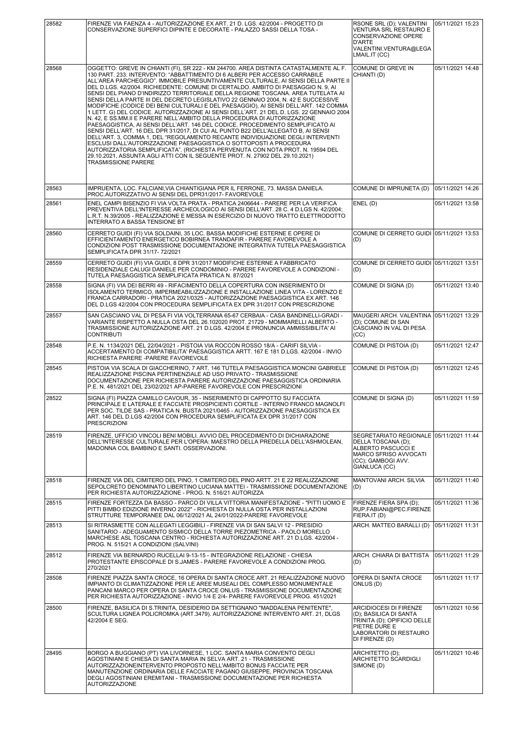| 28582 | FIRENZE VIA FAENZA 4 - AUTORIZZAZIONE EX ART. 21 D. LGS. 42/2004 - PROGETTO DI<br>CONSERVAZIONE SUPERFICI DIPINTE E DECORATE - PALAZZO SASSI DELLA TOSA -                                                                                                                                                                                                                                                                                                                                                                                                                                                                                                                                                                                                                                                                                                                                                                                                                                                                                                                                                                                                                                                                                                                                                           | RSONE SRL (D); VALENTINI<br>VENTURA SRL RESTAURO E<br>CONSERVAZIONE OPERE<br>D'ARTE<br>VALENTINI.VENTURA@LEGA<br>LMAIL.IT (CC)                        | 05/11/2021 15:23 |
|-------|---------------------------------------------------------------------------------------------------------------------------------------------------------------------------------------------------------------------------------------------------------------------------------------------------------------------------------------------------------------------------------------------------------------------------------------------------------------------------------------------------------------------------------------------------------------------------------------------------------------------------------------------------------------------------------------------------------------------------------------------------------------------------------------------------------------------------------------------------------------------------------------------------------------------------------------------------------------------------------------------------------------------------------------------------------------------------------------------------------------------------------------------------------------------------------------------------------------------------------------------------------------------------------------------------------------------|-------------------------------------------------------------------------------------------------------------------------------------------------------|------------------|
| 28568 | OGGETTO: GREVE IN CHIANTI (FI), SR 222 - KM 244700. AREA DISTINTA CATASTALMENTE AL F.<br>130 PART. 233. INTERVENTO: "ABBATTIMENTO DI 6 ALBERI PER ACCESSO CARRABILE<br>ALL'AREA PARCHEGGIO". IMMOBILE PRESUNTIVAMENTE CULTURALE, AI SENSI DELLA PARTE II<br>DEL D.LGS. 42/2004. RICHIEDENTE: COMUNE DI CERTALDO. AMBITO DI PAESAGGIO N. 9, AI<br>SENSI DEL PIANO D'INDIRIZZO TERRITORIALE DELLA REGIONE TOSCANA. AREA TUTELATA AI<br>SENSI DELLA PARTE III DEL DECRETO LEGISLATIVO 22 GENNAIO 2004, N. 42 E SUCCESSIVE<br>MODIFICHE (CODICE DEI BENI CULTURALI E DEL PAESAGGIO), AI SENSI DELL'ART. 142 COMMA<br>1 LETT. G) DEL CODICE. AUTORIZZAZIONE AI SENSI DELL'ART. 21 DEL D. LGS. 22 GENNAIO 2004<br>N. 42, E SS.MM.II E PARERE NELL'AMBITO DELLA PROCEDURA DI AUTORIZZAZIONE<br>PAESAGGISTICA, AI SENSI DELL'ART. 146 DEL CODICE. PROCEDIMENTO SEMPLIFICATO AI<br>SENSI DELL'ART. 16 DEL DPR 31/2017, DI CUI AL PUNTO B22 DELL'ALLEGATO B, AI SENSI<br>DELL'ART. 3, COMMA 1, DEL "REGOLAMENTO RECANTE INDIVIDUAZIONE DEGLI INTERVENTI<br>ESCLUSI DALL'AUTORIZZAZIONE PAESAGGISTICA O SOTTOPOSTI A PROCEDURA<br>AUTORIZZATORIA SEMPLIFICATA". (RICHIESTA PERVENUTA CON NOTA PROT. N. 19594 DEL<br>29.10.2021, ASSUNTA AGLI ATTI CON IL SEGUENTE PROT. N. 27902 DEL 29.10.2021)<br><b>TRASMISSIONE PARERE</b> | COMUNE DI GREVE IN<br>CHIANTI (D)                                                                                                                     | 05/11/2021 14:48 |
| 28563 | IMPRUENTA, LOC. FALCIANI, VIA CHIANTIGIANA PER IL FERRONE, 73. MASSA DANIELA.<br>PROC.AUTORIZZATIVO AI SENSI DEL DPR31/2017- FAVOREVOLE                                                                                                                                                                                                                                                                                                                                                                                                                                                                                                                                                                                                                                                                                                                                                                                                                                                                                                                                                                                                                                                                                                                                                                             | COMUNE DI IMPRUNETA (D)                                                                                                                               | 05/11/2021 14:26 |
| 28561 | ENEL CAMPI BISENZIO FI VIA VOLTA PRATA - PRATICA 2406644 - PARERE PER LA VERIFICA<br>PREVENTIVA DELL'INTERESSE ARCHEOLOGICO AI SENSI DELL'ART. 28 C. 4 D.LGS N. 42/2004;<br>L.R.T. N.39/2005 - REALIZZAZIONE E MESSA IN ESERCIZIO DI NUOVO TRATTO ELETTRODOTTO<br><b>INTERRATO A BASSA TENSIONE BT</b>                                                                                                                                                                                                                                                                                                                                                                                                                                                                                                                                                                                                                                                                                                                                                                                                                                                                                                                                                                                                              | ENEL (D)                                                                                                                                              | 05/11/2021 13:58 |
| 28560 | CERRETO GUIDI (FI) VIA SOLDAINI, 35 LOC. BASSA MODIFICHE ESTERNE E OPERE DI<br>EFFICIENTAMENTO ENERGETICO BOBIRNEA TRANDAFIR - PARERE FAVOREVOLE A<br>CONDIZIONI POST TRASMISSIONE DOCUMENTAZIONE INTEGRATIVA TUTELA PAESAGGISTICA<br>SEMPLIFICATA DPR 31/17-72/2021                                                                                                                                                                                                                                                                                                                                                                                                                                                                                                                                                                                                                                                                                                                                                                                                                                                                                                                                                                                                                                                | COMUNE DI CERRETO GUIDI 05/11/2021 13:53<br>(D)                                                                                                       |                  |
| 28559 | CERRETO GUIDI (FI) VIA GUIDI, 8 DPR 31/2017 MODIFICHE ESTERNE A FABBRICATO<br>RESIDENZIALE CALUGI DANIELE PER CONDOMINIO - PARERE FAVOREVOLE A CONDIZIONI -<br>TUTELA PAESAGGISTICA SEMPLIFICATA PRATICA N. 87/2021                                                                                                                                                                                                                                                                                                                                                                                                                                                                                                                                                                                                                                                                                                                                                                                                                                                                                                                                                                                                                                                                                                 | COMUNE DI CERRETO GUIDI 05/11/2021 13:51<br>(D)                                                                                                       |                  |
| 28558 | SIGNA (FI) VIA DEI BERRI 49 - RIFACIMENTO DELLA COPERTURA CON INSERIMENTO DI<br>ISOLAMENTO TERMICO, IMPERMEABILIZZAZIONE E INSTALLAZIONE LINEA VITA - LORENZO E<br>FRANCA CARRADORI - PRATICA 2021/0325 - AUTORIZZAZIONE PAESAGGISTICA EX ART. 146<br>DEL D.LGS 42/2004 CON PROCEDURA SEMPLIFICATA EX DPR 31/2017 CON PRESCRIZIONE                                                                                                                                                                                                                                                                                                                                                                                                                                                                                                                                                                                                                                                                                                                                                                                                                                                                                                                                                                                  | COMUNE DI SIGNA (D)                                                                                                                                   | 05/11/2021 13:40 |
| 28557 | SAN CASCIANO VAL DI PESA FI VIA VOLTERRANA 65-67 CERBAIA - CASA BANDINELLI-GRADI -<br>VARIANTE RISPETTO A NULLA OSTA DEL 26.102020 PROT. 21729 - MOMMARELLI ALBERTO -<br>TRASMISSIONE AUTORIZZAZIONE ART. 21 D.LGS. 42/2004 E PRONUNCIA AMMISSIBILITA' AI<br><b>CONTRIBUTI</b>                                                                                                                                                                                                                                                                                                                                                                                                                                                                                                                                                                                                                                                                                                                                                                                                                                                                                                                                                                                                                                      | MAUGERI ARCH. VALENTINA<br>(D); COMUNE DI SAN<br>CASCIANO IN VAL DI PESA<br>(CC)                                                                      | 05/11/2021 13:29 |
| 28548 | P.E. N. 1134/2021 DEL 22/04/2021 - PISTOIA VIA ROCCON ROSSO 18/A - CARIFI SILVIA -<br>ACCERTAMENTO DI COMPATIBILITA' PAESAGGISTICA ARTT. 167 E 181 D.LGS. 42/2004 - INVIO<br>RICHIESTA PARERE - PARERE FAVOREVOLE                                                                                                                                                                                                                                                                                                                                                                                                                                                                                                                                                                                                                                                                                                                                                                                                                                                                                                                                                                                                                                                                                                   | COMUNE DI PISTOIA (D)                                                                                                                                 | 05/11/2021 12:47 |
| 28545 | PISTOIA VIA SCALA DI GIACCHERINO. 7 ART. 146 TUTELA PAESAGGISTICA MONCINI GABRIELE<br>REALIZZAZIONE PISCINA PERTINENZIALE AD USO PRIVATO - TRASMISSIONE<br>DOCUMENTAZIONE PER RICHIESTA PARERE AUTORIZZAZIONE PAESAGGISTICA ORDINARIA<br>P.E. N. 481/2021 DEL 23/02/2021 AP-PARERE FAVOREVOLE CON PRESCRIZIONI                                                                                                                                                                                                                                                                                                                                                                                                                                                                                                                                                                                                                                                                                                                                                                                                                                                                                                                                                                                                      | COMUNE DI PISTOIA (D)                                                                                                                                 | 05/11/2021 12:45 |
| 28522 | SIGNA (FI) PIAZZA CAMILLO CAVOUR, 35 - INSERIMENTO DI CAPPOTTO SU FACCIATA<br>PRINCIPALE E LATERALE E FACCIATE PROSPICIENTI CORTILE - INTERNO FRANCO MAGNOLFI<br>PER SOC. TILDE SAS - PRATICA N. BUSTA 2021/0465 - AUTORIZZAZIONE PAESAGGISTICA EX<br>ART. 146 DEL D.LGS 42/2004 CON PROCEDURA SEMPLIFICATA EX DPR 31/2017 CON<br><b>PRESCRIZIONI</b>                                                                                                                                                                                                                                                                                                                                                                                                                                                                                                                                                                                                                                                                                                                                                                                                                                                                                                                                                               | COMUNE DI SIGNA (D)                                                                                                                                   | 05/11/2021 11:59 |
| 28519 | FIRENZE, UFFICIO VINCOLI BENI MOBILI, AVVIO DEL PROCEDIMENTO DI DICHIARAZIONE<br>DELL'INTERESSE CULTURALE PER L'OPERA: MAESTRO DELLA PREDELLA DELL'ASHMOLEAN,<br>MADONNA COL BAMBINO E SANTI. OSSERVAZIONI.                                                                                                                                                                                                                                                                                                                                                                                                                                                                                                                                                                                                                                                                                                                                                                                                                                                                                                                                                                                                                                                                                                         | SEGRETARIATO REGIONALE 05/11/2021 11:44<br>DELLA TOSCANA (D);<br> ALBERTO PASCUCCI E<br> MARCO SFRISO AVVOCATI<br>(CC): GAMBOGI AVV.<br>GIANLUCA (CC) |                  |
| 28518 | FIRENZE VIA DEL CIMITERO DEL PINO, 1 CIMITERO DEL PINO ARTT. 21 E 22 REALIZZAZIONE<br>SEPOLCRETO DENOMINATO LIBERTINO LUCIANA MATTEI - TRASMISSIONE DOCUMENTAZIONE<br>PER RICHIESTA AUTORIZZAZIONE - PROG. N. 516/21 AUTORIZZA                                                                                                                                                                                                                                                                                                                                                                                                                                                                                                                                                                                                                                                                                                                                                                                                                                                                                                                                                                                                                                                                                      | MANTOVANI ARCH. SILVIA<br>(D)                                                                                                                         | 05/11/2021 11:40 |
| 28515 | FIRENZE FORTEZZA DA BASSO - PARCO DI VILLA VITTORIA MANIFESTAZIONE - "PITTI UOMO E<br>PITTI BIMBO EDIZIONE INVERNO 2022" - RICHIESTA DI NULLA OSTA PER INSTALLAZIONI<br>STRUTTURE TEMPORANEE DAL 06/12/2021 AL 24/01/2022-PARERE FAVOREVOLE                                                                                                                                                                                                                                                                                                                                                                                                                                                                                                                                                                                                                                                                                                                                                                                                                                                                                                                                                                                                                                                                         | FIRENZE FIERA SPA (D);<br>RUP.FABIANI@PEC.FIRENZE<br>FIERA.IT (D)                                                                                     | 05/11/2021 11:36 |
| 28513 | SI RITRASMETTE CON ALLEGATI LEGGIBILI - FIRENZE VIA DI SAN SALVI 12 - PRESIDIO<br>SANITARIO - ADEGUAMENTO SISMICO DELLA TORRE PIEZOMETRICA - PAOLO MORELLO<br>MARCHESE ASL TOSCANA CENTRO - RICHIESTA AUTORIZZAZIONE ART. 21 D.LGS. 42/2004 -<br>PROG. N. 515/21 A CONDIZIONI (SALVINI)                                                                                                                                                                                                                                                                                                                                                                                                                                                                                                                                                                                                                                                                                                                                                                                                                                                                                                                                                                                                                             | ARCH. MATTEO BARALLI (D)                                                                                                                              | 05/11/2021 11:31 |
| 28512 | FIRENZE VIA BERNARDO RUCELLAI 9-13-15 - INTEGRAZIONE RELAZIONE - CHIESA<br>PROTESTANTE EPISCOPALE DI S.JAMES - PARERE FAVOREVOLE A CONDIZIONI PROG.<br>270/2021                                                                                                                                                                                                                                                                                                                                                                                                                                                                                                                                                                                                                                                                                                                                                                                                                                                                                                                                                                                                                                                                                                                                                     | ARCH. CHIARA DI BATTISTA<br>(D)                                                                                                                       | 05/11/2021 11:29 |
| 28508 | FIRENZE PIAZZA SANTA CROCE, 16 OPERA DI SANTA CROCE ART. 21 REALIZZAZIONE NUOVO<br>IMPIANTO DI CLIMATIZZAZIONE PER LE AREE MUSEALI DEL COMPLESSO MONUMENTALE<br>PANCANI MARCO PER OPERA DI SANTA CROCE ONLUS - TRASMISSIONE DOCUMENTAZIONE<br>PER RICHIESTA AUTORIZZAZIONE - INVIO 1/4 E 2/4- PARERE FAVOREVOLE PROG. 451/2021                                                                                                                                                                                                                                                                                                                                                                                                                                                                                                                                                                                                                                                                                                                                                                                                                                                                                                                                                                                      | OPERA DI SANTA CROCE<br>ONLUS (D)                                                                                                                     | 05/11/2021 11:17 |
| 28500 | FIRENZE, BASILICA DI S.TRINITA, DESIDERIO DA SETTIGNANO "MADDALENA PENITENTE".<br>SCULTURA LIGNEA POLICROMKA (ART.3479). AUTORIZZAZIONE INTERVENTO ART. 21, DLGS<br>42/2004 E SEG.                                                                                                                                                                                                                                                                                                                                                                                                                                                                                                                                                                                                                                                                                                                                                                                                                                                                                                                                                                                                                                                                                                                                  | <b>ARCIDIOCESI DI FIRENZE</b><br>(D); BASILICA DI SANTA<br>TRINITA (D); OPIFICIO DELLE<br>PIETRE DURE E<br>LABORATORI DI RESTAURO<br>DI FIRENZE (D)   | 05/11/2021 10:56 |
| 28495 | BORGO A BUGGIANO (PT) VIA LIVORNESE, 1 LOC. SANTA MARIA CONVENTO DEGLI<br>AGOSTINIANI E CHIESA DI SANTA MARIA IN SELVA ART. 21 - TRASMISSIONE<br>AUTORIZZAZIONEINTERVENTO PROPOSTO NELL'AMBITO BONUS FACCIATE PER<br>MANUTENZIONE ORDINARIA DELLE FACCIATE PAGANO GIUSEPPE, PROVINCIA TOSCANA<br>DEGLI AGOSTINIANI EREMITANI - TRASMISSIONE DOCUMENTAZIONE PER RICHIESTA<br><b>AUTORIZZAZIONE</b>                                                                                                                                                                                                                                                                                                                                                                                                                                                                                                                                                                                                                                                                                                                                                                                                                                                                                                                   | ARCHITETTO (D);<br><b>ARCHITETTO SCARDIGLI</b><br>SIMONE (D)                                                                                          | 05/11/2021 10:46 |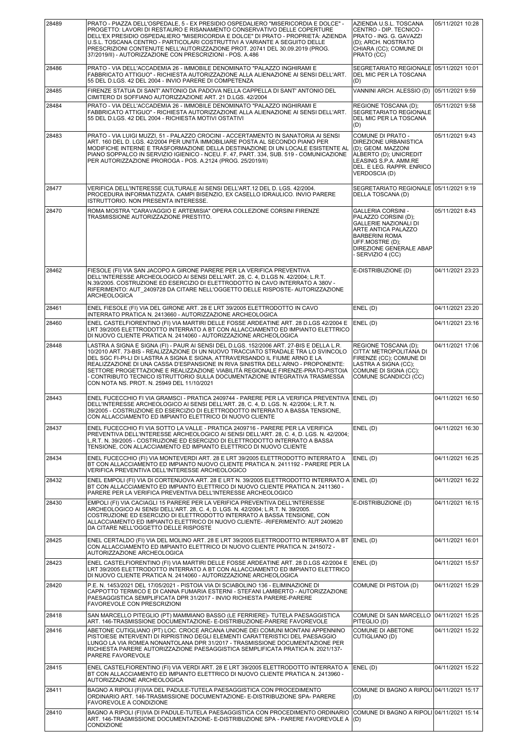| 28489 | PRATO - PIAZZA DELL'OSPEDALE, 5 - EX PRESIDIO OSPEDALIERO "MISERICORDIA E DOLCE" -<br>PROGETTO: LAVORI DI RESTAURO E RISANAMENTO CONSERVATIVO DELLE COPERTURE<br>DELL'EX PRESIDIO OSPEDALIERO "MISERICORDIA E DOLCE" DI PRATO - PROPRIETÀ: AZIENDA<br>U.S.L. TOSCANA CENTRO - PARTICOLARI COSTRUTTIVI A VARIANTE A SEGUITO DELLE<br>PRESCRIZIONI CONTENUTE NELL'AUTORIZZAZIONE PROT. 20741 DEL 30.09.2019 (PROG.<br>37/2019/II) - AUTORIZZAZIONE CON PRESCRIZIONI - POS. A.486                                                                                     | AZIENDA U.S.L. TOSCANA<br>CENTRO - DIP. TECNICO -<br>PRATO - ING. G. GAVAZZI<br>(D); ARCH. NOSTRATO<br>CHIARA (CC); COMUNE DI<br>PRATO (CC)                                                                 | 05/11/2021 10:28 |
|-------|--------------------------------------------------------------------------------------------------------------------------------------------------------------------------------------------------------------------------------------------------------------------------------------------------------------------------------------------------------------------------------------------------------------------------------------------------------------------------------------------------------------------------------------------------------------------|-------------------------------------------------------------------------------------------------------------------------------------------------------------------------------------------------------------|------------------|
| 28486 | PRATO - VIA DELL'ACCADEMIA 26 - IMMOBILE DENOMINATO "PALAZZO INGHIRAMI E<br>FABBRICATO ATTIGUO" - RICHIESTA AUTORIZZAZIONE ALLA ALIENAZIONE AI SENSI DELL'ART.<br>55 DEL D.LGS. 42 DEL 2004 - INVIO PARERE DI COMPETENZA                                                                                                                                                                                                                                                                                                                                           | SEGRETARIATO REGIONALE 05/11/2021 10:01<br>DEL MIC PER LA TOSCANA<br>(D)                                                                                                                                    |                  |
| 28485 | FIRENZE STATUA DI SANT' ANTONIO DA PADOVA NELLA CAPPELLA DI SANT' ANTONIO DEL<br>CIMITERO DI SOFFIANO AUTORIZZAZIONE ART. 21 D.LGS. 42/2004                                                                                                                                                                                                                                                                                                                                                                                                                        | VANNINI ARCH. ALESSIO (D)                                                                                                                                                                                   | 05/11/2021 9:59  |
| 28484 | PRATO - VIA DELL'ACCADEMIA 26 - IMMOBILE DENOMINATO "PALAZZO INGHIRAMI E<br>FABBRICATO ATTIGUO" - RICHIESTA AUTORIZZAZIONE ALLA ALIENAZIONE AI SENSI DELL'ART.<br>55 DEL D.LGS. 42 DEL 2004 - RICHIESTA MOTIVI OSTATIVI                                                                                                                                                                                                                                                                                                                                            | REGIONE TOSCANA (D);<br>SEGRETARIATO REGIONALE<br>DEL MIC PER LA TOSCANA<br>(D)                                                                                                                             | 05/11/2021 9:58  |
| 28483 | PRATO - VIA LUIGI MUZZI, 51 - PALAZZO CROCINI - ACCERTAMENTO IN SANATORIA AI SENSI<br>ART. 160 DEL D. LGS. 42/2004 PER UNITÀ IMMOBILIARE POSTA AL SECONDO PIANO PER<br>MODIFICHE INTERNE E TRASFORMAZIONE DELLA DESTINAZIONE DI UN LOCALE ESISTENTE AL<br>PIANO SOPPALCO IN SERVIZIO IGIENICO - NCEU. F. 47, PART. 334, SUB. 519 - COMUNICAZIONE<br>PER AUTORIZZAZIONE PROROGA - POS. A.2124 (PROG. 25/2019/II)                                                                                                                                                    | COMUNE DI PRATO -<br><b>DIREZIONE URBANISTICA</b><br>(D): GEOM. MAZZONI<br>ALBERTO (D); UNICREDIT<br>LEASING S.P.A. AMM.RE<br>DEL. E LEG. RAPPR. ENRICO<br>VERDOSCIA (D)                                    | 05/11/2021 9:43  |
| 28477 | VERIFICA DELL'INTERESSE CULTURALE AI SENSI DELL'ART.12 DEL D. LGS. 42/2004.<br>PROCEDURA INFORMATIZZATA. CAMPI BISENZIO, EX CASELLO IDRAULICO. INVIO PARERE<br>ISTRUTTORIO. NON PRESENTA INTERESSE.                                                                                                                                                                                                                                                                                                                                                                | SEGRETARIATO REGIONALE 05/11/2021 9:19<br>DELLA TOSCANA (D)                                                                                                                                                 |                  |
| 28470 | ROMA MOSTRA "CARAVAGGIO E ARTEMISIA" OPERA COLLEZIONE CORSINI FIRENZE<br>TRASMISSIONE AUTORIZZAZIONE PRESTITO.                                                                                                                                                                                                                                                                                                                                                                                                                                                     | <b>GALLERIA CORSINI -</b><br>PALAZZO CORSINI (D);<br><b>GALLERIE NAZIONALI DI</b><br>ARTE ANTICA PALAZZO<br><b>BARBERINI ROMA</b><br>UFF.MOSTRE (D);<br><b>DIREZIONE GENERALE ABAP</b><br>- SERVIZIO 4 (CC) | 05/11/2021 8:43  |
| 28462 | FIESOLE (FI) VIA SAN JACOPO A GIRONE PARERE PER LA VERIFICA PREVENTIVA<br>DELL'INTERESSE ARCHEOLOGICO AI SENSI DELL'ART. 28, C. 4, D.LGS N. 42/2004; L.R.T.<br>N.39/2005. COSTRUZIONE ED ESERCIZIO DI ELETTRODOTTO IN CAVO INTERRATO A 380V -<br>RIFERIMENTO: AUT 2409728 DA CITARE NELL'OGGETTO DELLE RISPOSTE- AUTORIZZAZIONE<br>ARCHEOLOGICA                                                                                                                                                                                                                    | E-DISTRIBUZIONE (D)                                                                                                                                                                                         | 04/11/2021 23:23 |
| 28461 | ENEL FIESOLE (FI) VIA DEL GIRONE ART. 28 E LRT 39/2005 ELETTRODOTTO IN CAVO<br>INTERRATO PRATICA N. 2413660 - AUTORIZZAZIONE ARCHEOLOGICA                                                                                                                                                                                                                                                                                                                                                                                                                          | ENEL(D)                                                                                                                                                                                                     | 04/11/2021 23:20 |
| 28460 | ENEL CASTELFIORENTINO (FI) VIA MARTIRI DELLE FOSSE ARDEATINE ART, 28 D.LGS 42/2004 E<br>LRT 39/2005 ELETTRODOTTO INTERRATO A BT CON ALLACCIAMENTO ED IMPIANTO ELETTRICO<br>DI NUOVO CLIENTE PRATICA N. 2414060 - AUTORIZZAZIONE ARCHEOLOGICA                                                                                                                                                                                                                                                                                                                       | ENEL(D)                                                                                                                                                                                                     | 04/11/2021 23:16 |
| 28448 | LASTRA A SIGNA E SIGNA (FI) - PAUR AI SENSI DEL D.LGS. 152/2006 ART. 27-BIS E DELLA L.R.<br>10/2010 ART. 73-BIS - REALIZZAZIONE DI UN NUOVO TRACCIATO STRADALE TRA LO SVINCOLO<br>DEL SGC FI-PI-LI DI LASTRA A SIGNA E SIGNA, ATTRAVERSANDO IL FIUME ARNO E LA<br>REALIZZAZIONE DI UNA CASSA D'ESPANSIONE IN RIVA SINISTRA DELL'ARNO - PROPONENTE:<br>SETTORE PROGETTAZIONE E REALIZZAZIONE VIABILITÀ REGIONALE FIRENZE-PRATO-PISTOIA<br>- CONTRIBUTO TECNICO ISTRUTTORIO SULLA DOCUMENTAZIONE INTEGRATIVA TRASMESSA<br>CON NOTA NS. PROT. N. 25949 DEL 11/10/2021 | REGIONE TOSCANA (D);<br>CITTA' METROPOLITANA DI<br>FIRENZE (CC); COMUNE DI<br>LASTRA A SIGNA (CC);<br>COMUNE DI SIGNA (CC);<br>COMUNE SCANDICCI (CC)                                                        | 04/11/2021 17:06 |
| 28443 | ENEL FUCECCHIO FI VIA GRAMSCI - PRATICA 2409744 - PARERE PER LA VERIFICA PREVENTIVA<br>DELL'INTERESSE ARCHEOLOGICO AI SENSI DELL'ART. 28, C. 4, D. LGS. N. 42/2004; L.R.T. N.<br>39/2005 - COSTRUZIONE ED ESERCIZIO DI ELETTRODOTTO INTERRATO A BASSA TENSIONE,<br>CON ALLACCIAMENTO ED IMPIANTO ELETTRICO DI NUOVO CLIENTE                                                                                                                                                                                                                                        | ENEL (D)                                                                                                                                                                                                    | 04/11/2021 16:50 |
| 28437 | ENEL FUCECCHIO FI VIA SOTTO LA VALLE - PRATICA 2409716 - PARERE PER LA VERIFICA<br>PREVENTIVA DELL'INTERESSE ARCHEOLOGICO AI SENSI DELL'ART. 28, C. 4, D. LGS. N. 42/2004;<br>L.R.T. N. 39/2005 - COSTRUZIONE ED ESERCIZIO DI ELETTRODOTTO INTERRATO A BASSA<br>TENSIONE, CON ALLACCIAMENTO ED IMPIANTO ELETTRICO DI NUOVO CLIENTE                                                                                                                                                                                                                                 | ENEL(D)                                                                                                                                                                                                     | 04/11/2021 16:30 |
| 28434 | ENEL FUCECCHIO (FI) VIA MONTEVERDI ART. 28 E LRT 39/2005 ELETTRODOTTO INTERRATO A<br>BT CON ALLACCIAMENTO ED IMPIANTO NUOVO CLIENTE PRATICA N. 2411192 - PARERE PER LA<br>VERIFICA PREVENTIVA DELL'INTERESSE ARCHEOLOGICO                                                                                                                                                                                                                                                                                                                                          | ENEL(D)                                                                                                                                                                                                     | 04/11/2021 16:25 |
| 28432 | ENEL EMPOLI (FI) VIA DI CORTENUOVA ART. 28 E LRT N. 39/2005 ELETTRODOTTO INTERRATO A ENEL (D)<br>BT CON ALLACCIAMENTO ED IMPIANTO ELETTRICO DI NUOVO CLIENTE PRATICA N. 2411360 -<br>PARERE PER LA VERIFICA PREVENTIVA DELL'INTERESSE ARCHEOLOGICO                                                                                                                                                                                                                                                                                                                 |                                                                                                                                                                                                             | 04/11/2021 16:22 |
| 28430 | EMPOLI (FI) VIA CACIAGLI 15 PARERE PER LA VERIFICA PREVENTIVA DELL'INTERESSE<br>ARCHEOLOGICO AI SENSI DELL'ART. 28, C. 4, D. LGS. N. 42/2004; L.R.T. N. 39/2005.<br>COSTRUZIONE ED ESERCIZIO DI ELETTRODOTTO INTERRATO A BASSA TENSIONE, CON<br>ALLACCIAMENTO ED IMPIANTO ELETTRICO DI NUOVO CLIENTE- -RIFERIMENTO: AUT 2409620<br>DA CITARE NELL'OGGETTO DELLE RISPOSTE                                                                                                                                                                                           | E-DISTRIBUZIONE (D)                                                                                                                                                                                         | 04/11/2021 16:15 |
| 28425 | ENEL CERTALDO (FI) VIA DEL MOLINO ART. 28 E LRT 39/2005 ELETTRODOTTO INTERRATO A BT<br>CON ALLACCIAMENTO ED IMPIANTO ELETTRICO DI NUOVO CLIENTE PRATICA N. 2415072 -<br>AUTORIZZAZIONE ARCHEOLOGICA                                                                                                                                                                                                                                                                                                                                                                | ENEL (D)                                                                                                                                                                                                    | 04/11/2021 16:01 |
| 28423 | ENEL CASTELFIORENTINO (FI) VIA MARTIRI DELLE FOSSE ARDEATINE ART. 28 D.LGS 42/2004 E<br>LRT 39/2005 ELETTRODOTTO INTERRATO A BT CON ALLACCIAMENTO ED IMPIANTO ELETTRICO<br>DI NUOVO CLIENTE PRATICA N. 2414060 - AUTORIZZAZIONE ARCHEOLOGICA                                                                                                                                                                                                                                                                                                                       | ENEL(D)                                                                                                                                                                                                     | 04/11/2021 15:57 |
| 28420 | P.E. N. 1453/2021 DEL 17/05/2021 - PISTOIA VIA DI SCIABOLINO 136 - ELIMINAZIONE DI<br>CAPPOTTO TERMICO E DI CANNA FUMARIA ESTERNI - STEFANI LAMBERTO - AUTORIZZAZIONE<br>PAESAGGISTICA SEMPLIFICATA DPR 31/2017 - INVIO RICHIESTA PARERE-PARERE<br>FAVOREVOLE CON PRESCRIZIONI                                                                                                                                                                                                                                                                                     | COMUNE DI PISTOIA (D)                                                                                                                                                                                       | 04/11/2021 15:29 |
| 28418 | SAN MARCELLO PITEGLIO (PT) MAMMIANO BASSO (LE FERRIERE)- TUTELA PAESAGGISTICA<br>ART. 146-TRASMISSIONE DOCUMENTAZIONE- E-DISTRIBUZIONE-PARERE FAVOREVOLE                                                                                                                                                                                                                                                                                                                                                                                                           | COMUNE DI SAN MARCELLO<br>PITEGLIO (D)                                                                                                                                                                      | 04/11/2021 15:25 |
| 28416 | ABETONE CUTIGLIANO (PT) LOC. CROCE ARCANA UNIONE DEI COMUNI MONTANI APPENNINO<br>PISTOIESE INTERVENTI DI RIPRISTINO DEGLI ELEMENTI CARATTERISTICI DEL PAESAGGIO<br>LUNGO LA VIA ROMEA NONANTOLANA DPR 31/2017 - TRASMISSIONE DOCUMENTAZIONE PER<br>RICHIESTA PARERE AUTORIZZAZIONE PAESAGGISTICA SEMPLIFICATA PRATICA N. 2021/137-<br>PARERE FAVOREVOLE                                                                                                                                                                                                            | <b>COMUNE DI ABETONE</b><br>CUTIGLIANO (D)                                                                                                                                                                  | 04/11/2021 15:22 |
| 28415 | ENEL CASTELFIORENTINO (FI) VIA VERDI ART. 28 E LRT 39/2005 ELETTRODOTTO INTERRATO A<br>BT CON ALLACCIAMENTO ED IMPIANTO ELETTRICO DI NUOVO CLIENTE PRATICA N. 2413960 -<br>AUTORIZZAZIONE ARCHEOLOGICA                                                                                                                                                                                                                                                                                                                                                             | ENEL (D)                                                                                                                                                                                                    | 04/11/2021 15:22 |
| 28411 | BAGNO A RIPOLI (FI)VIA DEL PADULE-TUTELA PAESAGGISTICA CON PROCEDIMENTO<br>ORDINARIO ART. 146-TRASMISSIONE DOCUMENTAZIONE- E-DISTRIBUZIONE SPA- PARERE<br>FAVOREVOLE A CONDIZIONE                                                                                                                                                                                                                                                                                                                                                                                  | COMUNE DI BAGNO A RIPOLI 04/11/2021 15:17<br>(D)                                                                                                                                                            |                  |
| 28410 | BAGNO A RIPOLI (FI)VIA DI PADULE-TUTELA PAESAGGISTICA CON PROCEDIMENTO ORDINARIO<br>ART. 146-TRASMISSIONE DOCUMENTAZIONE- E-DISTRIBUZIONE SPA - PARERE FAVOREVOLE A<br>CONDIZIONE                                                                                                                                                                                                                                                                                                                                                                                  | COMUNE DI BAGNO A RIPOLI 04/11/2021 15:14<br>(D)                                                                                                                                                            |                  |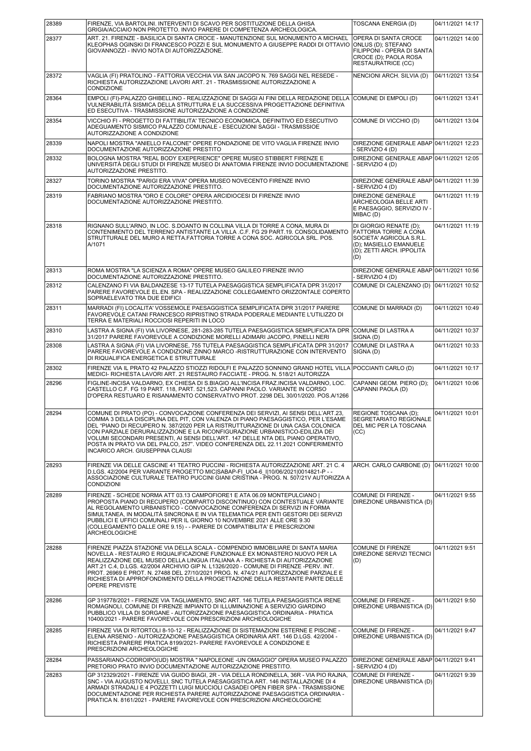| 28389 | FIRENZE, VIA BARTOLINI. INTERVENTI DI SCAVO PER SOSTITUZIONE DELLA GHISA<br>GRIGIA/ACCIAIO NON PROTETTO. INVIO PARERE DI COMPETENZA ARCHEOLOGICA.                                                                                                                                                                                                                                                                                                                                                                                                     | TOSCANA ENERGIA (D)                                                                                                                       | 04/11/2021 14:17 |
|-------|-------------------------------------------------------------------------------------------------------------------------------------------------------------------------------------------------------------------------------------------------------------------------------------------------------------------------------------------------------------------------------------------------------------------------------------------------------------------------------------------------------------------------------------------------------|-------------------------------------------------------------------------------------------------------------------------------------------|------------------|
| 28377 | ART. 21. FIRENZE - BASILICA DI SANTA CROCE - MANUTENZIONE SUL MONUMENTO A MICHAEL<br>KLEOPHAS OGINSKI DI FRANCESCO POZZI E SUL MONUMENTO A GIUSEPPE RADDI DI OTTAVIO (ONLUS (D); STEFANO<br>GIOVANNOZZI - INVIO NOTA DI AUTORIZZAZIONE.                                                                                                                                                                                                                                                                                                               | OPERA DI SANTA CROCE<br>FILIPPONI - OPERA DI SANTA<br>CROCE (D); PAOLA ROSA<br><b>RESTAURATRICE (CC)</b>                                  | 04/11/2021 14:00 |
| 28372 | VAGLIA (FI) PRATOLINO - FATTORIA VECCHIA VIA SAN JACOPO N. 769 SAGGI NEL RESEDE -<br>RICHIESTA AUTORIZZAZIONE LAVORI ART. 21 - TRASMISSIONE AUTORIZZAZIONE A<br>CONDIZIONE                                                                                                                                                                                                                                                                                                                                                                            | NENCIONI ARCH. SILVIA (D)                                                                                                                 | 04/11/2021 13:54 |
| 28364 | EMPOLI (FI)-PALAZZO GHIBELLINO - REALIZZAZIONE DI SAGGI AI FINI DELLA REDAZIONE DELLA<br>VULNERABILITÀ SISMICA DELLA STRUTTURA E LA SUCCESSIVA PROGETTAZIONE DEFINITIVA<br>ED ESECUTIVA - TRASMISSIONE AUTORIZZAZIONE A CONDIZIONE                                                                                                                                                                                                                                                                                                                    | COMUNE DI EMPOLI (D)                                                                                                                      | 04/11/2021 13:41 |
| 28354 | VICCHIO FI - PROGETTO DI FATTIBILITA' TECNICO ECONOMICA, DEFINITIVO ED ESECUTIVO<br>ADEGUAMENTO SISMICO PALAZZO COMUNALE - ESECUZIONI SAGGI - TRASMISSIOE<br>AUTORIZZAZIONE A CONDIZIONE                                                                                                                                                                                                                                                                                                                                                              | COMUNE DI VICCHIO (D)                                                                                                                     | 04/11/2021 13:04 |
| 28339 | NAPOLI MOSTRA "ANIELLO FALCONE" OPERE FONDAZIONE DE VITO VAGLIA FIRENZE INVIO<br>DOCUMENTAZIONE AUTORIZZAZIONE PRESTITO                                                                                                                                                                                                                                                                                                                                                                                                                               | DIREZIONE GENERALE ABAP 04/11/2021 12:23<br>- SERVIZIO 4 (D)                                                                              |                  |
| 28332 | BOLOGNA MOSTRA "REAL BODY EXEPERIENCE" OPERE MUSEO STIBBERT FIRENZE E<br>UNIVERSITÀ DEGLI STUDI DI FIRENZE MUSEO DI ANATOMIA FIRENZE INVIO DOCUMENTAZIONE<br>AUTORIZZAZIONE PRESTITO.                                                                                                                                                                                                                                                                                                                                                                 | DIREZIONE GENERALE ABAP 04/11/2021 12:05<br>- SERVIZIO 4 (D)                                                                              |                  |
| 28327 | TORINO MOSTRA "PARIGI ERA VIVA" OPERA MUSEO NOVECENTO FIRENZE INVIO<br>DOCUMENTAZIONE AUTORIZZAZIONE PRESTITO.                                                                                                                                                                                                                                                                                                                                                                                                                                        | DIREZIONE GENERALE ABAP 04/11/2021 11:39<br>- SERVIZIO 4 (D)                                                                              |                  |
| 28319 | FABRIANO MOSTRA "ORO E COLORE" OPERA ARCIDIOCESI DI FIRENZE INVIO<br>DOCUMENTAZIONE AUTORIZZAZIONE PRESTITO.                                                                                                                                                                                                                                                                                                                                                                                                                                          | <b>DIREZIONE GENERALE</b><br><b>ARCHEOLOGIA BELLE ARTI</b><br>E PAESAGGIO, SERVIZIO IV -<br>MIBAC (D)                                     | 04/11/2021 11:19 |
| 28318 | RIGNANO SULL'ARNO, IN LOC. S.DOANTO IN COLLINA VILLA DI TORRE A CONA, MURA DI<br>CONTENIMENTO DEL TERRENO ANTISTANTE LA VILLA .C.F. FG 29 PART.19. CONSOLIDAMENTO<br>STRUTTURALE DEL MURO A RETTA FATTORIA TORRE A CONA SOC. AGRICOLA SRL. POS.<br>A/1071                                                                                                                                                                                                                                                                                             | DI GIORGIO RENATE (D);<br>FATTORIA TORRE A CONA<br>SOCIETA' AGRICOLA S.R.L.<br>(D); MASIELLO EMANUELE<br>(D); ZETTI ARCH. IPPOLITA<br>(D) | 04/11/2021 11:19 |
| 28313 | ROMA MOSTRA "LA SCIENZA A ROMA" OPERE MUSEO GALILEO FIRENZE INVIO<br>DOCUMENTAZIONE AUTORIZZAZIONE PRESTITO.                                                                                                                                                                                                                                                                                                                                                                                                                                          | DIREZIONE GENERALE ABAP 04/11/2021 10:56<br>- SERVIZIO 4 (D)                                                                              |                  |
| 28312 | CALENZANO FI VIA BALDANZESE 13-17 TUTELA PAESAGGISTICA SEMPLIFICATA DPR 31/2017<br>PARERE FAVOREVOLE EL.EN. SPA - REALIZZAZIONE COLLEGAMENTO ORIZZONTALE COPERTO<br>SOPRAELEVATO TRA DUE EDIFICI                                                                                                                                                                                                                                                                                                                                                      | COMUNE DI CALENZANO (D)                                                                                                                   | 04/11/2021 10:52 |
| 28311 | MARRADI (FI) LOCALITA' VOSSEMOLE PAESAGGISTICA SEMPLIFICATA DPR 31/2017 PARERE<br>FAVOREVOLE CATANI FRANCESCO RIPRISTINO STRADA PODERALE MEDIANTE L'UTILIZZO DI<br>TERRA E MATERIALI ROCCIOSI REPERITI IN LOCO                                                                                                                                                                                                                                                                                                                                        | COMUNE DI MARRADI (D)                                                                                                                     | 04/11/2021 10:49 |
| 28310 | LASTRA A SIGNA (FI) VIA LIVORNESE, 281-283-285 TUTELA PAESAGGISTICA SEMPLIFICATA DPR<br>31/2017 PARERE FAVOREVOLE A CONDIZIONE MORELLI ADIMARI JACOPO, PINELLI NERI                                                                                                                                                                                                                                                                                                                                                                                   | COMUNE DI LASTRA A<br>SIGNA (D)                                                                                                           | 04/11/2021 10:37 |
| 28308 | LASTRA A SIGNA (FI) VIA LIVORNESE, 755 TUTELA PAESAGGISTICA SEMPLIFICATA DPR 31/2017<br>PARERE FAVOREVOLE A CONDIZIONE ZINNO MARCO -RISTRUTTURAZIONE CON INTERVENTO<br>DI RIQUALIFICA ENERGETICA E STRUTTURALE                                                                                                                                                                                                                                                                                                                                        | COMUNE DI LASTRA A<br>SIGNA (D)                                                                                                           | 04/11/2021 10:33 |
| 28302 | FIRENZE VIA IL PRATO 42 PALAZZO STIOZZI RIDOLFI E PALAZZO SONNINO GRAND HOTEL VILLA POCCIANTI CARLO (D)<br>MEDICI- RICHIESTA LAVORI ART. 21 RESTAURO FACCIATE - PROG. N. 518/21 AUTORIZZA                                                                                                                                                                                                                                                                                                                                                             |                                                                                                                                           | 04/11/2021 10:17 |
| 28296 | FIGLINE-INCISA VALDARNO. EX CHIESA DI S.BIAGIO ALL'INCISA FRAZ.INCISA VALDARNO. LOC.<br>CASTELLO C.F. FG 19 PART. 118, PART. 521,523. CAPANNI PAOLO. VARIANTE IN CORSO<br>D'OPERA RESTUARO E RISANAMENTO CONSERVATIVO PROT. 2298 DEL 30/01/2020. POS.A/1266                                                                                                                                                                                                                                                                                           | CAPANNI GEOM. PIERO (D);<br>CAPANNI PAOLA (D)                                                                                             | 04/11/2021 10:06 |
| 28294 | COMUNE DI PRATO (PO) - CONVOCAZIONE CONFERENZA DEI SERVIZI. AI SENSI DELL'ART.23.<br>COMMA 3 DELLA DISCIPLINA DEL PIT, CON VALENZA DI PIANO PAESAGGISTICO, PER L'ESAME<br>DEL "PIANO DI RECUPERO N. 387/2020 PER LA RISTRUTTURAZIONE DI UNA CASA COLONICA<br>CON PARZIALE DERURALIZZAZIONE E LA RICONFIGURAZIONE URBANISTICO-EDILIZIA DEI<br>VOLUMI SECONDARI PRESENTI, AI SENSI DELL'ART. 147 DELLE NTA DEL PIANO OPERATIVO,<br>POSTA IN PRATO VIA DEL PALCO, 257". VIDEO CONFERENZA DEL 22.11.2021 CONFERIMENTO<br>INCARICO ARCH. GIUSEPPINA CLAUSI | REGIONE TOSCANA (D);<br>SEGRETARIATO REGIONALE<br>DEL MIC PER LA TOSCANA<br>(CC)                                                          | 04/11/2021 10:01 |
| 28293 | FIRENZE VIA DELLE CASCINE 41 TEATRO PUCCINI - RICHIESTA AUTORIZZAZIONE ART. 21 C. 4<br>D.LGS. 42/2004 PER VARIANTE PROGETTO MIC SABAP-FI UO4-6 I 10/06/2021 0014821-P - -<br>ASSOCIAZIONE CULTURALE TEATRO PUCCINI GIANI CRISTINA - PROG. N. 507/21V AUTORIZZA A<br><b>CONDIZIONI</b>                                                                                                                                                                                                                                                                 | ARCH. CARLO CARBONE (D)                                                                                                                   | 04/11/2021 10:00 |
| 28289 | FIRENZE - SCHEDE NORMA ATT 03.13 CAMPOFIORE1 E ATA 06.09 MONTEPULCIANO<br>PROPOSTA PIANO DI RECUPERO (COMPARTO DISCONTINUO) CON CONTESTUALE VARIANTE<br>AL REGOLAMENTO URBANISTICO - CONVOCAZIONE CONFERENZA DI SERVIZI IN FORMA<br>SIMULTANEA, IN MODALITÀ SINCRONA E IN VIA TELEMATICA PER ENTI GESTORI DEI SERVIZI<br>PUBBLICI E UFFICI COMUNALI PER IL GIORNO 10 NOVEMBRE 2021 ALLE ORE 9.30<br>(COLLEGAMENTO DALLE ORE 9.15) - - PARERE DI COMPATIBILITA' E PRESCRIZIONI<br><b>ARCHEOLOGICHE</b>                                                 | COMUNE DI FIRENZE -<br>DIREZIONE URBANISTICA (D)                                                                                          | 04/11/2021 9:55  |
| 28288 | FIRENZE PIAZZA STAZIONE VIA DELLA SCALA - COMPENDIO IMMOBILIARE DI SANTA MARIA<br>NOVELLA - RESTAURO E RIQUALIFICAZIONE FUNZIONALE EX MONASTERO NUOVO PER LA<br>REALIZZAZIONE DEL MUSEO DELLA LINGUA ITALIANA A - RICHIESTA DI AUTORIZZAZIONE<br>ART.21 C.4, D.LGS. 42/2004 ARCHIVIO GIP N. L1326/2020 - COMUNE DI FIRENZE -PERV. INT.<br>PROT. 26969 E PROT. N. 27488 DEL 27/10/2021 PROG. N. 474/21 AUTORIZZAZIONE PARZIALE E<br>RICHIESTA DI APPROFONDIMENTO DELLA PROGETTAZIONE DELLA RESTANTE PARTE DELLE<br>OPERE PREVISTE                      | <b>COMUNE DI FIRENZE</b><br>DIREZIONE SERVIZI TECNICI<br>(D)                                                                              | 04/11/2021 9:51  |
| 28286 | GP 319778/2021 - FIRENZE VIA TAGLIAMENTO, SNC ART. 146 TUTELA PAESAGGISTICA IRENE<br>ROMAGNOLI, COMUNE DI FIRENZE IMPIANTO DI ILLUMINAZIONE A SERVIZIO GIARDINO<br>PUBBLICO VILLA DI SORGANE - AUTORIZZAZIONE PAESAGGISTICA ORDINARIA - PRATICA<br>10400/2021 - PARERE FAVOREVOLE CON PRESCRIZIONI ARCHEOLOGICHE                                                                                                                                                                                                                                      | COMUNE DI FIRENZE -<br>DIREZIONE URBANISTICA (D)                                                                                          | 04/11/2021 9:50  |
| 28285 | FIRENZE VIA DI RITORTOLI 8-10-12 - REALIZZAZIONE DI SISTEMAZIONI ESTERNE E PISCINE -<br>ELENA ARSENIO - AUTORIZZAZIONE PAESAGGISTICA ORDINARIA ART. 146 D.LGS. 42/2004 -<br>RICHIESTA PARERE PRATICA 8199/2021- PARERE FAVOREVOLE A CONDIZIONE E<br>PRESCRIZIONI ARCHEOLOGICHE                                                                                                                                                                                                                                                                        | COMUNE DI FIRENZE -<br>DIREZIONE URBANISTICA (D)                                                                                          | 04/11/2021 9:47  |
| 28284 | PASSARIANO-CODROIPO(UD) MOSTRA " NAPOLEONE - UN OMAGGIO" OPERA MUSEO PALAZZO<br>PRETORIO PRATO INVIO DOCUMENTAZIONE AUTORIZZAZIONE PRESTITO.                                                                                                                                                                                                                                                                                                                                                                                                          | DIREZIONE GENERALE ABAP 04/11/2021 9:41<br>- SERVIZIO 4 (D)                                                                               |                  |
| 28283 | GP 312329/2021 - FIRENZE VIA GUIDO BIAGI, 2R - VIA DELLA RONDINELLA, 36R - VIA PIO RAJNA,<br>SNC - VIA AUGUSTO NOVELLI, SNC TUTELA PAESAGGISTICA ART. 146 INSTALLAZIONE DI 4<br>ARMADI STRADALI E 4 POZZETTI LUIGI MUCCIOLI CASADEI OPEN FIBER SPA - TRASMISSIONE<br>DOCUMENTAZIONE PER RICHIESTA PARERE AUTORIZZAZIONE PAESAGGISTICA ORDINARIA -<br>PRATICA N. 8161/2021 - PARERE FAVOREVOLE CON PRESCRIZIONI ARCHEOLOGICHE                                                                                                                          | COMUNE DI FIRENZE -<br>DIREZIONE URBANISTICA (D)                                                                                          | 04/11/2021 9:39  |
|       |                                                                                                                                                                                                                                                                                                                                                                                                                                                                                                                                                       |                                                                                                                                           |                  |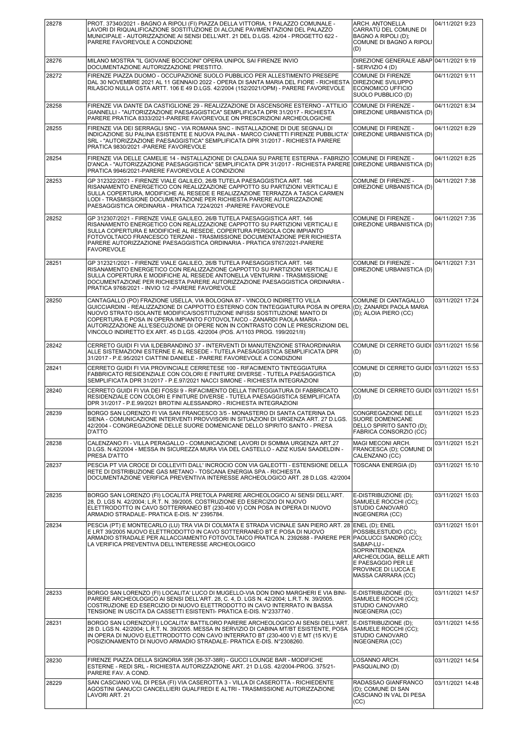| 28278 | PROT. 37340/2021 - BAGNO A RIPOLI (FI) PIAZZA DELLA VITTORIA, 1 PALAZZO COMUNALE -<br>LAVORI DI RIQUALIFICAZIONE SOSTITUZIONE DI ALCUNE PAVIMENTAZIONI DEL PALAZZO<br>MUNICIPALE - AUTORIZZAZIONE AI SENSI DELL'ART. 21 DEL D.LGS. 42/04 - PROGETTO 622 -<br>PARERE FAVOREVOLE A CONDIZIONE                                                                                                                                                                                             | ARCH. ANTONELLA<br>CARRATÙ DEL COMUNE DI<br>BAGNO A RIPOLI (D);<br>COMUNE DI BAGNO A RIPOLI<br>(D)                                                                   | 04/11/2021 9:23  |
|-------|-----------------------------------------------------------------------------------------------------------------------------------------------------------------------------------------------------------------------------------------------------------------------------------------------------------------------------------------------------------------------------------------------------------------------------------------------------------------------------------------|----------------------------------------------------------------------------------------------------------------------------------------------------------------------|------------------|
| 28276 | MILANO MOSTRA "IL GIOVANE BOCCIONI" OPERA UNIPOL SAI FIRENZE INVIO<br>DOCUMENTAZIONE AUTORIZZAZIONE PRESTITO.                                                                                                                                                                                                                                                                                                                                                                           | DIREZIONE GENERALE ABAP 04/11/2021 9:19<br>- SERVIZIO 4 (D)                                                                                                          |                  |
| 28272 | FIRENZE PIAZZA DUOMO - OCCUPAZIONE SUOLO PUBBLICO PER ALLESTIMENTO PRESEPE<br>DAL 30 NOVEMBRE 2021 AL 11 GENNAIO 2022 - OPERA DI SANTA MARIA DEL FIORE - RICHIESTA<br>RILASCIO NULLA OSTA ARTT. 106 E 49 D.LGS. 42/2004 (152/2021/OPM) - PARERE FAVOREVOLE                                                                                                                                                                                                                              | COMUNE DI FIRENZE<br>DIREZIONE SVILUPPO<br>ECONOMICO UFFICIO<br>SUOLO PUBBLICO (D)                                                                                   | 04/11/2021 9:11  |
| 28258 | FIRENZE VIA DANTE DA CASTIGLIONE 29 - REALIZZAZIONE DI ASCENSORE ESTERNO - ATTILIO<br>GIANNELLI - "AUTORIZZAZIONE PAESAGGISTICA" SEMPLIFICATA DPR 31/2017 - RICHIESTA<br>PARERE PRATICA 8333/2021-PARERE FAVOREVOLE ON PRESCRIZIONI ARCHEOLOGICHE                                                                                                                                                                                                                                       | COMUNE DI FIRENZE -<br>DIREZIONE URBANISTICA (D)                                                                                                                     | 04/11/2021 8:34  |
| 28255 | FIRENZE VIA DEI SERRAGLI SNC - VIA ROMANA SNC - INSTALLAZIONE DI DUE SEGNALI DI<br>INDICAZIONE SU PALINA ESISTENTE E NUOVA PALINA - MARCO CIANETTI FIRENZE PUBBLICTA'<br>SRL - "AUTORIZZAZIONE PAESAGGISTICA" SEMPLIFICATA DPR 31/2017 - RICHIESTA PARERE<br>PRATICA 9830/2021 - PARERE FAVOREVOLE                                                                                                                                                                                      | COMUNE DI FIRENZE -<br>DIREZIONE URBANISTICA (D)                                                                                                                     | 04/11/2021 8:29  |
| 28254 | FIRENZE VIA DELLE CAMELIE 14 - INSTALLAZIONE DI CALDAIA SU PARETE ESTERNA - FABRIZIO<br>D'ANCA - "AUTORIZZAZIONE PAESAGGISTICA" SEMPLIFICATA DPR 31/2017 - RICHIESTA PARERE<br>PRATICA 9946/2021-PARERE FAVOREVOLE A CONDIZIONI                                                                                                                                                                                                                                                         | <b>COMUNE DI FIRENZE -</b><br>DIREZIONE URBANISTICA (D)                                                                                                              | 04/11/2021 8:25  |
| 28253 | GP 312322/2021 - FIRENZE VIALE GALILEO, 26/B TUTELA PAESAGGISTICA ART. 146<br>RISANAMENTO ENERGETICO CON REALIZZAZIONE CAPPOTTO SU PARTIZIONI VERTICALI E<br>SULLA COPERTURA, MODIFICHE AL RESEDE E REALIZZAZIONE TERRAZZA A TASCA CARMEN<br>LODI - TRASMISSIONE DOCUMENTAZIONE PER RICHIESTA PARERE AUTORIZZAZIONE<br>PAESAGGISTICA ORDINARIA - PRATICA 7224/2021 - PARERE FAVOREVOLE                                                                                                  | COMUNE DI FIRENZE -<br>DIREZIONE URBANISTICA (D)                                                                                                                     | 04/11/2021 7:38  |
| 28252 | GP 312307/2021 - FIRENZE VIALE GALILEO, 26/B TUTELA PAESAGGISTICA ART. 146<br>RISANAMENTO ENERGETICO CON REALIZZAZIONE CAPPOTTO SU PARTIZIONI VERTICALI E<br>SULLA COPERTURA E MODIFICHE AL RESEDE, COPERTURA PERGOLA CON IMPIANTO<br>FOTOVOLTAICO FRANCESCO TERZANI - TRASMISSIONE DOCUMENTAZIONE PER RICHIESTA<br>PARERE AUTORIZZAZIONE PAESAGGISTICA ORDINARIA - PRATICA 9767/2021-PARERE<br><b>FAVOREVOLE</b>                                                                       | COMUNE DI FIRENZE -<br>DIREZIONE URBANISTICA (D)                                                                                                                     | 04/11/2021 7:35  |
| 28251 | GP 312321/2021 - FIRENZE VIALE GALILEO, 26/B TUTELA PAESAGGISTICA ART. 146<br>RISANAMENTO ENERGETICO CON REALIZZAZIONE CAPPOTTO SU PARTIZIONI VERTICALI E<br>SULLA COPERTURA E MODIFICHE AL RESEDE ANTONELLA VENTURINI - TRASMISSIONE<br>DOCUMENTAZIONE PER RICHIESTA PARERE AUTORIZZAZIONE PAESAGGISTICA ORDINARIA -<br>PRATICA 9768/2021 - INVIO 1/2 - PARERE FAVOREVOLE                                                                                                              | COMUNE DI FIRENZE -<br>DIREZIONE URBANISTICA (D)                                                                                                                     | 04/11/2021 7:31  |
| 28250 | CANTAGALLO (PO) FRAZIONE USELLA, VIA BOLOGNA 87 - VINCOLO INDIRETTO VILLA<br>GUICCIARDINI - REALIZZAZIONE DI CAPPOTTO ESTERNO CON TINTEGGIATURA POSA IN OPERA<br>NUOVO STRATO ISOLANTE MODIFICA/SOSTITUZIONE INFISSI SOSTITUZIONE MANTO DI<br>COPERTURA E POSA IN OPERA IMPIANTO FOTOVOLTAICO - ZANARDI PAOLA MARIA -<br>AUTORIZZAZIONE ALL'ESECUZIONE DI OPERE NON IN CONTRASTO CON LE PRESCRIZIONI DEL<br>VINCOLO INDIRETTO EX ART. 45 D.LGS. 42/2004 (POS. A/1103 PROG. 199/2021/II) | COMUNE DI CANTAGALLO<br>(D); ZANARDI PAOLA MARIA<br>(D); ALOIA PIERO (CC)                                                                                            | 03/11/2021 17:24 |
| 28242 | CERRETO GUIDI FI VIA ILDEBRANDINO 37 - INTERVENTI DI MANUTENZIONE STRAORDINARIA<br>ALLE SISTEMAZIONI ESTERNE E AL RESEDE - TUTELA PAESAGGISTICA SEMPLIFICATA DPR<br>31/2017 - P.E.95/2021 CIATTINI DANIELE - PARERE FAVOREVOLE A CONDIZIONI                                                                                                                                                                                                                                             | COMUNE DI CERRETO GUIDI 03/11/2021 15:56<br>(D)                                                                                                                      |                  |
| 28241 | CERRETO GUIDI FI VIA PROVINCIALE CERRETESE 100 - RIFACIMENTO TINTEGGIATURA<br>FABBRICATO RESIDENZIALE CON COLORI E FINITURE DIVERSE - TUTELA PAESAGGISTICA<br>SEMPLIFICATA DPR 31/2017 - P.E.97/2021 NACCI SIMONE - RICHIESTA INTEGRAZIONI                                                                                                                                                                                                                                              | COMUNE DI CERRETO GUIDI 03/11/2021 15:53<br>(D)                                                                                                                      |                  |
| 28240 | CERRETO GUIDI FI VIA DEI FOSSI 9 - RIFACIMENTO DELLA TINTEGGIATURA DI FABBRICATO<br>RESIDENZIALE CON COLORI E FINITURE DIVERSE - TUTELA PAESAGGISTICA SEMPLIFICATA<br>DPR 31/2017 - P.E.99/2021 BROTINI ALESSANDRO - RICHIESTA INTEGRAZIONI                                                                                                                                                                                                                                             | COMUNE DI CERRETO GUIDI 03/11/2021 15:51<br>(D)                                                                                                                      |                  |
| 28239 | BORGO SAN LORENZO FI VIA SAN FRANCESCO 3/5 - MONASTERO DI SANTA CATERINA DA<br>SIENA - COMUNICAZIONE INTERVENTI PROVVISORI IN SITUAZIONI DI URGENZA ART. 27 D.LGS.<br>42/2004 - CONGREGAZIONE DELLE SUORE DOMENICANE DELLO SPIRITO SANTO - PRESA<br>D'ATTO                                                                                                                                                                                                                              | CONGREGAZIONE DELLE<br>SUORE DOMENICANE<br>DELLO SPIRITO SANTO (D);<br>FABRICA CONSORZIO (CC)                                                                        | 03/11/2021 15:23 |
| 28238 | CALENZANO FI - VILLA PERAGALLO - COMUNICAZIONE LAVORI DI SOMMA URGENZA ART.27<br>D.LGS. N.42/2004 - MESSA IN SICUREZZA MURA VIA DEL CASTELLO - AZIZ KUSAI SAADELDIN -<br>PRESA D'ATTO                                                                                                                                                                                                                                                                                                   | MAGI MECONI ARCH.<br>FRANCESCA (D); COMUNE DI<br>CALENZANO (CC)                                                                                                      | 03/11/2021 15:21 |
| 28237 | PESCIA PT VIA CROCE DI COLLEVITI DALL' INCROCIO CON VIA GALEOTTI - ESTENSIONE DELLA<br>RETE DI DISTRIBUZIONE GAS METANO - TOSCANA ENERGIA SPA - RICHIESTA<br>DOCUMENTAZIONE VERIFICA PREVENTIVA INTERESSE ARCHEOLOGICO ART. 28 D.LGS. 42/2004                                                                                                                                                                                                                                           | TOSCANA ENERGIA (D)                                                                                                                                                  | 03/11/2021 15:10 |
| 28235 | BORGO SAN LORENZO (FI) LOCALITÀ PRETOLA PARERE ARCHEOLOGICO AI SENSI DELL'ART.<br>28, D. LGS N. 42/2004; L.R.T. N. 39/2005. COSTRUZIONE ED ESERCIZIO DI NUOVO<br>ELETTRODOTTO IN CAVO SOTTERRANEO BT (230-400 V) CON POSA IN OPERA DI NUOVO<br>ARMADIO STRADALE- PRATICA E-DIS. N° 2395784.                                                                                                                                                                                             | E-DISTRIBUZIONE (D):<br>SAMUELE ROCCHI (CC);<br>STUDIO CANOVARO<br>INGEGNERIA (CC)                                                                                   | 03/11/2021 15:03 |
| 28234 | PESCIA (PT) E MONTECARLO (LU) TRA VIA DI COLMATA E STRADA VICINALE SAN PIERO ART. 28<br>E LRT 39/2005 NUOVO ELETTRODOTTO IN CAVO SOTTERRANEO BT E POSA DI NUOVO<br>ARMADIO STRADALE PER ALLACCIAMENTO FOTOVOLTAICO PRATICA N. 2392688 - PARERE PER PAOLUCCI SANDRO (CC);<br>LA VERIFICA PREVENTIVA DELL'INTERESSE ARCHEOLOGICO                                                                                                                                                          | ENEL (D); ENEL<br>POSSIBLESTUDIO (CC);<br>SABAP-LU -<br>SOPRINTENDENZA<br>ARCHEOLOGIA, BELLE ARTI<br>E PAESAGGIO PER LE<br>PROVINCE DI LUCCA E<br>MASSA CARRARA (CC) | 03/11/2021 15:01 |
| 28233 | BORGO SAN LORENZO (FI) LOCALITA' LUCO DI MUGELLO-VIA DON DINO MARGHERI E VIA BINI-<br>PARERE ARCHEOLOGICO AI SENSI DELL'ART. 28, C. 4, D. LGS N. 42/2004; L.R.T. N. 39/2005.<br>COSTRUZIONE ED ESERCIZIO DI NUOVO ELETTRODOTTO IN CAVO INTERRATO IN BASSA<br>TENSIONE IN USCITA DA CASSETTI ESISTENTI- PRATICA E-DIS. N°2337740.                                                                                                                                                        | E-DISTRIBUZIONE (D);<br>SAMUELE ROCCHI (CC);<br>STUDIO CANOVARO<br>INGEGNERIA (CC)                                                                                   | 03/11/2021 14:57 |
| 28231 | BORGO SAN LORENZO(FI) LOCALITA' BATTILORO PARERE ARCHEOLOGICO AI SENSI DELL'ART.<br>28 D. LGS N. 42/2004; L.R.T. N. 39/2005. MESSA IN SERVIZIO DI CABINA MT/BT ESISTENTE, POSA<br>IN OPERA DI NUOVO ELETTRODOTTO CON CAVO INTERRATO BT (230-400 V) E MT (15 KV) E<br>POSIZIONAMENTO DI NUOVO ARMADIO STRADALE- PRATICA E-DIS. N°2308260.                                                                                                                                                | E-DISTRIBUZIONE (D);<br>SAMUELE ROCCHI (CC);<br>STUDIO CANOVARO<br>INGEGNERIA (CC)                                                                                   | 03/11/2021 14:55 |
| 28230 | FIRENZE PIAZZA DELLA SIGNORIA 35R (36-37-38R) - GUCCI LOUNGE BAR - MODIFICHE<br>ESTERNE - REDI SRL - RICHIESTA AUTORIZZAZIONE ART. 21 D.LGS. 42/2004-PROG. 375/21-<br>PARERE FAV. A COND.                                                                                                                                                                                                                                                                                               | LOSANNO ARCH.<br>PASQUALINO (D)                                                                                                                                      | 03/11/2021 14:54 |
| 28229 | SAN CASCIANO VAL DI PESA (FI) VIA CASEROTTA 3 - VILLA DI CASEROTTA - RICHIEDENTE<br>AGOSTINI GANUCCI CANCELLIERI GUALFREDI E ALTRI - TRASMISSIONE AUTORIZZAZIONE<br>LAVORI ART. 21                                                                                                                                                                                                                                                                                                      | RADASSAO GIANFRANCO<br>(D); COMUNE DI SAN<br>CASCIANO IN VAL DI PESA<br>(CC)                                                                                         | 03/11/2021 14:48 |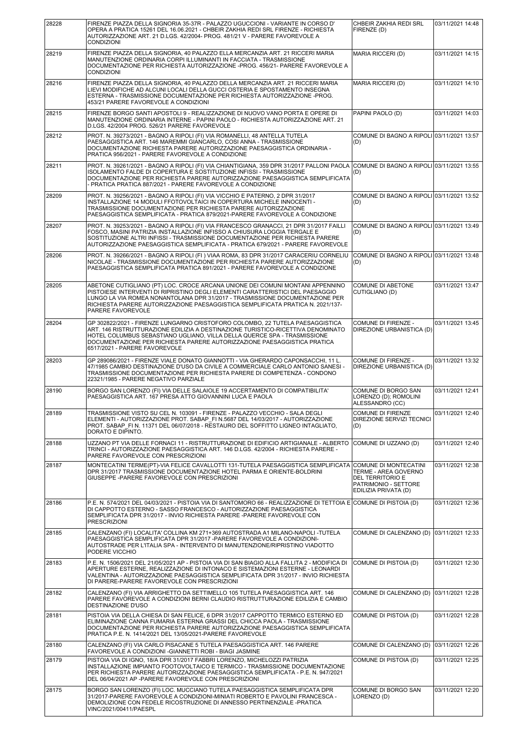| 28228 | FIRENZE PIAZZA DELLA SIGNORIA 35-37R - PALAZZO UGUCCIONI - VARIANTE IN CORSO D'<br>OPERA A PRATICA 15261 DEL 16.06.2021 - CHBEIR ZAKHIA REDI SRL FIRENZE - RICHIESTA<br>AUTORIZZAZIONE ART. 21 D.LGS. 42/2004- PROG. 481/21 V - PARERE FAVOREVOLE A<br><b>CONDIZIONI</b>                                                                                   | CHBEIR ZAKHIA REDI SRL<br>FIRENZE (D)                                                                             | 03/11/2021 14:48 |
|-------|------------------------------------------------------------------------------------------------------------------------------------------------------------------------------------------------------------------------------------------------------------------------------------------------------------------------------------------------------------|-------------------------------------------------------------------------------------------------------------------|------------------|
| 28219 | FIRENZE PIAZZA DELLA SIGNORIA, 40 PALAZZO ELLA MERCANZIA ART. 21 RICCERI MARIA<br>MANUTENZIONE ORDINARIA CORPI ILLUMINANTI IN FACCIATA - TRASMISSIONE<br>DOCUMENTAZIONE PER RICHIESTA AUTORIZZAZIONE -PROG. 456/21- PARERE FAVOREVOLE A<br><b>CONDIZIONI</b>                                                                                               | MARIA RICCERI (D)                                                                                                 | 03/11/2021 14:15 |
| 28216 | FIRENZE PIAZZA DELLA SIGNORIA, 40 PALAZZO DELLA MERCANZIA ART. 21 RICCERI MARIA<br>LIEVI MODIFICHE AD ALCUNI LOCALI DELLA GUCCI OSTERIA E SPOSTAMENTO INSEGNA<br>ESTERNA - TRASMISSIONE DOCUMENTAZIONE PER RICHIESTA AUTORIZZAZIONE -PROG.<br>453/21 PARERE FAVOREVOLE A CONDIZIONI                                                                        | MARIA RICCERI (D)                                                                                                 | 03/11/2021 14:10 |
| 28215 | FIRENZE BORGO SANTI APOSTOLI 9 - REALIZZAZIONE DI NUOVO VANO PORTA E OPERE DI<br>MANUTENZIONE ORDINARIA INTERNE - PAPINI PAOLO - RICHIESTA AUTORIZZAZIONE ART. 21<br>D.LGS. 42/2004 PROG. 526/21 PARERE FAVOREVOLE                                                                                                                                         | PAPINI PAOLO (D)                                                                                                  | 03/11/2021 14:03 |
| 28212 | PROT. N. 39273/2021 - BAGNO A RIPOLI (FI) VIA ROMANELLI, 48 ANTELLA TUTELA<br>PAESAGGISTICA ART. 146 MAREMMI GIANCARLO, COSI ANNA - TRASMISSIONE<br>DOCUMENTAZIONE RICHIESTA PARERE AUTORIZZAZIONE PAESAGGISTICA ORDINARIA -<br>PRATICA 956/2021 - PARERE FAVOREVOLE A CONDIZIONE                                                                          | COMUNE DI BAGNO A RIPOLI 03/11/2021 13:57<br>(D)                                                                  |                  |
| 28211 | PROT. N. 39261/2021 - BAGNO A RIPOLI (FI) VIA CHIANTIGIANA, 359 DPR 31/2017 PALLONI PAOLA<br>ISOLAMENTO FALDE DI COPERTURA E SOSTITUZIONE INFISSI - TRASMISSIONE<br>DOCUMENTAZIONE PER RICHIESTA PARERE AUTORIZZAZIONE PAESAGGISTICA SEMPLIFICATA<br>- PRATICA PRATICA 887/2021 - PARERE FAVOREVOLE A CONDIZIONE                                           | COMUNE DI BAGNO A RIPOLI 03/11/2021 13:55<br>(D)                                                                  |                  |
| 28209 | PROT. N. 39256/2021 - BAGNO A RIPOLI (FI) VIA VICCHIO E PATERNO, 2 DPR 31/2017<br>INSTALLAZIONE 14 MODULI FFOTOVOLTAICI IN COPERTURA MICHELE INNOCENTI -<br>TRASMISSIONE DOCUMENTAZIONE PER RICHIESTA PARERE AUTORIZZAZIONE<br>PAESAGGISTICA SEMPLIFICATA - PRATICA 879/2021-PARERE FAVOREVOLE A CONDIZIONE                                                | COMUNE DI BAGNO A RIPOLI 03/11/2021 13:52<br>(D)                                                                  |                  |
| 28207 | PROT. N. 39253/2021 - BAGNO A RIPOLI (FI) VIA FRANCESCO GRANACCI, 21 DPR 31/2017 FAILLI<br>FOSCO, MASINI PATRIZIA INSTALLAZIONE INFISSO A CHIUSURA LOGGIA TERGALE E<br>SOSTITUZIONE ALTRI INFISSI - TRASMISSIONE DOCUMENTAZIONE PER RICHIESTA PARERE<br>AUTORIZZAZIONE PAESAGGISTICA SEMPLIFICATA - PRATICA 679/2021 - PARERE FAVOREVOLE                   | COMUNE DI BAGNO A RIPOLI 03/11/2021 13:49<br>(D)                                                                  |                  |
| 28206 | PROT. N. 39266/2021 - BAGNO A RIPOLI (FI) VIAA ROMA, 83 DPR 31/2017 CARACERIU CORNELIU<br>NICOLAE - TRASMISSIONE DOCUMENTAZIONE PER RICHIESTA PARERE AUTORIZZAZIONE<br>PAESAGGISTICA SEMPLIFICATA PRATICA 891/2021 - PARERE FAVOREVOLE A CONDIZIONE                                                                                                        | COMUNE DI BAGNO A RIPOLI 03/11/2021 13:48<br>(D)                                                                  |                  |
| 28205 | ABETONE CUTIGLIANO (PT) LOC. CROCE ARCANA UNIONE DEI COMUNI MONTANI APPENNINO<br>PISTOIESE INTERVENTI DI RIPRISTINO DEGLI ELEMENTI CARATTERISTICI DEL PAESAGGIO<br>LUNGO LA VIA ROMEA NONANTOLANA DPR 31/2017 - TRASMISSIONE DOCUMENTAZIONE PER<br>RICHIESTA PARERE AUTORIZZAZIONE PAESAGGISTICA SEMPLIFICATA PRATICA N. 2021/137-<br>PARERE FAVOREVOLE    | <b>COMUNE DI ABETONE</b><br>CUTIGLIANO (D)                                                                        | 03/11/2021 13:47 |
| 28204 | GP 302822/2021 - FIRENZE LUNGARNO CRISTOFORO COLOMBO, 22 TUTELA PAESAGGISTICA<br>ART. 146 RISTRUTTURAZIONE EDILIZIA A DESTINAZIONE TURISTICO-RICETTIVA DENOMINATO<br>HOTEL COLUMBUS SEBASTIANO UGLIANO, VILLA DELLA QUERCE SPA - TRASMISSIONE<br>DOCUMENTAZIONE PER RICHIESTA PARERE AUTORIZZAZIONE PAESAGGISTICA PRATICA<br>6517/2021 - PARERE FAVOREVOLE | <b>COMUNE DI FIRENZE -</b><br>DIREZIONE URBANISTICA (D)                                                           | 03/11/2021 13:45 |
| 28203 | GP 289086/2021 - FIRENZE VIALE DONATO GIANNOTTI - VIA GHERARDO CAPONSACCHI, 11 L.<br>47/1985 CAMBIO DESTINAZIONE D'USO DA CIVILE A COMMERCIALE CARLO ANTONIO SANESI -<br>TRASMISSIONE DOCUMENTAZIONE PER RICHIESTA PARERE DI COMPETENZA - CONDONO<br>22321/1985 - PARERE NEGATIVO PARZIALE                                                                 | COMUNE DI FIRENZE -<br>DIREZIONE URBANISTICA (D)                                                                  | 03/11/2021 13:32 |
| 28190 | BORGO SAN LORENZO (FI) VIA DELLE SALAIOLE 19 ACCERTAMENTO DI COMPATIBILITA'<br>PAESAGGISTICA ART. 167 PRESA ATTO GIOVANNINI LUCA E PAOLA                                                                                                                                                                                                                   | COMUNE DI BORGO SAN<br>LORENZO (D); ROMOLINI<br>ALESSANDRO (CC)                                                   | 03/11/2021 12:41 |
| 28189 | TRASMISSIONE VISTO SU CEL N. 103091 - FIRENZE - PALAZZO VECCHIO - SALA DEGLI<br>ELEMENTI - AUTORIZZAZIONE PROT. SABAP_FI N.5687 DEL 14/03/2017 - AUTORIZZAZIONE<br>PROT. SABAP FI N. 11371 DEL 06/07/2018 - RESTAURO DEL SOFFITTO LIGNEO INTAGLIATO,<br>DORATO E DIPINTO.                                                                                  | <b>COMUNE DI FIRENZE</b><br>DIREZIONE SERVIZI TECNICI<br>(D)                                                      | 03/11/2021 12:40 |
| 28188 | UZZANO PT VIA DELLE FORNACI 11 - RISTRUTTURAZIONE DI EDIFICIO ARTIGIANALE - ALBERTO<br>TRINCI - AUTORIZZAZIONE PAESAGGISTICA ART. 146 D.LGS. 42/2004 - RICHIESTA PARERE -<br>PARERE FAVOREVOLE CON PRESCRIZIONI                                                                                                                                            | COMUNE DI UZZANO (D)                                                                                              | 03/11/2021 12:40 |
| 28187 | MONTECATINI TERME(PT)-VIA FELICE CAVALLOTTI 131-TUTELA PAESAGGISTICA SEMPLIFICATA<br>DPR 31/2017 TRASMISSIONE DOCUMENTAZIONE HOTEL PARMA E ORIENTE-BOLDRINI<br>GIUSEPPE - PARERE FAVOREVOLE CON PRESCRIZIONI                                                                                                                                               | COMUNE DI MONTECATINI<br>TERME - AREA GOVERNO<br>DEL TERRITORIO E<br>PATRIMONIO - SETTORE<br>EDILIZIA PRIVATA (D) | 03/11/2021 12:38 |
| 28186 | P.E. N. 574/2021 DEL 04/03/2021 - PISTOIA VIA DI SANTOMORO 66 - REALIZZAZIONE DI TETTOIA E COMUNE DI PISTOIA (D)<br>DI CAPPOTTO ESTERNO - SASSO FRANCESCO - AUTORIZZAZIONE PAESAGGISTICA<br>SEMPLIFICATA DPR 31/2017 - INVIO RICHIESTA PARERE -PARERE FAVOREVOLE CON<br><b>PRESCRIZIONI</b>                                                                |                                                                                                                   | 03/11/2021 12:36 |
| 28185 | CALENZANO (FI) LOCALITA' COLLINA KM 271+369 AUTOSTRADA A1 MILANO-NAPOLI -TUTELA<br>PAESAGGISTICA SEMPLIFICATA DPR 31/2017 - PARERE FAVOREVOLE A CONDIZIONI-<br>AUTOSTRADE PER L'ITALIA SPA - INTERVENTO DI MANUTENZIONE/RIPRISTINO VIADOTTO<br>PODERE VICCHIO                                                                                              | COMUNE DI CALENZANO (D) 03/11/2021 12:33                                                                          |                  |
| 28183 | P.E. N. 1506/2021 DEL 21/05/2021 AP - PISTOIA VIA DI SAN BIAGIO ALLA FALLITA 2 - MODIFICA DI<br>APERTURE ESTERNE, REALIZZAZIONE DI INTONACO E SISTEMAZIONI ESTERNE - LEONARDI<br>VALENTINA - AUTORIZZAZIONE PAESAGGISTICA SEMPLIFICATA DPR 31/2017 - INVIO RICHIESTA<br>DI PARERE-PARERE FAVOREVOLE CON PRESCRIZIONI                                       | COMUNE DI PISTOIA (D)                                                                                             | 03/11/2021 12:30 |
| 28182 | CALENZANO (FI) VIA ARRIGHETTO DA SETTIMELLO 105 TUTELA PAESAGGISTICA ART. 146<br>PARERE FAVOREVOLE A CONDIZIONI BERNI CLAUDIO RISTRUTTURAZIONE EDILIZIA E CAMBIO<br>DESTINAZIONE D'USO                                                                                                                                                                     | COMUNE DI CALENZANO (D) 03/11/2021 12:28                                                                          |                  |
| 28181 | PISTOIA VIA DELLA CHIESA DI SAN FELICE, 6 DPR 31/2017 CAPPOTTO TERMICO ESTERNO ED<br>ELIMINAZIONE CANNA FUMARIA ESTERNA GRASSI DEL CHICCA PAOLA - TRASMISSIONE<br>DOCUMENTAZIONE PER RICHIESTA PARERE AUTORIZZAZIONE PAESAGGISTICA SEMPLIFICATA<br>PRATICA P.E. N. 1414/2021 DEL 13/05/2021-PARERE FAVOREVOLE                                              | COMUNE DI PISTOIA (D)                                                                                             | 03/11/2021 12:28 |
| 28180 | CALENZANO (FI) VIA CARLO PISACANE 5 TUTELA PAESAGGISTICA ART. 146 PARERE<br>FAVOREVOLE A CONDIZIONI - GIANNETTI ROBI - BIAGI JASMINE                                                                                                                                                                                                                       | COMUNE DI CALENZANO (D) 03/11/2021 12:26                                                                          |                  |
| 28179 | PISTOIA VIA DI IGNO, 18/A DPR 31/2017 FABBRI LORENZO, MICHELOZZI PATRIZIA<br>INSTALLAZIONE IMPIANTO FOOTOVOLTAICO E TERMICO - TRASMISSIONE DOCUMENTAZIONE<br>PER RICHIESTA PARERE AUTORIZZAZIONE PAESAGGISTICA SEMPLIFICATA - P.E. N. 947/2021<br>DEL 06/04/2021 AP -PARERE FAVOREVOLE CON PRESCRIZIONI                                                    | COMUNE DI PISTOIA (D)                                                                                             | 03/11/2021 12:25 |
| 28175 | BORGO SAN LORENZO (FI) LOC. MUCCIANO TUTELA PAESAGGISTICA SEMPLIFICATA DPR<br>31/2017-PARERE FAVOREVOLE A CONDIZIONI-MINIATI ROBERTO E PAVOLINI FRANCESCA -<br>DEMOLIZIONE CON FEDELE RICOSTRUZIONE DI ANNESSO PERTINENZIALE -PRATICA<br>VINC/2021/00411/PAESPL                                                                                            | COMUNE DI BORGO SAN<br>LORENZO (D)                                                                                | 03/11/2021 12:20 |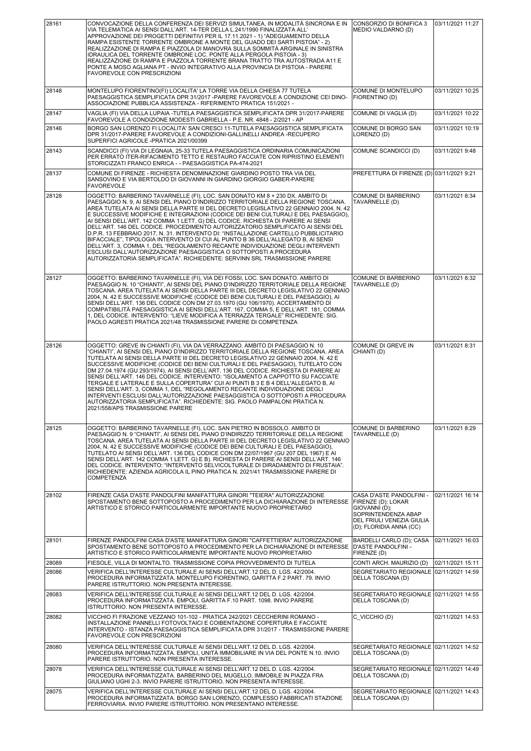| 28161 | CONVOCAZIONE DELLA CONFERENZA DEI SERVIZI SIMULTANEA, IN MODALITÀ SINCRONA E IN<br>VIA TELEMATICA AI SENSI DALL'ART. 14-TER DELLA L.241/1990 FINALIZZATA ALL'<br>APPROVAZIONE DEI PROGETTI DEFINITIVI PER IL 17.11.2021 - 1) "ADEGUAMENTO DELLA<br>RAMPA ESISTENTE TORRENTE OMBRONE A MONTE DEL GUADO DEI SARTI PISTOIA" - 2)<br>REALIZZAZIONE DI RAMPA E PIAZZOLA DI MANOVRA SULLA SOMMITÀ ARGINALE IN SINISTRA<br>IDRAULICA DEL TORRENTE OMBRONE LOC. PONTE ALLA PERGOLA PISTOIA - 3)<br>REALIZZAZIONE DI RAMPA E PIAZZOLA TORRENTE BRANA TRATTO TRA AUTOSTRADA A11 E<br>PONTE A MOSO AGLIANA PT - INVIO INTEGRATIVO ALLA PROVINCIA DI PISTOIA - PARERE<br>FAVOREVOLE CON PRESCRIZIONI                                                                                                                                                                                                                                                   | CONSORZIO DI BONIFICA 3<br>MEDIO VALDARNO (D)                                                                                                  | 03/11/2021 11:27 |
|-------|--------------------------------------------------------------------------------------------------------------------------------------------------------------------------------------------------------------------------------------------------------------------------------------------------------------------------------------------------------------------------------------------------------------------------------------------------------------------------------------------------------------------------------------------------------------------------------------------------------------------------------------------------------------------------------------------------------------------------------------------------------------------------------------------------------------------------------------------------------------------------------------------------------------------------------------------|------------------------------------------------------------------------------------------------------------------------------------------------|------------------|
| 28148 | MONTELUPO FIORENTINO(FI) LOCALITA' LA TORRE VIA DELLA CHIESA 77 TUTELA<br>PAESAGGISTICA SEMPLIFICATA DPR 31/2017 - PARERE FAVOREVOLE A CONDIZIONE CEI DINO-<br>ASSOCIAZIONE PUBBLICA ASSISTENZA - RIFERIMENTO PRATICA 151/2021 -                                                                                                                                                                                                                                                                                                                                                                                                                                                                                                                                                                                                                                                                                                           | COMUNE DI MONTELUPO<br>FIORENTINO (D)                                                                                                          | 03/11/2021 10:25 |
| 28147 | VAGLIA (FI) VIA DELLA LUPAIA -TUTELA PAESAGGISTICA SEMPLIFICATA DPR 31/2017-PARERE<br>FAVOREVOLE A CONDIZIONE MODESTI GABRIELLA - P.E. NR. 4848 - 2/2021 - AP                                                                                                                                                                                                                                                                                                                                                                                                                                                                                                                                                                                                                                                                                                                                                                              | COMUNE DI VAGLIA (D)                                                                                                                           | 03/11/2021 10:22 |
| 28146 | BORGO SAN LORENZO FI LOCALITA' SAN CRESCI 11-TUTELA PAESAGGISTICA SEMPLIFICATA<br>DPR 31/2017-PARERE FAVOREVOLE A CONDIZIONI-GALLINELLI ANDREA -RECUPERO<br>SUPERFICI AGRICOLE -PRATICA 2021/00399                                                                                                                                                                                                                                                                                                                                                                                                                                                                                                                                                                                                                                                                                                                                         | COMUNE DI BORGO SAN<br>LORENZO (D)                                                                                                             | 03/11/2021 10:19 |
| 28143 | SCANDICCI (FI) VIA DI LEGNAIA, 25-33 TUTELA PAESAGGISTICA ORDINARIA COMUNICAZIONI<br>PER ERRATO ITER-RIFACIMENTO TETTO E RESTAURO FACCIATE CON RIPRISTINO ELEMENTI<br>STORICIZZATI FRANCO ENRICA - - PAESAGGISTICA PA-474-2021                                                                                                                                                                                                                                                                                                                                                                                                                                                                                                                                                                                                                                                                                                             | COMUNE SCANDICCI (D)                                                                                                                           | 03/11/2021 9:48  |
| 28137 | COMUNE DI FIRENZE - RICHIESTA DENOMINAZIONE GIARDINO POSTO TRA VIA DEL<br>SANSOVINO E VIA BERTOLDO DI GIOVANNI IN GIARDINO GIORGIO GABER-PARERE<br><b>FAVOREVOLE</b>                                                                                                                                                                                                                                                                                                                                                                                                                                                                                                                                                                                                                                                                                                                                                                       | PREFETTURA DI FIRENZE (D) 03/11/2021 9:21                                                                                                      |                  |
| 28128 | OGGETTO: BARBERINO TAVARNELLE (FI), LOC. SAN DONATO KM 8 + 230 DX. AMBITO DI<br>PAESAGGIO N. 9, AI SENSI DEL PIANO D'INDIRIZZO TERRITORIALE DELLA REGIONE TOSCANA.<br>AREA TUTELATA AI SENSI DELLA PARTE III DEL DECRETO LEGISLATIVO 22 GENNAIO 2004, N. 42<br>E SUCCESSIVE MODIFICHE E INTEGRAZIONI (CODICE DEI BENI CULTURALI E DEL PAESAGGIO).<br>AI SENSI DELL'ART. 142 COMMA 1 LETT. G) DEL CODICE. RICHIESTA DI PARERE AI SENSI<br>DELL'ART. 146 DEL CODICE. PROCEDIMENTO AUTORIZZATORIO SEMPLIFICATO AI SENSI DEL<br>D.P.R. 13 FEBBRAIO 2017, N. 31. INTERVENTO DI: "INSTALLAZIONE CARTELLO PUBBLICITARIO<br>BIFACCIALE", TIPOLOGIA INTERVENTO DI CUI AL PUNTO B 36 DELL'ALLEGATO B, AI SENSI<br>DELL'ART. 3, COMMA 1, DEL "REGOLAMENTO RECANTE INDIVIDUAZIONE DEGLI INTERVENTI<br>ESCLUSI DALL'AUTORIZZAZIONE PAESAGGISTICA O SOTTOPOSTI A PROCEDURA<br>AUTORIZZATORIA SEMPLIFICATA". RICHIEDENTE: SERVINN SRL TRASMISSIONE PARERE | COMUNE DI BARBERINO<br>TAVARNELLE (D)                                                                                                          | 03/11/2021 8:34  |
| 28127 | OGGETTO: BARBERINO TAVARNELLE (FI), VIA DEI FOSSI, LOC. SAN DONATO. AMBITO DI<br>PAESAGGIO N. 10 "CHIANTI", AI SENSI DEL PIANO D'INDIRIZZO TERRITORIALE DELLA REGIONE<br>TOSCANA. AREA TUTELATA AI SENSI DELLA PARTE III DEL DECRETO LEGISLATIVO 22 GENNAIO<br>2004, N. 42 E SUCCESSIVE MODIFICHE (CODICE DEI BENI CULTURALI E DEL PAESAGGIO), AI<br>SENSI DELL'ART. 136 DEL CODICE CON DM 27.03.1970 (GU 106/1970). ACCERTAMENTO DI<br>COMPATIBILITÀ PAESAGGISTICA AI SENSI DELL'ART. 167, COMMA 5, E DELL'ART. 181, COMMA<br>1, DEL CODICE. INTERVENTO: "LIEVE MODIFICA A TERRAZZA TERGALE" RICHIEDENTE: SIG.<br>PAOLO AGRESTI PRATICA 2021/48 TRASMISSIONE PARERE DI COMPETENZA                                                                                                                                                                                                                                                         | COMUNE DI BARBERINO<br>TAVARNELLE (D)                                                                                                          | 03/11/2021 8:32  |
| 28126 | OGGETTO: GREVE IN CHIANTI (FI), VIA DA VERRAZZANO. AMBITO DI PAESAGGIO N. 10<br>"CHIANTI", AI SENSI DEL PIANO D'INDIRIZZO TERRITORIALE DELLA REGIONE TOSCANA. AREA<br>TUTELATA AI SENSI DELLA PARTE III DEL DECRETO LEGISLATIVO 22 GENNAIO 2004, N. 42 E<br>SUCCESSIVE MODIFICHE (CODICE DEI BENI CULTURALI E DEL PAESAGGIO), TUTELATO CON<br>DM 27.04.1974 (GU 293/1974). AI SENSI DELL'ART, 136 DEL CODICE, RICHIESTA DI PARERE AI<br>SENSI DELL'ART. 146 DEL CODICE. INTERVENTO: "ISOLAMENTO A CAPPOTTO SU FACCIATE<br>TERGALE E LATERALE E SULLA COPERTURA" CUI AI PUNTI B 3 E B 4 DELL'ALLEGATO B, AI<br>SENSI DELL'ART, 3, COMMA 1, DEL "REGOLAMENTO RECANTE INDIVIDUAZIONE DEGLI<br>INTERVENTI ESCLUSI DALL'AUTORIZZAZIONE PAESAGGISTICA O SOTTOPOSTI A PROCEDURA<br>AUTORIZZATORIA SEMPLIFICATA". RICHIEDENTE: SIG. PAOLO PAMPALONI PRATICA N.<br>2021/558/APS TRASMISSIONE PARERE                                                 | <b>COMUNE DI GREVE IN</b><br>CHIANTI (D)                                                                                                       | 03/11/2021 8:31  |
| 28125 | OGGETTO: BARBERINO TAVARNELLE (FI), LOC. SAN PIETRO IN BOSSOLO. AMBITO DI<br>PAESAGGIO N. 9 "CHIANTI", AI SENSI DEL PIANO D'INDIRIZZO TERRITORIALE DELLA REGIONE<br>TOSCANA. AREA TUTELATA AI SENSI DELLA PARTE III DEL DECRETO LEGISLATIVO 22 GENNAIO<br>2004, N. 42 E SUCCESSIVE MODIFICHE (CODICE DEI BENI CULTURALI E DEL PAESAGGIO),<br>TUTELATO AI SENSI DELL'ART. 136 DEL CODICE CON DM 22/07/1967 (GU 207 DEL 1967) E AI<br>SENSI DELL'ART. 142 COMMA 1 LETT. G) E B). RICHIESTA DI PARERE AI SENSI DELL'ART. 146<br>DEL CODICE. INTERVENTO: "INTERVENTO SELVICOLTURALE DI DIRADAMENTO DI FRUSTAIA".<br>RICHIEDENTE: AZIENDA AGRICOLA IL PINO PRATICA N. 2021/41 TRASMISSIONE PARERE DI<br><b>COMPETENZA</b>                                                                                                                                                                                                                       | COMUNE DI BARBERINO<br>TAVARNELLE (D)                                                                                                          | 03/11/2021 8:29  |
| 28102 | FIRENZE CASA D'ASTE PANDOLFINI MANIFATTURA GINORI "TEIERA" AUTORIZZAZIONE<br>SPOSTAMENTO BENE SOTTOPOSTO A PROCEDIMENTO PER LA DICHIARAZIONE DI INTERESSE<br>ARTISTICO E STORICO PARTICOLARMENTE IMPORTANTE NUOVO PROPRIETARIO                                                                                                                                                                                                                                                                                                                                                                                                                                                                                                                                                                                                                                                                                                             | CASA D'ASTE PANDOLFINI -<br>FIRENZE (D): LOKAR<br>GIOVANNI (D);<br>SOPRINTENDENZA ABAP<br>DEL FRIULI VENEZIA GIULIA<br>(D); FLORIDIA ANNA (CC) | 02/11/2021 16:14 |
| 28101 | FIRENZE PANDOLFINI CASA D'ASTE MANIFATTURA GINORI "CAFFETTIERA" AUTORIZZAZIONE<br>SPOSTAMENTO BENE SOTTOPOSTO A PROCEDIMENTO PER LA DICHIARAZIONE DI INTERESSE<br>ARTISTICO E STORICO PARTICOLARMENTE IMPORTANTE NUOVO PROPRIETARIO                                                                                                                                                                                                                                                                                                                                                                                                                                                                                                                                                                                                                                                                                                        | BARDELLI CARLO (D); CASA<br>D'ASTE PANDOLFINI -<br>FIRENZE (D)                                                                                 | 02/11/2021 16:03 |
| 28089 | FIESOLE, VILLA DI MONTALTO. TRASMISSIONE COPIA PROVVEDIMENTO DI TUTELA                                                                                                                                                                                                                                                                                                                                                                                                                                                                                                                                                                                                                                                                                                                                                                                                                                                                     | CONTI ARCH. MAURIZIO (D)                                                                                                                       | 02/11/2021 15:11 |
| 28086 | VERIFICA DELL'INTERESSE CULTURALE AI SENSI DELL'ART.12 DEL D. LGS. 42/2004.<br>PROCEDURA INFORMATIZZATA. MONTELUPO FIORENTINO, GARITTA F.2 PART. 79. INVIO<br>PARERE ISTRUTTORIO. NON PRESENTA INTERESSE.                                                                                                                                                                                                                                                                                                                                                                                                                                                                                                                                                                                                                                                                                                                                  | SEGRETARIATO REGIONALE 02/11/2021 14:59<br>DELLA TOSCANA (D)                                                                                   |                  |
| 28083 | VERIFICA DELL'INTERESSE CULTURALE AI SENSI DELL'ART.12 DEL D. LGS. 42/2004.<br>PROCEDURA INFORMATIZZATA. EMPOLI, GARITTA F.10 PART. 1098. INVIO PARERE<br>ISTRUTTORIO. NON PRESENTA INTERESSE.                                                                                                                                                                                                                                                                                                                                                                                                                                                                                                                                                                                                                                                                                                                                             | SEGRETARIATO REGIONALE 02/11/2021 14:55<br>DELLA TOSCANA (D)                                                                                   |                  |
| 28082 | VICCHIO FI FRAZIONE VEZZANO 101-102 - PRATICA 242/2021 CECCHERINI ROMANO -<br>INSTALLAZIONE PANNELLI FOTOVOLTAICI E COIBENTAZIONE COPERTURA E FACCIATE<br>INTERVENTO - ISTANZA PAESAGGISTICA SEMPLIFICATA DPR 31/2017 - TRASMISSIONE PARERE<br>FAVOREVOLE CON PRESCRIZIONI                                                                                                                                                                                                                                                                                                                                                                                                                                                                                                                                                                                                                                                                 | C VICCHIO (D)                                                                                                                                  | 02/11/2021 14:53 |
| 28080 | VERIFICA DELL'INTERESSE CULTURALE AI SENSI DELL'ART.12 DEL D. LGS. 42/2004.<br>PROCEDURA INFORMATIZZATA. EMPOLI, UNITÀ IMMOBILIARE IN VIA DEL PONTE N.10. INVIO<br>PARERE ISTRUTTORIO. NON PRESENTA INTERESSE.                                                                                                                                                                                                                                                                                                                                                                                                                                                                                                                                                                                                                                                                                                                             | SEGRETARIATO REGIONALE 02/11/2021 14:52<br>DELLA TOSCANA (D)                                                                                   |                  |
| 28078 | VERIFICA DELL'INTERESSE CULTURALE AI SENSI DELL'ART.12 DEL D. LGS. 42/2004.<br>PROCEDURA INFORMATIZZATA. BARBERINO DEL MUGELLO, IMMOBILE IN PIAZZA FRA<br>GIULIANO UGHI 2-3. INVIO PARERE ISTRUTTORIO. NON PRESENTA INTERESSE.                                                                                                                                                                                                                                                                                                                                                                                                                                                                                                                                                                                                                                                                                                             | SEGRETARIATO REGIONALE 02/11/2021 14:49<br>DELLA TOSCANA (D)                                                                                   |                  |
| 28075 | VERIFICA DELL'INTERESSE CULTURALE AI SENSI DELL'ART.12 DEL D. LGS. 42/2004.<br>PROCEDURA INFORMATIZZATA. BORGO SAN LORENZO, COMPLESSO FABBRICATI STAZIONE<br>FERROVIARIA. INVIO PARERE ISTRUTTORIO. NON PRESENTANO INTERESSE.                                                                                                                                                                                                                                                                                                                                                                                                                                                                                                                                                                                                                                                                                                              | SEGRETARIATO REGIONALE 02/11/2021 14:43<br>DELLA TOSCANA (D)                                                                                   |                  |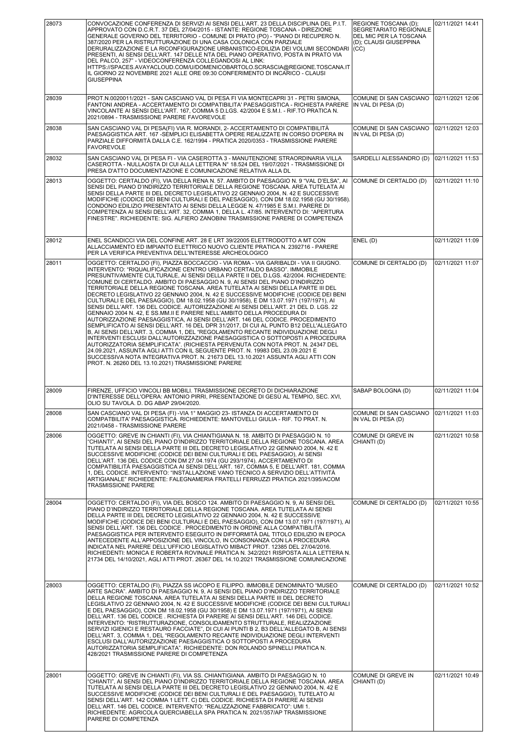| 28073 | CONVOCAZIONE CONFERENZA DI SERVIZI AI SENSI DELL'ART. 23 DELLA DISCIPLINA DEL P.I.T.<br>APPROVATO CON D.C.R.T. 37 DEL 27/04/2015 - ISTANTE: REGIONE TOSCANA - DIREZIONE<br>GENERALE GOVERNO DEL TERRITORIO - COMUNE DI PRATO (PO) - "PIANO DI RECUPERO N.<br>387/2020 PER LA RISTRUTTURAZIONE DI UNA CASA COLONICA CON PARZIALE<br>DERURALIZZAZIONE E LA RICONFIGURAZIONE URBANISTICO-EDILIZIA DEI VOLUMI SECONDARI<br>PRESENTI, AI SENSI DELL'ART. 147 DELLE NTA DEL PIANO OPERATIVO, POSTA IN PRATO VIA<br>DEL PALCO, 257" - VIDEOCONFERENZA COLLEGANDOSI AL LINK:<br>HTTPS://SPACES.AVAYACLOUD.COM/U/DOMENICOBARTOLO.SCRASCIA@REGIONE.TOSCANA.IT<br>IL GIORNO 22 NOVEMBRE 2021 ALLE ORE 09:30 CONFERIMENTO DI INCARICO - CLAUSI<br><b>GIUSEPPINA</b>                                                                                                                                                                                                                                                                                                                                                                                                                                                                                                                                                                                                                                                                           | REGIONE TOSCANA (D);<br>SEGRETARIATO REGIONALE<br>DEL MIC PER LA TOSCANA<br>(D); CLAUSI GIUSEPPINA<br>(CC) | 02/11/2021 14:41 |
|-------|-----------------------------------------------------------------------------------------------------------------------------------------------------------------------------------------------------------------------------------------------------------------------------------------------------------------------------------------------------------------------------------------------------------------------------------------------------------------------------------------------------------------------------------------------------------------------------------------------------------------------------------------------------------------------------------------------------------------------------------------------------------------------------------------------------------------------------------------------------------------------------------------------------------------------------------------------------------------------------------------------------------------------------------------------------------------------------------------------------------------------------------------------------------------------------------------------------------------------------------------------------------------------------------------------------------------------------------------------------------------------------------------------------------------------------------|------------------------------------------------------------------------------------------------------------|------------------|
| 28039 | PROT.N.0020011/2021 - SAN CASCIANO VAL DI PESA FI VIA MONTECAPRI 31 - PETRI SIMONA,<br>FANTONI ANDREA - ACCERTAMENTO DI COMPATIBILITA' PAESAGGISTICA - RICHIESTA PARERE<br>VINCOLANTE AI SENSI DELL'ART. 167. COMMA 5 D.LGS. 42/2004 E S.M.I. - RIF.TO PRATICA N.<br>2021/0894 - TRASMISSIONE PARERE FAVOREVOLE                                                                                                                                                                                                                                                                                                                                                                                                                                                                                                                                                                                                                                                                                                                                                                                                                                                                                                                                                                                                                                                                                                                   | COMUNE DI SAN CASCIANO<br>IN VAL DI PESA (D)                                                               | 02/11/2021 12:06 |
| 28038 | SAN CASCIANO VAL DI PESA(FI) VIA R. MORANDI, 2- ACCERTAMENTO DI COMPATIBILITÀ<br>PAESAGGISTICA ART. 167 - SEMPLICI ELISABETTA OPERE REALIZZATE IN CORSO D'OPERA IN<br>PARZIALE DIFFORMITÀ DALLA C.E. 162/1994 - PRATICA 2020/0353 - TRASMISSIONE PARERE<br><b>FAVOREVOLE</b>                                                                                                                                                                                                                                                                                                                                                                                                                                                                                                                                                                                                                                                                                                                                                                                                                                                                                                                                                                                                                                                                                                                                                      | COMUNE DI SAN CASCIANO<br>IN VAL DI PESA (D)                                                               | 02/11/2021 12:03 |
| 28032 | SAN CASCIANO VAL DI PESA FI - VIA CASEROTTA 3 - MANUTENZIONE STRAORDINARIA VILLA<br>CASEROTTA - NULLAOSTA DI CUI ALLA LETTERA N° 18.524 DEL 19/07/2021 - TRASMISSIONE DI<br>PRESA D'ATTO DOCUMENTAZIONE E COMUNICAZIONE RELATIVA ALLA DL                                                                                                                                                                                                                                                                                                                                                                                                                                                                                                                                                                                                                                                                                                                                                                                                                                                                                                                                                                                                                                                                                                                                                                                          | SARDELLI ALESSANDRO (D)                                                                                    | 02/11/2021 11:53 |
| 28013 | OGGETTO: CERTALDO (FI), VIA DELLA RENA N. 57. AMBITO DI PAESAGGIO N. 9 "VAL D'ELSA", AI<br>SENSI DEL PIANO D'INDIRIZZO TERRITORIALE DELLA REGIONE TOSCANA. AREA TUTELATA AI<br>SENSI DELLA PARTE III DEL DECRETO LEGISLATIVO 22 GENNAIO 2004, N. 42 E SUCCESSIVE<br>MODIFICHE (CODICE DEI BENI CULTURALI E DEL PAESAGGIO), CON DM 18.02.1958 (GU 30/1958).<br>CONDONO EDILIZIO PRESENTATO AI SENSI DELLA LEGGE N. 47/1985 E S.M.I. PARERE DI<br>COMPETENZA AI SENSI DELL'ART. 32, COMMA 1, DELLA L. 47/85. INTERVENTO DI: "APERTURA<br>FINESTRE". RICHIEDENTE: SIG. ALFIERO ZANOBINI TRASMISSIONE PARERE DI COMPETENZA                                                                                                                                                                                                                                                                                                                                                                                                                                                                                                                                                                                                                                                                                                                                                                                                            | COMUNE DI CERTALDO (D)                                                                                     | 02/11/2021 11:10 |
| 28012 | ENEL SCANDICCI VIA DEL CONFINE ART. 28 E LRT 39/22005 ELETTRODOTTO A MT CON<br>ALLACCIAMENTO ED IMPIANTO ELETTRICO NUOVO CLIENTE PRATICA N. 2392716 - PARERE<br>PER LA VERIFICA PREVENTIVA DELL'INTERESSE ARCHEOLOGICO                                                                                                                                                                                                                                                                                                                                                                                                                                                                                                                                                                                                                                                                                                                                                                                                                                                                                                                                                                                                                                                                                                                                                                                                            | ENEL(D)                                                                                                    | 02/11/2021 11:09 |
| 28011 | OGGETTO: CERTALDO (FI), PIAZZA BOCCACCIO - VIA ROMA - VIA GARIBALDI - VIA II GIUGNO.<br>INTERVENTO: "RIQUALIFICAZIONE CENTRO URBANO CERTALDO BASSO". IMMOBILE<br>PRESUNTIVAMENTE CULTURALE. AI SENSI DELLA PARTE II DEL D.LGS. 42/2004. RICHIEDENTE:<br>COMUNE DI CERTALDO. AMBITO DI PAESAGGIO N. 9, AI SENSI DEL PIANO D'INDIRIZZO<br>TERRITORIALE DELLA REGIONE TOSCANA. AREA TUTELATA AI SENSI DELLA PARTE III DEL<br>DECRETO LEGISLATIVO 22 GENNAIO 2004, N. 42 E SUCCESSIVE MODIFICHE (CODICE DEI BENI<br>CULTURALI E DEL PAESAGGIO), DM 18.02.1958 (GU 30/1958), E DM 13.07.1971 (197/1971), AI<br>SENSI DELL'ART. 136 DEL CODICE. AUTORIZZAZIONE AI SENSI DELL'ART. 21 DEL D. LGS. 22<br>GENNAIO 2004 N. 42, E SS.MM.II E PARERE NELL'AMBITO DELLA PROCEDURA DI<br>AUTORIZZAZIONE PAESAGGISTICA, AI SENSI DELL'ART. 146 DEL CODICE. PROCEDIMENTO<br>SEMPLIFICATO AI SENSI DELL'ART. 16 DEL DPR 31/2017, DI CUI AL PUNTO B12 DELL'ALLEGATO<br>B, AI SENSI DELL'ART. 3, COMMA 1, DEL "REGOLAMENTO RECANTE INDIVIDUAZIONE DEGLI<br>INTERVENTI ESCLUSI DALL'AUTORIZZAZIONE PAESAGGISTICA O SOTTOPOSTI A PROCEDURA<br>AUTORIZZATORIA SEMPLIFICATA". (RICHIESTA PERVENUTA CON NOTA PROT. N. 24347 DEL<br>24.09.2021, ASSUNTA AGLI ATTI CON IL SEGUENTE PROT. N. 19983 DEL 23.09.2021 E<br>SUCCESSIVA NOTA INTEGRATIVA PROT. N. 21673 DEL 13.10.2021 ASSUNTA AGLI ATTI CON<br>PROT. N. 26260 DEL 13.10.2021) TRASMISSIONE PARERE | COMUNE DI CERTALDO (D)                                                                                     | 02/11/2021 11:07 |
| 28009 | FIRENZE, UFFICIO VINCOLI BB MOBILI. TRASMISSIONE DECRETO DI DICHIARAZIONE<br>D'INTERESSE DELL'OPERA: ANTONIO PIRRI, PRESENTAZIONE DI GESÙ AL TEMPIO, SEC. XVI,<br>OLIO SU TAVOLA. D. DG ABAP 29/04/2020.                                                                                                                                                                                                                                                                                                                                                                                                                                                                                                                                                                                                                                                                                                                                                                                                                                                                                                                                                                                                                                                                                                                                                                                                                          | SABAP BOLOGNA (D)                                                                                          | 02/11/2021 11:04 |
| 28008 | SAN CASCIANO VAL DI PESA (FI) - VIA 1° MAGGIO 23- ISTANZA DI ACCERTAMENTO DI<br>COMPATBILITA' PAESAGGISTICA. RICHIEDENTE: MANTOVELLI GIULIA - RIF. TO PRAT. N.<br>2021/0458 - TRASMISSIONE PARERE                                                                                                                                                                                                                                                                                                                                                                                                                                                                                                                                                                                                                                                                                                                                                                                                                                                                                                                                                                                                                                                                                                                                                                                                                                 | COMUNE DI SAN CASCIANO   02/11/2021 11:03<br>IN VAL DI PESA (D)                                            |                  |
| 28006 | OGGETTO: GREVE IN CHIANTI (FI), VIA CHIANTIGIANA N. 18. AMBITO DI PAESAGGIO N. 10<br>"CHIANTI", AI SENSI DEL PIANO D'INDIRIZZO TERRITORIALE DELLA REGIONE TOSCANA. AREA<br>TUTELATA AI SENSI DELLA PARTE III DEL DECRETO LEGISLATIVO 22 GENNAIO 2004, N. 42 E<br>SUCCESSIVE MODIFICHE (CODICE DEI BENI CULTURALI E DEL PAESAGGIO), AI SENSI<br>DELL'ART. 136 DEL CODICE CON DM 27.04.1974 (GU 293/1974). ACCERTAMENTO DI<br>COMPATIBILITÀ PAESAGGISTICA AI SENSI DELL'ART. 167, COMMA 5, E DELL'ART. 181, COMMA<br>1, DEL CODICE. INTERVENTO: "INSTALLAZIONE VANO TECNICO A SERVIZIO DELL'ATTIVITÀ<br>ARTIGIANALE" RICHIEDENTE: FALEGNAMERIA FRATELLI FERRUZZI PRATICA 2021/395/ACOM<br>TRASMISSIONE PARERE                                                                                                                                                                                                                                                                                                                                                                                                                                                                                                                                                                                                                                                                                                                       | COMUNE DI GREVE IN<br>CHIANTI (D)                                                                          | 02/11/2021 10:58 |
| 28004 | OGGETTO: CERTALDO (FI), VIA DEL BOSCO 124. AMBITO DI PAESAGGIO N. 9, AI SENSI DEL<br>PIANO D'INDIRIZZO TERRITORIALE DELLA REGIONE TOSCANA. AREA TUTELATA AI SENSI<br>DELLA PARTE III DEL DECRETO LEGISLATIVO 22 GENNAIO 2004, N. 42 E SUCCESSIVE<br>MODIFICHE (CODICE DEI BENI CULTURALI E DEL PAESAGGIO), CON DM 13.07.1971 (197/1971), AI<br>SENSI DELL'ART. 136 DEL CODICE . PROCEDIMENTO IN ORDINE ALLA COMPATIBILITÀ<br>PAESAGGISTICA PER INTERVENTO ESEGUITO IN DIFFORMITÀ DAL TITOLO EDILIZIO IN EPOCA<br>ANTECEDENTE ALL'APPOSIZIONE DEL VINCOLO, IN CONSONANZA CON LA PROCEDURA<br>INDICATA NEL PARERE DELL'UFFICIO LEGISLATIVO MIBACT PROT. 12385 DEL 27/04/2016.<br>RICHIEDENTI: MONICA E ROBERTA ROVINALE PRATICA N. 342/2021 RISPOSTA ALLA LETTERA N.<br>21734 DEL 14/10/2021, AGLI ATTI PROT. 26367 DEL 14.10.2021 TRASMISSIONE COMUNICAZIONE                                                                                                                                                                                                                                                                                                                                                                                                                                                                                                                                                                       | COMUNE DI CERTALDO (D)                                                                                     | 02/11/2021 10:55 |
| 28003 | OGGETTO: CERTALDO (FI), PIAZZA SS IACOPO E FILIPPO. IMMOBILE DENOMINATO "MUSEO<br>ARTE SACRA". AMBITO DI PAESAGGIO N. 9, AI SENSI DEL PIANO D'INDIRIZZO TERRITORIALE<br>DELLA REGIONE TOSCANA. AREA TUTELATA AI SENSI DELLA PARTE III DEL DECRETO<br>LEGISLATIVO 22 GENNAIO 2004, N. 42 E SUCCESSIVE MODIFICHE (CODICE DEI BENI CULTURALI<br>E DEL PAESAGGIO), CON DM 18.02.1958 (GU 30/1958) E DM 13.07.1971 (197/1971), AI SENSI<br>DELL'ART. 136 DEL CODICE . RICHIESTA DI PARERE AI SENSI DELL'ART. 146 DEL CODICE.<br>INTERVENTO: "RISTRUTTURAZIONE, CONSOLIDAMENTO STRUTTURALE, REALIZZAZIONE<br>SERVIZI IGIENICI E RESTAURO FACCIATE", DI CUI AI PUNTI B 2, B3 DELL'ALLEGATO B, AI SENSI<br>DELL'ART. 3, COMMA 1, DEL "REGOLAMENTO RECANTE INDIVIDUAZIONE DEGLI INTERVENTI<br>ESCLUSI DALL'AUTORIZZAZIONE PAESAGGISTICA O SOTTOPOSTI A PROCEDURA<br>AUTORIZZATORIA SEMPLIFICATA". RICHIEDENTE: DON ROLANDO SPINELLI PRATICA N.<br>428/2021 TRASMISSIONE PARERE DI COMPETENZA                                                                                                                                                                                                                                                                                                                                                                                                                                               | COMUNE DI CERTALDO (D)                                                                                     | 02/11/2021 10:52 |
| 28001 | OGGETTO: GREVE IN CHIANTI (FI), VIA SS. CHIANTIGIANA. AMBITO DI PAESAGGIO N. 10<br>'CHIANTI", AI SENSI DEL PIANO D'INDIRIZZO TERRITORIALE DELLA REGIONE TOSCANA. AREA<br>TUTELATA AI SENSI DELLA PARTE III DEL DECRETO LEGISLATIVO 22 GENNAIO 2004, N. 42 E<br>SUCCESSIVE MODIFICHE (CODICE DEI BENI CULTURALI E DEL PAESAGGIO), TUTELATO AI<br>SENSI DELL'ART. 142 COMMA 1 LETT. C) DEL CODICE. RICHIESTA DI PARERE AI SENSI<br>DELL'ART. 146 DEL CODICE. INTERVENTO: "REALIZZAZIONE FABBRICATO": UMI 1.<br>RICHIEDENTE: AGRICOLA QUERCIABELLA SPA PRATICA N. 2021/357/AP TRASMISSIONE<br>PARERE DI COMPETENZA                                                                                                                                                                                                                                                                                                                                                                                                                                                                                                                                                                                                                                                                                                                                                                                                                   | COMUNE DI GREVE IN<br>CHIANTI (D)                                                                          | 02/11/2021 10:49 |